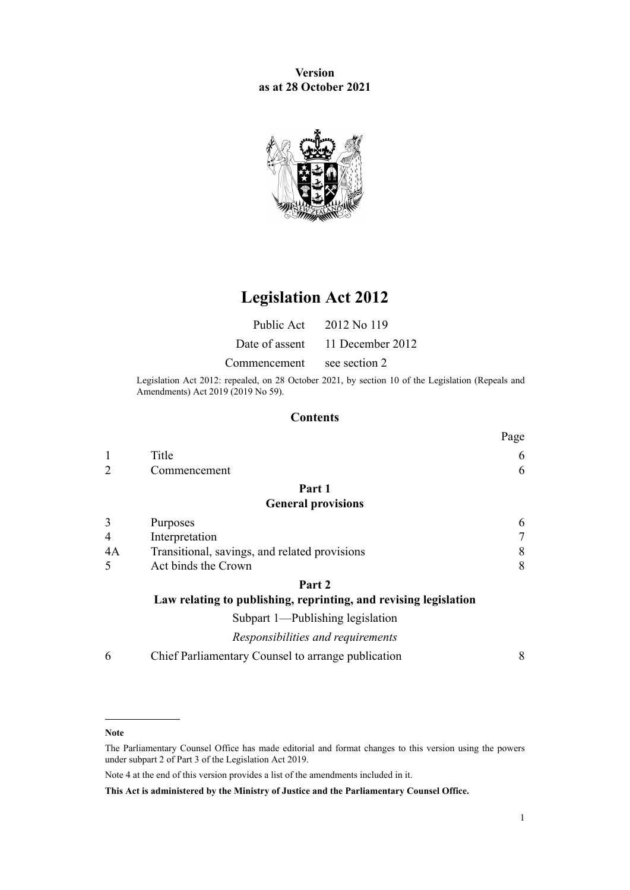**Version as at 28 October 2021**



# **Legislation Act 2012**

|                            | Public Act 2012 No 119          |
|----------------------------|---------------------------------|
|                            | Date of assent 11 December 2012 |
| Commencement see section 2 |                                 |

Legislation Act 2012: repealed, on 28 October 2021, by [section 10](http://legislation.govt.nz/pdflink.aspx?id=LMS265622) of the Legislation (Repeals and Amendments) Act 2019 (2019 No 59).

### **Contents**

|                |                                                                  | Page |
|----------------|------------------------------------------------------------------|------|
|                | Title                                                            | 6    |
| $\overline{2}$ | Commencement                                                     | 6    |
|                | Part 1                                                           |      |
|                | <b>General provisions</b>                                        |      |
| 3              | Purposes                                                         | 6    |
| 4              | Interpretation                                                   | 7    |
| 4A             | Transitional, savings, and related provisions                    | 8    |
| 5              | Act binds the Crown                                              | 8    |
|                | Part 2                                                           |      |
|                | Law relating to publishing, reprinting, and revising legislation |      |
|                | Subpart 1—Publishing legislation                                 |      |
|                | Responsibilities and requirements                                |      |
| 6              | Chief Parliamentary Counsel to arrange publication               | 8    |
|                |                                                                  |      |

#### **Note**

Note 4 at the end of this version provides a list of the amendments included in it.

**This Act is administered by the Ministry of Justice and the Parliamentary Counsel Office.**

The Parliamentary Counsel Office has made editorial and format changes to this version using the powers under [subpart 2](http://legislation.govt.nz/pdflink.aspx?id=DLM7298371) of Part 3 of the Legislation Act 2019.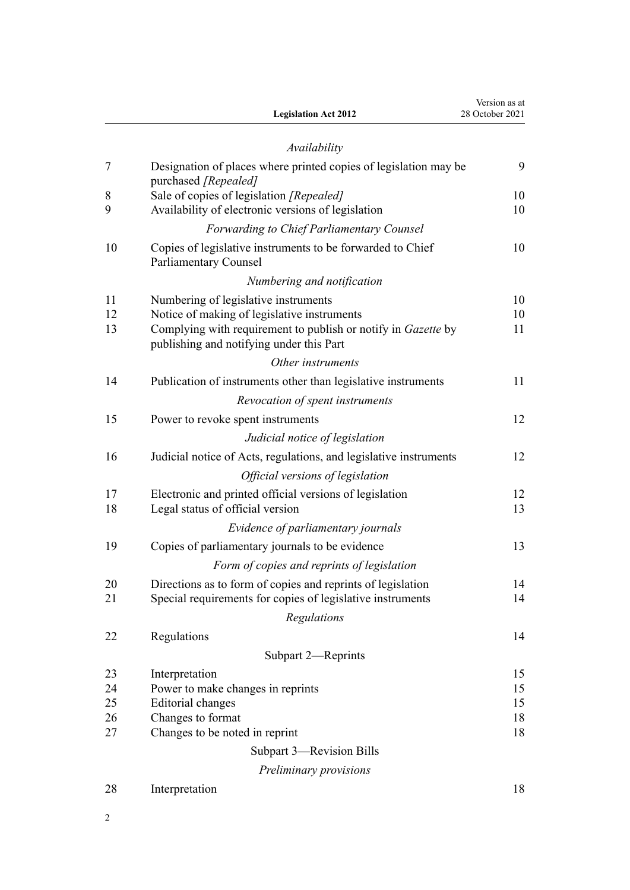|    | <b>Legislation Act 2012</b>                                                                               | Version as at<br>28 October 2021 |
|----|-----------------------------------------------------------------------------------------------------------|----------------------------------|
|    | Availability                                                                                              |                                  |
| 7  | Designation of places where printed copies of legislation may be<br>purchased [Repealed]                  | 9                                |
| 8  | Sale of copies of legislation [Repealed]                                                                  | 10                               |
| 9  | Availability of electronic versions of legislation                                                        | 10                               |
|    | <b>Forwarding to Chief Parliamentary Counsel</b>                                                          |                                  |
| 10 | Copies of legislative instruments to be forwarded to Chief<br>Parliamentary Counsel                       | 10                               |
|    | Numbering and notification                                                                                |                                  |
| 11 | Numbering of legislative instruments                                                                      | 10                               |
| 12 | Notice of making of legislative instruments                                                               | 10                               |
| 13 | Complying with requirement to publish or notify in Gazette by<br>publishing and notifying under this Part | 11                               |
|    | Other instruments                                                                                         |                                  |
| 14 | Publication of instruments other than legislative instruments                                             | 11                               |
|    | Revocation of spent instruments                                                                           |                                  |
| 15 | Power to revoke spent instruments                                                                         | 12                               |
|    | Judicial notice of legislation                                                                            |                                  |
| 16 | Judicial notice of Acts, regulations, and legislative instruments                                         | 12                               |
|    | Official versions of legislation                                                                          |                                  |
| 17 | Electronic and printed official versions of legislation                                                   | 12                               |
| 18 | Legal status of official version                                                                          | 13                               |
|    | Evidence of parliamentary journals                                                                        |                                  |
| 19 | Copies of parliamentary journals to be evidence                                                           | 13                               |
|    | Form of copies and reprints of legislation                                                                |                                  |
| 20 | Directions as to form of copies and reprints of legislation                                               | 14                               |
| 21 | Special requirements for copies of legislative instruments                                                | 14                               |
|    | Regulations                                                                                               |                                  |
| 22 | Regulations                                                                                               | 14                               |
|    | Subpart 2-Reprints                                                                                        |                                  |
| 23 | Interpretation                                                                                            | 15                               |
| 24 | Power to make changes in reprints                                                                         | 15                               |
| 25 | <b>Editorial</b> changes                                                                                  | 15                               |
| 26 | Changes to format                                                                                         | 18                               |
| 27 | Changes to be noted in reprint                                                                            | 18                               |
|    | Subpart 3—Revision Bills                                                                                  |                                  |
|    | Preliminary provisions                                                                                    |                                  |
| 28 | Interpretation                                                                                            | 18                               |

2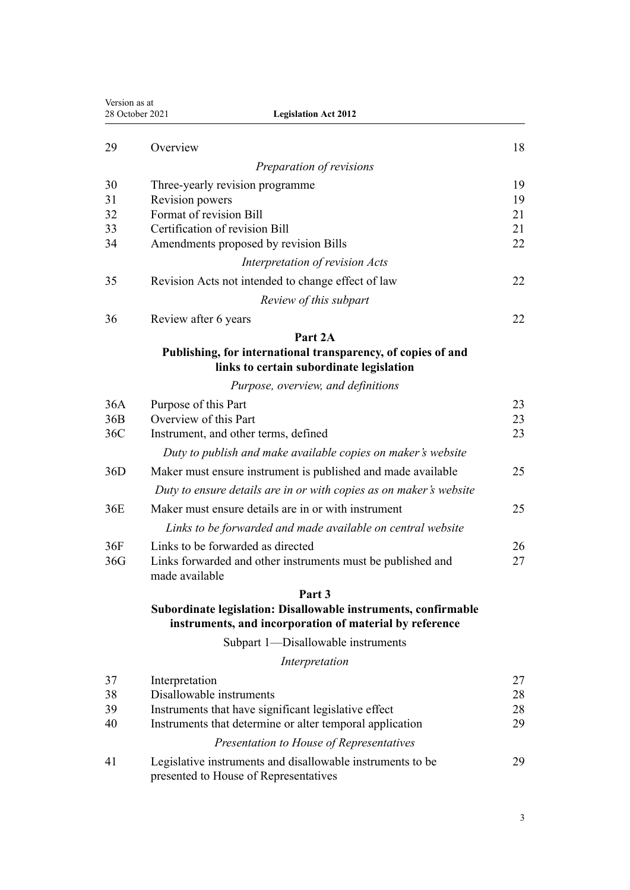| Version as at<br>28 October 2021 | <b>Legislation Act 2012</b>                                                                                               |    |
|----------------------------------|---------------------------------------------------------------------------------------------------------------------------|----|
| 29                               | Overview                                                                                                                  | 18 |
|                                  | Preparation of revisions                                                                                                  |    |
| 30                               | Three-yearly revision programme                                                                                           | 19 |
| 31                               | Revision powers                                                                                                           | 19 |
| 32                               | Format of revision Bill                                                                                                   | 21 |
| 33                               | Certification of revision Bill                                                                                            | 21 |
| 34                               | Amendments proposed by revision Bills                                                                                     | 22 |
|                                  | Interpretation of revision Acts                                                                                           |    |
| 35                               | Revision Acts not intended to change effect of law                                                                        | 22 |
|                                  | Review of this subpart                                                                                                    |    |
| 36                               | Review after 6 years                                                                                                      | 22 |
|                                  | Part 2A                                                                                                                   |    |
|                                  | Publishing, for international transparency, of copies of and<br>links to certain subordinate legislation                  |    |
|                                  | Purpose, overview, and definitions                                                                                        |    |
| 36A                              | Purpose of this Part                                                                                                      | 23 |
| 36B                              | Overview of this Part                                                                                                     | 23 |
| 36C                              | Instrument, and other terms, defined                                                                                      | 23 |
|                                  | Duty to publish and make available copies on maker's website                                                              |    |
| 36D                              | Maker must ensure instrument is published and made available                                                              | 25 |
|                                  | Duty to ensure details are in or with copies as on maker's website                                                        |    |
| 36E                              | Maker must ensure details are in or with instrument                                                                       | 25 |
|                                  | Links to be forwarded and made available on central website                                                               |    |
| 36F                              | Links to be forwarded as directed                                                                                         | 26 |
| 36G                              | Links forwarded and other instruments must be published and                                                               | 27 |
|                                  | made available                                                                                                            |    |
|                                  | Part 3                                                                                                                    |    |
|                                  | Subordinate legislation: Disallowable instruments, confirmable<br>instruments, and incorporation of material by reference |    |
|                                  | Subpart 1-Disallowable instruments                                                                                        |    |
|                                  | Interpretation                                                                                                            |    |
| 37                               | Interpretation                                                                                                            | 27 |
| 38                               | Disallowable instruments                                                                                                  | 28 |
| 39                               | Instruments that have significant legislative effect                                                                      | 28 |
| 40                               | Instruments that determine or alter temporal application                                                                  | 29 |
|                                  | Presentation to House of Representatives                                                                                  |    |
| 41                               | Legislative instruments and disallowable instruments to be<br>presented to House of Representatives                       | 29 |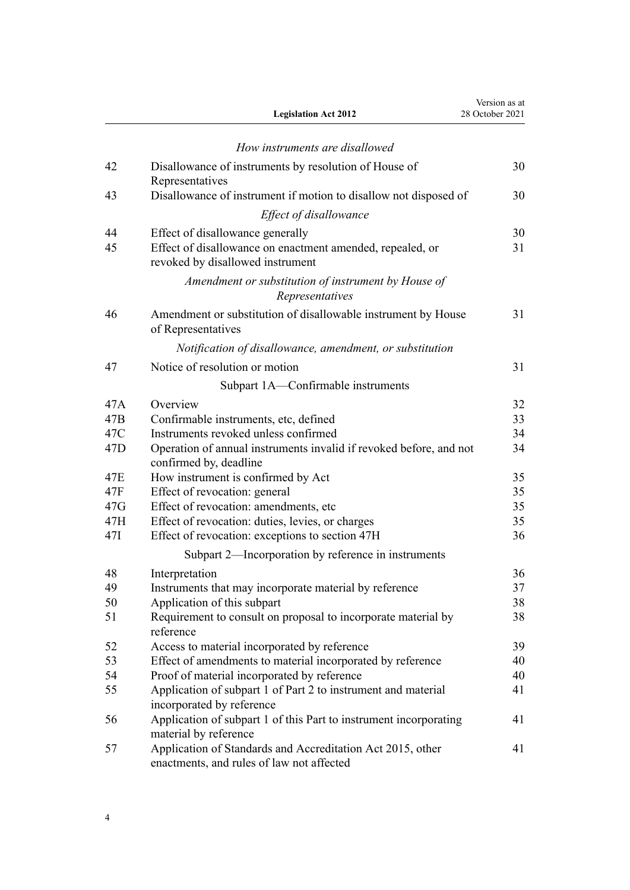|                 | <b>Legislation Act 2012</b>                                                                                                       | Version as at<br>28 October 2021 |
|-----------------|-----------------------------------------------------------------------------------------------------------------------------------|----------------------------------|
|                 | How instruments are disallowed                                                                                                    |                                  |
| 42              | Disallowance of instruments by resolution of House of<br>Representatives                                                          | 30                               |
| 43              | Disallowance of instrument if motion to disallow not disposed of                                                                  | 30                               |
|                 | Effect of disallowance                                                                                                            |                                  |
| 44              |                                                                                                                                   | 30                               |
| 45              | Effect of disallowance generally<br>Effect of disallowance on enactment amended, repealed, or<br>revoked by disallowed instrument | 31                               |
|                 | Amendment or substitution of instrument by House of<br>Representatives                                                            |                                  |
| 46              | Amendment or substitution of disallowable instrument by House<br>of Representatives                                               | 31                               |
|                 | Notification of disallowance, amendment, or substitution                                                                          |                                  |
| 47              | Notice of resolution or motion                                                                                                    | 31                               |
|                 | Subpart 1A—Confirmable instruments                                                                                                |                                  |
| 47A             | Overview                                                                                                                          | 32                               |
| 47B             | Confirmable instruments, etc, defined                                                                                             | 33                               |
| 47C             | Instruments revoked unless confirmed                                                                                              | 34                               |
| 47 <sub>D</sub> | Operation of annual instruments invalid if revoked before, and not<br>confirmed by, deadline                                      | 34                               |
| 47E             | How instrument is confirmed by Act                                                                                                | 35                               |
| 47F             | Effect of revocation: general                                                                                                     | 35                               |
| 47G             | Effect of revocation: amendments, etc                                                                                             | 35                               |
| 47H             | Effect of revocation: duties, levies, or charges                                                                                  | 35                               |
| 47I             | Effect of revocation: exceptions to section 47H                                                                                   | 36                               |
|                 | Subpart 2-Incorporation by reference in instruments                                                                               |                                  |
| 48              | Interpretation                                                                                                                    | 36                               |
| 49              | Instruments that may incorporate material by reference                                                                            | 37                               |
| 50              | Application of this subpart                                                                                                       | 38                               |
| 51              | Requirement to consult on proposal to incorporate material by<br>reference                                                        | 38                               |
| 52              | Access to material incorporated by reference                                                                                      | 39                               |
| 53              | Effect of amendments to material incorporated by reference                                                                        | 40                               |
| 54              | Proof of material incorporated by reference                                                                                       | 40                               |
| 55              | Application of subpart 1 of Part 2 to instrument and material<br>incorporated by reference                                        | 41                               |
| 56              | Application of subpart 1 of this Part to instrument incorporating<br>material by reference                                        | 41                               |
| 57              | Application of Standards and Accreditation Act 2015, other<br>enactments, and rules of law not affected                           | 41                               |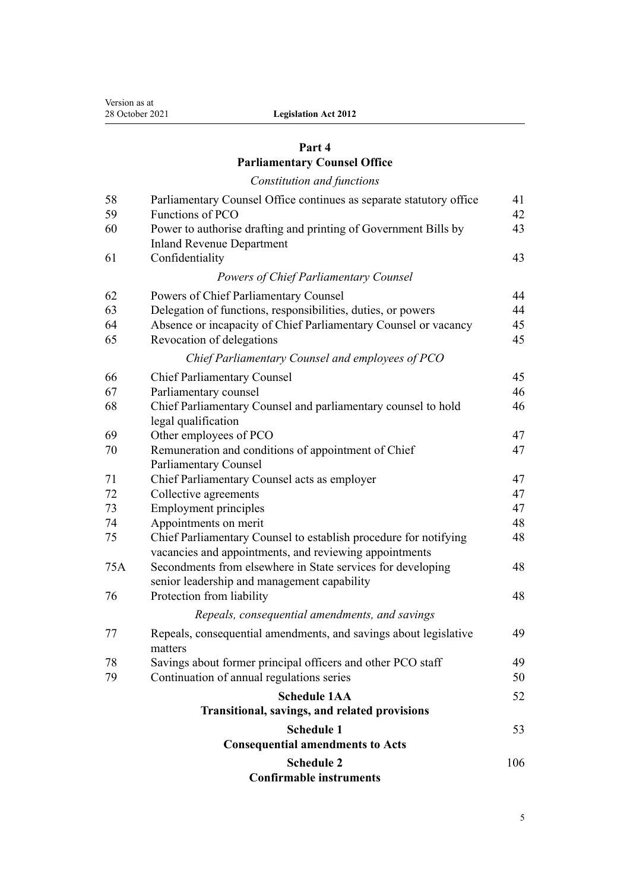# **[Part 4](#page-40-0)**

# **[Parliamentary Counsel Office](#page-40-0)**

*[Constitution and functions](#page-40-0)*

| 58  | Parliamentary Counsel Office continues as separate statutory office                                                        | 41  |  |
|-----|----------------------------------------------------------------------------------------------------------------------------|-----|--|
| 59  | Functions of PCO                                                                                                           | 42  |  |
| 60  | Power to authorise drafting and printing of Government Bills by                                                            |     |  |
|     | <b>Inland Revenue Department</b>                                                                                           |     |  |
| 61  | Confidentiality                                                                                                            | 43  |  |
|     | <b>Powers of Chief Parliamentary Counsel</b>                                                                               |     |  |
| 62  | Powers of Chief Parliamentary Counsel                                                                                      | 44  |  |
| 63  | Delegation of functions, responsibilities, duties, or powers                                                               | 44  |  |
| 64  | Absence or incapacity of Chief Parliamentary Counsel or vacancy                                                            | 45  |  |
| 65  | Revocation of delegations                                                                                                  | 45  |  |
|     | Chief Parliamentary Counsel and employees of PCO                                                                           |     |  |
| 66  | <b>Chief Parliamentary Counsel</b>                                                                                         | 45  |  |
| 67  | Parliamentary counsel                                                                                                      | 46  |  |
| 68  | Chief Parliamentary Counsel and parliamentary counsel to hold<br>legal qualification                                       | 46  |  |
| 69  | Other employees of PCO                                                                                                     | 47  |  |
| 70  | Remuneration and conditions of appointment of Chief                                                                        | 47  |  |
|     | <b>Parliamentary Counsel</b>                                                                                               |     |  |
| 71  | Chief Parliamentary Counsel acts as employer                                                                               | 47  |  |
| 72  | Collective agreements                                                                                                      | 47  |  |
| 73  | <b>Employment principles</b>                                                                                               | 47  |  |
| 74  | Appointments on merit                                                                                                      | 48  |  |
| 75  | Chief Parliamentary Counsel to establish procedure for notifying<br>vacancies and appointments, and reviewing appointments | 48  |  |
| 75A | Secondments from elsewhere in State services for developing<br>senior leadership and management capability                 | 48  |  |
| 76  | Protection from liability                                                                                                  | 48  |  |
|     | Repeals, consequential amendments, and savings                                                                             |     |  |
| 77  | Repeals, consequential amendments, and savings about legislative<br>matters                                                | 49  |  |
| 78  | Savings about former principal officers and other PCO staff                                                                | 49  |  |
| 79  | Continuation of annual regulations series                                                                                  | 50  |  |
|     | <b>Schedule 1AA</b>                                                                                                        | 52  |  |
|     | Transitional, savings, and related provisions                                                                              |     |  |
|     | <b>Schedule 1</b>                                                                                                          | 53  |  |
|     | <b>Consequential amendments to Acts</b>                                                                                    |     |  |
|     | <b>Schedule 2</b>                                                                                                          | 106 |  |
|     | <b>Confirmable instruments</b>                                                                                             |     |  |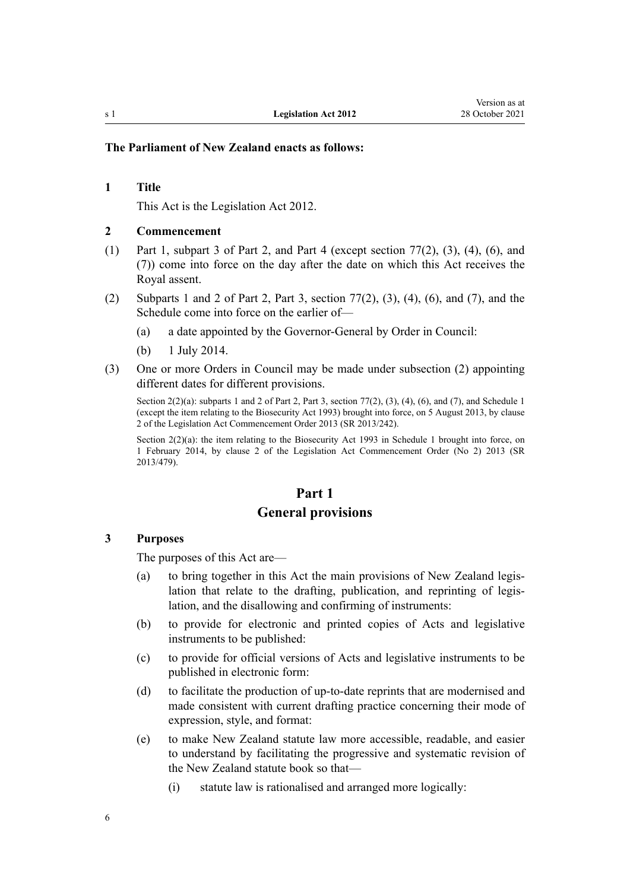### **The Parliament of New Zealand enacts as follows:**

#### **1 Title**

This Act is the Legislation Act 2012.

#### **2 Commencement**

- (1) Part 1, [subpart 3](#page-17-0) of Part 2, and [Part 4](#page-40-0) (except [section 77\(2\), \(3\), \(4\), \(6\), and](#page-48-0) [\(7\)\)](#page-48-0) come into force on the day after the date on which this Act receives the Royal assent.
- (2) [Subparts 1](#page-7-0) and [2](#page-14-0) of Part 2, [Part 3,](#page-26-0) [section 77\(2\), \(3\), \(4\), \(6\), and \(7\)](#page-48-0), and the [Schedule](#page-52-0) come into force on the earlier of—
	- (a) a date appointed by the Governor-General by Order in Council:
	- (b) 1 July 2014.
- (3) One or more Orders in Council may be made under subsection (2) appointing different dates for different provisions.

Section  $2(2)(a)$ : subparts 1 and 2 of Part 2, Part 3, section 77(2), (3), (4), (6), and (7), and Schedule 1 (except the item relating to the Biosecurity Act 1993) brought into force, on 5 August 2013, by [clause](http://legislation.govt.nz/pdflink.aspx?id=DLM5266021) [2](http://legislation.govt.nz/pdflink.aspx?id=DLM5266021) of the Legislation Act Commencement Order 2013 (SR 2013/242).

Section 2(2)(a): the item relating to the Biosecurity Act 1993 in Schedule 1 brought into force, on 1 February 2014, by [clause 2](http://legislation.govt.nz/pdflink.aspx?id=DLM5775514) of the Legislation Act Commencement Order (No 2) 2013 (SR 2013/479).

# **Part 1 General provisions**

#### **3 Purposes**

The purposes of this Act are—

- (a) to bring together in this Act the main provisions of New Zealand legis‐ lation that relate to the drafting, publication, and reprinting of legis‐ lation, and the disallowing and confirming of instruments:
- (b) to provide for electronic and printed copies of Acts and legislative instruments to be published:
- (c) to provide for official versions of Acts and legislative instruments to be published in electronic form:
- (d) to facilitate the production of up-to-date reprints that are modernised and made consistent with current drafting practice concerning their mode of expression, style, and format:
- (e) to make New Zealand statute law more accessible, readable, and easier to understand by facilitating the progressive and systematic revision of the New Zealand statute book so that—
	- (i) statute law is rationalised and arranged more logically:

<span id="page-5-0"></span>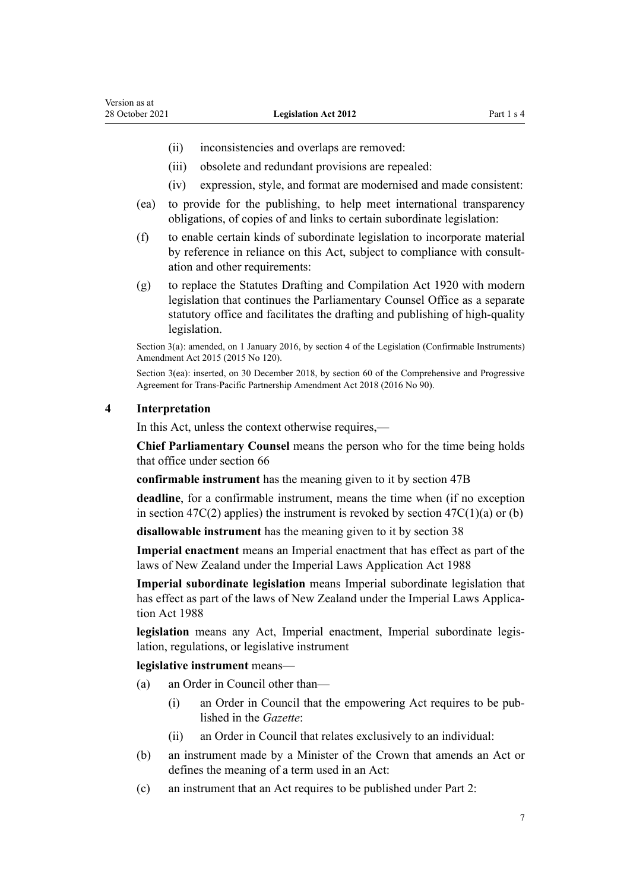- <span id="page-6-0"></span>(ii) inconsistencies and overlaps are removed:
- (iii) obsolete and redundant provisions are repealed:
- (iv) expression, style, and format are modernised and made consistent:
- (ea) to provide for the publishing, to help meet international transparency obligations, of copies of and links to certain subordinate legislation:
- (f) to enable certain kinds of subordinate legislation to incorporate material by reference in reliance on this Act, subject to compliance with consult‐ ation and other requirements:
- (g) to replace the [Statutes Drafting and Compilation Act 1920](http://legislation.govt.nz/pdflink.aspx?id=DLM191587) with modern legislation that continues the Parliamentary Counsel Office as a separate statutory office and facilitates the drafting and publishing of high-quality legislation.

Section 3(a): amended, on 1 January 2016, by [section 4](http://legislation.govt.nz/pdflink.aspx?id=DLM6681207) of the Legislation (Confirmable Instruments) Amendment Act 2015 (2015 No 120).

Section 3(ea): inserted, on 30 December 2018, by [section 60](http://legislation.govt.nz/pdflink.aspx?id=DLM6838298) of the Comprehensive and Progressive Agreement for Trans-Pacific Partnership Amendment Act 2018 (2016 No 90).

#### **4 Interpretation**

In this Act, unless the context otherwise requires,—

**Chief Parliamentary Counsel** means the person who for the time being holds that office under [section 66](#page-44-0)

**confirmable instrument** has the meaning given to it by [section 47B](#page-32-0)

**deadline**, for a confirmable instrument, means the time when (if no exception in section  $47C(2)$  applies) the instrument is revoked by section  $47C(1)(a)$  or (b)

**disallowable instrument** has the meaning given to it by [section 38](#page-27-0)

**Imperial enactment** means an Imperial enactment that has effect as part of the laws of New Zealand under the [Imperial Laws Application Act 1988](http://legislation.govt.nz/pdflink.aspx?id=DLM135073)

**Imperial subordinate legislation** means Imperial subordinate legislation that has effect as part of the laws of New Zealand under the Imperial Laws Applica[tion Act 1988](http://legislation.govt.nz/pdflink.aspx?id=DLM135073)

legislation means any Act, Imperial enactment, Imperial subordinate legislation, regulations, or legislative instrument

#### **legislative instrument** means—

- (a) an Order in Council other than—
	- (i) an Order in Council that the empowering Act requires to be pub‐ lished in the *Gazette*:
	- (ii) an Order in Council that relates exclusively to an individual:
- (b) an instrument made by a Minister of the Crown that amends an Act or defines the meaning of a term used in an Act:
- (c) an instrument that an Act requires to be published under Part 2: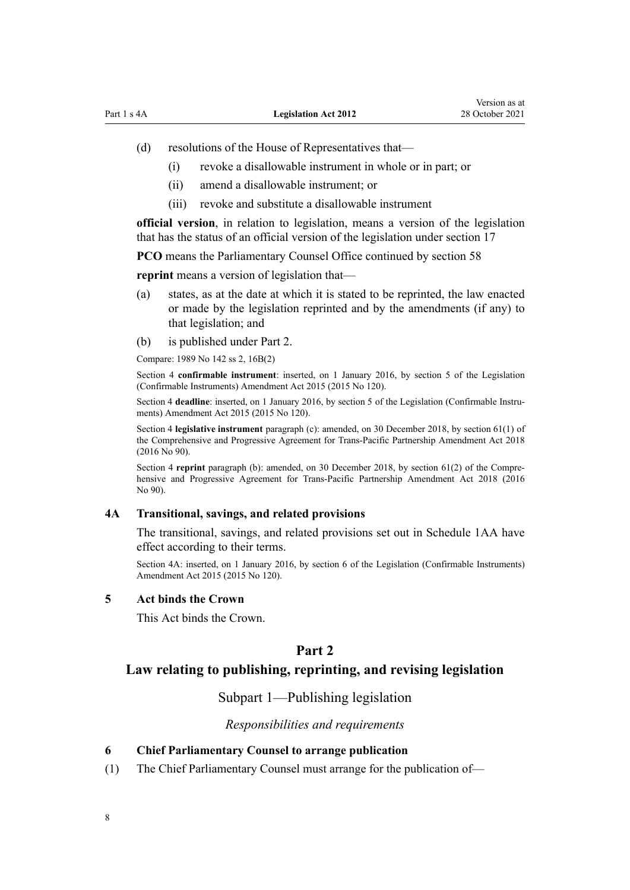- <span id="page-7-0"></span>(d) resolutions of the House of Representatives that—
	- (i) revoke a disallowable instrument in whole or in part; or
	- (ii) amend a disallowable instrument; or
	- (iii) revoke and substitute a disallowable instrument

**official version**, in relation to legislation, means a version of the legislation that has the status of an official version of the legislation under [section 17](#page-11-0)

**PCO** means the Parliamentary Counsel Office continued by [section 58](#page-40-0)

**reprint** means a version of legislation that—

- (a) states, as at the date at which it is stated to be reprinted, the law enacted or made by the legislation reprinted and by the amendments (if any) to that legislation; and
- (b) is published under Part 2.

Compare: 1989 No 142 [ss 2,](http://legislation.govt.nz/pdflink.aspx?id=DLM195403) [16B\(2\)](http://legislation.govt.nz/pdflink.aspx?id=DLM195434)

Section 4 **confirmable instrument**: inserted, on 1 January 2016, by [section 5](http://legislation.govt.nz/pdflink.aspx?id=DLM6681208) of the Legislation (Confirmable Instruments) Amendment Act 2015 (2015 No 120).

Section 4 **deadline**: inserted, on 1 January 2016, by [section 5](http://legislation.govt.nz/pdflink.aspx?id=DLM6681208) of the Legislation (Confirmable Instruments) Amendment Act 2015 (2015 No 120).

Section 4 **legislative instrument** paragraph (c): amended, on 30 December 2018, by [section 61\(1\)](http://legislation.govt.nz/pdflink.aspx?id=DLM6838299) of the Comprehensive and Progressive Agreement for Trans-Pacific Partnership Amendment Act 2018 (2016 No 90).

Section 4 **reprint** paragraph (b): amended, on 30 December 2018, by [section 61\(2\)](http://legislation.govt.nz/pdflink.aspx?id=DLM6838299) of the Comprehensive and Progressive Agreement for Trans-Pacific Partnership Amendment Act 2018 (2016 No 90).

### **4A Transitional, savings, and related provisions**

The transitional, savings, and related provisions set out in [Schedule 1AA](#page-51-0) have effect according to their terms.

Section 4A: inserted, on 1 January 2016, by [section 6](http://legislation.govt.nz/pdflink.aspx?id=DLM6681213) of the Legislation (Confirmable Instruments) Amendment Act 2015 (2015 No 120).

### **5 Act binds the Crown**

This Act binds the Crown.

### **Part 2**

### **Law relating to publishing, reprinting, and revising legislation**

Subpart 1—Publishing legislation

### *Responsibilities and requirements*

#### **6 Chief Parliamentary Counsel to arrange publication**

(1) The Chief Parliamentary Counsel must arrange for the publication of—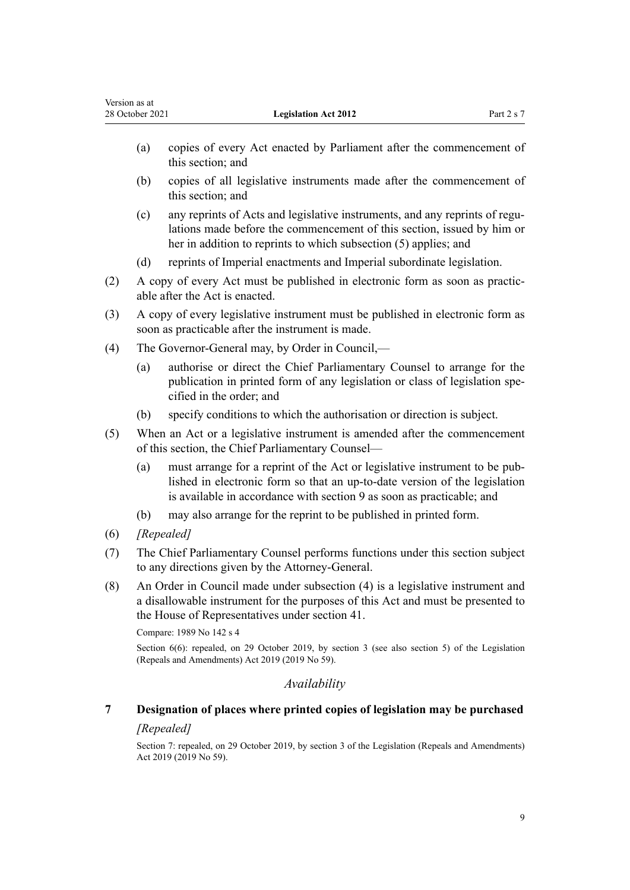- <span id="page-8-0"></span>(a) copies of every Act enacted by Parliament after the commencement of this section; and
- (b) copies of all legislative instruments made after the commencement of this section; and
- (c) any reprints of Acts and legislative instruments, and any reprints of regu‐ lations made before the commencement of this section, issued by him or her in addition to reprints to which subsection (5) applies; and
- (d) reprints of Imperial enactments and Imperial subordinate legislation.
- (2) A copy of every Act must be published in electronic form as soon as practic‐ able after the Act is enacted.
- (3) A copy of every legislative instrument must be published in electronic form as soon as practicable after the instrument is made.
- (4) The Governor-General may, by Order in Council,—
	- (a) authorise or direct the Chief Parliamentary Counsel to arrange for the publication in printed form of any legislation or class of legislation specified in the order; and
	- (b) specify conditions to which the authorisation or direction is subject.
- (5) When an Act or a legislative instrument is amended after the commencement of this section, the Chief Parliamentary Counsel—
	- (a) must arrange for a reprint of the Act or legislative instrument to be pub‐ lished in electronic form so that an up-to-date version of the legislation is available in accordance with [section 9](#page-9-0) as soon as practicable; and
	- (b) may also arrange for the reprint to be published in printed form.
- (6) *[Repealed]*
- (7) The Chief Parliamentary Counsel performs functions under this section subject to any directions given by the Attorney-General.
- (8) An Order in Council made under subsection (4) is a legislative instrument and a disallowable instrument for the purposes of this Act and must be presented to the House of Representatives under [section 41.](#page-28-0)

Compare: 1989 No 142 [s 4](http://legislation.govt.nz/pdflink.aspx?id=DLM195412)

Section 6(6): repealed, on 29 October 2019, by [section 3](http://legislation.govt.nz/pdflink.aspx?id=LMS265603) (see also [section 5](http://legislation.govt.nz/pdflink.aspx?id=LMS265605)) of the Legislation (Repeals and Amendments) Act 2019 (2019 No 59).

### *Availability*

# **7 Designation of places where printed copies of legislation may be purchased**

### *[Repealed]*

Section 7: repealed, on 29 October 2019, by [section 3](http://legislation.govt.nz/pdflink.aspx?id=LMS265603) of the Legislation (Repeals and Amendments) Act 2019 (2019 No 59).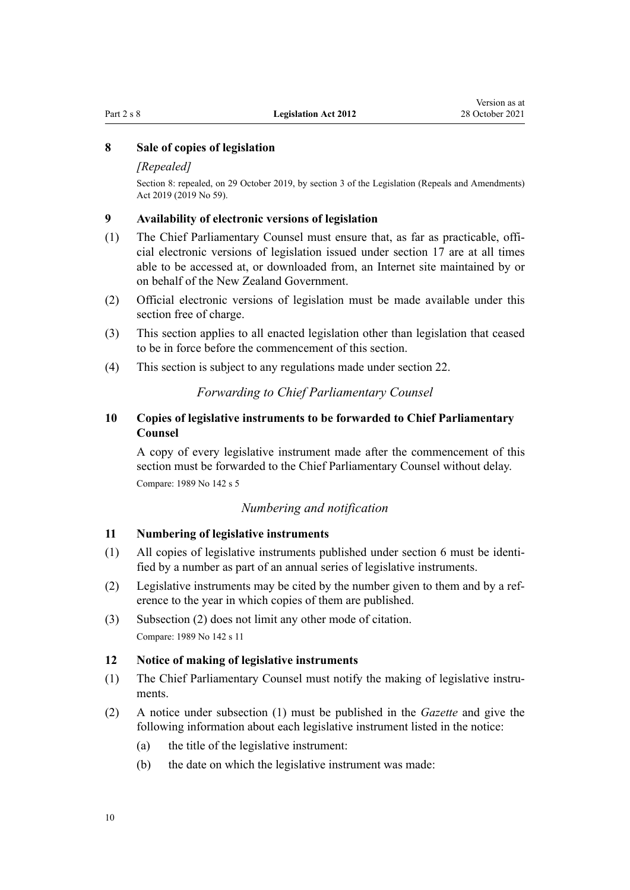#### <span id="page-9-0"></span>**8 Sale of copies of legislation**

#### *[Repealed]*

Section 8: repealed, on 29 October 2019, by [section 3](http://legislation.govt.nz/pdflink.aspx?id=LMS265603) of the Legislation (Repeals and Amendments) Act 2019 (2019 No 59).

#### **9 Availability of electronic versions of legislation**

- (1) The Chief Parliamentary Counsel must ensure that, as far as practicable, offi‐ cial electronic versions of legislation issued under [section 17](#page-11-0) are at all times able to be accessed at, or downloaded from, an Internet site maintained by or on behalf of the New Zealand Government.
- (2) Official electronic versions of legislation must be made available under this section free of charge.
- (3) This section applies to all enacted legislation other than legislation that ceased to be in force before the commencement of this section.
- (4) This section is subject to any regulations made under [section 22](#page-13-0).

### *Forwarding to Chief Parliamentary Counsel*

### **10 Copies of legislative instruments to be forwarded to Chief Parliamentary Counsel**

A copy of every legislative instrument made after the commencement of this section must be forwarded to the Chief Parliamentary Counsel without delay. Compare: 1989 No 142 [s 5](http://legislation.govt.nz/pdflink.aspx?id=DLM195413)

### *Numbering and notification*

#### **11 Numbering of legislative instruments**

- (1) All copies of legislative instruments published under [section 6](#page-7-0) must be identified by a number as part of an annual series of legislative instruments.
- (2) Legislative instruments may be cited by the number given to them and by a ref‐ erence to the year in which copies of them are published.
- (3) Subsection (2) does not limit any other mode of citation. Compare: 1989 No 142 [s 11](http://legislation.govt.nz/pdflink.aspx?id=DLM195420)

#### **12 Notice of making of legislative instruments**

- (1) The Chief Parliamentary Counsel must notify the making of legislative instru‐ ments.
- (2) A notice under subsection (1) must be published in the *Gazette* and give the following information about each legislative instrument listed in the notice:
	- (a) the title of the legislative instrument:
	- (b) the date on which the legislative instrument was made: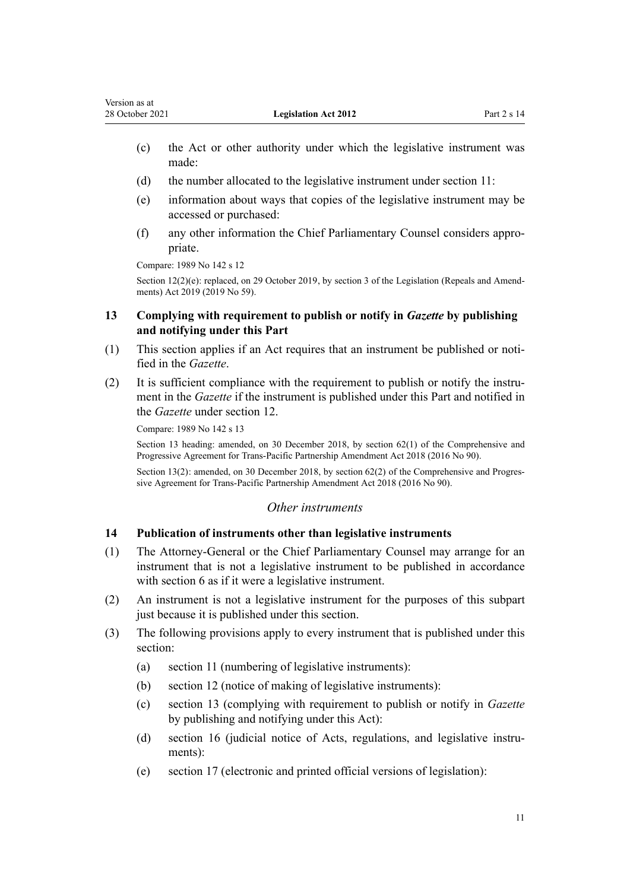- <span id="page-10-0"></span>(c) the Act or other authority under which the legislative instrument was made:
- (d) the number allocated to the legislative instrument under section 11:
- (e) information about ways that copies of the legislative instrument may be accessed or purchased:
- (f) any other information the Chief Parliamentary Counsel considers appro‐ priate.

Compare: 1989 No 142 [s 12](http://legislation.govt.nz/pdflink.aspx?id=DLM195421)

Section  $12(2)(e)$ : replaced, on 29 October 2019, by [section 3](http://legislation.govt.nz/pdflink.aspx?id=LMS265603) of the Legislation (Repeals and Amendments) Act 2019 (2019 No 59).

### **13 Complying with requirement to publish or notify in** *Gazette* **by publishing and notifying under this Part**

- (1) This section applies if an Act requires that an instrument be published or noti‐ fied in the *Gazette*.
- (2) It is sufficient compliance with the requirement to publish or notify the instru‐ ment in the *Gazette* if the instrument is published under this Part and notified in the *Gazette* under [section 12](#page-9-0).

Compare: 1989 No 142 [s 13](http://legislation.govt.nz/pdflink.aspx?id=DLM195422)

Section 13 heading: amended, on 30 December 2018, by [section 62\(1\)](http://legislation.govt.nz/pdflink.aspx?id=DLM6838302) of the Comprehensive and Progressive Agreement for Trans-Pacific Partnership Amendment Act 2018 (2016 No 90).

Section 13(2): amended, on 30 December 2018, by [section 62\(2\)](http://legislation.govt.nz/pdflink.aspx?id=DLM6838302) of the Comprehensive and Progressive Agreement for Trans-Pacific Partnership Amendment Act 2018 (2016 No 90).

### *Other instruments*

### **14 Publication of instruments other than legislative instruments**

- (1) The Attorney-General or the Chief Parliamentary Counsel may arrange for an instrument that is not a legislative instrument to be published in accordance with [section 6](#page-7-0) as if it were a legislative instrument.
- (2) An instrument is not a legislative instrument for the purposes of this subpart just because it is published under this section.
- (3) The following provisions apply to every instrument that is published under this section:
	- (a) [section 11](#page-9-0) (numbering of legislative instruments):
	- (b) [section 12](#page-9-0) (notice of making of legislative instruments):
	- (c) section 13 (complying with requirement to publish or notify in *Gazette* by publishing and notifying under this Act):
	- (d) [section 16](#page-11-0) (judicial notice of Acts, regulations, and legislative instruments):
	- (e) [section 17](#page-11-0) (electronic and printed official versions of legislation):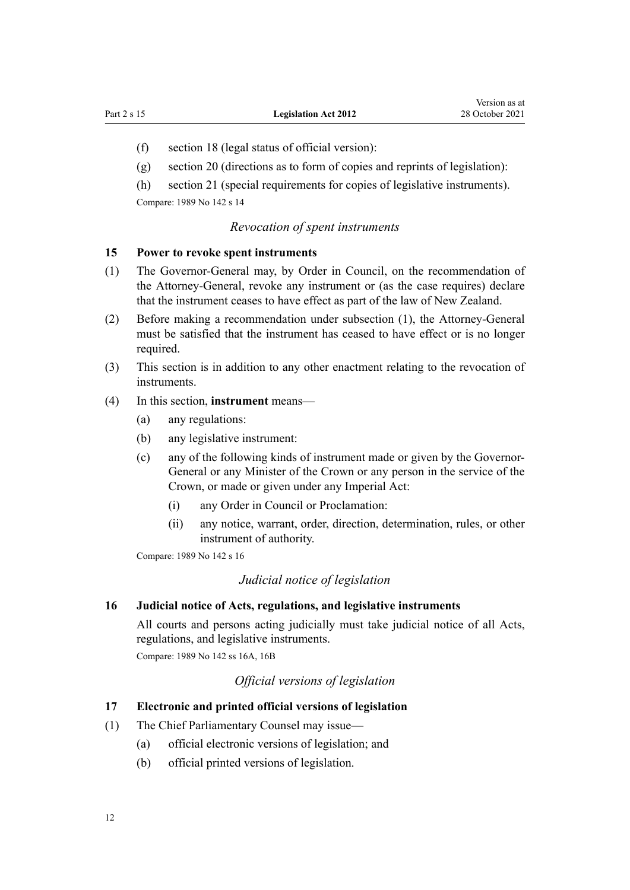- <span id="page-11-0"></span>(f) [section 18](#page-12-0) (legal status of official version):
- (g) [section 20](#page-13-0) (directions as to form of copies and reprints of legislation):

(h) [section 21](#page-13-0) (special requirements for copies of legislative instruments). Compare: 1989 No 142 [s 14](http://legislation.govt.nz/pdflink.aspx?id=DLM195423)

#### *Revocation of spent instruments*

### **15 Power to revoke spent instruments**

- (1) The Governor-General may, by Order in Council, on the recommendation of the Attorney-General, revoke any instrument or (as the case requires) declare that the instrument ceases to have effect as part of the law of New Zealand.
- (2) Before making a recommendation under subsection (1), the Attorney-General must be satisfied that the instrument has ceased to have effect or is no longer required.
- (3) This section is in addition to any other enactment relating to the revocation of instruments.

### (4) In this section, **instrument** means—

- (a) any regulations:
- (b) any legislative instrument:
- (c) any of the following kinds of instrument made or given by the Governor-General or any Minister of the Crown or any person in the service of the Crown, or made or given under any Imperial Act:
	- (i) any Order in Council or Proclamation:
	- (ii) any notice, warrant, order, direction, determination, rules, or other instrument of authority.

Compare: 1989 No 142 [s 16](http://legislation.govt.nz/pdflink.aspx?id=DLM195428)

#### *Judicial notice of legislation*

#### **16 Judicial notice of Acts, regulations, and legislative instruments**

All courts and persons acting judicially must take judicial notice of all Acts, regulations, and legislative instruments. Compare: 1989 No 142 [ss 16A,](http://legislation.govt.nz/pdflink.aspx?id=DLM195432) [16B](http://legislation.govt.nz/pdflink.aspx?id=DLM195434)

### *Official versions of legislation*

#### **17 Electronic and printed official versions of legislation**

- (1) The Chief Parliamentary Counsel may issue—
	- (a) official electronic versions of legislation; and
	- (b) official printed versions of legislation.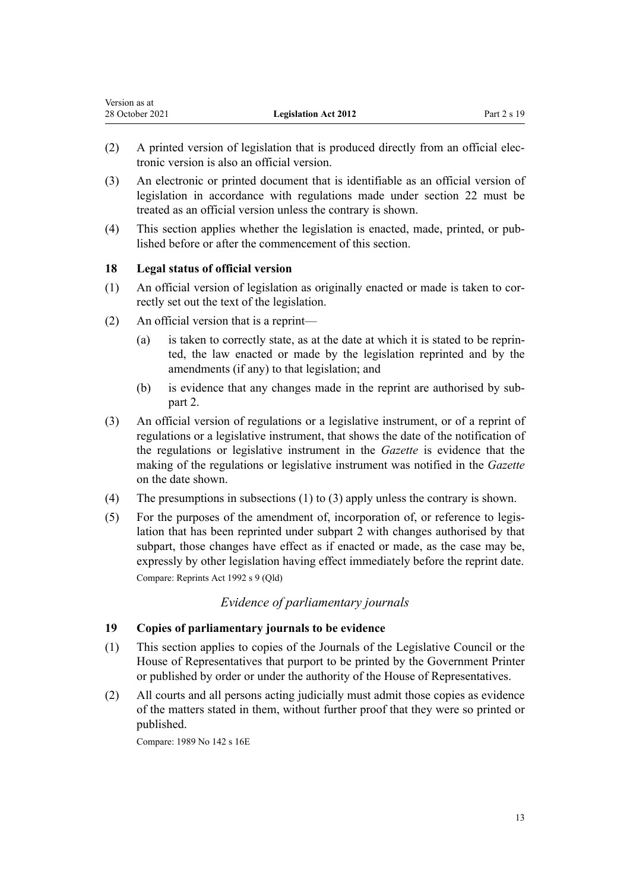| version as at   |                             |             |
|-----------------|-----------------------------|-------------|
| 28 October 2021 | <b>Legislation Act 2012</b> | Part 2 s 19 |

- (2) A printed version of legislation that is produced directly from an official elec‐ tronic version is also an official version.
- (3) An electronic or printed document that is identifiable as an official version of legislation in accordance with regulations made under [section 22](#page-13-0) must be treated as an official version unless the contrary is shown.
- (4) This section applies whether the legislation is enacted, made, printed, or pub‐ lished before or after the commencement of this section.

### **18 Legal status of official version**

<span id="page-12-0"></span> $\mathbf{v}$  as a at a set  $\mathbf{v}$ 

- (1) An official version of legislation as originally enacted or made is taken to cor‐ rectly set out the text of the legislation.
- (2) An official version that is a reprint—
	- (a) is taken to correctly state, as at the date at which it is stated to be reprin‐ ted, the law enacted or made by the legislation reprinted and by the amendments (if any) to that legislation; and
	- (b) is evidence that any changes made in the reprint are authorised by sub[part 2.](#page-14-0)
- (3) An official version of regulations or a legislative instrument, or of a reprint of regulations or a legislative instrument, that shows the date of the notification of the regulations or legislative instrument in the *Gazette* is evidence that the making of the regulations or legislative instrument was notified in the *Gazette* on the date shown.
- (4) The presumptions in subsections (1) to (3) apply unless the contrary is shown.
- (5) For the purposes of the amendment of, incorporation of, or reference to legis‐ lation that has been reprinted under [subpart 2](#page-14-0) with changes authorised by that subpart, those changes have effect as if enacted or made, as the case may be, expressly by other legislation having effect immediately before the reprint date. Compare: Reprints Act 1992 s 9 (Qld)

### *Evidence of parliamentary journals*

### **19 Copies of parliamentary journals to be evidence**

- (1) This section applies to copies of the Journals of the Legislative Council or the House of Representatives that purport to be printed by the Government Printer or published by order or under the authority of the House of Representatives.
- (2) All courts and all persons acting judicially must admit those copies as evidence of the matters stated in them, without further proof that they were so printed or published.

Compare: 1989 No 142 [s 16E](http://legislation.govt.nz/pdflink.aspx?id=DLM195448)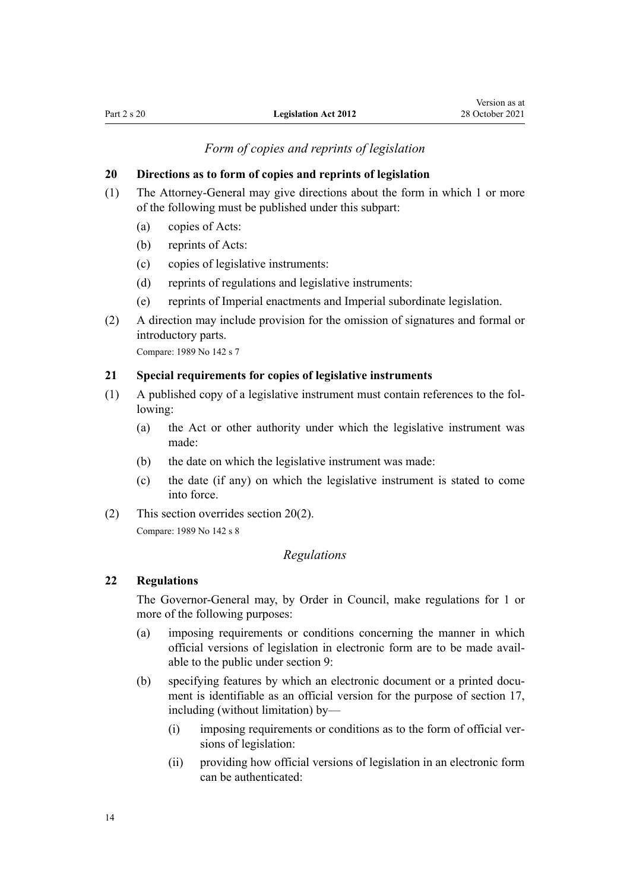*Form of copies and reprints of legislation*

### <span id="page-13-0"></span>**20 Directions as to form of copies and reprints of legislation**

- (1) The Attorney-General may give directions about the form in which 1 or more of the following must be published under this subpart:
	- (a) copies of Acts:
	- (b) reprints of Acts:
	- (c) copies of legislative instruments:
	- (d) reprints of regulations and legislative instruments:
	- (e) reprints of Imperial enactments and Imperial subordinate legislation.
- (2) A direction may include provision for the omission of signatures and formal or introductory parts.

Compare: 1989 No 142 [s 7](http://legislation.govt.nz/pdflink.aspx?id=DLM195415)

### **21 Special requirements for copies of legislative instruments**

- (1) A published copy of a legislative instrument must contain references to the fol‐ lowing:
	- (a) the Act or other authority under which the legislative instrument was made:
	- (b) the date on which the legislative instrument was made:
	- (c) the date (if any) on which the legislative instrument is stated to come into force.
- (2) This section overrides section 20(2). Compare: 1989 No 142 [s 8](http://legislation.govt.nz/pdflink.aspx?id=DLM195416)

### *Regulations*

### **22 Regulations**

The Governor-General may, by Order in Council, make regulations for 1 or more of the following purposes:

- (a) imposing requirements or conditions concerning the manner in which official versions of legislation in electronic form are to be made avail‐ able to the public under [section 9:](#page-9-0)
- (b) specifying features by which an electronic document or a printed document is identifiable as an official version for the purpose of [section 17](#page-11-0), including (without limitation) by—
	- $(i)$  imposing requirements or conditions as to the form of official versions of legislation:
	- (ii) providing how official versions of legislation in an electronic form can be authenticated: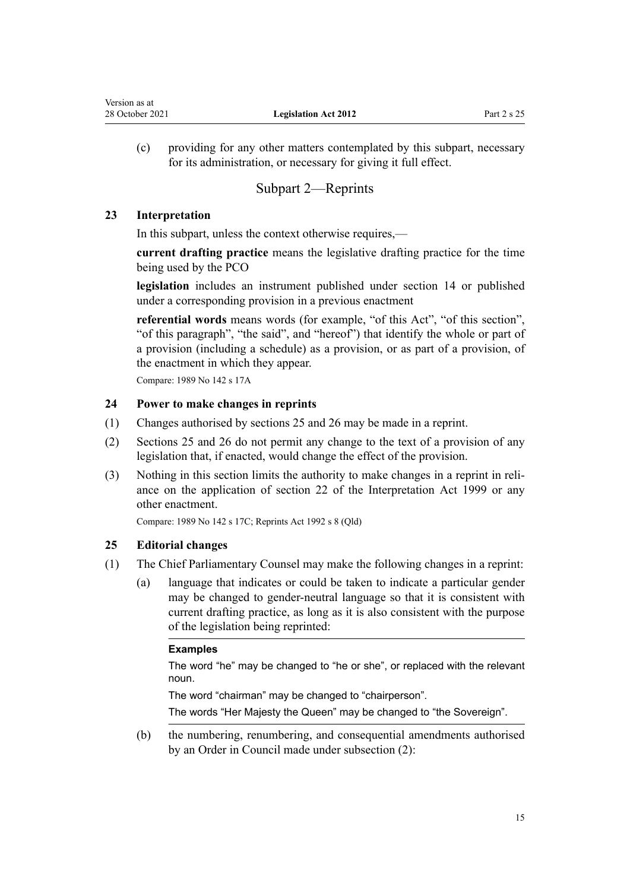<span id="page-14-0"></span>(c) providing for any other matters contemplated by this subpart, necessary for its administration, or necessary for giving it full effect.

### Subpart 2—Reprints

### **23 Interpretation**

In this subpart, unless the context otherwise requires,—

**current drafting practice** means the legislative drafting practice for the time being used by the PCO

**legislation** includes an instrument published under [section 14](#page-10-0) or published under a corresponding provision in a previous enactment

**referential words** means words (for example, "of this Act", "of this section", "of this paragraph", "the said", and "hereof") that identify the whole or part of a provision (including a schedule) as a provision, or as part of a provision, of the enactment in which they appear.

Compare: 1989 No 142 [s 17A](http://legislation.govt.nz/pdflink.aspx?id=DLM195453)

### **24 Power to make changes in reprints**

- (1) Changes authorised by sections 25 and [26](#page-17-0) may be made in a reprint.
- (2) Sections 25 and [26](#page-17-0) do not permit any change to the text of a provision of any legislation that, if enacted, would change the effect of the provision.
- (3) Nothing in this section limits the authority to make changes in a reprint in reli‐ ance on the application of [section 22](http://legislation.govt.nz/pdflink.aspx?id=DLM31491) of the Interpretation Act 1999 or any other enactment.

Compare: 1989 No 142 [s 17C;](http://legislation.govt.nz/pdflink.aspx?id=DLM195466) Reprints Act 1992 s 8 (Qld)

### **25 Editorial changes**

- (1) The Chief Parliamentary Counsel may make the following changes in a reprint:
	- (a) language that indicates or could be taken to indicate a particular gender may be changed to gender-neutral language so that it is consistent with current drafting practice, as long as it is also consistent with the purpose of the legislation being reprinted:

### **Examples**

The word "he" may be changed to "he or she", or replaced with the relevant noun.

The word "chairman" may be changed to "chairperson".

The words "Her Majesty the Queen" may be changed to "the Sovereign".

(b) the numbering, renumbering, and consequential amendments authorised by an Order in Council made under subsection (2):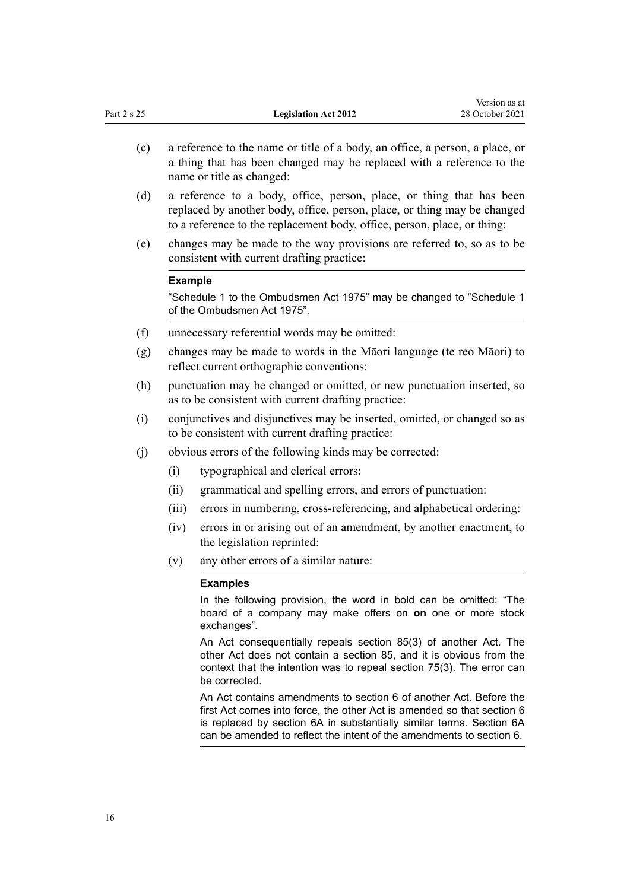| Part 2 s 25 |                                                                                                                                                                                    | <b>Legislation Act 2012</b>                                                                                                                                                                                                                                                                  | Version as at<br>28 October 2021 |
|-------------|------------------------------------------------------------------------------------------------------------------------------------------------------------------------------------|----------------------------------------------------------------------------------------------------------------------------------------------------------------------------------------------------------------------------------------------------------------------------------------------|----------------------------------|
| (c)         | a reference to the name or title of a body, an office, a person, a place, or<br>a thing that has been changed may be replaced with a reference to the<br>name or title as changed: |                                                                                                                                                                                                                                                                                              |                                  |
| (d)         |                                                                                                                                                                                    | a reference to a body, office, person, place, or thing that has been<br>replaced by another body, office, person, place, or thing may be changed<br>to a reference to the replacement body, office, person, place, or thing:                                                                 |                                  |
| (e)         |                                                                                                                                                                                    | changes may be made to the way provisions are referred to, so as to be<br>consistent with current drafting practice:                                                                                                                                                                         |                                  |
|             | <b>Example</b>                                                                                                                                                                     |                                                                                                                                                                                                                                                                                              |                                  |
|             |                                                                                                                                                                                    | "Schedule 1 to the Ombudsmen Act 1975" may be changed to "Schedule 1<br>of the Ombudsmen Act 1975".                                                                                                                                                                                          |                                  |
| (f)         |                                                                                                                                                                                    | unnecessary referential words may be omitted:                                                                                                                                                                                                                                                |                                  |
| (g)         |                                                                                                                                                                                    | changes may be made to words in the Māori language (te reo Māori) to<br>reflect current orthographic conventions:                                                                                                                                                                            |                                  |
| (h)         |                                                                                                                                                                                    | punctuation may be changed or omitted, or new punctuation inserted, so<br>as to be consistent with current drafting practice:                                                                                                                                                                |                                  |
| (i)         |                                                                                                                                                                                    | conjunctives and disjunctives may be inserted, omitted, or changed so as<br>to be consistent with current drafting practice:                                                                                                                                                                 |                                  |
| (i)         |                                                                                                                                                                                    | obvious errors of the following kinds may be corrected:                                                                                                                                                                                                                                      |                                  |
|             | (i)                                                                                                                                                                                | typographical and clerical errors:                                                                                                                                                                                                                                                           |                                  |
|             | (ii)                                                                                                                                                                               | grammatical and spelling errors, and errors of punctuation:                                                                                                                                                                                                                                  |                                  |
|             | (iii)                                                                                                                                                                              | errors in numbering, cross-referencing, and alphabetical ordering:                                                                                                                                                                                                                           |                                  |
|             | (iv)                                                                                                                                                                               | errors in or arising out of an amendment, by another enactment, to<br>the legislation reprinted:                                                                                                                                                                                             |                                  |
|             | (v)                                                                                                                                                                                | any other errors of a similar nature:                                                                                                                                                                                                                                                        |                                  |
|             |                                                                                                                                                                                    | <b>Examples</b>                                                                                                                                                                                                                                                                              |                                  |
|             |                                                                                                                                                                                    | In the following provision, the word in bold can be omitted: "The<br>board of a company may make offers on on one or more stock<br>exchanges".                                                                                                                                               |                                  |
|             |                                                                                                                                                                                    | An Act consequentially repeals section 85(3) of another Act. The<br>other Act does not contain a section 85, and it is obvious from the<br>context that the intention was to repeal section 75(3). The error can<br>be corrected.                                                            |                                  |
|             |                                                                                                                                                                                    | An Act contains amendments to section 6 of another Act. Before the<br>first Act comes into force, the other Act is amended so that section 6<br>is replaced by section 6A in substantially similar terms. Section 6A<br>can be amended to reflect the intent of the amendments to section 6. |                                  |

Version as at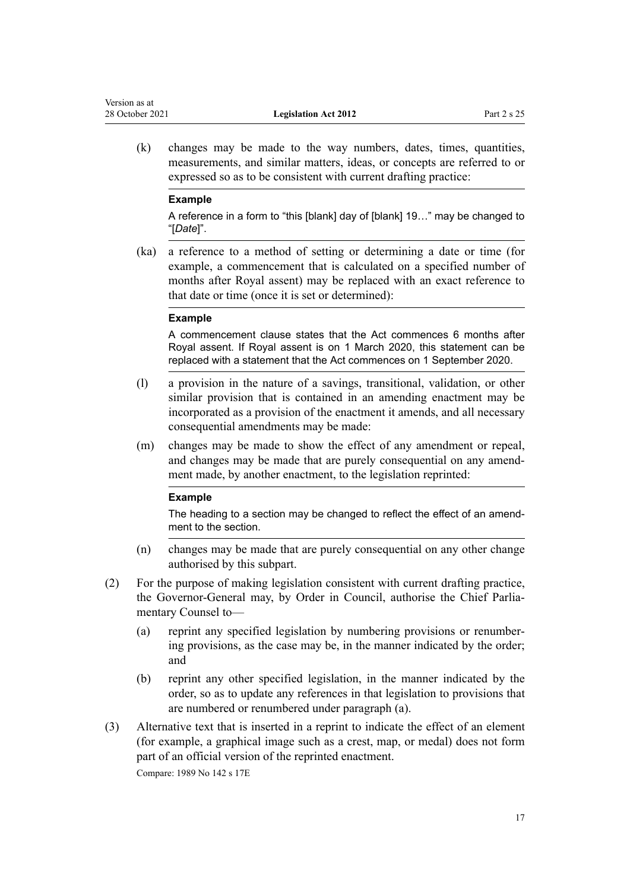(k) changes may be made to the way numbers, dates, times, quantities, measurements, and similar matters, ideas, or concepts are referred to or expressed so as to be consistent with current drafting practice:

#### **Example**

A reference in a form to "this [blank] day of [blank] 19…" may be changed to "[*Date*]".

(ka) a reference to a method of setting or determining a date or time (for example, a commencement that is calculated on a specified number of months after Royal assent) may be replaced with an exact reference to that date or time (once it is set or determined):

#### **Example**

A commencement clause states that the Act commences 6 months after Royal assent. If Royal assent is on 1 March 2020, this statement can be replaced with a statement that the Act commences on 1 September 2020.

- (l) a provision in the nature of a savings, transitional, validation, or other similar provision that is contained in an amending enactment may be incorporated as a provision of the enactment it amends, and all necessary consequential amendments may be made:
- (m) changes may be made to show the effect of any amendment or repeal, and changes may be made that are purely consequential on any amend‐ ment made, by another enactment, to the legislation reprinted:

#### **Example**

The heading to a section may be changed to reflect the effect of an amendment to the section.

- (n) changes may be made that are purely consequential on any other change authorised by this subpart.
- (2) For the purpose of making legislation consistent with current drafting practice, the Governor-General may, by Order in Council, authorise the Chief Parliamentary Counsel to—
	- (a) reprint any specified legislation by numbering provisions or renumber‐ ing provisions, as the case may be, in the manner indicated by the order; and
	- (b) reprint any other specified legislation, in the manner indicated by the order, so as to update any references in that legislation to provisions that are numbered or renumbered under paragraph (a).
- (3) Alternative text that is inserted in a reprint to indicate the effect of an element (for example, a graphical image such as a crest, map, or medal) does not form part of an official version of the reprinted enactment.

Compare: 1989 No 142 [s 17E](http://legislation.govt.nz/pdflink.aspx?id=DLM195470)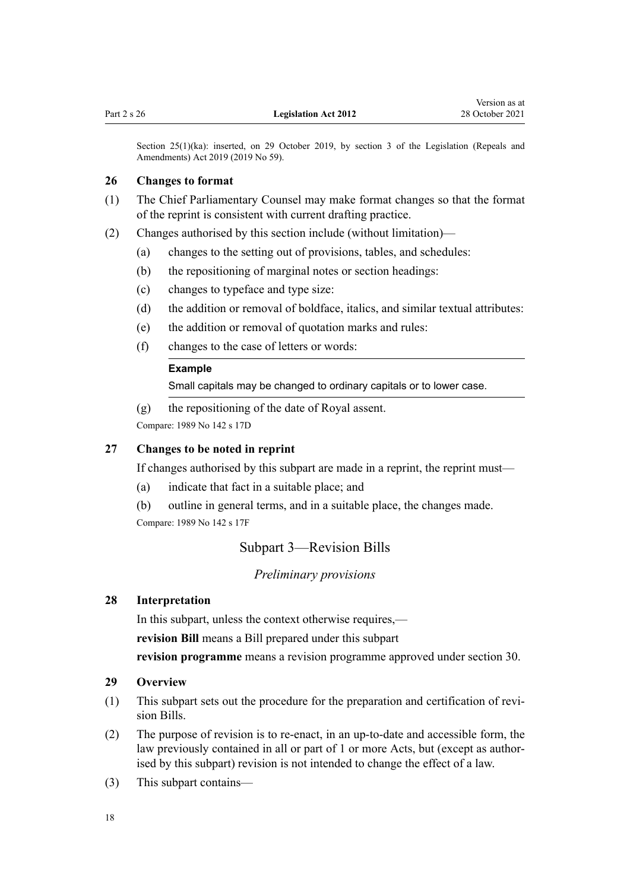<span id="page-17-0"></span>Section 25(1)(ka): inserted, on 29 October 2019, by [section 3](http://legislation.govt.nz/pdflink.aspx?id=LMS265603) of the Legislation (Repeals and Amendments) Act 2019 (2019 No 59).

#### **26 Changes to format**

- (1) The Chief Parliamentary Counsel may make format changes so that the format of the reprint is consistent with current drafting practice.
- (2) Changes authorised by this section include (without limitation)—
	- (a) changes to the setting out of provisions, tables, and schedules:
	- (b) the repositioning of marginal notes or section headings:
	- (c) changes to typeface and type size:
	- (d) the addition or removal of boldface, italics, and similar textual attributes:
	- (e) the addition or removal of quotation marks and rules:
	- (f) changes to the case of letters or words:

### **Example**

Small capitals may be changed to ordinary capitals or to lower case.

(g) the repositioning of the date of Royal assent.

Compare: 1989 No 142 [s 17D](http://legislation.govt.nz/pdflink.aspx?id=DLM195468)

### **27 Changes to be noted in reprint**

If changes authorised by this subpart are made in a reprint, the reprint must—

- (a) indicate that fact in a suitable place; and
- (b) outline in general terms, and in a suitable place, the changes made.

Compare: 1989 No 142 [s 17F](http://legislation.govt.nz/pdflink.aspx?id=DLM195472)

### Subpart 3—Revision Bills

#### *Preliminary provisions*

### **28 Interpretation**

In this subpart, unless the context otherwise requires,—

**revision Bill** means a Bill prepared under this subpart

**revision programme** means a revision programme approved under [section 30](#page-18-0).

### **29 Overview**

- (1) This subpart sets out the procedure for the preparation and certification of revi‐ sion Bills.
- (2) The purpose of revision is to re-enact, in an up-to-date and accessible form, the law previously contained in all or part of 1 or more Acts, but (except as authorised by this subpart) revision is not intended to change the effect of a law.
- (3) This subpart contains—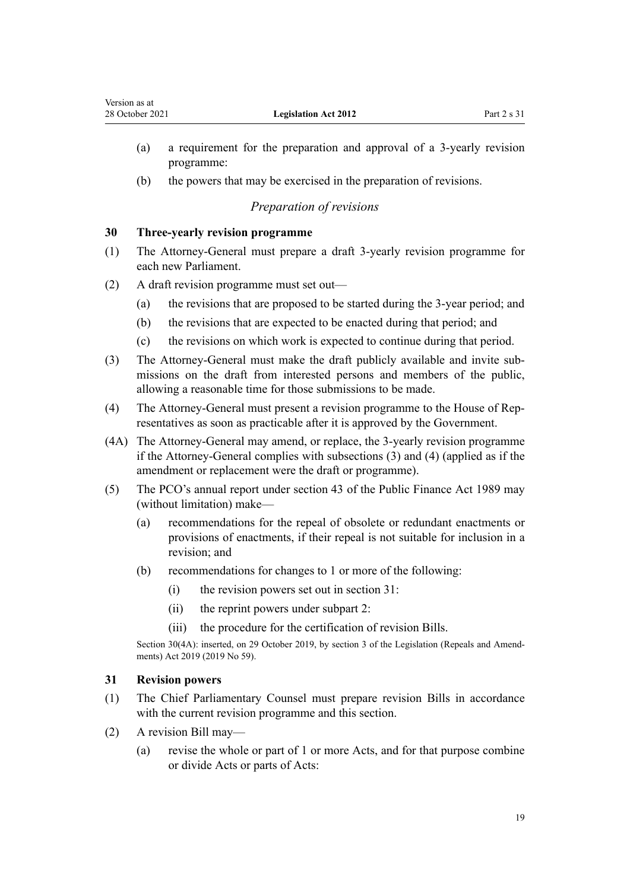- <span id="page-18-0"></span>(a) a requirement for the preparation and approval of a 3-yearly revision programme:
- (b) the powers that may be exercised in the preparation of revisions.

### *Preparation of revisions*

### **30 Three-yearly revision programme**

- (1) The Attorney-General must prepare a draft 3-yearly revision programme for each new Parliament.
- (2) A draft revision programme must set out—
	- (a) the revisions that are proposed to be started during the 3-year period; and
	- (b) the revisions that are expected to be enacted during that period; and
	- (c) the revisions on which work is expected to continue during that period.
- (3) The Attorney-General must make the draft publicly available and invite sub‐ missions on the draft from interested persons and members of the public, allowing a reasonable time for those submissions to be made.
- (4) The Attorney-General must present a revision programme to the House of Rep‐ resentatives as soon as practicable after it is approved by the Government.
- (4A) The Attorney-General may amend, or replace, the 3-yearly revision programme if the Attorney-General complies with subsections (3) and (4) (applied as if the amendment or replacement were the draft or programme).
- (5) The PCO's annual report under [section 43](http://legislation.govt.nz/pdflink.aspx?id=DLM162464) of the Public Finance Act 1989 may (without limitation) make—
	- (a) recommendations for the repeal of obsolete or redundant enactments or provisions of enactments, if their repeal is not suitable for inclusion in a revision; and
	- (b) recommendations for changes to 1 or more of the following:
		- (i) the revision powers set out in section 31:
		- (ii) the reprint powers under [subpart 2](#page-14-0):
		- (iii) the procedure for the certification of revision Bills.

Section 30(4A): inserted, on 29 October 2019, by [section 3](http://legislation.govt.nz/pdflink.aspx?id=LMS265603) of the Legislation (Repeals and Amendments) Act 2019 (2019 No 59).

### **31 Revision powers**

- (1) The Chief Parliamentary Counsel must prepare revision Bills in accordance with the current revision programme and this section.
- (2) A revision Bill may—
	- (a) revise the whole or part of 1 or more Acts, and for that purpose combine or divide Acts or parts of Acts: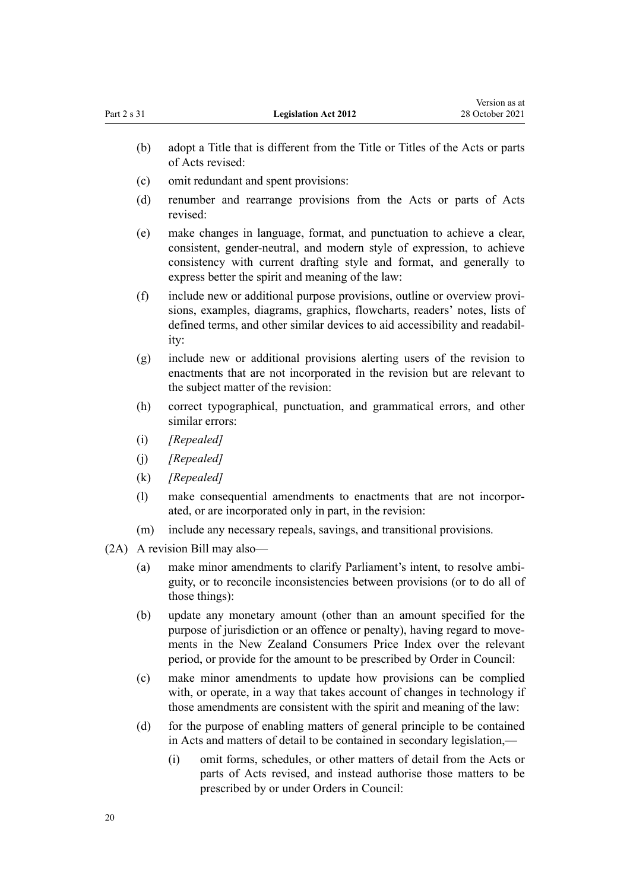|      | (b) | adopt a Title that is different from the Title or Titles of the Acts or parts<br>of Acts revised:                                                                                                                                                                                              |
|------|-----|------------------------------------------------------------------------------------------------------------------------------------------------------------------------------------------------------------------------------------------------------------------------------------------------|
|      | (c) | omit redundant and spent provisions:                                                                                                                                                                                                                                                           |
|      | (d) | renumber and rearrange provisions from the Acts or parts of Acts<br>revised:                                                                                                                                                                                                                   |
|      | (e) | make changes in language, format, and punctuation to achieve a clear,<br>consistent, gender-neutral, and modern style of expression, to achieve<br>consistency with current drafting style and format, and generally to<br>express better the spirit and meaning of the law:                   |
|      | (f) | include new or additional purpose provisions, outline or overview provi-<br>sions, examples, diagrams, graphics, flowcharts, readers' notes, lists of<br>defined terms, and other similar devices to aid accessibility and readabil-<br>ity:                                                   |
|      | (g) | include new or additional provisions alerting users of the revision to<br>enactments that are not incorporated in the revision but are relevant to<br>the subject matter of the revision:                                                                                                      |
|      | (h) | correct typographical, punctuation, and grammatical errors, and other<br>similar errors:                                                                                                                                                                                                       |
|      | (i) | [Repealed]                                                                                                                                                                                                                                                                                     |
|      | (i) | [Repealed]                                                                                                                                                                                                                                                                                     |
|      | (k) | [Repealed]                                                                                                                                                                                                                                                                                     |
|      | (1) | make consequential amendments to enactments that are not incorpor-<br>ated, or are incorporated only in part, in the revision:                                                                                                                                                                 |
|      | (m) | include any necessary repeals, savings, and transitional provisions.                                                                                                                                                                                                                           |
| (2A) |     | A revision Bill may also-                                                                                                                                                                                                                                                                      |
|      | (a) | make minor amendments to clarify Parliament's intent, to resolve ambi-<br>guity, or to reconcile inconsistencies between provisions (or to do all of<br>those things):                                                                                                                         |
|      | (b) | update any monetary amount (other than an amount specified for the<br>purpose of jurisdiction or an offence or penalty), having regard to move-<br>ments in the New Zealand Consumers Price Index over the relevant<br>period, or provide for the amount to be prescribed by Order in Council: |
|      | (c) | make minor amendments to update how provisions can be complied<br>with, or operate, in a way that takes account of changes in technology if<br>those amendments are consistent with the spirit and meaning of the law:                                                                         |
|      | (d) | for the purpose of enabling matters of general principle to be contained<br>in Acts and matters of detail to be contained in secondary legislation,-                                                                                                                                           |
|      |     | omit forms, schedules, or other matters of detail from the Acts or<br>(i)<br>parts of Acts revised, and instead authorise those matters to be<br>prescribed by or under Orders in Council:                                                                                                     |
|      |     |                                                                                                                                                                                                                                                                                                |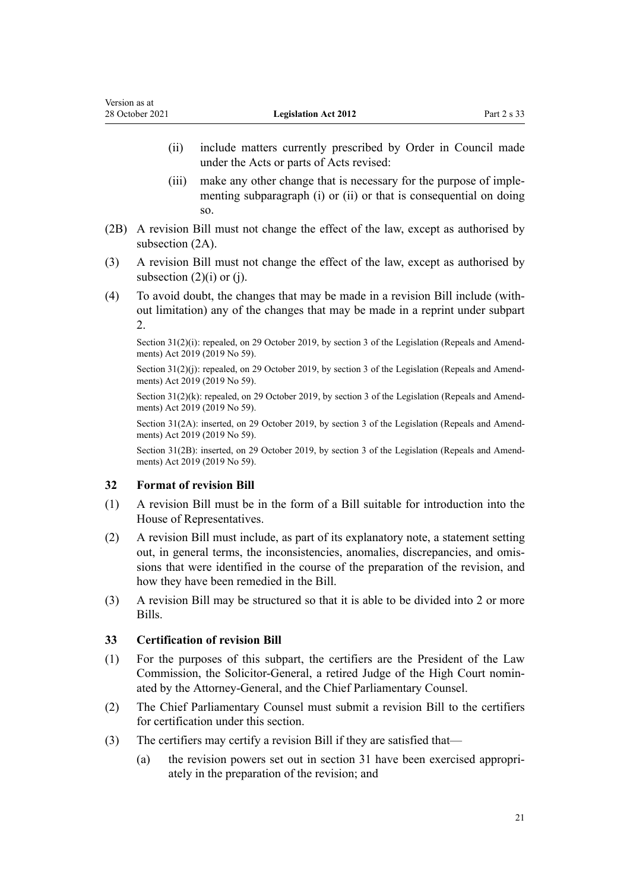- <span id="page-20-0"></span>(ii) include matters currently prescribed by Order in Council made under the Acts or parts of Acts revised:
- (iii) make any other change that is necessary for the purpose of implementing subparagraph (i) or (ii) or that is consequential on doing so.
- (2B) A revision Bill must not change the effect of the law, except as authorised by subsection (2A).
- (3) A revision Bill must not change the effect of the law, except as authorised by subsection  $(2)(i)$  or  $(i)$ .
- (4) To avoid doubt, the changes that may be made in a revision Bill include (with‐ out limitation) any of the changes that may be made in a reprint under [subpart](#page-14-0) [2.](#page-14-0)

Section 31(2)(i): repealed, on 29 October 2019, by [section 3](http://legislation.govt.nz/pdflink.aspx?id=LMS265603) of the Legislation (Repeals and Amendments) Act 2019 (2019 No 59).

Section 31(2)(j): repealed, on 29 October 2019, by [section 3](http://legislation.govt.nz/pdflink.aspx?id=LMS265603) of the Legislation (Repeals and Amendments) Act 2019 (2019 No 59).

Section  $31(2)(k)$ : repealed, on 29 October 2019, by [section 3](http://legislation.govt.nz/pdflink.aspx?id=LMS265603) of the Legislation (Repeals and Amendments) Act 2019 (2019 No 59).

Section 31(2A): inserted, on 29 October 2019, by [section 3](http://legislation.govt.nz/pdflink.aspx?id=LMS265603) of the Legislation (Repeals and Amendments) Act 2019 (2019 No 59).

Section 31(2B): inserted, on 29 October 2019, by [section 3](http://legislation.govt.nz/pdflink.aspx?id=LMS265603) of the Legislation (Repeals and Amendments) Act 2019 (2019 No 59).

### **32 Format of revision Bill**

- (1) A revision Bill must be in the form of a Bill suitable for introduction into the House of Representatives.
- (2) A revision Bill must include, as part of its explanatory note, a statement setting out, in general terms, the inconsistencies, anomalies, discrepancies, and omis‐ sions that were identified in the course of the preparation of the revision, and how they have been remedied in the Bill.
- (3) A revision Bill may be structured so that it is able to be divided into 2 or more Bills.

### **33 Certification of revision Bill**

- (1) For the purposes of this subpart, the certifiers are the President of the Law Commission, the Solicitor-General, a retired Judge of the High Court nomin‐ ated by the Attorney-General, and the Chief Parliamentary Counsel.
- (2) The Chief Parliamentary Counsel must submit a revision Bill to the certifiers for certification under this section.
- (3) The certifiers may certify a revision Bill if they are satisfied that—
	- (a) the revision powers set out in section 31 have been exercised appropriately in the preparation of the revision; and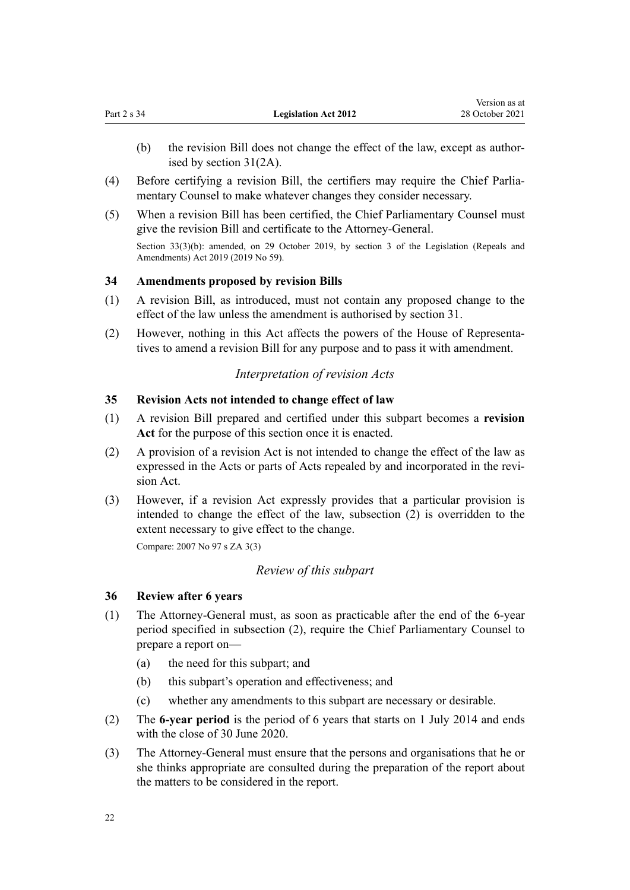<span id="page-21-0"></span>(b) the revision Bill does not change the effect of the law, except as authorised by [section 31\(2A\).](#page-18-0)

Version as at

- (4) Before certifying a revision Bill, the certifiers may require the Chief Parlia‐ mentary Counsel to make whatever changes they consider necessary.
- (5) When a revision Bill has been certified, the Chief Parliamentary Counsel must give the revision Bill and certificate to the Attorney-General.

Section 33(3)(b): amended, on 29 October 2019, by [section 3](http://legislation.govt.nz/pdflink.aspx?id=LMS265603) of the Legislation (Repeals and Amendments) Act 2019 (2019 No 59).

### **34 Amendments proposed by revision Bills**

- (1) A revision Bill, as introduced, must not contain any proposed change to the effect of the law unless the amendment is authorised by [section 31.](#page-18-0)
- (2) However, nothing in this Act affects the powers of the House of Representa‐ tives to amend a revision Bill for any purpose and to pass it with amendment.

### *Interpretation of revision Acts*

### **35 Revision Acts not intended to change effect of law**

- (1) A revision Bill prepared and certified under this subpart becomes a **revision Act** for the purpose of this section once it is enacted.
- (2) A provision of a revision Act is not intended to change the effect of the law as expressed in the Acts or parts of Acts repealed by and incorporated in the revision Act.
- (3) However, if a revision Act expressly provides that a particular provision is intended to change the effect of the law, subsection (2) is overridden to the extent necessary to give effect to the change.

Compare: 2007 No 97 [s ZA 3\(3\)](http://legislation.govt.nz/pdflink.aspx?id=DLM1523178)

### *Review of this subpart*

### **36 Review after 6 years**

- (1) The Attorney-General must, as soon as practicable after the end of the 6-year period specified in subsection (2), require the Chief Parliamentary Counsel to prepare a report on—
	- (a) the need for this subpart; and
	- (b) this subpart's operation and effectiveness; and
	- (c) whether any amendments to this subpart are necessary or desirable.
- (2) The **6-year period** is the period of 6 years that starts on 1 July 2014 and ends with the close of 30 June 2020.
- (3) The Attorney-General must ensure that the persons and organisations that he or she thinks appropriate are consulted during the preparation of the report about the matters to be considered in the report.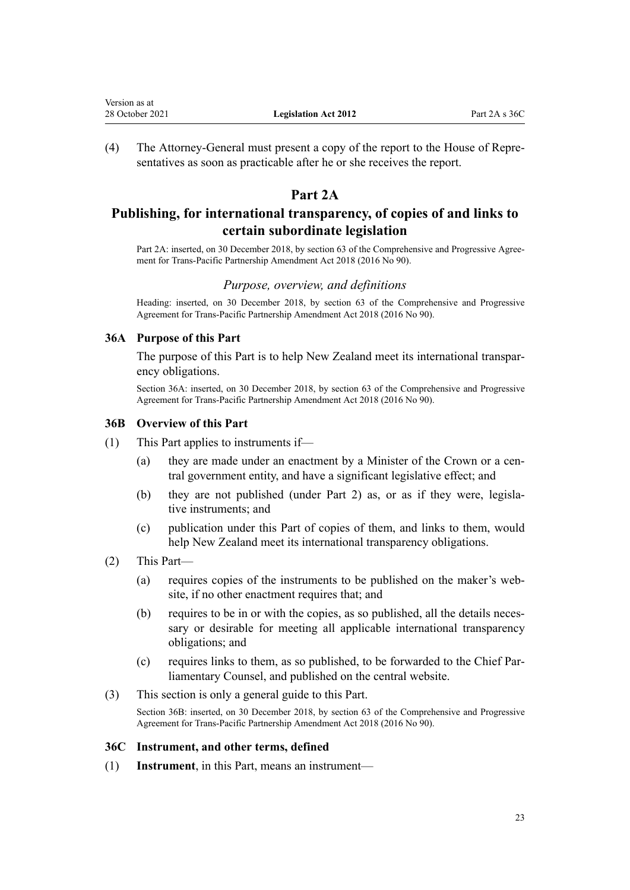<span id="page-22-0"></span>(4) The Attorney-General must present a copy of the report to the House of Repre‐ sentatives as soon as practicable after he or she receives the report.

### **Part 2A**

## **Publishing, for international transparency, of copies of and links to certain subordinate legislation**

Part 2A: inserted, on 30 December 2018, by [section 63](http://legislation.govt.nz/pdflink.aspx?id=DLM6838303) of the Comprehensive and Progressive Agreement for Trans-Pacific Partnership Amendment Act 2018 (2016 No 90).

#### *Purpose, overview, and definitions*

Heading: inserted, on 30 December 2018, by [section 63](http://legislation.govt.nz/pdflink.aspx?id=DLM6838303) of the Comprehensive and Progressive Agreement for Trans-Pacific Partnership Amendment Act 2018 (2016 No 90).

### **36A Purpose of this Part**

The purpose of this Part is to help New Zealand meet its international transpar‐ ency obligations.

Section 36A: inserted, on 30 December 2018, by [section 63](http://legislation.govt.nz/pdflink.aspx?id=DLM6838303) of the Comprehensive and Progressive Agreement for Trans-Pacific Partnership Amendment Act 2018 (2016 No 90).

### **36B Overview of this Part**

- (1) This Part applies to instruments if—
	- (a) they are made under an enactment by a Minister of the Crown or a central government entity, and have a significant legislative effect; and
	- (b) they are not published (under [Part 2](#page-7-0)) as, or as if they were, legislative instruments; and
	- (c) publication under this Part of copies of them, and links to them, would help New Zealand meet its international transparency obligations.
- (2) This Part—
	- (a) requires copies of the instruments to be published on the maker's web‐ site, if no other enactment requires that; and
	- (b) requires to be in or with the copies, as so published, all the details necessary or desirable for meeting all applicable international transparency obligations; and
	- (c) requires links to them, as so published, to be forwarded to the Chief Par‐ liamentary Counsel, and published on the central website.
- (3) This section is only a general guide to this Part.

Section 36B: inserted, on 30 December 2018, by [section 63](http://legislation.govt.nz/pdflink.aspx?id=DLM6838303) of the Comprehensive and Progressive Agreement for Trans-Pacific Partnership Amendment Act 2018 (2016 No 90).

#### **36C Instrument, and other terms, defined**

(1) **Instrument**, in this Part, means an instrument—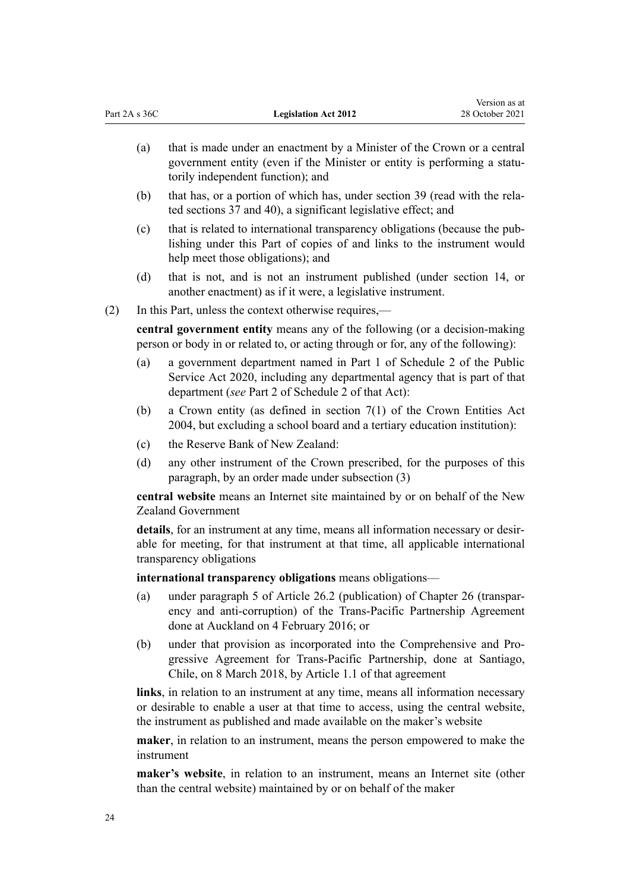| (a) | that is made under an enactment by a Minister of the Crown or a central<br>government entity (even if the Minister or entity is performing a statu-<br>torily independent function); and |
|-----|------------------------------------------------------------------------------------------------------------------------------------------------------------------------------------------|
| (b) | that has, or a portion of which has, under section 39 (read with the rela-                                                                                                               |

Version as at 28 October 2021

ted [sections 37](#page-26-0) and [40](#page-28-0)), a significant legislative effect; and

- (c) that is related to international transparency obligations (because the pub‐ lishing under this Part of copies of and links to the instrument would help meet those obligations); and
- (d) that is not, and is not an instrument published (under [section 14](#page-10-0), or another enactment) as if it were, a legislative instrument.
- (2) In this Part, unless the context otherwise requires,—

Part 2A s 36C **Legislation Act 2012** 

**central government entity** means any of the following (or a decision-making person or body in or related to, or acting through or for, any of the following):

- (a) a government department named in [Part 1](http://legislation.govt.nz/pdflink.aspx?id=LMS207452) of Schedule 2 of the Public Service Act 2020, including any departmental agency that is part of that department (*see* [Part 2](http://legislation.govt.nz/pdflink.aspx?id=LMS207453) of Schedule 2 of that Act):
- (b) a Crown entity (as defined in [section 7\(1\)](http://legislation.govt.nz/pdflink.aspx?id=DLM329641) of the Crown Entities Act 2004, but excluding a school board and a tertiary education institution):
- (c) the Reserve Bank of New Zealand:
- (d) any other instrument of the Crown prescribed, for the purposes of this paragraph, by an order made under subsection (3)

**central website** means an Internet site maintained by or on behalf of the New Zealand Government

details, for an instrument at any time, means all information necessary or desirable for meeting, for that instrument at that time, all applicable international transparency obligations

**international transparency obligations** means obligations—

- (a) under paragraph 5 of Article 26.2 (publication) of Chapter 26 (transpar‐ ency and anti-corruption) of the Trans-Pacific Partnership Agreement done at Auckland on 4 February 2016; or
- (b) under that provision as incorporated into the Comprehensive and Pro‐ gressive Agreement for Trans-Pacific Partnership, done at Santiago, Chile, on 8 March 2018, by Article 1.1 of that agreement

**links**, in relation to an instrument at any time, means all information necessary or desirable to enable a user at that time to access, using the central website, the instrument as published and made available on the maker's website

**maker**, in relation to an instrument, means the person empowered to make the instrument

**maker's website**, in relation to an instrument, means an Internet site (other than the central website) maintained by or on behalf of the maker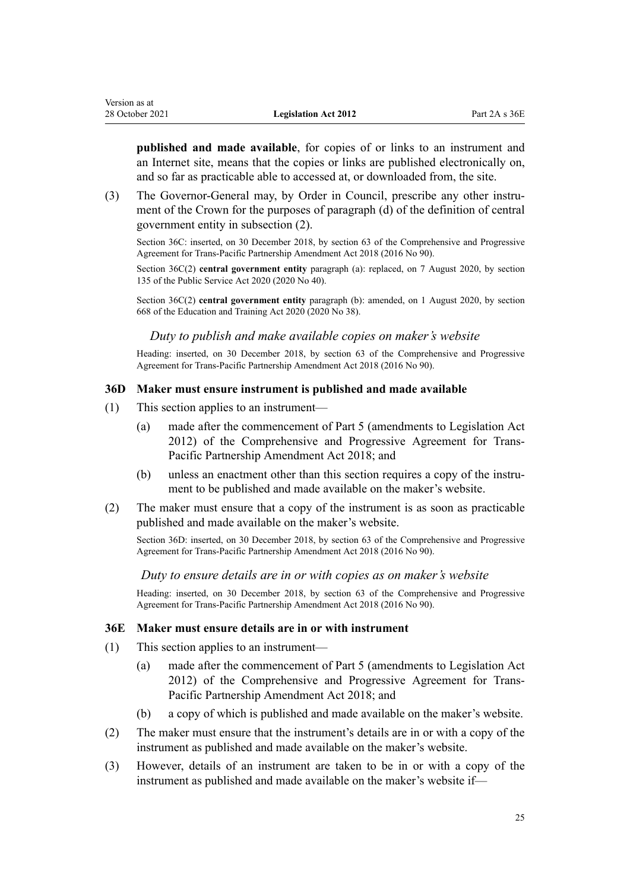<span id="page-24-0"></span>**published and made available**, for copies of or links to an instrument and an Internet site, means that the copies or links are published electronically on, and so far as practicable able to accessed at, or downloaded from, the site.

(3) The Governor-General may, by Order in Council, prescribe any other instrument of the Crown for the purposes of paragraph (d) of the definition of central government entity in subsection (2).

Section 36C: inserted, on 30 December 2018, by [section 63](http://legislation.govt.nz/pdflink.aspx?id=DLM6838303) of the Comprehensive and Progressive Agreement for Trans-Pacific Partnership Amendment Act 2018 (2016 No 90).

Section 36C(2) **central government entity** paragraph (a): replaced, on 7 August 2020, by [section](http://legislation.govt.nz/pdflink.aspx?id=LMS176959) [135](http://legislation.govt.nz/pdflink.aspx?id=LMS176959) of the Public Service Act 2020 (2020 No 40).

Section 36C(2) **central government entity** paragraph (b): amended, on 1 August 2020, by [section](http://legislation.govt.nz/pdflink.aspx?id=LMS367713) [668](http://legislation.govt.nz/pdflink.aspx?id=LMS367713) of the Education and Training Act 2020 (2020 No 38).

#### *Duty to publish and make available copies on maker's website*

Heading: inserted, on 30 December 2018, by [section 63](http://legislation.govt.nz/pdflink.aspx?id=DLM6838303) of the Comprehensive and Progressive Agreement for Trans-Pacific Partnership Amendment Act 2018 (2016 No 90).

#### **36D Maker must ensure instrument is published and made available**

- (1) This section applies to an instrument—
	- (a) made after the commencement of [Part 5](http://legislation.govt.nz/pdflink.aspx?id=DLM6838295) (amendments to Legislation Act 2012) of the Comprehensive and Progressive Agreement for Trans-Pacific Partnership Amendment Act 2018; and
	- (b) unless an enactment other than this section requires a copy of the instrument to be published and made available on the maker's website.
- (2) The maker must ensure that a copy of the instrument is as soon as practicable published and made available on the maker's website.

Section 36D: inserted, on 30 December 2018, by [section 63](http://legislation.govt.nz/pdflink.aspx?id=DLM6838303) of the Comprehensive and Progressive Agreement for Trans-Pacific Partnership Amendment Act 2018 (2016 No 90).

#### *Duty to ensure details are in or with copies as on maker's website*

Heading: inserted, on 30 December 2018, by [section 63](http://legislation.govt.nz/pdflink.aspx?id=DLM6838303) of the Comprehensive and Progressive Agreement for Trans-Pacific Partnership Amendment Act 2018 (2016 No 90).

#### **36E Maker must ensure details are in or with instrument**

- (1) This section applies to an instrument—
	- (a) made after the commencement of [Part 5](http://legislation.govt.nz/pdflink.aspx?id=DLM6838295) (amendments to Legislation Act 2012) of the Comprehensive and Progressive Agreement for Trans-Pacific Partnership Amendment Act 2018; and
	- (b) a copy of which is published and made available on the maker's website.
- (2) The maker must ensure that the instrument's details are in or with a copy of the instrument as published and made available on the maker's website.
- (3) However, details of an instrument are taken to be in or with a copy of the instrument as published and made available on the maker's website if—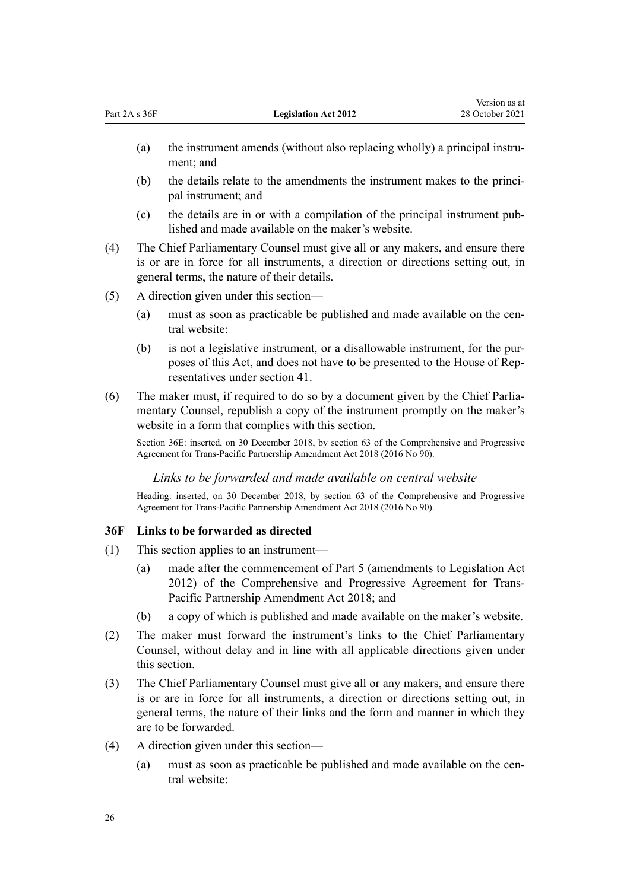- <span id="page-25-0"></span>(a) the instrument amends (without also replacing wholly) a principal instrument; and
- (b) the details relate to the amendments the instrument makes to the principal instrument; and
- (c) the details are in or with a compilation of the principal instrument pub‐ lished and made available on the maker's website.
- (4) The Chief Parliamentary Counsel must give all or any makers, and ensure there is or are in force for all instruments, a direction or directions setting out, in general terms, the nature of their details.
- (5) A direction given under this section—
	- (a) must as soon as practicable be published and made available on the central website:
	- (b) is not a legislative instrument, or a disallowable instrument, for the pur‐ poses of this Act, and does not have to be presented to the House of Rep‐ resentatives under [section 41](#page-28-0).
- (6) The maker must, if required to do so by a document given by the Chief Parlia‐ mentary Counsel, republish a copy of the instrument promptly on the maker's website in a form that complies with this section.

Section 36E: inserted, on 30 December 2018, by [section 63](http://legislation.govt.nz/pdflink.aspx?id=DLM6838303) of the Comprehensive and Progressive Agreement for Trans-Pacific Partnership Amendment Act 2018 (2016 No 90).

### *Links to be forwarded and made available on central website*

Heading: inserted, on 30 December 2018, by [section 63](http://legislation.govt.nz/pdflink.aspx?id=DLM6838303) of the Comprehensive and Progressive Agreement for Trans-Pacific Partnership Amendment Act 2018 (2016 No 90).

### **36F Links to be forwarded as directed**

- (1) This section applies to an instrument—
	- (a) made after the commencement of [Part 5](http://legislation.govt.nz/pdflink.aspx?id=DLM6838295) (amendments to Legislation Act 2012) of the Comprehensive and Progressive Agreement for Trans-Pacific Partnership Amendment Act 2018; and
	- (b) a copy of which is published and made available on the maker's website.
- (2) The maker must forward the instrument's links to the Chief Parliamentary Counsel, without delay and in line with all applicable directions given under this section.
- (3) The Chief Parliamentary Counsel must give all or any makers, and ensure there is or are in force for all instruments, a direction or directions setting out, in general terms, the nature of their links and the form and manner in which they are to be forwarded.
- (4) A direction given under this section—
	- (a) must as soon as practicable be published and made available on the central website: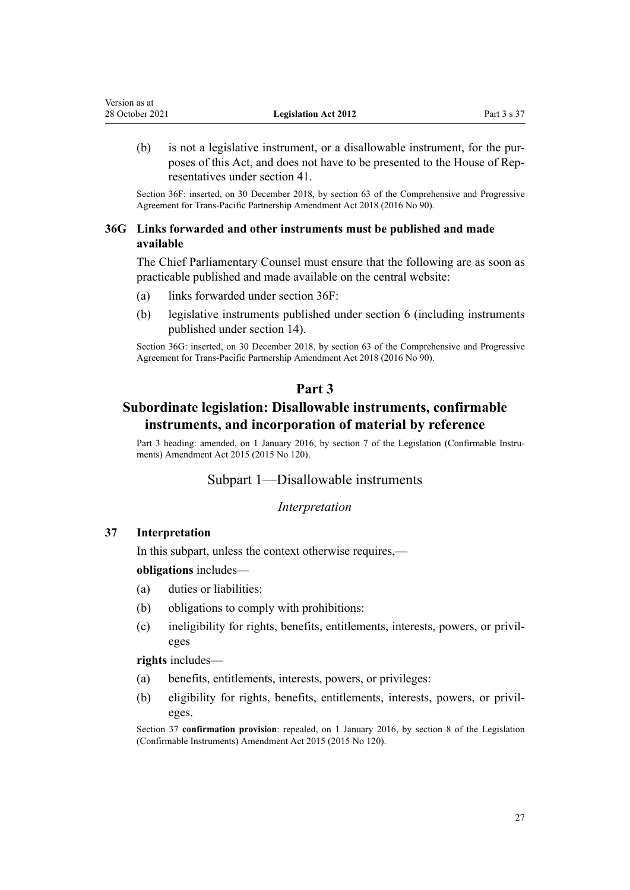<span id="page-26-0"></span>(b) is not a legislative instrument, or a disallowable instrument, for the pur‐ poses of this Act, and does not have to be presented to the House of Rep‐ resentatives under [section 41](#page-28-0).

Section 36F: inserted, on 30 December 2018, by [section 63](http://legislation.govt.nz/pdflink.aspx?id=DLM6838303) of the Comprehensive and Progressive Agreement for Trans-Pacific Partnership Amendment Act 2018 (2016 No 90).

### **36G Links forwarded and other instruments must be published and made available**

The Chief Parliamentary Counsel must ensure that the following are as soon as practicable published and made available on the central website:

- (a) links forwarded under [section 36F:](#page-25-0)
- (b) legislative instruments published under [section 6](#page-7-0) (including instruments published under [section 14\)](#page-10-0).

Section 36G: inserted, on 30 December 2018, by [section 63](http://legislation.govt.nz/pdflink.aspx?id=DLM6838303) of the Comprehensive and Progressive Agreement for Trans-Pacific Partnership Amendment Act 2018 (2016 No 90).

### **Part 3**

### **Subordinate legislation: Disallowable instruments, confirmable instruments, and incorporation of material by reference**

Part 3 heading: amended, on 1 January 2016, by [section 7](http://legislation.govt.nz/pdflink.aspx?id=DLM6681215) of the Legislation (Confirmable Instruments) Amendment Act 2015 (2015 No 120).

Subpart 1—Disallowable instruments

*Interpretation*

### **37 Interpretation**

In this subpart, unless the context otherwise requires,—

**obligations** includes—

- (a) duties or liabilities:
- (b) obligations to comply with prohibitions:
- (c) ineligibility for rights, benefits, entitlements, interests, powers, or privil‐ eges

**rights** includes—

- (a) benefits, entitlements, interests, powers, or privileges:
- (b) eligibility for rights, benefits, entitlements, interests, powers, or privil‐ eges.

Section 37 **confirmation provision**: repealed, on 1 January 2016, by [section 8](http://legislation.govt.nz/pdflink.aspx?id=DLM6681216) of the Legislation (Confirmable Instruments) Amendment Act 2015 (2015 No 120).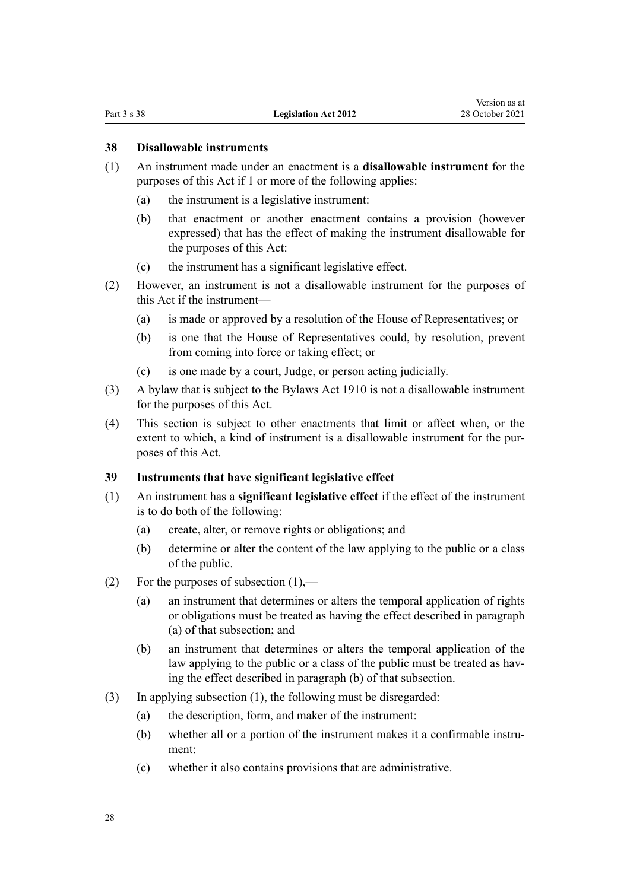### <span id="page-27-0"></span>**38 Disallowable instruments**

- (1) An instrument made under an enactment is a **disallowable instrument** for the purposes of this Act if 1 or more of the following applies:
	- (a) the instrument is a legislative instrument:
	- (b) that enactment or another enactment contains a provision (however expressed) that has the effect of making the instrument disallowable for the purposes of this Act:
	- (c) the instrument has a significant legislative effect.
- (2) However, an instrument is not a disallowable instrument for the purposes of this Act if the instrument—
	- (a) is made or approved by a resolution of the House of Representatives; or
	- (b) is one that the House of Representatives could, by resolution, prevent from coming into force or taking effect; or
	- (c) is one made by a court, Judge, or person acting judicially.
- (3) A bylaw that is subject to the [Bylaws Act 1910](http://legislation.govt.nz/pdflink.aspx?id=DLM176981) is not a disallowable instrument for the purposes of this Act.
- (4) This section is subject to other enactments that limit or affect when, or the extent to which, a kind of instrument is a disallowable instrument for the purposes of this Act.

### **39 Instruments that have significant legislative effect**

- (1) An instrument has a **significant legislative effect** if the effect of the instrument is to do both of the following:
	- (a) create, alter, or remove rights or obligations; and
	- (b) determine or alter the content of the law applying to the public or a class of the public.
- (2) For the purposes of subsection  $(1)$ ,—
	- (a) an instrument that determines or alters the temporal application of rights or obligations must be treated as having the effect described in paragraph (a) of that subsection; and
	- (b) an instrument that determines or alters the temporal application of the law applying to the public or a class of the public must be treated as having the effect described in paragraph (b) of that subsection.
- (3) In applying subsection (1), the following must be disregarded:
	- (a) the description, form, and maker of the instrument:
	- (b) whether all or a portion of the instrument makes it a confirmable instrument:
	- (c) whether it also contains provisions that are administrative.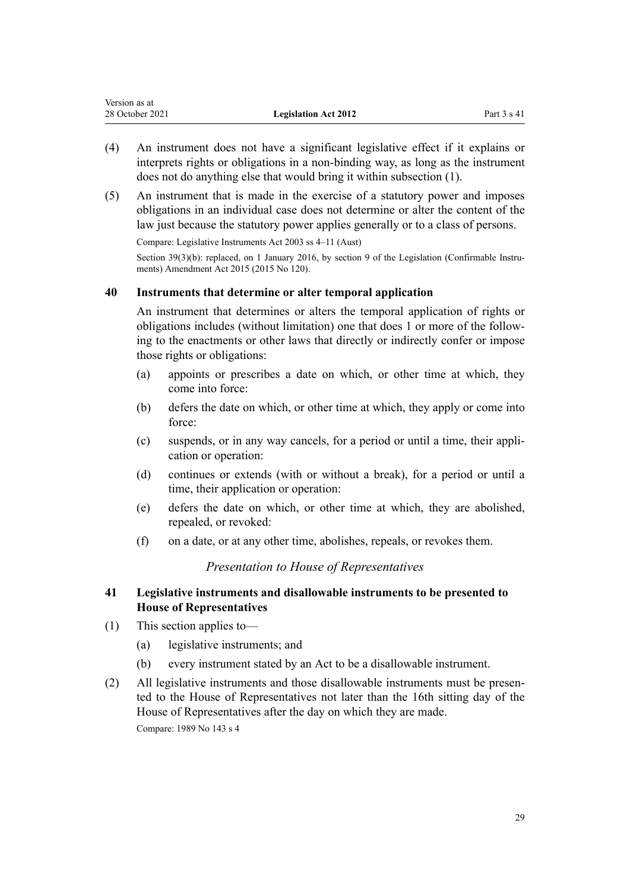<span id="page-28-0"></span>

| Version as at   |                             |               |
|-----------------|-----------------------------|---------------|
| 28 October 2021 | <b>Legislation Act 2012</b> | Part $3 s 41$ |

- (4) An instrument does not have a significant legislative effect if it explains or interprets rights or obligations in a non-binding way, as long as the instrument does not do anything else that would bring it within subsection (1).
- (5) An instrument that is made in the exercise of a statutory power and imposes obligations in an individual case does not determine or alter the content of the law just because the statutory power applies generally or to a class of persons.

Compare: Legislative Instruments Act 2003 ss 4–11 (Aust)

Section  $39(3)(b)$ : replaced, on 1 January 2016, by [section 9](http://legislation.govt.nz/pdflink.aspx?id=DLM6681218) of the Legislation (Confirmable Instruments) Amendment Act 2015 (2015 No 120).

### **40 Instruments that determine or alter temporal application**

An instrument that determines or alters the temporal application of rights or obligations includes (without limitation) one that does 1 or more of the follow‐ ing to the enactments or other laws that directly or indirectly confer or impose those rights or obligations:

- (a) appoints or prescribes a date on which, or other time at which, they come into force:
- (b) defers the date on which, or other time at which, they apply or come into force:
- (c) suspends, or in any way cancels, for a period or until a time, their appli‐ cation or operation:
- (d) continues or extends (with or without a break), for a period or until a time, their application or operation:
- (e) defers the date on which, or other time at which, they are abolished, repealed, or revoked:
- (f) on a date, or at any other time, abolishes, repeals, or revokes them.

### *Presentation to House of Representatives*

### **41 Legislative instruments and disallowable instruments to be presented to House of Representatives**

- (1) This section applies to—
	- (a) legislative instruments; and
	- (b) every instrument stated by an Act to be a disallowable instrument.
- (2) All legislative instruments and those disallowable instruments must be presented to the House of Representatives not later than the 16th sitting day of the House of Representatives after the day on which they are made. Compare: 1989 No 143 [s 4](http://legislation.govt.nz/pdflink.aspx?id=DLM195549)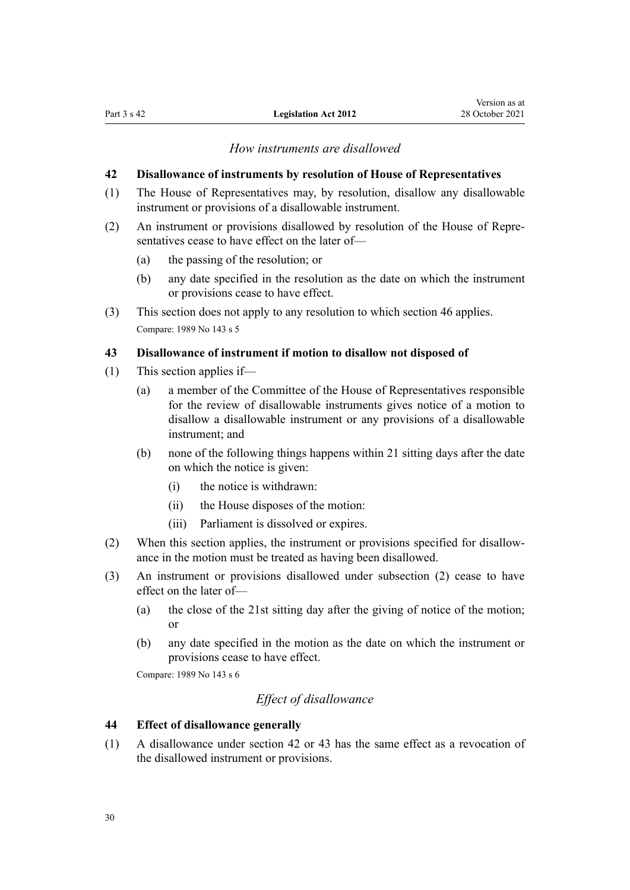#### *How instruments are disallowed*

#### <span id="page-29-0"></span>**42 Disallowance of instruments by resolution of House of Representatives**

- (1) The House of Representatives may, by resolution, disallow any disallowable instrument or provisions of a disallowable instrument.
- (2) An instrument or provisions disallowed by resolution of the House of Repre‐ sentatives cease to have effect on the later of—
	- (a) the passing of the resolution; or
	- (b) any date specified in the resolution as the date on which the instrument or provisions cease to have effect.
- (3) This section does not apply to any resolution to which [section 46](#page-30-0) applies. Compare: 1989 No 143 [s 5](http://legislation.govt.nz/pdflink.aspx?id=DLM195551)

### **43 Disallowance of instrument if motion to disallow not disposed of**

- (1) This section applies if—
	- (a) a member of the Committee of the House of Representatives responsible for the review of disallowable instruments gives notice of a motion to disallow a disallowable instrument or any provisions of a disallowable instrument; and
	- (b) none of the following things happens within 21 sitting days after the date on which the notice is given:
		- (i) the notice is withdrawn:
		- (ii) the House disposes of the motion:
		- (iii) Parliament is dissolved or expires.
- (2) When this section applies, the instrument or provisions specified for disallow‐ ance in the motion must be treated as having been disallowed.
- (3) An instrument or provisions disallowed under subsection (2) cease to have effect on the later of—
	- (a) the close of the 21st sitting day after the giving of notice of the motion; or
	- (b) any date specified in the motion as the date on which the instrument or provisions cease to have effect.

Compare: 1989 No 143 [s 6](http://legislation.govt.nz/pdflink.aspx?id=DLM195552)

### *Effect of disallowance*

#### **44 Effect of disallowance generally**

(1) A disallowance under section 42 or 43 has the same effect as a revocation of the disallowed instrument or provisions.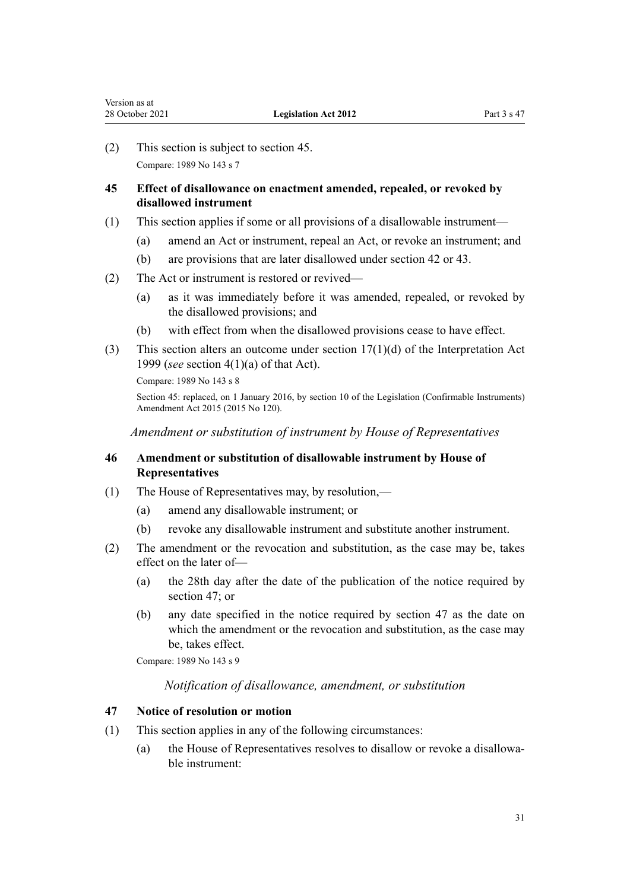<span id="page-30-0"></span>(2) This section is subject to section 45. Compare: 1989 No 143 [s 7](http://legislation.govt.nz/pdflink.aspx?id=DLM195554)

### **45 Effect of disallowance on enactment amended, repealed, or revoked by disallowed instrument**

- (1) This section applies if some or all provisions of a disallowable instrument—
	- (a) amend an Act or instrument, repeal an Act, or revoke an instrument; and
	- (b) are provisions that are later disallowed under [section 42](#page-29-0) or [43.](#page-29-0)
- (2) The Act or instrument is restored or revived—
	- (a) as it was immediately before it was amended, repealed, or revoked by the disallowed provisions; and
	- (b) with effect from when the disallowed provisions cease to have effect.
- (3) This section alters an outcome under section  $17(1)(d)$  of the Interpretation Act 1999 (*see* [section 4\(1\)\(a\)](http://legislation.govt.nz/pdflink.aspx?id=DLM31467) of that Act).

Compare: 1989 No 143 [s 8](http://legislation.govt.nz/pdflink.aspx?id=DLM195555)

Section 45: replaced, on 1 January 2016, by [section 10](http://legislation.govt.nz/pdflink.aspx?id=DLM6681219) of the Legislation (Confirmable Instruments) Amendment Act 2015 (2015 No 120).

*Amendment or substitution of instrument by House of Representatives*

### **46 Amendment or substitution of disallowable instrument by House of Representatives**

- (1) The House of Representatives may, by resolution,—
	- (a) amend any disallowable instrument; or
	- (b) revoke any disallowable instrument and substitute another instrument.
- (2) The amendment or the revocation and substitution, as the case may be, takes effect on the later of—
	- (a) the 28th day after the date of the publication of the notice required by section 47; or
	- (b) any date specified in the notice required by section 47 as the date on which the amendment or the revocation and substitution, as the case may be, takes effect.

Compare: 1989 No 143 [s 9](http://legislation.govt.nz/pdflink.aspx?id=DLM195556)

### *Notification of disallowance, amendment, or substitution*

### **47 Notice of resolution or motion**

- (1) This section applies in any of the following circumstances:
	- (a) the House of Representatives resolves to disallow or revoke a disallowa‐ ble instrument: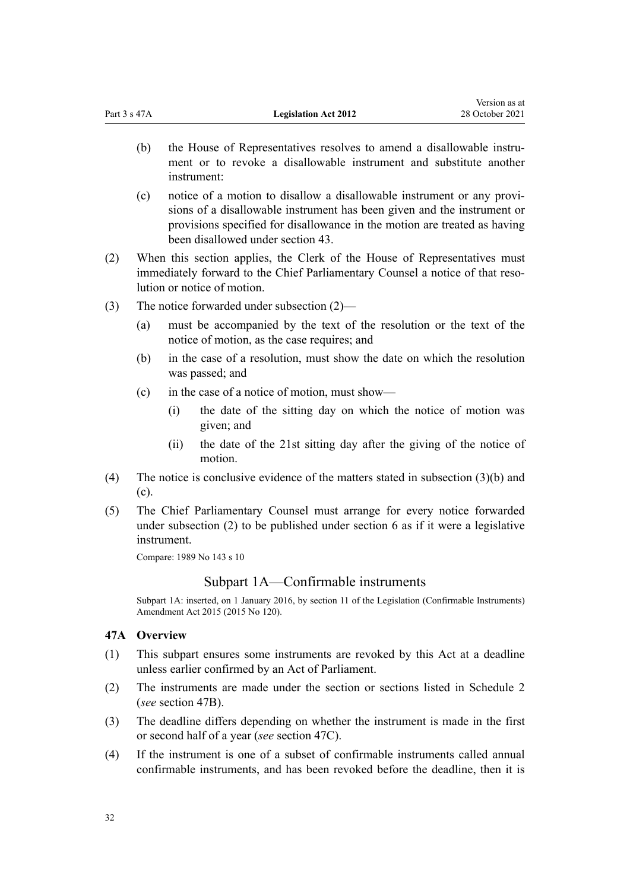<span id="page-31-0"></span>

| Part 3 s 47A | <b>Legislation Act 2012</b> | $1.01011 \, \mathrm{m}$<br>28 October 2021 |
|--------------|-----------------------------|--------------------------------------------|
|              |                             |                                            |

(b) the House of Representatives resolves to amend a disallowable instrument or to revoke a disallowable instrument and substitute another instrument:

Version as at

- (c) notice of a motion to disallow a disallowable instrument or any provi‐ sions of a disallowable instrument has been given and the instrument or provisions specified for disallowance in the motion are treated as having been disallowed under [section 43.](#page-29-0)
- (2) When this section applies, the Clerk of the House of Representatives must immediately forward to the Chief Parliamentary Counsel a notice of that resolution or notice of motion.
- (3) The notice forwarded under subsection (2)—
	- (a) must be accompanied by the text of the resolution or the text of the notice of motion, as the case requires; and
	- (b) in the case of a resolution, must show the date on which the resolution was passed; and
	- (c) in the case of a notice of motion, must show—
		- (i) the date of the sitting day on which the notice of motion was given; and
		- (ii) the date of the 21st sitting day after the giving of the notice of motion.
- (4) The notice is conclusive evidence of the matters stated in subsection (3)(b) and (c).
- (5) The Chief Parliamentary Counsel must arrange for every notice forwarded under subsection (2) to be published under [section 6](#page-7-0) as if it were a legislative instrument.

Compare: 1989 No 143 [s 10](http://legislation.govt.nz/pdflink.aspx?id=DLM195557)

### Subpart 1A—Confirmable instruments

Subpart 1A: inserted, on 1 January 2016, by [section 11](http://legislation.govt.nz/pdflink.aspx?id=DLM6681221) of the Legislation (Confirmable Instruments) Amendment Act 2015 (2015 No 120).

### **47A Overview**

- (1) This subpart ensures some instruments are revoked by this Act at a deadline unless earlier confirmed by an Act of Parliament.
- (2) The instruments are made under the section or sections listed in [Schedule 2](#page-105-0) (*see* [section 47B](#page-32-0)).
- (3) The deadline differs depending on whether the instrument is made in the first or second half of a year (*see* [section 47C](#page-33-0)).
- (4) If the instrument is one of a subset of confirmable instruments called annual confirmable instruments, and has been revoked before the deadline, then it is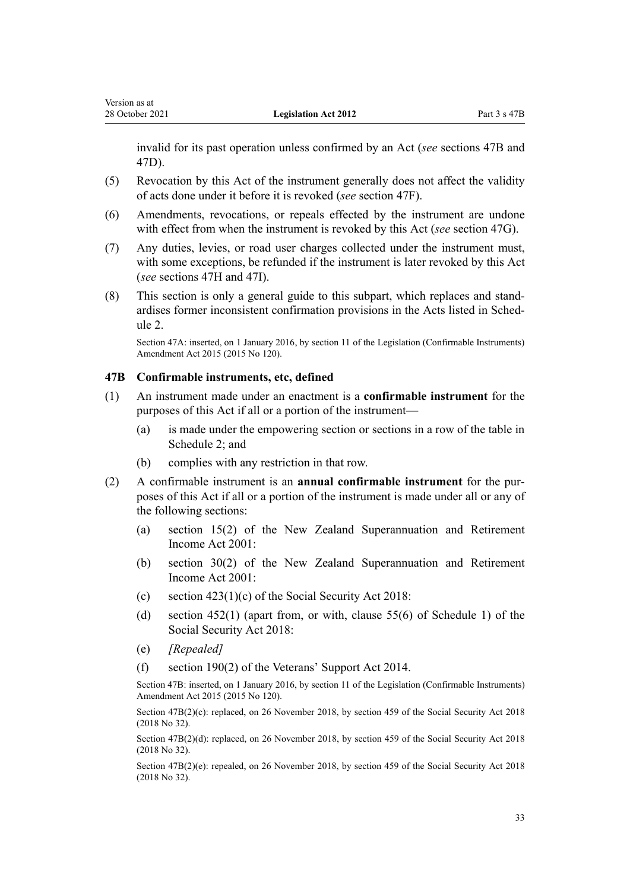<span id="page-32-0"></span>invalid for its past operation unless confirmed by an Act (*see* sections 47B and [47D](#page-33-0)).

- (5) Revocation by this Act of the instrument generally does not affect the validity of acts done under it before it is revoked (*see* [section 47F\)](#page-34-0).
- (6) Amendments, revocations, or repeals effected by the instrument are undone with effect from when the instrument is revoked by this Act (*see* [section 47G\)](#page-34-0).
- (7) Any duties, levies, or road user charges collected under the instrument must, with some exceptions, be refunded if the instrument is later revoked by this Act (*see* [sections 47H](#page-34-0) and [47I](#page-35-0)).
- (8) This section is only a general guide to this subpart, which replaces and stand‐ ardises former inconsistent confirmation provisions in the Acts listed in Sched[ule 2.](#page-105-0)

Section 47A: inserted, on 1 January 2016, by [section 11](http://legislation.govt.nz/pdflink.aspx?id=DLM6681221) of the Legislation (Confirmable Instruments) Amendment Act 2015 (2015 No 120).

#### **47B Confirmable instruments, etc, defined**

- (1) An instrument made under an enactment is a **confirmable instrument** for the purposes of this Act if all or a portion of the instrument—
	- (a) is made under the empowering section or sections in a row of the table in [Schedule 2;](#page-105-0) and
	- (b) complies with any restriction in that row.
- (2) A confirmable instrument is an **annual confirmable instrument** for the pur‐ poses of this Act if all or a portion of the instrument is made under all or any of the following sections:
	- (a) [section 15\(2\)](http://legislation.govt.nz/pdflink.aspx?id=DLM114207) of the New Zealand Superannuation and Retirement Income Act 2001:
	- (b) [section 30\(2\)](http://legislation.govt.nz/pdflink.aspx?id=DLM114268) of the New Zealand Superannuation and Retirement Income Act 2001:
	- (c) [section 423\(1\)\(c\)](http://legislation.govt.nz/pdflink.aspx?id=DLM6783993) of the Social Security Act 2018:
	- (d) [section 452\(1\)](http://legislation.govt.nz/pdflink.aspx?id=DLM6784026) (apart from, or with, [clause 55\(6\)](http://legislation.govt.nz/pdflink.aspx?id=DLM6784359) of Schedule 1) of the Social Security Act 2018:
	- (e) *[Repealed]*
	- (f) [section 190\(2\)](http://legislation.govt.nz/pdflink.aspx?id=DLM5538047) of the Veterans' Support Act 2014.

Section 47B: inserted, on 1 January 2016, by [section 11](http://legislation.govt.nz/pdflink.aspx?id=DLM6681221) of the Legislation (Confirmable Instruments) Amendment Act 2015 (2015 No 120).

Section 47B(2)(c): replaced, on 26 November 2018, by [section 459](http://legislation.govt.nz/pdflink.aspx?id=DLM6784038) of the Social Security Act 2018 (2018 No 32).

Section 47B(2)(d): replaced, on 26 November 2018, by [section 459](http://legislation.govt.nz/pdflink.aspx?id=DLM6784038) of the Social Security Act 2018 (2018 No 32).

Section 47B(2)(e): repealed, on 26 November 2018, by [section 459](http://legislation.govt.nz/pdflink.aspx?id=DLM6784038) of the Social Security Act 2018 (2018 No 32).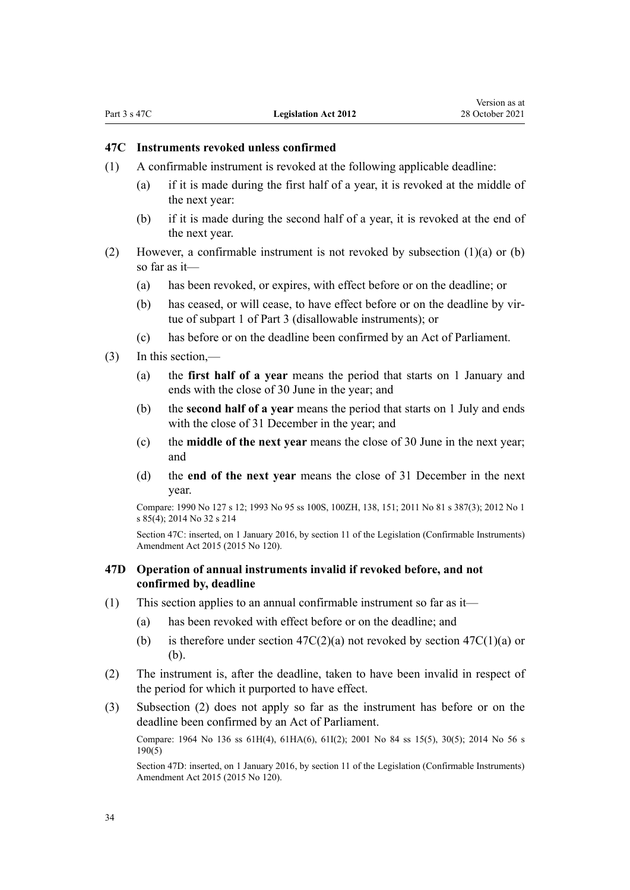#### <span id="page-33-0"></span>**47C Instruments revoked unless confirmed**

- (1) A confirmable instrument is revoked at the following applicable deadline:
	- (a) if it is made during the first half of a year, it is revoked at the middle of the next year:
	- (b) if it is made during the second half of a year, it is revoked at the end of the next year.
- (2) However, a confirmable instrument is not revoked by subsection (1)(a) or (b) so far as it—
	- (a) has been revoked, or expires, with effect before or on the deadline; or
	- (b) has ceased, or will cease, to have effect before or on the deadline by vir‐ tue of [subpart 1](#page-26-0) of Part 3 (disallowable instruments); or
	- (c) has before or on the deadline been confirmed by an Act of Parliament.
- (3) In this section,—
	- (a) the **first half of a year** means the period that starts on 1 January and ends with the close of 30 June in the year; and
	- (b) the **second half of a year** means the period that starts on 1 July and ends with the close of 31 December in the year; and
	- (c) the **middle of the next year** means the close of 30 June in the next year; and
	- (d) the **end of the next year** means the close of 31 December in the next year.

Compare: 1990 No 127 [s 12;](http://legislation.govt.nz/pdflink.aspx?id=DLM227337) 1993 No 95 [ss 100S](http://legislation.govt.nz/pdflink.aspx?id=DLM4758121), [100ZH](http://legislation.govt.nz/pdflink.aspx?id=DLM4758154), [138](http://legislation.govt.nz/pdflink.aspx?id=DLM316375), [151](http://legislation.govt.nz/pdflink.aspx?id=DLM316707); 2011 No 81 [s 387\(3\)](http://legislation.govt.nz/pdflink.aspx?id=DLM3360606); 2012 No 1 [s 85\(4\)](http://legislation.govt.nz/pdflink.aspx?id=DLM3395071); 2014 No 32 [s 214](http://legislation.govt.nz/pdflink.aspx?id=DLM2996324)

Section 47C: inserted, on 1 January 2016, by [section 11](http://legislation.govt.nz/pdflink.aspx?id=DLM6681221) of the Legislation (Confirmable Instruments) Amendment Act 2015 (2015 No 120).

### **47D Operation of annual instruments invalid if revoked before, and not confirmed by, deadline**

- (1) This section applies to an annual confirmable instrument so far as it—
	- (a) has been revoked with effect before or on the deadline; and
	- (b) is therefore under section  $47C(2)(a)$  not revoked by section  $47C(1)(a)$  or (b).
- (2) The instrument is, after the deadline, taken to have been invalid in respect of the period for which it purported to have effect.
- (3) Subsection (2) does not apply so far as the instrument has before or on the deadline been confirmed by an Act of Parliament.

Compare: 1964 No 136 [ss 61H\(4\),](http://legislation.govt.nz/pdflink.aspx?id=DLM362960) [61HA\(6\)](http://legislation.govt.nz/pdflink.aspx?id=DLM3267056), [61I\(2\);](http://legislation.govt.nz/pdflink.aspx?id=DLM362991) 2001 No 84 [ss 15\(5\),](http://legislation.govt.nz/pdflink.aspx?id=DLM114207) [30\(5\)](http://legislation.govt.nz/pdflink.aspx?id=DLM114268); 2014 No 56 [s](http://legislation.govt.nz/pdflink.aspx?id=DLM5538047) [190\(5\)](http://legislation.govt.nz/pdflink.aspx?id=DLM5538047)

Section 47D: inserted, on 1 January 2016, by [section 11](http://legislation.govt.nz/pdflink.aspx?id=DLM6681221) of the Legislation (Confirmable Instruments) Amendment Act 2015 (2015 No 120).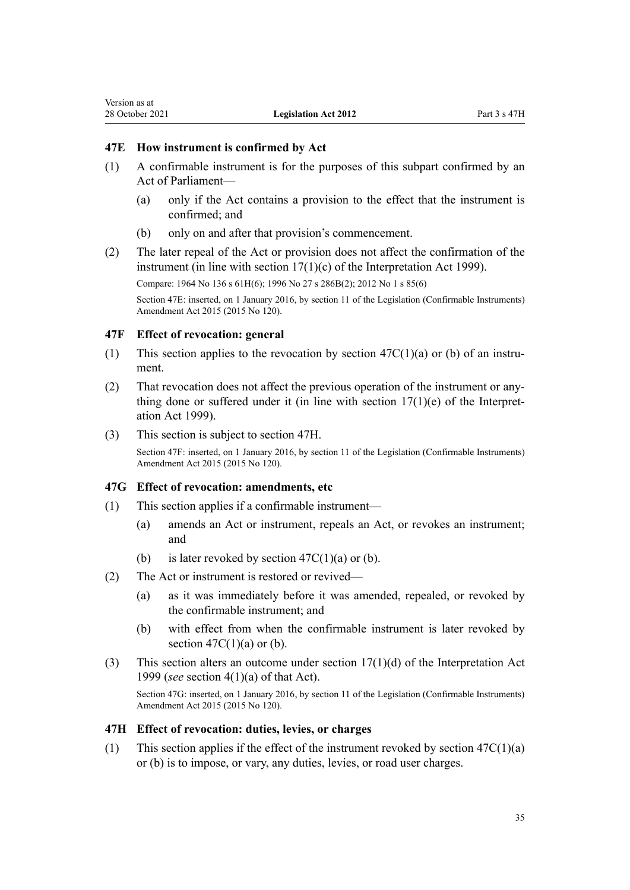#### <span id="page-34-0"></span>**47E How instrument is confirmed by Act**

- (1) A confirmable instrument is for the purposes of this subpart confirmed by an Act of Parliament—
	- (a) only if the Act contains a provision to the effect that the instrument is confirmed; and
	- (b) only on and after that provision's commencement.
- (2) The later repeal of the Act or provision does not affect the confirmation of the instrument (in line with [section 17\(1\)\(c\)](http://legislation.govt.nz/pdflink.aspx?id=DLM31486) of the Interpretation Act 1999).

Compare: 1964 No 136 [s 61H\(6\);](http://legislation.govt.nz/pdflink.aspx?id=DLM362960) 1996 No 27 [s 286B\(2\)](http://legislation.govt.nz/pdflink.aspx?id=DLM4421697); 2012 No 1 [s 85\(6\)](http://legislation.govt.nz/pdflink.aspx?id=DLM3395071)

Section 47E: inserted, on 1 January 2016, by [section 11](http://legislation.govt.nz/pdflink.aspx?id=DLM6681221) of the Legislation (Confirmable Instruments) Amendment Act 2015 (2015 No 120).

#### **47F Effect of revocation: general**

- (1) This section applies to the revocation by section  $47C(1)(a)$  or (b) of an instrument.
- (2) That revocation does not affect the previous operation of the instrument or any‐ thing done or suffered under it (in line with section  $17(1)(e)$  of the Interpretation Act 1999).
- (3) This section is subject to section 47H.

Section 47F: inserted, on 1 January 2016, by [section 11](http://legislation.govt.nz/pdflink.aspx?id=DLM6681221) of the Legislation (Confirmable Instruments) Amendment Act 2015 (2015 No 120).

#### **47G Effect of revocation: amendments, etc**

- (1) This section applies if a confirmable instrument—
	- (a) amends an Act or instrument, repeals an Act, or revokes an instrument; and
	- (b) is later revoked by section  $47C(1)(a)$  or (b).
- (2) The Act or instrument is restored or revived—
	- (a) as it was immediately before it was amended, repealed, or revoked by the confirmable instrument; and
	- (b) with effect from when the confirmable instrument is later revoked by section  $47C(1)(a)$  or (b).
- (3) This section alters an outcome under section  $17(1)(d)$  of the Interpretation Act 1999 (*see* [section 4\(1\)\(a\)](http://legislation.govt.nz/pdflink.aspx?id=DLM31467) of that Act).

Section 47G: inserted, on 1 January 2016, by [section 11](http://legislation.govt.nz/pdflink.aspx?id=DLM6681221) of the Legislation (Confirmable Instruments) Amendment Act 2015 (2015 No 120).

#### **47H Effect of revocation: duties, levies, or charges**

(1) This section applies if the effect of the instrument revoked by section  $47C(1)(a)$ [or \(b\)](#page-33-0) is to impose, or vary, any duties, levies, or road user charges.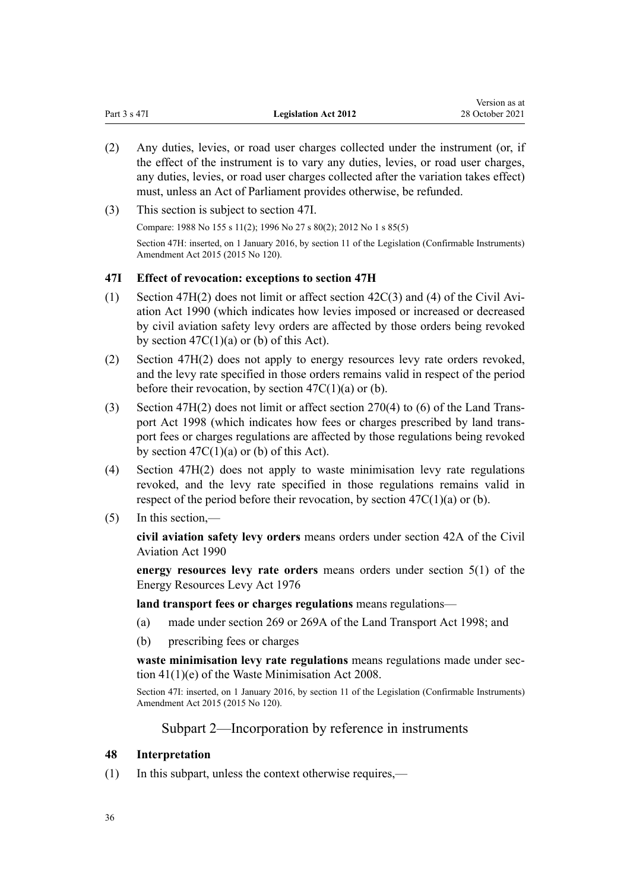<span id="page-35-0"></span>

|              |                             | Version as at   |
|--------------|-----------------------------|-----------------|
| Part 3 s 47I | <b>Legislation Act 2012</b> | 28 October 2021 |

- (2) Any duties, levies, or road user charges collected under the instrument (or, if the effect of the instrument is to vary any duties, levies, or road user charges, any duties, levies, or road user charges collected after the variation takes effect) must, unless an Act of Parliament provides otherwise, be refunded.
- (3) This section is subject to section 47I.

Compare: 1988 No 155 [s 11\(2\)](http://legislation.govt.nz/pdflink.aspx?id=DLM137092); 1996 No 27 [s 80\(2\);](http://legislation.govt.nz/pdflink.aspx?id=DLM378651) 2012 No 1 [s 85\(5\)](http://legislation.govt.nz/pdflink.aspx?id=DLM3395071)

Section 47H: inserted, on 1 January 2016, by [section 11](http://legislation.govt.nz/pdflink.aspx?id=DLM6681221) of the Legislation (Confirmable Instruments) Amendment Act 2015 (2015 No 120).

### **47I Effect of revocation: exceptions to section 47H**

- (1) [Section 47H\(2\)](#page-34-0) does not limit or affect section  $42C(3)$  and (4) of the Civil Aviation Act 1990 (which indicates how levies imposed or increased or decreased by civil aviation safety levy orders are affected by those orders being revoked by section  $47C(1)(a)$  or (b) of this Act).
- (2) [Section 47H\(2\)](#page-34-0) does not apply to energy resources levy rate orders revoked, and the levy rate specified in those orders remains valid in respect of the period before their revocation, by section  $47C(1)(a)$  or (b).
- (3) [Section 47H\(2\)](#page-34-0) does not limit or affect [section 270\(4\) to \(6\)](http://legislation.govt.nz/pdflink.aspx?id=DLM2214276) of the Land Trans‐ port Act 1998 (which indicates how fees or charges prescribed by land transport fees or charges regulations are affected by those regulations being revoked by section  $47C(1)(a)$  or (b) of this Act).
- (4) [Section 47H\(2\)](#page-34-0) does not apply to waste minimisation levy rate regulations revoked, and the levy rate specified in those regulations remains valid in respect of the period before their revocation, by section  $47C(1)(a)$  or (b).
- $(5)$  In this section,—

**civil aviation safety levy orders** means orders under [section 42A](http://legislation.govt.nz/pdflink.aspx?id=DLM216393) of the Civil Aviation Act 1990

**energy resources levy rate orders** means orders under [section 5\(1\)](http://legislation.govt.nz/pdflink.aspx?id=DLM439852) of the Energy Resources Levy Act 1976

**land transport fees or charges regulations** means regulations—

- (a) made under [section 269](http://legislation.govt.nz/pdflink.aspx?id=DLM2214275) or [269A](http://legislation.govt.nz/pdflink.aspx?id=DLM6087601) of the Land Transport Act 1998; and
- (b) prescribing fees or charges

waste minimisation levy rate regulations means regulations made under sec[tion 41\(1\)\(e\)](http://legislation.govt.nz/pdflink.aspx?id=DLM1154618) of the Waste Minimisation Act 2008.

Section 47I: inserted, on 1 January 2016, by [section 11](http://legislation.govt.nz/pdflink.aspx?id=DLM6681221) of the Legislation (Confirmable Instruments) Amendment Act 2015 (2015 No 120).

### Subpart 2—Incorporation by reference in instruments

### **48 Interpretation**

(1) In this subpart, unless the context otherwise requires,—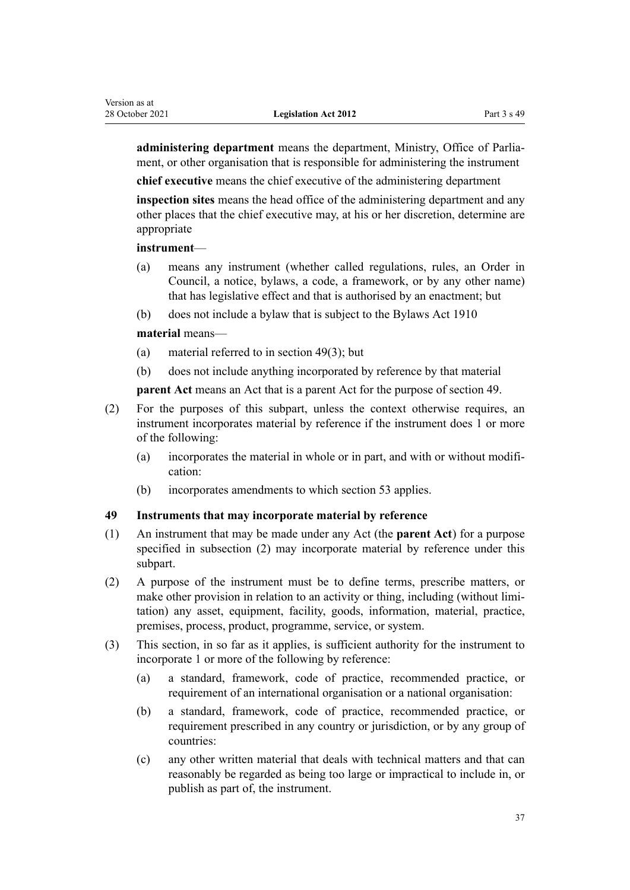<span id="page-36-0"></span>**administering department** means the department, Ministry, Office of Parlia‐ ment, or other organisation that is responsible for administering the instrument

**chief executive** means the chief executive of the administering department

**inspection sites** means the head office of the administering department and any other places that the chief executive may, at his or her discretion, determine are appropriate

## **instrument**—

- (a) means any instrument (whether called regulations, rules, an Order in Council, a notice, bylaws, a code, a framework, or by any other name) that has legislative effect and that is authorised by an enactment; but
- (b) does not include a bylaw that is subject to the [Bylaws Act 1910](http://legislation.govt.nz/pdflink.aspx?id=DLM176981)

### **material** means—

- (a) material referred to in section 49(3); but
- (b) does not include anything incorporated by reference by that material

**parent Act** means an Act that is a parent Act for the purpose of section 49.

- (2) For the purposes of this subpart, unless the context otherwise requires, an instrument incorporates material by reference if the instrument does 1 or more of the following:
	- (a) incorporates the material in whole or in part, and with or without modifi‐ cation:
	- (b) incorporates amendments to which [section 53](#page-39-0) applies.

# **49 Instruments that may incorporate material by reference**

- (1) An instrument that may be made under any Act (the **parent Act**) for a purpose specified in subsection (2) may incorporate material by reference under this subpart.
- (2) A purpose of the instrument must be to define terms, prescribe matters, or make other provision in relation to an activity or thing, including (without limitation) any asset, equipment, facility, goods, information, material, practice, premises, process, product, programme, service, or system.
- (3) This section, in so far as it applies, is sufficient authority for the instrument to incorporate 1 or more of the following by reference:
	- (a) a standard, framework, code of practice, recommended practice, or requirement of an international organisation or a national organisation:
	- (b) a standard, framework, code of practice, recommended practice, or requirement prescribed in any country or jurisdiction, or by any group of countries:
	- (c) any other written material that deals with technical matters and that can reasonably be regarded as being too large or impractical to include in, or publish as part of, the instrument.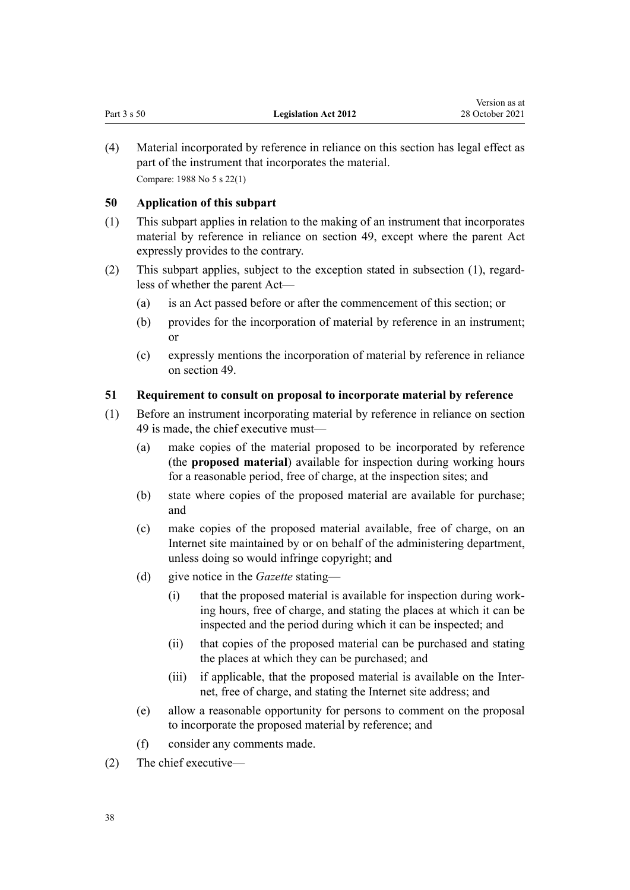(4) Material incorporated by reference in reliance on this section has legal effect as part of the instrument that incorporates the material. Compare: 1988 No 5 [s 22\(1\)](http://legislation.govt.nz/pdflink.aspx?id=DLM128740)

## **50 Application of this subpart**

- (1) This subpart applies in relation to the making of an instrument that incorporates material by reference in reliance on [section 49](#page-36-0), except where the parent Act expressly provides to the contrary.
- (2) This subpart applies, subject to the exception stated in subsection (1), regard‐ less of whether the parent Act—
	- (a) is an Act passed before or after the commencement of this section; or
	- (b) provides for the incorporation of material by reference in an instrument; or
	- (c) expressly mentions the incorporation of material by reference in reliance on [section 49.](#page-36-0)

# **51 Requirement to consult on proposal to incorporate material by reference**

- (1) Before an instrument incorporating material by reference in reliance on section 49 is made, the chief executive must—
	- (a) make copies of the material proposed to be incorporated by reference (the **proposed material**) available for inspection during working hours for a reasonable period, free of charge, at the inspection sites; and
	- (b) state where copies of the proposed material are available for purchase; and
	- (c) make copies of the proposed material available, free of charge, on an Internet site maintained by or on behalf of the administering department, unless doing so would infringe copyright; and
	- (d) give notice in the *Gazette* stating—
		- (i) that the proposed material is available for inspection during work‐ ing hours, free of charge, and stating the places at which it can be inspected and the period during which it can be inspected; and
		- (ii) that copies of the proposed material can be purchased and stating the places at which they can be purchased; and
		- (iii) if applicable, that the proposed material is available on the Inter‐ net, free of charge, and stating the Internet site address; and
	- (e) allow a reasonable opportunity for persons to comment on the proposal to incorporate the proposed material by reference; and
	- (f) consider any comments made.
- (2) The chief executive—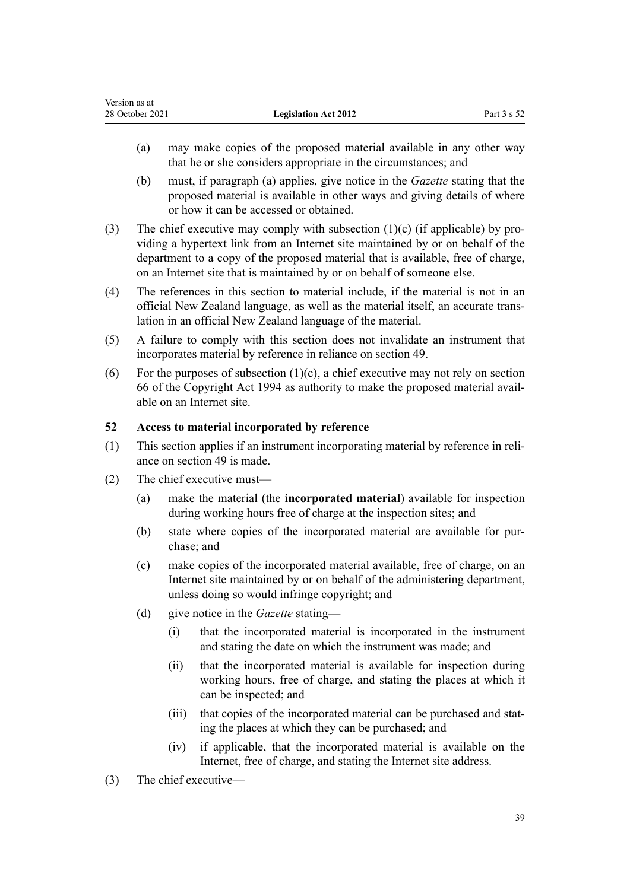- (a) may make copies of the proposed material available in any other way that he or she considers appropriate in the circumstances; and
- (b) must, if paragraph (a) applies, give notice in the *Gazette* stating that the proposed material is available in other ways and giving details of where or how it can be accessed or obtained.
- (3) The chief executive may comply with subsection  $(1)(c)$  (if applicable) by providing a hypertext link from an Internet site maintained by or on behalf of the department to a copy of the proposed material that is available, free of charge, on an Internet site that is maintained by or on behalf of someone else.
- (4) The references in this section to material include, if the material is not in an official New Zealand language, as well as the material itself, an accurate trans‐ lation in an official New Zealand language of the material.
- (5) A failure to comply with this section does not invalidate an instrument that incorporates material by reference in reliance on [section 49.](#page-36-0)
- (6) For the purposes of subsection  $(1)(c)$ , a chief executive may not rely on [section](http://legislation.govt.nz/pdflink.aspx?id=DLM346207) [66](http://legislation.govt.nz/pdflink.aspx?id=DLM346207) of the Copyright Act 1994 as authority to make the proposed material avail‐ able on an Internet site.

# **52 Access to material incorporated by reference**

- (1) This section applies if an instrument incorporating material by reference in reli‐ ance on [section 49](#page-36-0) is made.
- (2) The chief executive must—
	- (a) make the material (the **incorporated material**) available for inspection during working hours free of charge at the inspection sites; and
	- (b) state where copies of the incorporated material are available for purchase; and
	- (c) make copies of the incorporated material available, free of charge, on an Internet site maintained by or on behalf of the administering department, unless doing so would infringe copyright; and
	- (d) give notice in the *Gazette* stating—
		- (i) that the incorporated material is incorporated in the instrument and stating the date on which the instrument was made; and
		- (ii) that the incorporated material is available for inspection during working hours, free of charge, and stating the places at which it can be inspected; and
		- (iii) that copies of the incorporated material can be purchased and stating the places at which they can be purchased; and
		- (iv) if applicable, that the incorporated material is available on the Internet, free of charge, and stating the Internet site address.
- (3) The chief executive—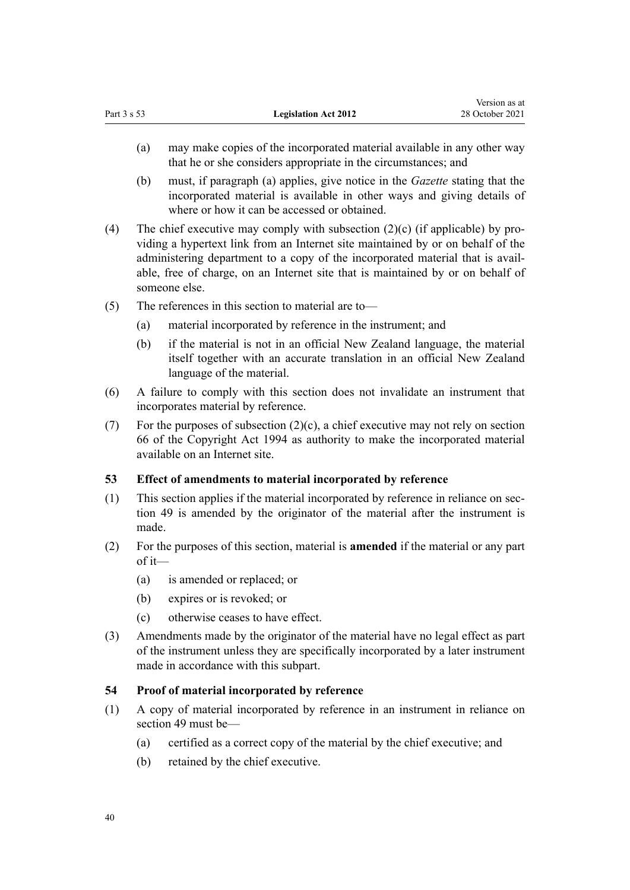<span id="page-39-0"></span>

|             |                             | Version as at   |
|-------------|-----------------------------|-----------------|
| Part 3 s 53 | <b>Legislation Act 2012</b> | 28 October 2021 |
|             |                             |                 |

- (a) may make copies of the incorporated material available in any other way that he or she considers appropriate in the circumstances; and
- (b) must, if paragraph (a) applies, give notice in the *Gazette* stating that the incorporated material is available in other ways and giving details of where or how it can be accessed or obtained.
- (4) The chief executive may comply with subsection  $(2)(c)$  (if applicable) by providing a hypertext link from an Internet site maintained by or on behalf of the administering department to a copy of the incorporated material that is avail‐ able, free of charge, on an Internet site that is maintained by or on behalf of someone else.
- (5) The references in this section to material are to—
	- (a) material incorporated by reference in the instrument; and
	- (b) if the material is not in an official New Zealand language, the material itself together with an accurate translation in an official New Zealand language of the material.
- (6) A failure to comply with this section does not invalidate an instrument that incorporates material by reference.
- (7) For the purposes of subsection (2)(c), a chief executive may not rely on [section](http://legislation.govt.nz/pdflink.aspx?id=DLM346207) [66](http://legislation.govt.nz/pdflink.aspx?id=DLM346207) of the Copyright Act 1994 as authority to make the incorporated material available on an Internet site.

## **53 Effect of amendments to material incorporated by reference**

- (1) This section applies if the material incorporated by reference in reliance on [sec‐](#page-36-0) [tion 49](#page-36-0) is amended by the originator of the material after the instrument is made.
- (2) For the purposes of this section, material is **amended** if the material or any part of it—
	- (a) is amended or replaced; or
	- (b) expires or is revoked; or
	- (c) otherwise ceases to have effect.
- (3) Amendments made by the originator of the material have no legal effect as part of the instrument unless they are specifically incorporated by a later instrument made in accordance with this subpart.

# **54 Proof of material incorporated by reference**

- (1) A copy of material incorporated by reference in an instrument in reliance on [section 49](#page-36-0) must be—
	- (a) certified as a correct copy of the material by the chief executive; and
	- (b) retained by the chief executive.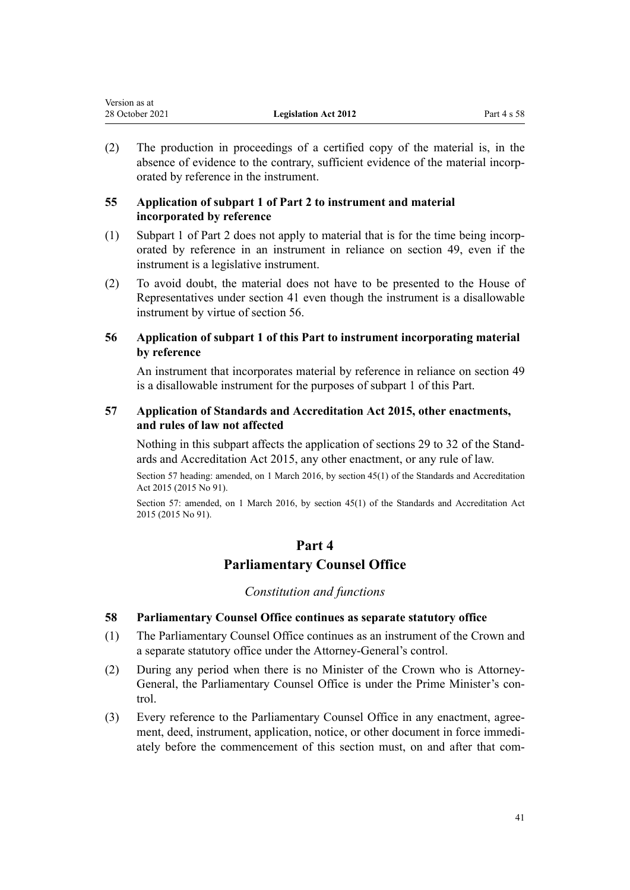(2) The production in proceedings of a certified copy of the material is, in the absence of evidence to the contrary, sufficient evidence of the material incorporated by reference in the instrument.

# **55 Application of subpart 1 of Part 2 to instrument and material incorporated by reference**

- (1) [Subpart 1](#page-7-0) of Part 2 does not apply to material that is for the time being incorp‐ orated by reference in an instrument in reliance on [section 49,](#page-36-0) even if the instrument is a legislative instrument.
- (2) To avoid doubt, the material does not have to be presented to the House of Representatives under [section 41](#page-28-0) even though the instrument is a disallowable instrument by virtue of section 56.

# **56 Application of subpart 1 of this Part to instrument incorporating material by reference**

An instrument that incorporates material by reference in reliance on [section 49](#page-36-0) is a disallowable instrument for the purposes of [subpart 1](#page-26-0) of this Part.

# **57 Application of Standards and Accreditation Act 2015, other enactments, and rules of law not affected**

Nothing in this subpart affects the application of [sections 29 to 32](http://legislation.govt.nz/pdflink.aspx?id=DLM5946960) of the Stand‐ ards and Accreditation Act 2015, any other enactment, or any rule of law.

Section 57 heading: amended, on 1 March 2016, by [section 45\(1\)](http://legislation.govt.nz/pdflink.aspx?id=DLM5947001) of the Standards and Accreditation Act 2015 (2015 No 91).

Section 57: amended, on 1 March 2016, by [section 45\(1\)](http://legislation.govt.nz/pdflink.aspx?id=DLM5947001) of the Standards and Accreditation Act 2015 (2015 No 91).

# **Part 4 Parliamentary Counsel Office**

*Constitution and functions*

# **58 Parliamentary Counsel Office continues as separate statutory office**

- (1) The Parliamentary Counsel Office continues as an instrument of the Crown and a separate statutory office under the Attorney-General's control.
- (2) During any period when there is no Minister of the Crown who is Attorney-General, the Parliamentary Counsel Office is under the Prime Minister's control.
- (3) Every reference to the Parliamentary Counsel Office in any enactment, agree‐ ment, deed, instrument, application, notice, or other document in force immedi‐ ately before the commencement of this section must, on and after that com‐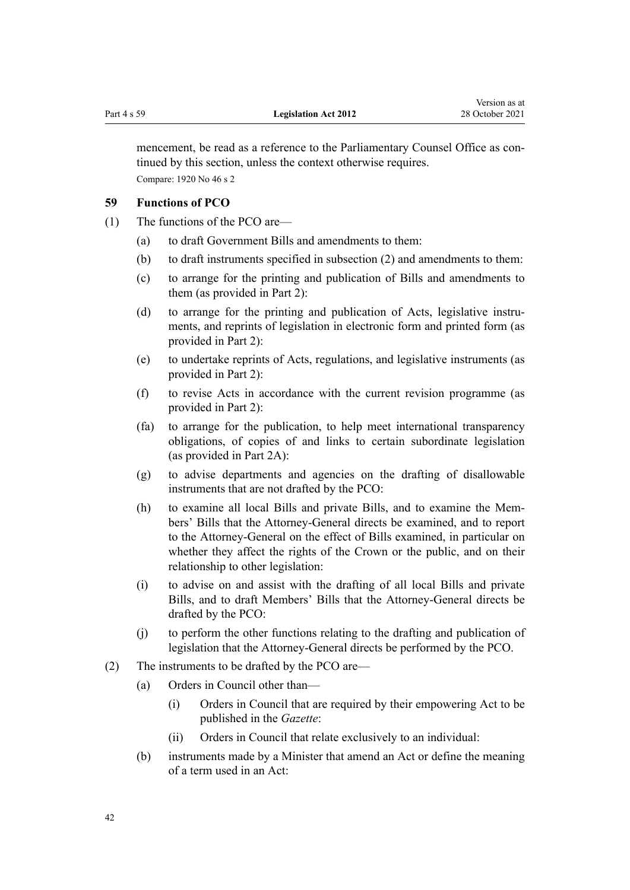<span id="page-41-0"></span>mencement, be read as a reference to the Parliamentary Counsel Office as continued by this section, unless the context otherwise requires. Compare: 1920 No 46 [s 2](http://legislation.govt.nz/pdflink.aspx?id=DLM191594)

## **59 Functions of PCO**

- (1) The functions of the PCO are—
	- (a) to draft Government Bills and amendments to them:
	- (b) to draft instruments specified in subsection (2) and amendments to them:
	- (c) to arrange for the printing and publication of Bills and amendments to them (as provided in [Part 2](#page-7-0)):
	- (d) to arrange for the printing and publication of Acts, legislative instruments, and reprints of legislation in electronic form and printed form (as provided in [Part 2\)](#page-7-0):
	- (e) to undertake reprints of Acts, regulations, and legislative instruments (as provided in [Part 2\)](#page-7-0):
	- (f) to revise Acts in accordance with the current revision programme (as provided in [Part 2\)](#page-7-0):
	- (fa) to arrange for the publication, to help meet international transparency obligations, of copies of and links to certain subordinate legislation (as provided in [Part 2A\)](#page-22-0):
	- (g) to advise departments and agencies on the drafting of disallowable instruments that are not drafted by the PCO:
	- (h) to examine all local Bills and private Bills, and to examine the Members' Bills that the Attorney-General directs be examined, and to report to the Attorney-General on the effect of Bills examined, in particular on whether they affect the rights of the Crown or the public, and on their relationship to other legislation:
	- (i) to advise on and assist with the drafting of all local Bills and private Bills, and to draft Members' Bills that the Attorney-General directs be drafted by the PCO:
	- (j) to perform the other functions relating to the drafting and publication of legislation that the Attorney-General directs be performed by the PCO.
- (2) The instruments to be drafted by the PCO are—
	- (a) Orders in Council other than—
		- (i) Orders in Council that are required by their empowering Act to be published in the *Gazette*:
		- (ii) Orders in Council that relate exclusively to an individual:
	- (b) instruments made by a Minister that amend an Act or define the meaning of a term used in an Act: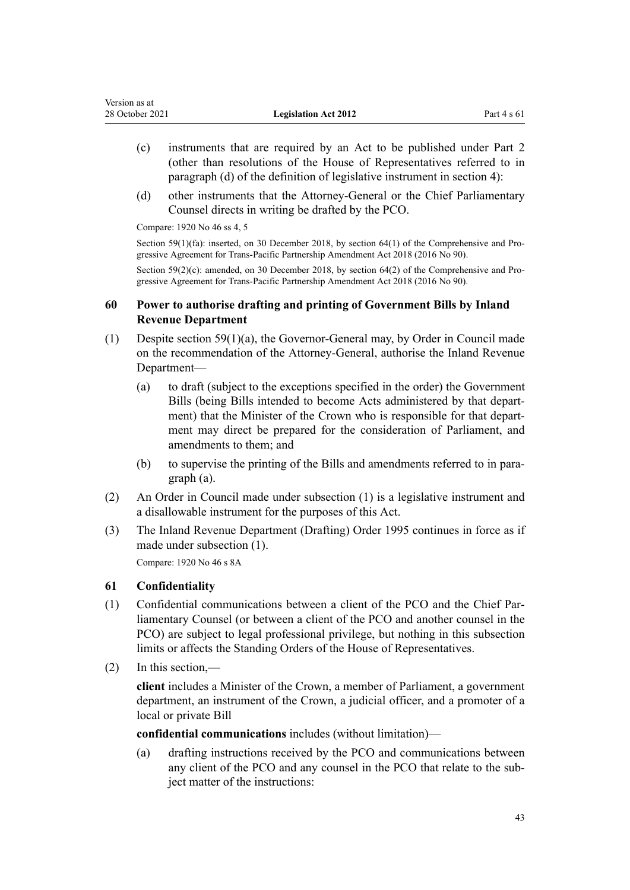- (c) instruments that are required by an Act to be published under Part 2 (other than resolutions of the House of Representatives referred to in paragraph (d) of the definition of legislative instrument in [section 4\)](#page-6-0):
- (d) other instruments that the Attorney-General or the Chief Parliamentary Counsel directs in writing be drafted by the PCO.

Compare: 1920 No 46 [ss 4](http://legislation.govt.nz/pdflink.aspx?id=DLM191598), [5](http://legislation.govt.nz/pdflink.aspx?id=DLM192002)

Section  $59(1)(\text{fa})$ : inserted, on 30 December 2018, by section  $64(1)$  of the Comprehensive and Progressive Agreement for Trans-Pacific Partnership Amendment Act 2018 (2016 No 90).

Section 59(2)(c): amended, on 30 December 2018, by [section 64\(2\)](http://legislation.govt.nz/pdflink.aspx?id=DLM6838333) of the Comprehensive and Progressive Agreement for Trans-Pacific Partnership Amendment Act 2018 (2016 No 90).

# **60 Power to authorise drafting and printing of Government Bills by Inland Revenue Department**

- (1) Despite [section 59\(1\)\(a\),](#page-41-0) the Governor-General may, by Order in Council made on the recommendation of the Attorney-General, authorise the Inland Revenue Department—
	- (a) to draft (subject to the exceptions specified in the order) the Government Bills (being Bills intended to become Acts administered by that depart‐ ment) that the Minister of the Crown who is responsible for that department may direct be prepared for the consideration of Parliament, and amendments to them; and
	- (b) to supervise the printing of the Bills and amendments referred to in paragraph (a).
- (2) An Order in Council made under subsection (1) is a legislative instrument and a disallowable instrument for the purposes of this Act.
- (3) The [Inland Revenue Department \(Drafting\) Order 1995](http://legislation.govt.nz/pdflink.aspx?id=DLM207334) continues in force as if made under subsection (1).

Compare: 1920 No 46 [s 8A](http://legislation.govt.nz/pdflink.aspx?id=DLM192017)

# **61 Confidentiality**

- (1) Confidential communications between a client of the PCO and the Chief Par‐ liamentary Counsel (or between a client of the PCO and another counsel in the PCO) are subject to legal professional privilege, but nothing in this subsection limits or affects the Standing Orders of the House of Representatives.
- (2) In this section,—

**client** includes a Minister of the Crown, a member of Parliament, a government department, an instrument of the Crown, a judicial officer, and a promoter of a local or private Bill

**confidential communications** includes (without limitation)—

(a) drafting instructions received by the PCO and communications between any client of the PCO and any counsel in the PCO that relate to the subject matter of the instructions: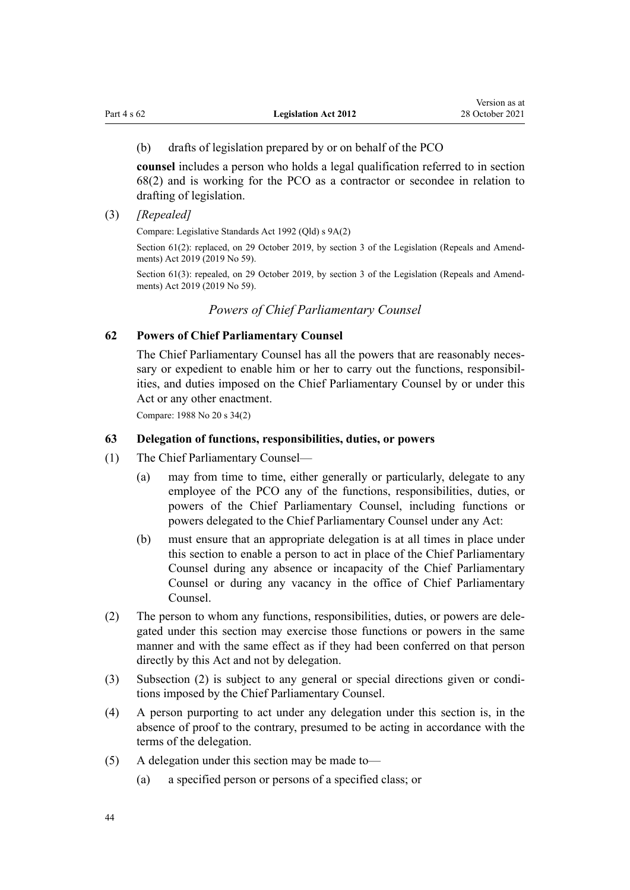## <span id="page-43-0"></span>(b) drafts of legislation prepared by or on behalf of the PCO

**counsel** includes a person who holds a legal qualification referred to in [section](#page-45-0) [68\(2\)](#page-45-0) and is working for the PCO as a contractor or secondee in relation to drafting of legislation.

(3) *[Repealed]*

Compare: Legislative Standards Act 1992 (Qld) s 9A(2)

Section 61(2): replaced, on 29 October 2019, by [section 3](http://legislation.govt.nz/pdflink.aspx?id=LMS265603) of the Legislation (Repeals and Amendments) Act 2019 (2019 No 59).

Section 61(3): repealed, on 29 October 2019, by [section 3](http://legislation.govt.nz/pdflink.aspx?id=LMS265603) of the Legislation (Repeals and Amendments) Act 2019 (2019 No 59).

# *Powers of Chief Parliamentary Counsel*

## **62 Powers of Chief Parliamentary Counsel**

The Chief Parliamentary Counsel has all the powers that are reasonably necessary or expedient to enable him or her to carry out the functions, responsibilities, and duties imposed on the Chief Parliamentary Counsel by or under this Act or any other enactment.

Compare: 1988 No 20 [s 34\(2\)](http://legislation.govt.nz/pdflink.aspx?id=DLM129550)

#### **63 Delegation of functions, responsibilities, duties, or powers**

- (1) The Chief Parliamentary Counsel—
	- (a) may from time to time, either generally or particularly, delegate to any employee of the PCO any of the functions, responsibilities, duties, or powers of the Chief Parliamentary Counsel, including functions or powers delegated to the Chief Parliamentary Counsel under any Act:
	- (b) must ensure that an appropriate delegation is at all times in place under this section to enable a person to act in place of the Chief Parliamentary Counsel during any absence or incapacity of the Chief Parliamentary Counsel or during any vacancy in the office of Chief Parliamentary Counsel.
- (2) The person to whom any functions, responsibilities, duties, or powers are dele‐ gated under this section may exercise those functions or powers in the same manner and with the same effect as if they had been conferred on that person directly by this Act and not by delegation.
- (3) Subsection (2) is subject to any general or special directions given or condi‐ tions imposed by the Chief Parliamentary Counsel.
- (4) A person purporting to act under any delegation under this section is, in the absence of proof to the contrary, presumed to be acting in accordance with the terms of the delegation.
- (5) A delegation under this section may be made to—
	- (a) a specified person or persons of a specified class; or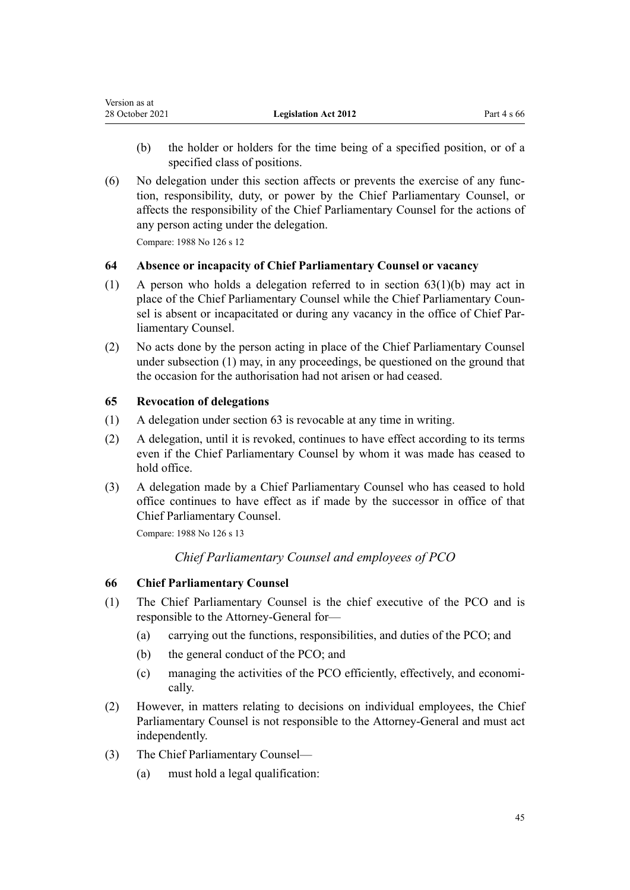<span id="page-44-0"></span>

| Version as at   |                             |               |
|-----------------|-----------------------------|---------------|
| 28 October 2021 | <b>Legislation Act 2012</b> | Part 4 s $66$ |

- (b) the holder or holders for the time being of a specified position, or of a specified class of positions.
- (6) No delegation under this section affects or prevents the exercise of any func‐ tion, responsibility, duty, or power by the Chief Parliamentary Counsel, or affects the responsibility of the Chief Parliamentary Counsel for the actions of any person acting under the delegation. Compare: 1988 No 126 [s 12](http://legislation.govt.nz/pdflink.aspx?id=DLM135677)

# **64 Absence or incapacity of Chief Parliamentary Counsel or vacancy**

- (1) A person who holds a delegation referred to in [section 63\(1\)\(b\)](#page-43-0) may act in place of the Chief Parliamentary Counsel while the Chief Parliamentary Coun‐ sel is absent or incapacitated or during any vacancy in the office of Chief Parliamentary Counsel.
- (2) No acts done by the person acting in place of the Chief Parliamentary Counsel under subsection (1) may, in any proceedings, be questioned on the ground that the occasion for the authorisation had not arisen or had ceased.

# **65 Revocation of delegations**

- (1) A delegation under [section 63](#page-43-0) is revocable at any time in writing.
- (2) A delegation, until it is revoked, continues to have effect according to its terms even if the Chief Parliamentary Counsel by whom it was made has ceased to hold office.
- (3) A delegation made by a Chief Parliamentary Counsel who has ceased to hold office continues to have effect as if made by the successor in office of that Chief Parliamentary Counsel.

Compare: 1988 No 126 [s 13](http://legislation.govt.nz/pdflink.aspx?id=DLM135678)

*Chief Parliamentary Counsel and employees of PCO*

## **66 Chief Parliamentary Counsel**

- (1) The Chief Parliamentary Counsel is the chief executive of the PCO and is responsible to the Attorney-General for—
	- (a) carrying out the functions, responsibilities, and duties of the PCO; and
	- (b) the general conduct of the PCO; and
	- (c) managing the activities of the PCO efficiently, effectively, and economi‐ cally.
- (2) However, in matters relating to decisions on individual employees, the Chief Parliamentary Counsel is not responsible to the Attorney-General and must act independently.
- (3) The Chief Parliamentary Counsel—
	- (a) must hold a legal qualification: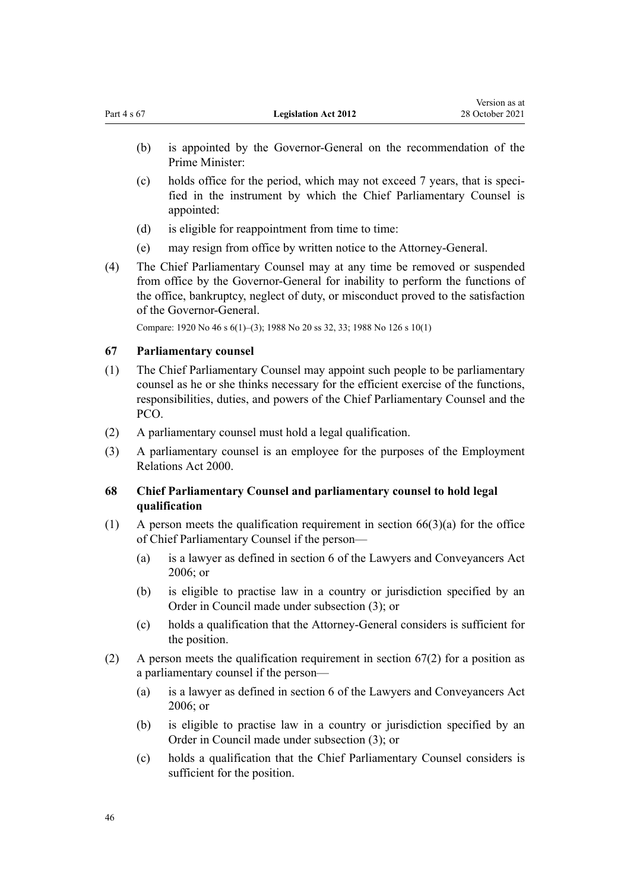Version as at

- <span id="page-45-0"></span>(b) is appointed by the Governor-General on the recommendation of the Prime Minister:
- $\alpha$  holds office for the period, which may not exceed 7 years, that is specified in the instrument by which the Chief Parliamentary Counsel is appointed:
- (d) is eligible for reappointment from time to time:
- (e) may resign from office by written notice to the Attorney-General.
- (4) The Chief Parliamentary Counsel may at any time be removed or suspended from office by the Governor-General for inability to perform the functions of the office, bankruptcy, neglect of duty, or misconduct proved to the satisfaction of the Governor-General.

Compare: 1920 No 46 [s 6\(1\)–\(3\)](http://legislation.govt.nz/pdflink.aspx?id=DLM192003); 1988 No 20 [ss 32](http://legislation.govt.nz/pdflink.aspx?id=DLM129548), [33;](http://legislation.govt.nz/pdflink.aspx?id=DLM129549) 1988 No 126 [s 10\(1\)](http://legislation.govt.nz/pdflink.aspx?id=DLM135674)

## **67 Parliamentary counsel**

- (1) The Chief Parliamentary Counsel may appoint such people to be parliamentary counsel as he or she thinks necessary for the efficient exercise of the functions, responsibilities, duties, and powers of the Chief Parliamentary Counsel and the PCO.
- (2) A parliamentary counsel must hold a legal qualification.
- (3) A parliamentary counsel is an employee for the purposes of the [Employment](http://legislation.govt.nz/pdflink.aspx?id=DLM58316) [Relations Act 2000](http://legislation.govt.nz/pdflink.aspx?id=DLM58316).

# **68 Chief Parliamentary Counsel and parliamentary counsel to hold legal qualification**

- $(1)$  A person meets the qualification requirement in section  $66(3)(a)$  for the office of Chief Parliamentary Counsel if the person—
	- (a) is a lawyer as defined in [section 6](http://legislation.govt.nz/pdflink.aspx?id=DLM364948) of the Lawyers and Conveyancers Act 2006; or
	- (b) is eligible to practise law in a country or jurisdiction specified by an Order in Council made under subsection (3); or
	- (c) holds a qualification that the Attorney-General considers is sufficient for the position.
- (2) A person meets the qualification requirement in section 67(2) for a position as a parliamentary counsel if the person—
	- (a) is a lawyer as defined in [section 6](http://legislation.govt.nz/pdflink.aspx?id=DLM364948) of the Lawyers and Conveyancers Act 2006; or
	- (b) is eligible to practise law in a country or jurisdiction specified by an Order in Council made under subsection (3); or
	- (c) holds a qualification that the Chief Parliamentary Counsel considers is sufficient for the position.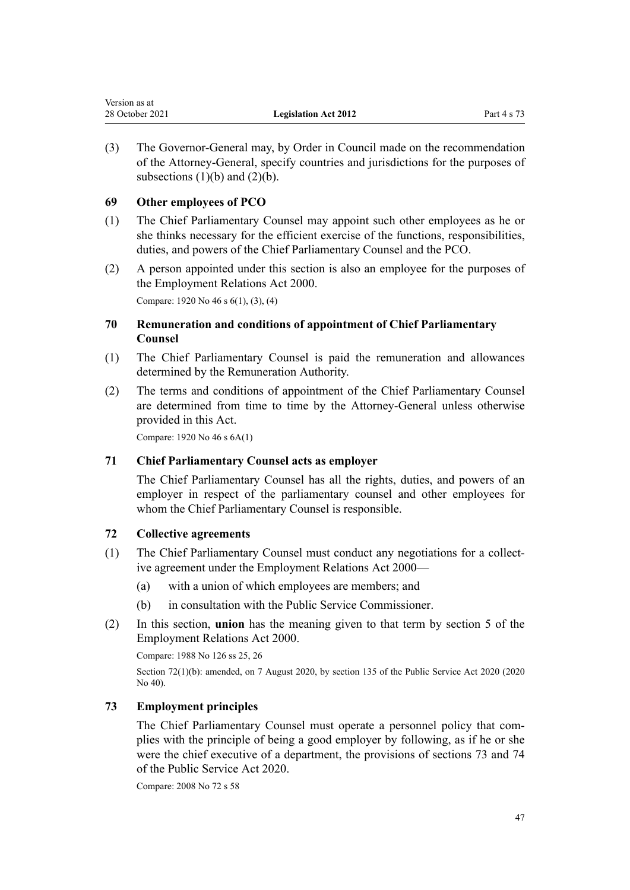<span id="page-46-0"></span>

| Version as at   |                             |             |
|-----------------|-----------------------------|-------------|
| 28 October 2021 | <b>Legislation Act 2012</b> | Part 4 s 73 |

(3) The Governor-General may, by Order in Council made on the recommendation of the Attorney-General, specify countries and jurisdictions for the purposes of subsections  $(1)(b)$  and  $(2)(b)$ .

# **69 Other employees of PCO**

- (1) The Chief Parliamentary Counsel may appoint such other employees as he or she thinks necessary for the efficient exercise of the functions, responsibilities, duties, and powers of the Chief Parliamentary Counsel and the PCO.
- (2) A person appointed under this section is also an employee for the purposes of the Employment Relations Act 2000. Compare: 1920 No 46 [s 6\(1\), \(3\), \(4\)](http://legislation.govt.nz/pdflink.aspx?id=DLM192003)

**70 Remuneration and conditions of appointment of Chief Parliamentary Counsel**

- (1) The Chief Parliamentary Counsel is paid the remuneration and allowances determined by the Remuneration Authority.
- (2) The terms and conditions of appointment of the Chief Parliamentary Counsel are determined from time to time by the Attorney-General unless otherwise provided in this Act.

Compare: 1920 No 46 [s 6A\(1\)](http://legislation.govt.nz/pdflink.aspx?id=DLM192009)

## **71 Chief Parliamentary Counsel acts as employer**

The Chief Parliamentary Counsel has all the rights, duties, and powers of an employer in respect of the parliamentary counsel and other employees for whom the Chief Parliamentary Counsel is responsible.

## **72 Collective agreements**

- (1) The Chief Parliamentary Counsel must conduct any negotiations for a collect‐ ive agreement under the [Employment Relations Act 2000—](http://legislation.govt.nz/pdflink.aspx?id=DLM58316)
	- (a) with a union of which employees are members; and
	- (b) in consultation with the Public Service Commissioner.
- (2) In this section, **union** has the meaning given to that term by [section 5](http://legislation.govt.nz/pdflink.aspx?id=DLM58337) of the Employment Relations Act 2000.

Compare: 1988 No 126 [ss 25](http://legislation.govt.nz/pdflink.aspx?id=DLM135696), [26](http://legislation.govt.nz/pdflink.aspx?id=DLM135699)

Section 72(1)(b): amended, on 7 August 2020, by [section 135](http://legislation.govt.nz/pdflink.aspx?id=LMS176959) of the Public Service Act 2020 (2020) No 40).

## **73 Employment principles**

The Chief Parliamentary Counsel must operate a personnel policy that complies with the principle of being a good employer by following, as if he or she were the chief executive of a department, the provisions of [sections 73](http://legislation.govt.nz/pdflink.aspx?id=LMS356914) and [74](http://legislation.govt.nz/pdflink.aspx?id=LMS219486) of the Public Service Act 2020.

Compare: 2008 No 72 [s 58](http://legislation.govt.nz/pdflink.aspx?id=DLM1102271)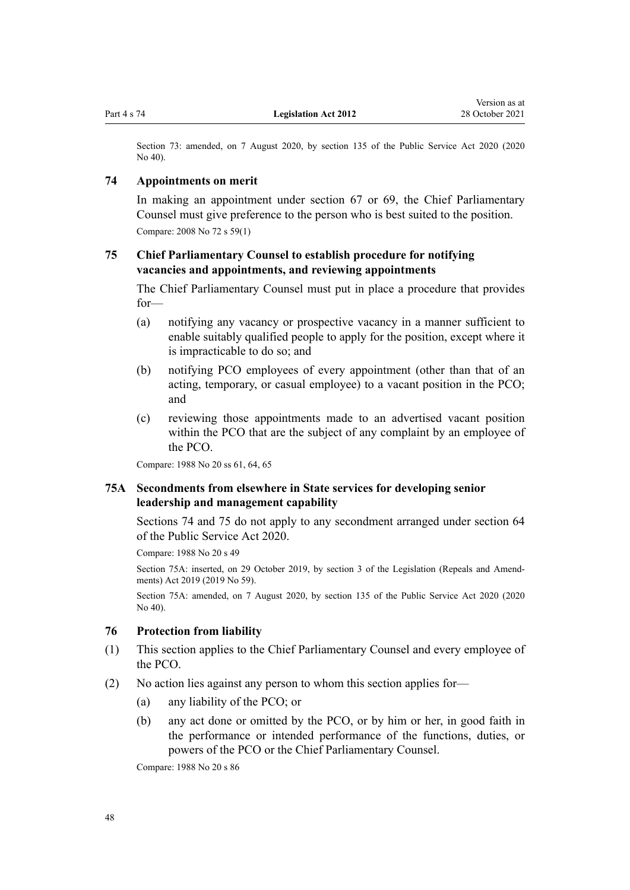Section 73: amended, on 7 August 2020, by [section 135](http://legislation.govt.nz/pdflink.aspx?id=LMS176959) of the Public Service Act 2020 (2020 No 40).

### **74 Appointments on merit**

In making an appointment under [section 67](#page-45-0) or [69,](#page-46-0) the Chief Parliamentary Counsel must give preference to the person who is best suited to the position. Compare: 2008 No 72 [s 59\(1\)](http://legislation.govt.nz/pdflink.aspx?id=DLM1102272)

# **75 Chief Parliamentary Counsel to establish procedure for notifying vacancies and appointments, and reviewing appointments**

The Chief Parliamentary Counsel must put in place a procedure that provides for—

- (a) notifying any vacancy or prospective vacancy in a manner sufficient to enable suitably qualified people to apply for the position, except where it is impracticable to do so; and
- (b) notifying PCO employees of every appointment (other than that of an acting, temporary, or casual employee) to a vacant position in the PCO; and
- (c) reviewing those appointments made to an advertised vacant position within the PCO that are the subject of any complaint by an employee of the PCO.

Compare: 1988 No 20 [ss 61,](http://legislation.govt.nz/pdflink.aspx?id=DLM129740) [64](http://legislation.govt.nz/pdflink.aspx?id=DLM129754), [65](http://legislation.govt.nz/pdflink.aspx?id=DLM129755)

# **75A Secondments from elsewhere in State services for developing senior leadership and management capability**

Sections 74 and 75 do not apply to any secondment arranged under [section 64](http://legislation.govt.nz/pdflink.aspx?id=LMS356911) of the Public Service Act 2020.

Compare: 1988 No 20 [s 49](http://legislation.govt.nz/pdflink.aspx?id=DLM129595)

Section 75A: inserted, on 29 October 2019, by [section 3](http://legislation.govt.nz/pdflink.aspx?id=LMS265603) of the Legislation (Repeals and Amendments) Act 2019 (2019 No 59).

Section 75A: amended, on 7 August 2020, by [section 135](http://legislation.govt.nz/pdflink.aspx?id=LMS176959) of the Public Service Act 2020 (2020 No 40).

## **76 Protection from liability**

- (1) This section applies to the Chief Parliamentary Counsel and every employee of the PCO.
- (2) No action lies against any person to whom this section applies for—
	- (a) any liability of the PCO; or
	- (b) any act done or omitted by the PCO, or by him or her, in good faith in the performance or intended performance of the functions, duties, or powers of the PCO or the Chief Parliamentary Counsel.

Compare: 1988 No 20 [s 86](http://legislation.govt.nz/pdflink.aspx?id=DLM130371)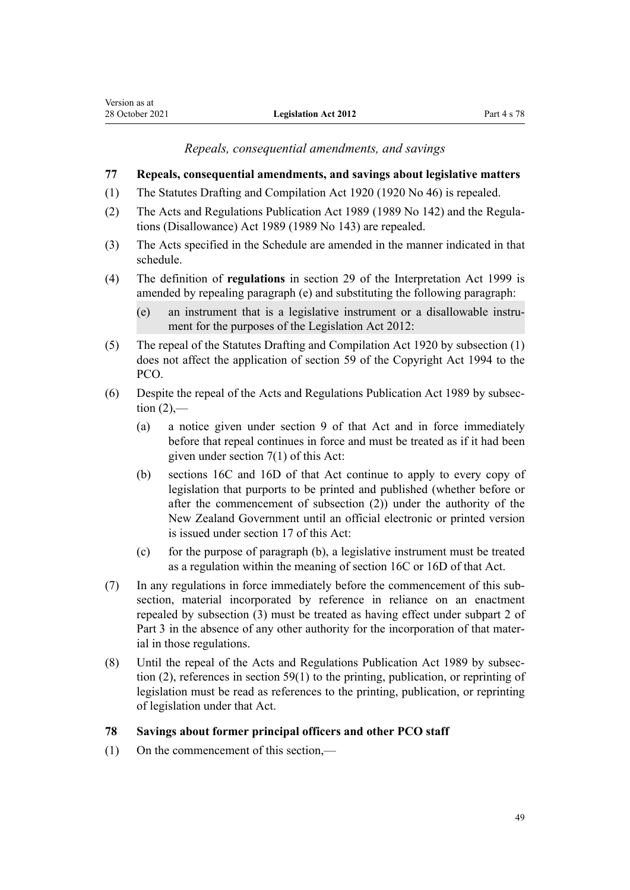*Repeals, consequential amendments, and savings*

# <span id="page-48-0"></span>**77 Repeals, consequential amendments, and savings about legislative matters**

- (1) The [Statutes Drafting and Compilation Act 1920](http://legislation.govt.nz/pdflink.aspx?id=DLM191587) (1920 No 46) is repealed.
- (2) The [Acts and Regulations Publication Act 1989](http://legislation.govt.nz/pdflink.aspx?id=DLM195097) (1989 No 142) and the [Regula‐](http://legislation.govt.nz/pdflink.aspx?id=DLM195534) [tions \(Disallowance\) Act 1989](http://legislation.govt.nz/pdflink.aspx?id=DLM195534) (1989 No 143) are repealed.
- (3) The Acts specified in the [Schedule](#page-52-0) are amended in the manner indicated in that schedule.
- (4) The definition of **regulations** in [section 29](http://legislation.govt.nz/pdflink.aspx?id=DLM31803) of the Interpretation Act 1999 is amended by repealing paragraph (e) and substituting the following paragraph:
	- (e) an instrument that is a legislative instrument or a disallowable instru‐ ment for the purposes of the Legislation Act 2012:
- (5) The repeal of the [Statutes Drafting and Compilation Act 1920](http://legislation.govt.nz/pdflink.aspx?id=DLM191587) by subsection (1) does not affect the application of [section 59](http://legislation.govt.nz/pdflink.aspx?id=DLM345993) of the Copyright Act 1994 to the PCO.
- (6) Despite the repeal of the [Acts and Regulations Publication Act 1989](http://legislation.govt.nz/pdflink.aspx?id=DLM195097) by subsec‐ tion  $(2)$ ,—
	- (a) a notice given under [section 9](http://legislation.govt.nz/pdflink.aspx?id=DLM195417) of that Act and in force immediately before that repeal continues in force and must be treated as if it had been given under [section 7\(1\)](#page-8-0) of this Act:
	- (b) [sections 16C](http://legislation.govt.nz/pdflink.aspx?id=DLM195437) and [16D](http://legislation.govt.nz/pdflink.aspx?id=DLM195439) of that Act continue to apply to every copy of legislation that purports to be printed and published (whether before or after the commencement of subsection (2)) under the authority of the New Zealand Government until an official electronic or printed version is issued under [section 17](#page-11-0) of this Act:
	- (c) for the purpose of paragraph (b), a legislative instrument must be treated as a regulation within the meaning of [section 16C](http://legislation.govt.nz/pdflink.aspx?id=DLM195437) or [16D](http://legislation.govt.nz/pdflink.aspx?id=DLM195439) of that Act.
- (7) In any regulations in force immediately before the commencement of this sub‐ section, material incorporated by reference in reliance on an enactment repealed by subsection (3) must be treated as having effect under [subpart 2](#page-35-0) of Part 3 in the absence of any other authority for the incorporation of that material in those regulations.
- (8) Until the repeal of the [Acts and Regulations Publication Act 1989](http://legislation.govt.nz/pdflink.aspx?id=DLM195097) by subsec‐ tion (2), references in [section 59\(1\)](#page-41-0) to the printing, publication, or reprinting of legislation must be read as references to the printing, publication, or reprinting of legislation under that Act.

# **78 Savings about former principal officers and other PCO staff**

(1) On the commencement of this section,—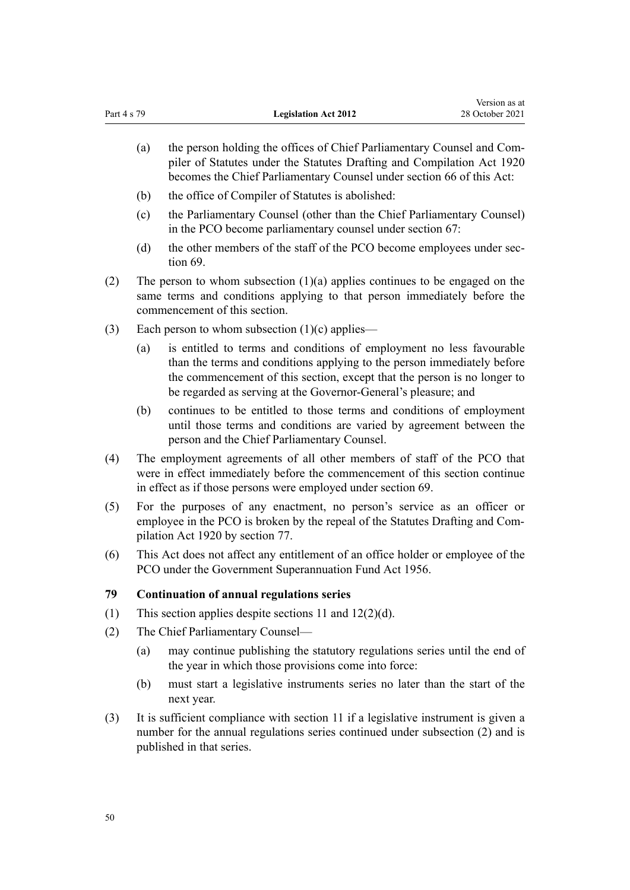- (a) the person holding the offices of Chief Parliamentary Counsel and Compiler of Statutes under the [Statutes Drafting and Compilation Act 1920](http://legislation.govt.nz/pdflink.aspx?id=DLM191587) becomes the Chief Parliamentary Counsel under [section 66](#page-44-0) of this Act:
- (b) the office of Compiler of Statutes is abolished:
- (c) the Parliamentary Counsel (other than the Chief Parliamentary Counsel) in the PCO become parliamentary counsel under [section 67:](#page-45-0)
- (d) the other members of the staff of the PCO become employees under sec[tion 69](#page-46-0).
- (2) The person to whom subsection (1)(a) applies continues to be engaged on the same terms and conditions applying to that person immediately before the commencement of this section.
- (3) Each person to whom subsection  $(1)(c)$  applies—
	- (a) is entitled to terms and conditions of employment no less favourable than the terms and conditions applying to the person immediately before the commencement of this section, except that the person is no longer to be regarded as serving at the Governor-General's pleasure; and
	- (b) continues to be entitled to those terms and conditions of employment until those terms and conditions are varied by agreement between the person and the Chief Parliamentary Counsel.
- (4) The employment agreements of all other members of staff of the PCO that were in effect immediately before the commencement of this section continue in effect as if those persons were employed under [section 69.](#page-46-0)
- (5) For the purposes of any enactment, no person's service as an officer or employee in the PCO is broken by the repeal of the Statutes Drafting and Com[pilation Act 1920](http://legislation.govt.nz/pdflink.aspx?id=DLM191587) by [section 77.](#page-48-0)
- (6) This Act does not affect any entitlement of an office holder or employee of the PCO under the Government Superannuation Fund Act 1956.

#### **79 Continuation of annual regulations series**

- (1) This section applies despite [sections 11](#page-9-0) and [12\(2\)\(d\).](#page-9-0)
- (2) The Chief Parliamentary Counsel—
	- (a) may continue publishing the statutory regulations series until the end of the year in which those provisions come into force:
	- (b) must start a legislative instruments series no later than the start of the next year.
- (3) It is sufficient compliance with [section 11](#page-9-0) if a legislative instrument is given a number for the annual regulations series continued under subsection (2) and is published in that series.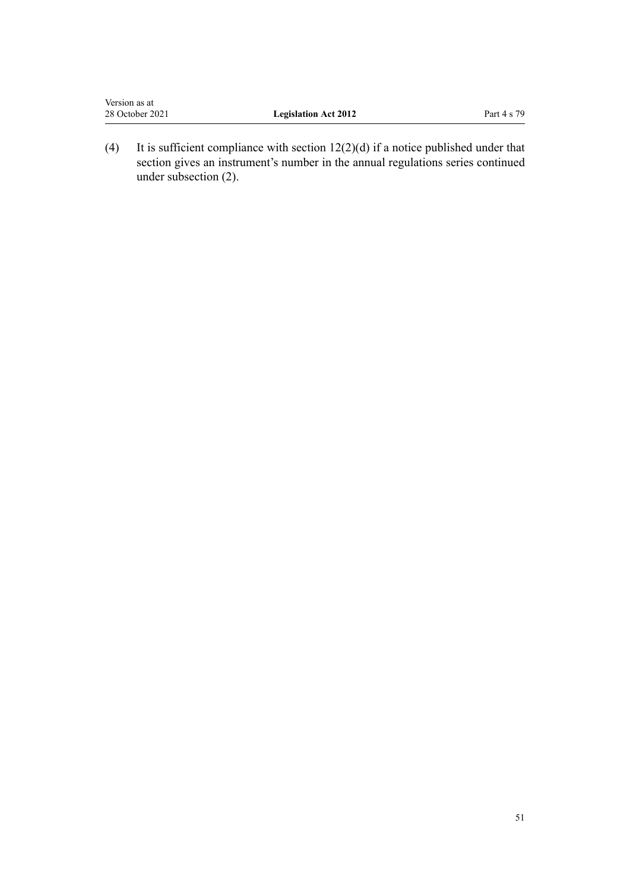| Version as at   |                             |             |
|-----------------|-----------------------------|-------------|
| 28 October 2021 | <b>Legislation Act 2012</b> | Part 4 s 79 |
|                 |                             |             |

(4) It is sufficient compliance with section  $12(2)(d)$  if a notice published under that section gives an instrument's number in the annual regulations series continued under subsection (2).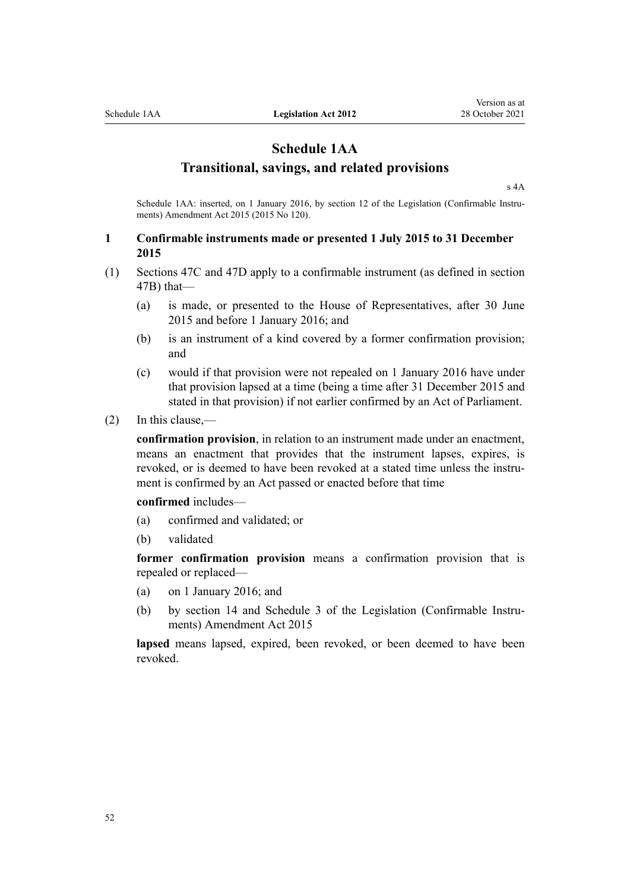# **Schedule 1AA**

# **Transitional, savings, and related provisions**

[s 4A](#page-7-0)

Schedule 1AA: inserted, on 1 January 2016, by [section 12](http://legislation.govt.nz/pdflink.aspx?id=DLM6681246) of the Legislation (Confirmable Instruments) Amendment Act 2015 (2015 No 120).

# **1 Confirmable instruments made or presented 1 July 2015 to 31 December 2015**

- (1) [Sections 47C](#page-33-0) and [47D](#page-33-0) apply to a confirmable instrument (as defined in [section](#page-32-0) [47B](#page-32-0)) that—
	- (a) is made, or presented to the House of Representatives, after 30 June 2015 and before 1 January 2016; and
	- (b) is an instrument of a kind covered by a former confirmation provision; and
	- (c) would if that provision were not repealed on 1 January 2016 have under that provision lapsed at a time (being a time after 31 December 2015 and stated in that provision) if not earlier confirmed by an Act of Parliament.
- (2) In this clause,—

**confirmation provision**, in relation to an instrument made under an enactment, means an enactment that provides that the instrument lapses, expires, is revoked, or is deemed to have been revoked at a stated time unless the instrument is confirmed by an Act passed or enacted before that time

**confirmed** includes—

- (a) confirmed and validated; or
- (b) validated

**former confirmation provision** means a confirmation provision that is repealed or replaced—

- (a) on 1 January 2016; and
- (b) by [section 14](http://legislation.govt.nz/pdflink.aspx?id=DLM6681248) and [Schedule 3](http://legislation.govt.nz/pdflink.aspx?id=DLM6681263) of the Legislation (Confirmable Instruments) Amendment Act 2015

lapsed means lapsed, expired, been revoked, or been deemed to have been revoked.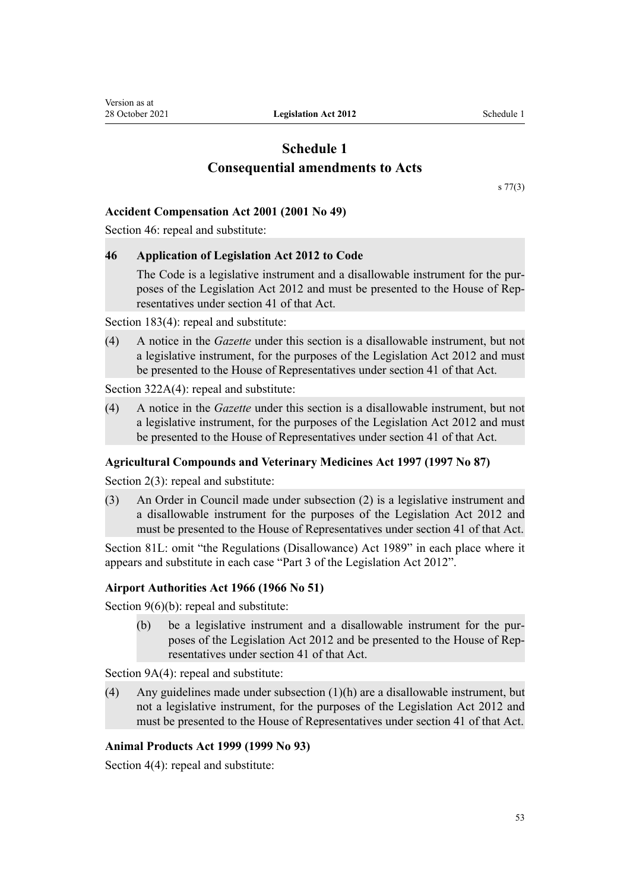# **Schedule 1 Consequential amendments to Acts**

[s 77\(3\)](#page-48-0)

## <span id="page-52-0"></span>**Accident Compensation Act 2001 (2001 No 49)**

[Section 46](http://legislation.govt.nz/pdflink.aspx?id=DLM100970): repeal and substitute:

## **46 Application of Legislation Act 2012 to Code**

The Code is a legislative instrument and a disallowable instrument for the purposes of the Legislation Act 2012 and must be presented to the House of Rep‐ resentatives under section 41 of that Act.

[Section 183\(4\)](http://legislation.govt.nz/pdflink.aspx?id=DLM102437): repeal and substitute:

(4) A notice in the *Gazette* under this section is a disallowable instrument, but not a legislative instrument, for the purposes of the Legislation Act 2012 and must be presented to the House of Representatives under section 41 of that Act.

[Section 322A\(4\):](http://legislation.govt.nz/pdflink.aspx?id=DLM103484) repeal and substitute:

(4) A notice in the *Gazette* under this section is a disallowable instrument, but not a legislative instrument, for the purposes of the Legislation Act 2012 and must be presented to the House of Representatives under section 41 of that Act.

## **Agricultural Compounds and Veterinary Medicines Act 1997 (1997 No 87)**

[Section 2\(3\):](http://legislation.govt.nz/pdflink.aspx?id=DLM414583) repeal and substitute:

(3) An Order in Council made under subsection (2) is a legislative instrument and a disallowable instrument for the purposes of the Legislation Act 2012 and must be presented to the House of Representatives under section 41 of that Act.

[Section 81L:](http://legislation.govt.nz/pdflink.aspx?id=DLM1103815) omit "the Regulations (Disallowance) Act 1989" in each place where it appears and substitute in each case "Part 3 of the Legislation Act 2012".

## **Airport Authorities Act 1966 (1966 No 51)**

[Section 9\(6\)\(b\)](http://legislation.govt.nz/pdflink.aspx?id=DLM380054): repeal and substitute:

(b) be a legislative instrument and a disallowable instrument for the pur‐ poses of the Legislation Act 2012 and be presented to the House of Rep‐ resentatives under section 41 of that Act.

[Section 9A\(4\)](http://legislation.govt.nz/pdflink.aspx?id=DLM380065): repeal and substitute:

(4) Any guidelines made under subsection (1)(h) are a disallowable instrument, but not a legislative instrument, for the purposes of the Legislation Act 2012 and must be presented to the House of Representatives under section 41 of that Act.

## **Animal Products Act 1999 (1999 No 93)**

[Section 4\(4\):](http://legislation.govt.nz/pdflink.aspx?id=DLM33515) repeal and substitute: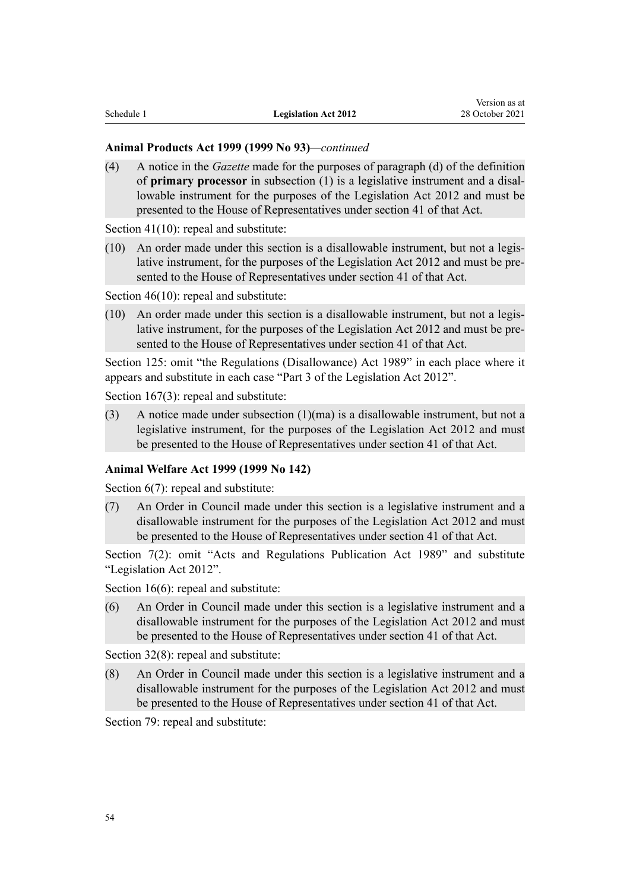#### **Animal Products Act 1999 (1999 No 93)***—continued*

(4) A notice in the *Gazette* made for the purposes of paragraph (d) of the definition of **primary processor** in subsection (1) is a legislative instrument and a disal‐ lowable instrument for the purposes of the Legislation Act 2012 and must be presented to the House of Representatives under section 41 of that Act.

[Section 41\(10\)](http://legislation.govt.nz/pdflink.aspx?id=DLM34395): repeal and substitute:

(10) An order made under this section is a disallowable instrument, but not a legis‐ lative instrument, for the purposes of the Legislation Act 2012 and must be presented to the House of Representatives under section 41 of that Act.

[Section 46\(10\)](http://legislation.govt.nz/pdflink.aspx?id=DLM34801): repeal and substitute:

(10) An order made under this section is a disallowable instrument, but not a legis‐ lative instrument, for the purposes of the Legislation Act 2012 and must be presented to the House of Representatives under section 41 of that Act.

[Section 125:](http://legislation.govt.nz/pdflink.aspx?id=DLM35732) omit "the Regulations (Disallowance) Act 1989" in each place where it appears and substitute in each case "Part 3 of the Legislation Act 2012".

[Section 167\(3\)](http://legislation.govt.nz/pdflink.aspx?id=DLM36133): repeal and substitute:

(3) A notice made under subsection  $(1)(ma)$  is a disallowable instrument, but not a legislative instrument, for the purposes of the Legislation Act 2012 and must be presented to the House of Representatives under section 41 of that Act.

## **Animal Welfare Act 1999 (1999 No 142)**

[Section 6\(7\):](http://legislation.govt.nz/pdflink.aspx?id=DLM50292) repeal and substitute:

(7) An Order in Council made under this section is a legislative instrument and a disallowable instrument for the purposes of the Legislation Act 2012 and must be presented to the House of Representatives under section 41 of that Act.

[Section 7\(2\)](http://legislation.govt.nz/pdflink.aspx?id=DLM50293): omit "Acts and Regulations Publication Act 1989" and substitute "Legislation Act 2012".

[Section 16\(6\)](http://legislation.govt.nz/pdflink.aspx?id=DLM50407): repeal and substitute:

(6) An Order in Council made under this section is a legislative instrument and a disallowable instrument for the purposes of the Legislation Act 2012 and must be presented to the House of Representatives under section 41 of that Act.

[Section 32\(8\)](http://legislation.govt.nz/pdflink.aspx?id=DLM50437): repeal and substitute:

(8) An Order in Council made under this section is a legislative instrument and a disallowable instrument for the purposes of the Legislation Act 2012 and must be presented to the House of Representatives under section 41 of that Act.

[Section 79](http://legislation.govt.nz/pdflink.aspx?id=DLM50498): repeal and substitute: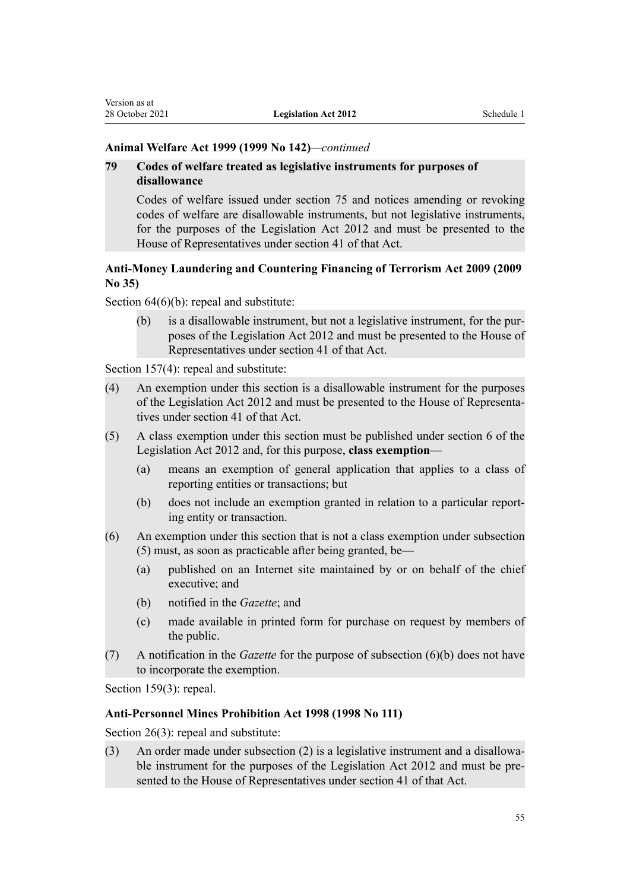#### **Animal Welfare Act 1999 (1999 No 142)***—continued*

# **79 Codes of welfare treated as legislative instruments for purposes of disallowance**

Codes of welfare issued under section 75 and notices amending or revoking codes of welfare are disallowable instruments, but not legislative instruments, for the purposes of the Legislation Act 2012 and must be presented to the House of Representatives under section 41 of that Act.

# **Anti-Money Laundering and Countering Financing of Terrorism Act 2009 (2009 No 35)**

[Section 64\(6\)\(b\):](http://legislation.govt.nz/pdflink.aspx?id=DLM2140928) repeal and substitute:

(b) is a disallowable instrument, but not a legislative instrument, for the pur‐ poses of the Legislation Act 2012 and must be presented to the House of Representatives under section 41 of that Act.

[Section 157\(4\)](http://legislation.govt.nz/pdflink.aspx?id=DLM2141066): repeal and substitute:

- (4) An exemption under this section is a disallowable instrument for the purposes of the Legislation Act 2012 and must be presented to the House of Representa‐ tives under section 41 of that Act.
- (5) A class exemption under this section must be published under section 6 of the Legislation Act 2012 and, for this purpose, **class exemption**—
	- (a) means an exemption of general application that applies to a class of reporting entities or transactions; but
	- (b) does not include an exemption granted in relation to a particular report‐ ing entity or transaction.
- (6) An exemption under this section that is not a class exemption under subsection (5) must, as soon as practicable after being granted, be—
	- (a) published on an Internet site maintained by or on behalf of the chief executive; and
	- (b) notified in the *Gazette*; and
	- (c) made available in printed form for purchase on request by members of the public.
- (7) A notification in the *Gazette* for the purpose of subsection (6)(b) does not have to incorporate the exemption.

[Section 159\(3\)](http://legislation.govt.nz/pdflink.aspx?id=DLM2141068): repeal.

## **Anti-Personnel Mines Prohibition Act 1998 (1998 No 111)**

[Section 26\(3\)](http://legislation.govt.nz/pdflink.aspx?id=DLM17875): repeal and substitute:

(3) An order made under subsection  $(2)$  is a legislative instrument and a disallowable instrument for the purposes of the Legislation Act 2012 and must be presented to the House of Representatives under section 41 of that Act.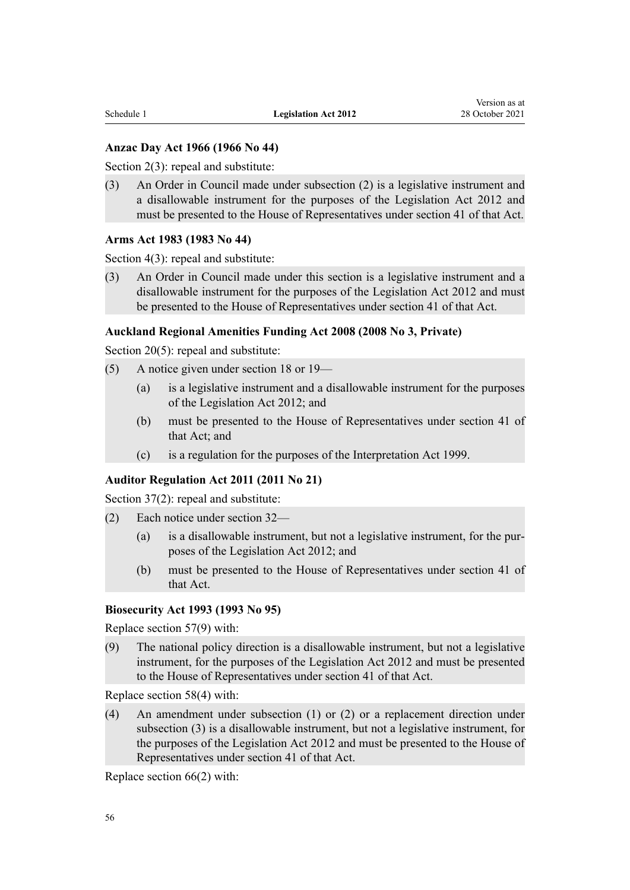# **Anzac Day Act 1966 (1966 No 44)**

[Section 2\(3\):](http://legislation.govt.nz/pdflink.aspx?id=DLM379811) repeal and substitute:

(3) An Order in Council made under subsection (2) is a legislative instrument and a disallowable instrument for the purposes of the Legislation Act 2012 and must be presented to the House of Representatives under section 41 of that Act.

#### **Arms Act 1983 (1983 No 44)**

[Section 4\(3\)](http://legislation.govt.nz/pdflink.aspx?id=DLM72685): repeal and substitute:

(3) An Order in Council made under this section is a legislative instrument and a disallowable instrument for the purposes of the Legislation Act 2012 and must be presented to the House of Representatives under section 41 of that Act.

#### **Auckland Regional Amenities Funding Act 2008 (2008 No 3, Private)**

[Section 20\(5\)](http://legislation.govt.nz/pdflink.aspx?id=DLM1140072): repeal and substitute:

- (5) A notice given under section 18 or 19—
	- (a) is a legislative instrument and a disallowable instrument for the purposes of the Legislation Act 2012; and
	- (b) must be presented to the House of Representatives under section 41 of that Act; and
	- (c) is a regulation for the purposes of the Interpretation Act 1999.

## **Auditor Regulation Act 2011 (2011 No 21)**

[Section 37\(2\)](http://legislation.govt.nz/pdflink.aspx?id=DLM3231470): repeal and substitute:

- (2) Each notice under section 32—
	- (a) is a disallowable instrument, but not a legislative instrument, for the pur‐ poses of the Legislation Act 2012; and
	- (b) must be presented to the House of Representatives under section 41 of that Act.

#### **Biosecurity Act 1993 (1993 No 95)**

Replace [section 57\(9\)](http://legislation.govt.nz/pdflink.aspx?id=DLM315375) with:

(9) The national policy direction is a disallowable instrument, but not a legislative instrument, for the purposes of the Legislation Act 2012 and must be presented to the House of Representatives under section 41 of that Act.

Replace [section 58\(4\)](http://legislation.govt.nz/pdflink.aspx?id=DLM315382) with:

(4) An amendment under subsection (1) or (2) or a replacement direction under subsection (3) is a disallowable instrument, but not a legislative instrument, for the purposes of the Legislation Act 2012 and must be presented to the House of Representatives under section 41 of that Act.

Replace [section 66\(2\)](http://legislation.govt.nz/pdflink.aspx?id=DLM315701) with: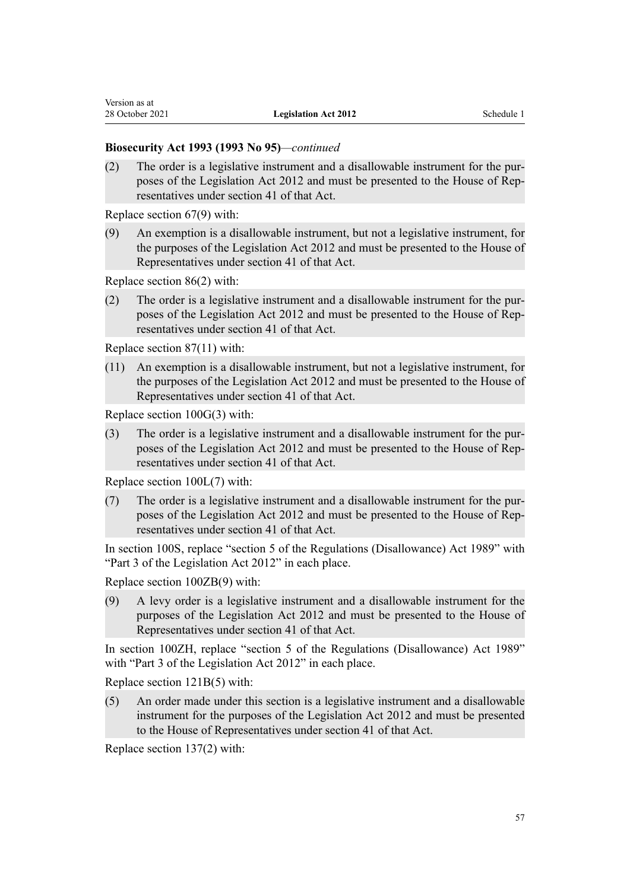## **Biosecurity Act 1993 (1993 No 95)***—continued*

(2) The order is a legislative instrument and a disallowable instrument for the pur‐ poses of the Legislation Act 2012 and must be presented to the House of Rep‐ resentatives under section 41 of that Act.

Replace [section 67\(9\)](http://legislation.govt.nz/pdflink.aspx?id=DLM315703) with:

(9) An exemption is a disallowable instrument, but not a legislative instrument, for the purposes of the Legislation Act 2012 and must be presented to the House of Representatives under section 41 of that Act.

Replace [section 86\(2\)](http://legislation.govt.nz/pdflink.aspx?id=DLM315785) with:

(2) The order is a legislative instrument and a disallowable instrument for the pur‐ poses of the Legislation Act 2012 and must be presented to the House of Rep‐ resentatives under section 41 of that Act.

Replace [section 87\(11\)](http://legislation.govt.nz/pdflink.aspx?id=DLM315786) with:

(11) An exemption is a disallowable instrument, but not a legislative instrument, for the purposes of the Legislation Act 2012 and must be presented to the House of Representatives under section 41 of that Act.

Replace [section 100G\(3\)](http://legislation.govt.nz/pdflink.aspx?id=DLM4758104) with:

(3) The order is a legislative instrument and a disallowable instrument for the pur‐ poses of the Legislation Act 2012 and must be presented to the House of Rep‐ resentatives under section 41 of that Act.

Replace [section 100L\(7\)](http://legislation.govt.nz/pdflink.aspx?id=DLM4758114) with:

(7) The order is a legislative instrument and a disallowable instrument for the pur‐ poses of the Legislation Act 2012 and must be presented to the House of Rep‐ resentatives under section 41 of that Act.

In [section 100S](http://legislation.govt.nz/pdflink.aspx?id=DLM4758121), replace "section 5 of the Regulations (Disallowance) Act 1989" with "Part 3 of the Legislation Act 2012" in each place.

Replace [section 100ZB\(9\)](http://legislation.govt.nz/pdflink.aspx?id=DLM4758148) with:

(9) A levy order is a legislative instrument and a disallowable instrument for the purposes of the Legislation Act 2012 and must be presented to the House of Representatives under section 41 of that Act.

In [section 100ZH,](http://legislation.govt.nz/pdflink.aspx?id=DLM4758154) replace "section 5 of the Regulations (Disallowance) Act 1989" with "Part 3 of the Legislation Act 2012" in each place.

Replace [section 121B\(5\)](http://legislation.govt.nz/pdflink.aspx?id=DLM316328) with:

(5) An order made under this section is a legislative instrument and a disallowable instrument for the purposes of the Legislation Act 2012 and must be presented to the House of Representatives under section 41 of that Act.

Replace [section 137\(2\)](http://legislation.govt.nz/pdflink.aspx?id=DLM316373) with: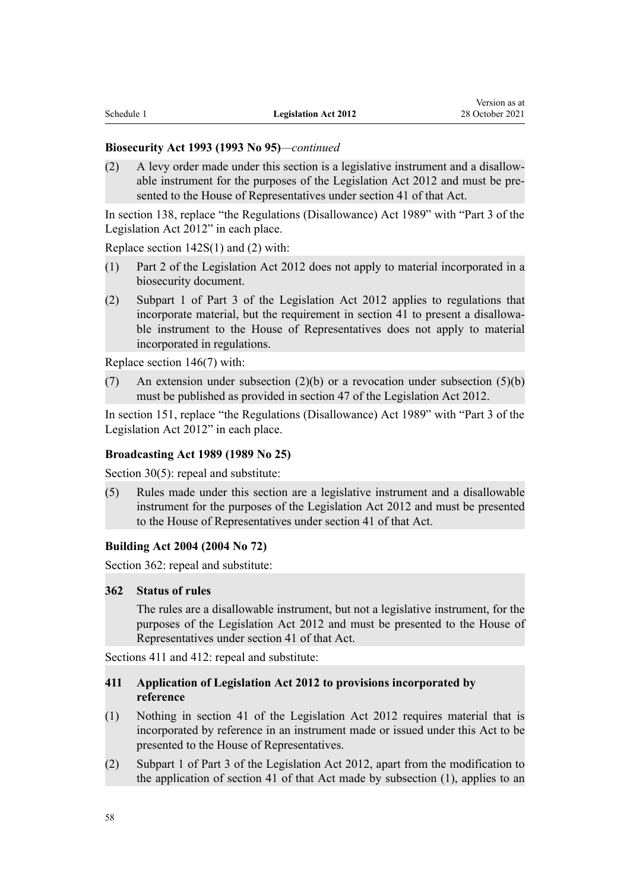#### **Biosecurity Act 1993 (1993 No 95)***—continued*

(2) A levy order made under this section is a legislative instrument and a disallow‐ able instrument for the purposes of the Legislation Act 2012 and must be pre‐ sented to the House of Representatives under section 41 of that Act.

In [section 138,](http://legislation.govt.nz/pdflink.aspx?id=DLM316375) replace "the Regulations (Disallowance) Act 1989" with "Part 3 of the Legislation Act 2012" in each place.

Replace [section 142S\(1\) and \(2\)](http://legislation.govt.nz/pdflink.aspx?id=DLM4759439) with:

- (1) Part 2 of the Legislation Act 2012 does not apply to material incorporated in a biosecurity document.
- (2) Subpart 1 of Part 3 of the Legislation Act 2012 applies to regulations that incorporate material, but the requirement in section 41 to present a disallowa‐ ble instrument to the House of Representatives does not apply to material incorporated in regulations.

Replace [section 146\(7\)](http://legislation.govt.nz/pdflink.aspx?id=DLM316399) with:

(7) An extension under subsection  $(2)(b)$  or a revocation under subsection  $(5)(b)$ must be published as provided in section 47 of the Legislation Act 2012.

In [section 151,](http://legislation.govt.nz/pdflink.aspx?id=DLM316707) replace "the Regulations (Disallowance) Act 1989" with "Part 3 of the Legislation Act 2012" in each place.

#### **Broadcasting Act 1989 (1989 No 25)**

[Section 30\(5\)](http://legislation.govt.nz/pdflink.aspx?id=DLM157485): repeal and substitute:

(5) Rules made under this section are a legislative instrument and a disallowable instrument for the purposes of the Legislation Act 2012 and must be presented to the House of Representatives under section 41 of that Act.

#### **Building Act 2004 (2004 No 72)**

[Section 362:](http://legislation.govt.nz/pdflink.aspx?id=DLM308693) repeal and substitute:

#### **362 Status of rules**

The rules are a disallowable instrument, but not a legislative instrument, for the purposes of the Legislation Act 2012 and must be presented to the House of Representatives under section 41 of that Act.

[Sections 411](http://legislation.govt.nz/pdflink.aspx?id=DLM309086) and [412](http://legislation.govt.nz/pdflink.aspx?id=DLM309087): repeal and substitute:

# **411 Application of Legislation Act 2012 to provisions incorporated by reference**

- (1) Nothing in section 41 of the Legislation Act 2012 requires material that is incorporated by reference in an instrument made or issued under this Act to be presented to the House of Representatives.
- (2) Subpart 1 of Part 3 of the Legislation Act 2012, apart from the modification to the application of section 41 of that Act made by subsection (1), applies to an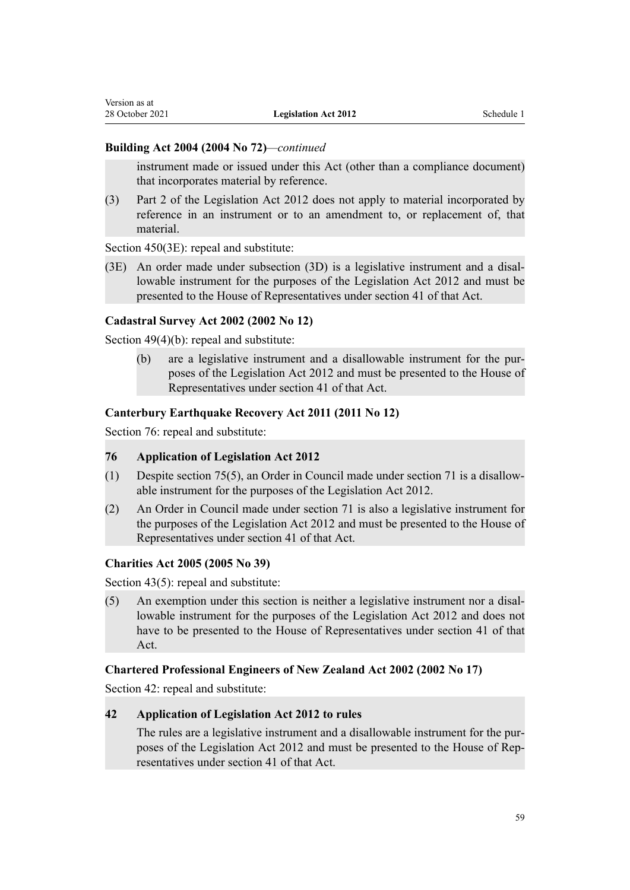## **Building Act 2004 (2004 No 72)***—continued*

instrument made or issued under this Act (other than a compliance document) that incorporates material by reference.

(3) Part 2 of the Legislation Act 2012 does not apply to material incorporated by reference in an instrument or to an amendment to, or replacement of, that material.

[Section 450\(3E\)](http://legislation.govt.nz/pdflink.aspx?id=DLM309336): repeal and substitute:

 $(3E)$  An order made under subsection  $(3D)$  is a legislative instrument and a disallowable instrument for the purposes of the Legislation Act 2012 and must be presented to the House of Representatives under section 41 of that Act.

# **Cadastral Survey Act 2002 (2002 No 12)**

[Section 49\(4\)\(b\):](http://legislation.govt.nz/pdflink.aspx?id=DLM142600) repeal and substitute:

(b) are a legislative instrument and a disallowable instrument for the pur‐ poses of the Legislation Act 2012 and must be presented to the House of Representatives under section 41 of that Act.

# **Canterbury Earthquake Recovery Act 2011 (2011 No 12)**

[Section 76](http://legislation.govt.nz/pdflink.aspx?id=DLM3570828): repeal and substitute:

## **76 Application of Legislation Act 2012**

- (1) Despite section 75(5), an Order in Council made under section 71 is a disallow‐ able instrument for the purposes of the Legislation Act 2012.
- (2) An Order in Council made under section 71 is also a legislative instrument for the purposes of the Legislation Act 2012 and must be presented to the House of Representatives under section 41 of that Act.

## **Charities Act 2005 (2005 No 39)**

[Section 43\(5\)](http://legislation.govt.nz/pdflink.aspx?id=DLM345067): repeal and substitute:

(5) An exemption under this section is neither a legislative instrument nor a disal‐ lowable instrument for the purposes of the Legislation Act 2012 and does not have to be presented to the House of Representatives under section 41 of that Act.

## **Chartered Professional Engineers of New Zealand Act 2002 (2002 No 17)**

[Section 42](http://legislation.govt.nz/pdflink.aspx?id=DLM144878): repeal and substitute:

# **42 Application of Legislation Act 2012 to rules**

The rules are a legislative instrument and a disallowable instrument for the purposes of the Legislation Act 2012 and must be presented to the House of Rep‐ resentatives under section 41 of that Act.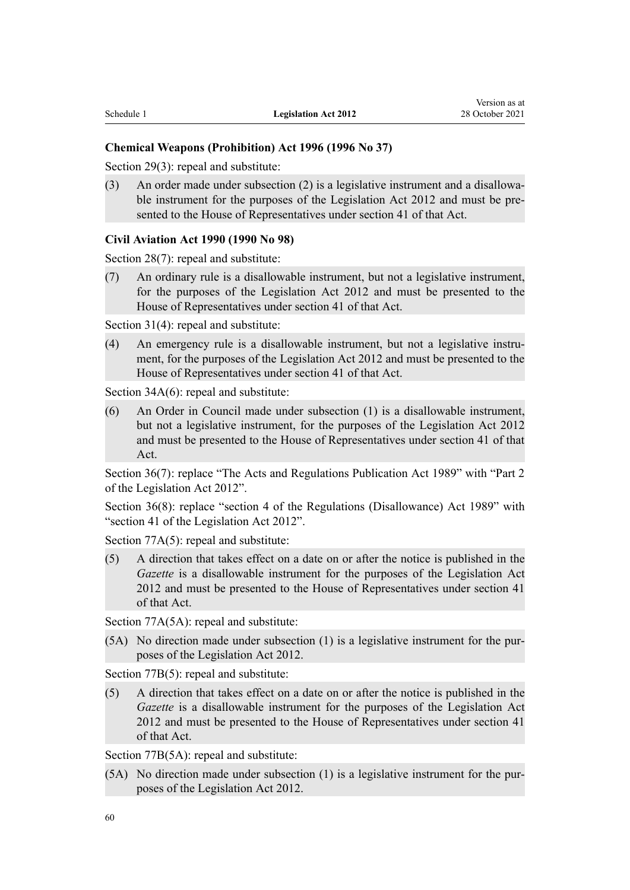#### **Chemical Weapons (Prohibition) Act 1996 (1996 No 37)**

[Section 29\(3\)](http://legislation.govt.nz/pdflink.aspx?id=DLM388314): repeal and substitute:

(3) An order made under subsection  $(2)$  is a legislative instrument and a disallowable instrument for the purposes of the Legislation Act 2012 and must be presented to the House of Representatives under section 41 of that Act.

#### **Civil Aviation Act 1990 (1990 No 98)**

[Section 28\(7\)](http://legislation.govt.nz/pdflink.aspx?id=DLM216335): repeal and substitute:

(7) An ordinary rule is a disallowable instrument, but not a legislative instrument, for the purposes of the Legislation Act 2012 and must be presented to the House of Representatives under section 41 of that Act.

[Section 31\(4\)](http://legislation.govt.nz/pdflink.aspx?id=DLM216354): repeal and substitute:

(4) An emergency rule is a disallowable instrument, but not a legislative instrument, for the purposes of the Legislation Act 2012 and must be presented to the House of Representatives under section 41 of that Act.

[Section 34A\(6\):](http://legislation.govt.nz/pdflink.aspx?id=DLM3143109) repeal and substitute:

(6) An Order in Council made under subsection (1) is a disallowable instrument, but not a legislative instrument, for the purposes of the Legislation Act 2012 and must be presented to the House of Representatives under section 41 of that Act.

[Section 36\(7\):](http://legislation.govt.nz/pdflink.aspx?id=DLM216372) replace "The Acts and Regulations Publication Act 1989" with "Part 2 of the Legislation Act 2012".

Section 36(8): replace "section 4 of the Regulations (Disallowance) Act 1989" with "section 41 of the Legislation Act 2012".

[Section 77A\(5\):](http://legislation.govt.nz/pdflink.aspx?id=DLM217480) repeal and substitute:

(5) A direction that takes effect on a date on or after the notice is published in the *Gazette* is a disallowable instrument for the purposes of the Legislation Act 2012 and must be presented to the House of Representatives under section 41 of that Act.

[Section 77A\(5A\)](http://legislation.govt.nz/pdflink.aspx?id=DLM217480): repeal and substitute:

(5A) No direction made under subsection (1) is a legislative instrument for the pur‐ poses of the Legislation Act 2012.

[Section 77B\(5\)](http://legislation.govt.nz/pdflink.aspx?id=DLM217483): repeal and substitute:

(5) A direction that takes effect on a date on or after the notice is published in the *Gazette* is a disallowable instrument for the purposes of the Legislation Act 2012 and must be presented to the House of Representatives under section 41 of that Act.

[Section 77B\(5A\)](http://legislation.govt.nz/pdflink.aspx?id=DLM217483): repeal and substitute:

(5A) No direction made under subsection (1) is a legislative instrument for the pur‐ poses of the Legislation Act 2012.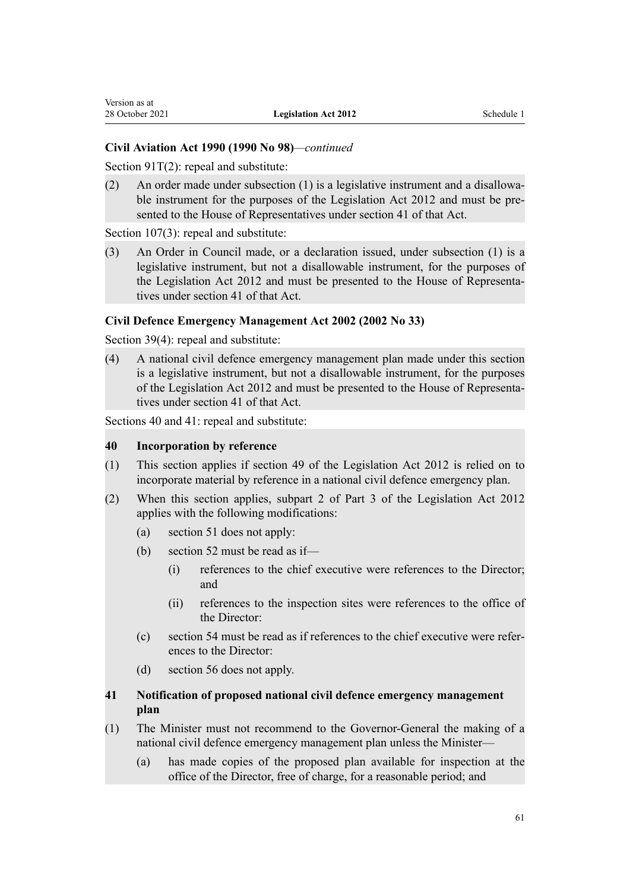# **Civil Aviation Act 1990 (1990 No 98)***—continued*

[Section 91T\(2\):](http://legislation.govt.nz/pdflink.aspx?id=DLM218508) repeal and substitute:

(2) An order made under subsection  $(1)$  is a legislative instrument and a disallowable instrument for the purposes of the Legislation Act 2012 and must be presented to the House of Representatives under section 41 of that Act.

[Section 107\(3\)](http://legislation.govt.nz/pdflink.aspx?id=DLM3378215): repeal and substitute:

(3) An Order in Council made, or a declaration issued, under subsection (1) is a legislative instrument, but not a disallowable instrument, for the purposes of the Legislation Act 2012 and must be presented to the House of Representa‐ tives under section 41 of that Act.

## **Civil Defence Emergency Management Act 2002 (2002 No 33)**

[Section 39\(4\)](http://legislation.govt.nz/pdflink.aspx?id=DLM150739): repeal and substitute:

(4) A national civil defence emergency management plan made under this section is a legislative instrument, but not a disallowable instrument, for the purposes of the Legislation Act 2012 and must be presented to the House of Representa‐ tives under section 41 of that Act.

[Sections 40](http://legislation.govt.nz/pdflink.aspx?id=DLM150740) and [41](http://legislation.govt.nz/pdflink.aspx?id=DLM150741): repeal and substitute:

#### **40 Incorporation by reference**

- (1) This section applies if section 49 of the Legislation Act 2012 is relied on to incorporate material by reference in a national civil defence emergency plan.
- (2) When this section applies, subpart 2 of Part 3 of the Legislation Act 2012 applies with the following modifications:
	- (a) section 51 does not apply:
	- (b) section 52 must be read as if—
		- (i) references to the chief executive were references to the Director; and
		- (ii) references to the inspection sites were references to the office of the Director:
	- (c) section 54 must be read as if references to the chief executive were refer‐ ences to the Director:
	- (d) section 56 does not apply.

# **41 Notification of proposed national civil defence emergency management plan**

- (1) The Minister must not recommend to the Governor-General the making of a national civil defence emergency management plan unless the Minister—
	- (a) has made copies of the proposed plan available for inspection at the office of the Director, free of charge, for a reasonable period; and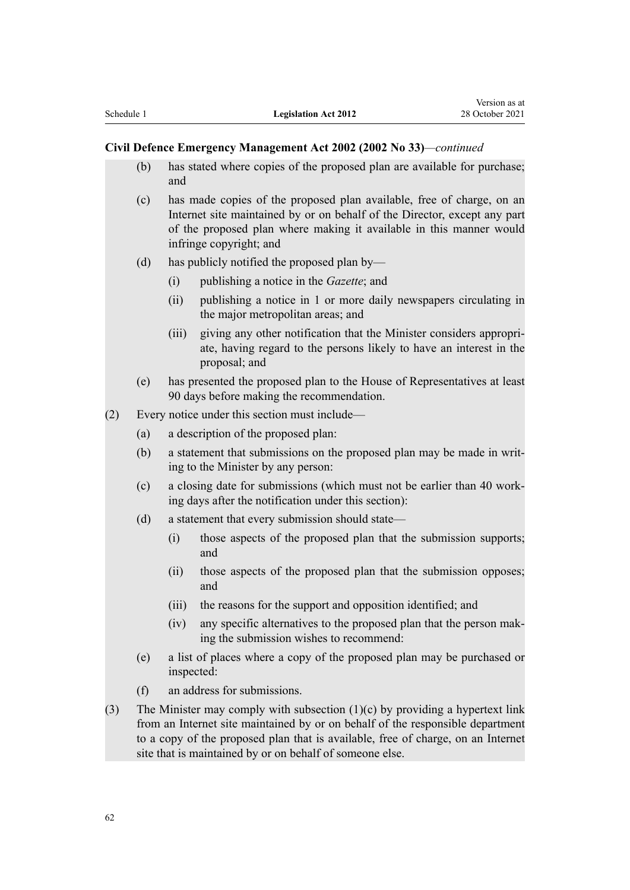#### **Civil Defence Emergency Management Act 2002 (2002 No 33)***—continued*

- (b) has stated where copies of the proposed plan are available for purchase; and
- (c) has made copies of the proposed plan available, free of charge, on an Internet site maintained by or on behalf of the Director, except any part of the proposed plan where making it available in this manner would infringe copyright; and
- (d) has publicly notified the proposed plan by—
	- (i) publishing a notice in the *Gazette*; and
	- (ii) publishing a notice in 1 or more daily newspapers circulating in the major metropolitan areas; and
	- (iii) giving any other notification that the Minister considers appropri‐ ate, having regard to the persons likely to have an interest in the proposal; and
- (e) has presented the proposed plan to the House of Representatives at least 90 days before making the recommendation.
- (2) Every notice under this section must include—
	- (a) a description of the proposed plan:
	- (b) a statement that submissions on the proposed plan may be made in writ‐ ing to the Minister by any person:
	- (c) a closing date for submissions (which must not be earlier than 40 work‐ ing days after the notification under this section):
	- (d) a statement that every submission should state—
		- (i) those aspects of the proposed plan that the submission supports; and
		- (ii) those aspects of the proposed plan that the submission opposes; and
		- (iii) the reasons for the support and opposition identified; and
		- (iv) any specific alternatives to the proposed plan that the person mak‐ ing the submission wishes to recommend:
	- (e) a list of places where a copy of the proposed plan may be purchased or inspected:
	- (f) an address for submissions.
- (3) The Minister may comply with subsection (1)(c) by providing a hypertext link from an Internet site maintained by or on behalf of the responsible department to a copy of the proposed plan that is available, free of charge, on an Internet site that is maintained by or on behalf of someone else.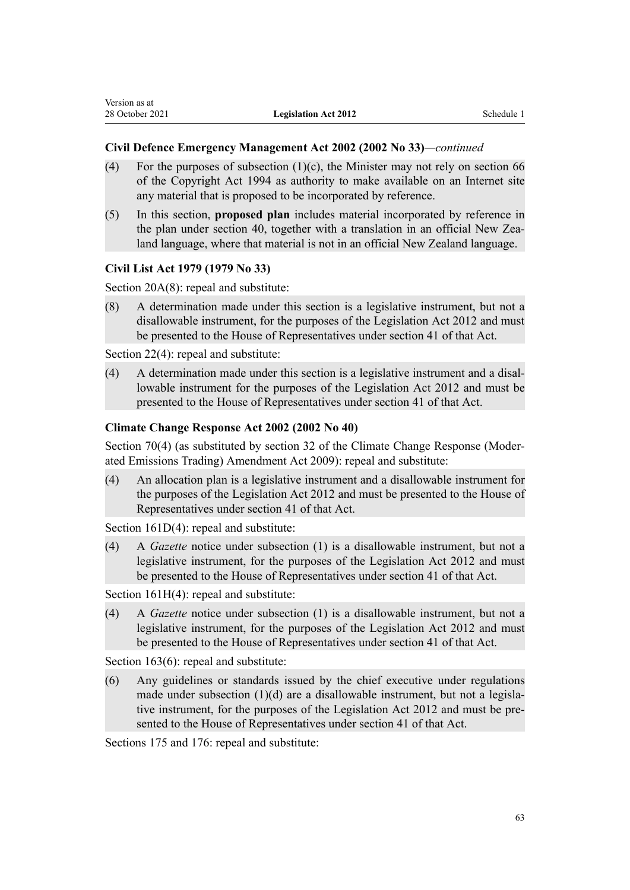## **Civil Defence Emergency Management Act 2002 (2002 No 33)***—continued*

- (4) For the purposes of subsection (1)(c), the Minister may not rely on section 66 of the Copyright Act 1994 as authority to make available on an Internet site any material that is proposed to be incorporated by reference.
- (5) In this section, **proposed plan** includes material incorporated by reference in the plan under section 40, together with a translation in an official New Zealand language, where that material is not in an official New Zealand language.

## **Civil List Act 1979 (1979 No 33)**

[Section 20A\(8\):](http://legislation.govt.nz/pdflink.aspx?id=DLM32424) repeal and substitute:

(8) A determination made under this section is a legislative instrument, but not a disallowable instrument, for the purposes of the Legislation Act 2012 and must be presented to the House of Representatives under section 41 of that Act.

[Section 22\(4\)](http://legislation.govt.nz/pdflink.aspx?id=DLM32435): repeal and substitute:

(4) A determination made under this section is a legislative instrument and a disal‐ lowable instrument for the purposes of the Legislation Act 2012 and must be presented to the House of Representatives under section 41 of that Act.

#### **Climate Change Response Act 2002 (2002 No 40)**

[Section 70\(4\)](http://legislation.govt.nz/pdflink.aspx?id=DLM1662617) (as substituted by [section 32](http://legislation.govt.nz/pdflink.aspx?id=DLM2381685) of the Climate Change Response (Moder‐ ated Emissions Trading) Amendment Act 2009): repeal and substitute:

(4) An allocation plan is a legislative instrument and a disallowable instrument for the purposes of the Legislation Act 2012 and must be presented to the House of Representatives under section 41 of that Act.

[Section 161D\(4\):](http://legislation.govt.nz/pdflink.aspx?id=DLM2643553) repeal and substitute:

(4) A *Gazette* notice under subsection (1) is a disallowable instrument, but not a legislative instrument, for the purposes of the Legislation Act 2012 and must be presented to the House of Representatives under section 41 of that Act.

[Section 161H\(4\):](http://legislation.govt.nz/pdflink.aspx?id=DLM2643561) repeal and substitute:

(4) A *Gazette* notice under subsection (1) is a disallowable instrument, but not a legislative instrument, for the purposes of the Legislation Act 2012 and must be presented to the House of Representatives under section 41 of that Act.

[Section 163\(6\)](http://legislation.govt.nz/pdflink.aspx?id=DLM1662740): repeal and substitute:

(6) Any guidelines or standards issued by the chief executive under regulations made under subsection  $(1)(d)$  are a disallowable instrument, but not a legislative instrument, for the purposes of the Legislation Act 2012 and must be presented to the House of Representatives under section 41 of that Act.

[Sections 175](http://legislation.govt.nz/pdflink.aspx?id=DLM1662756) and [176:](http://legislation.govt.nz/pdflink.aspx?id=DLM1662757) repeal and substitute: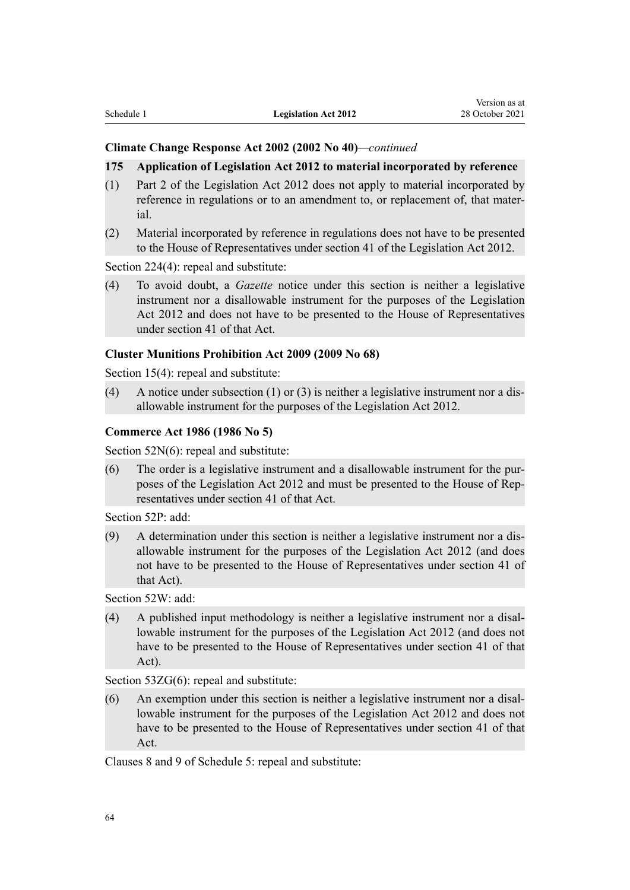#### **Climate Change Response Act 2002 (2002 No 40)***—continued*

#### **175 Application of Legislation Act 2012 to material incorporated by reference**

- (1) Part 2 of the Legislation Act 2012 does not apply to material incorporated by reference in regulations or to an amendment to, or replacement of, that mater‐ ial.
- (2) Material incorporated by reference in regulations does not have to be presented to the House of Representatives under section 41 of the Legislation Act 2012.

[Section 224\(4\)](http://legislation.govt.nz/pdflink.aspx?id=DLM1662840): repeal and substitute:

(4) To avoid doubt, a *Gazette* notice under this section is neither a legislative instrument nor a disallowable instrument for the purposes of the Legislation Act 2012 and does not have to be presented to the House of Representatives under section 41 of that Act.

#### **Cluster Munitions Prohibition Act 2009 (2009 No 68)**

[Section 15\(4\)](http://legislation.govt.nz/pdflink.aspx?id=DLM2171676): repeal and substitute:

(4) A notice under subsection (1) or (3) is neither a legislative instrument nor a disallowable instrument for the purposes of the Legislation Act 2012.

#### **Commerce Act 1986 (1986 No 5)**

[Section 52N\(6\):](http://legislation.govt.nz/pdflink.aspx?id=DLM1685451) repeal and substitute:

(6) The order is a legislative instrument and a disallowable instrument for the pur‐ poses of the Legislation Act 2012 and must be presented to the House of Rep‐ resentatives under section 41 of that Act.

[Section 52P](http://legislation.govt.nz/pdflink.aspx?id=DLM1685455): add:

(9) A determination under this section is neither a legislative instrument nor a dis‐ allowable instrument for the purposes of the Legislation Act 2012 (and does not have to be presented to the House of Representatives under section 41 of that Act).

[Section 52W:](http://legislation.govt.nz/pdflink.aspx?id=DLM1685463) add:

(4) A published input methodology is neither a legislative instrument nor a disal‐ lowable instrument for the purposes of the Legislation Act 2012 (and does not have to be presented to the House of Representatives under section 41 of that Act).

[Section 53ZG\(6\):](http://legislation.govt.nz/pdflink.aspx?id=DLM1685643) repeal and substitute:

(6) An exemption under this section is neither a legislative instrument nor a disal‐ lowable instrument for the purposes of the Legislation Act 2012 and does not have to be presented to the House of Representatives under section 41 of that Act.

[Clauses 8](http://legislation.govt.nz/pdflink.aspx?id=DLM1690609) and [9](http://legislation.govt.nz/pdflink.aspx?id=DLM1690610) of Schedule 5: repeal and substitute: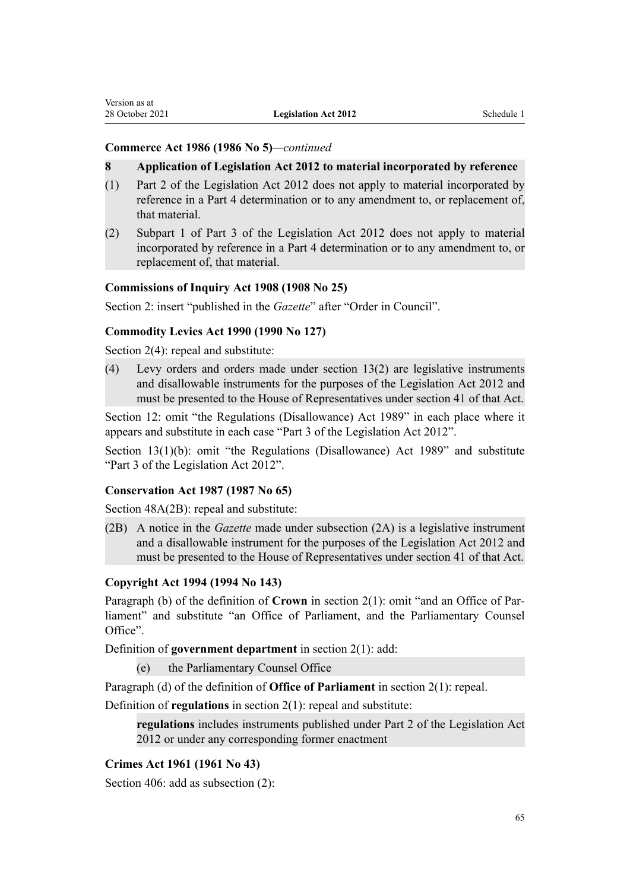# **Commerce Act 1986 (1986 No 5)***—continued*

#### **8 Application of Legislation Act 2012 to material incorporated by reference**

- (1) Part 2 of the Legislation Act 2012 does not apply to material incorporated by reference in a Part 4 determination or to any amendment to, or replacement of, that material.
- (2) Subpart 1 of Part 3 of the Legislation Act 2012 does not apply to material incorporated by reference in a Part 4 determination or to any amendment to, or replacement of, that material.

# **Commissions of Inquiry Act 1908 (1908 No 25)**

[Section 2](http://legislation.govt.nz/pdflink.aspx?id=DLM139140): insert "published in the *Gazette*" after "Order in Council".

#### **Commodity Levies Act 1990 (1990 No 127)**

[Section 2\(4\):](http://legislation.govt.nz/pdflink.aspx?id=DLM226679) repeal and substitute:

(4) Levy orders and orders made under section 13(2) are legislative instruments and disallowable instruments for the purposes of the Legislation Act 2012 and must be presented to the House of Representatives under section 41 of that Act.

[Section 12](http://legislation.govt.nz/pdflink.aspx?id=DLM227337): omit "the Regulations (Disallowance) Act 1989" in each place where it appears and substitute in each case "Part 3 of the Legislation Act 2012".

[Section 13\(1\)\(b\):](http://legislation.govt.nz/pdflink.aspx?id=DLM227338) omit "the Regulations (Disallowance) Act 1989" and substitute "Part 3 of the Legislation Act 2012".

### **Conservation Act 1987 (1987 No 65)**

[Section 48A\(2B\)](http://legislation.govt.nz/pdflink.aspx?id=DLM106694): repeal and substitute:

(2B) A notice in the *Gazette* made under subsection (2A) is a legislative instrument and a disallowable instrument for the purposes of the Legislation Act 2012 and must be presented to the House of Representatives under section 41 of that Act.

## **Copyright Act 1994 (1994 No 143)**

Paragraph (b) of the definition of **Crown** in [section 2\(1\)](http://legislation.govt.nz/pdflink.aspx?id=DLM345639): omit "and an Office of Par‐ liament" and substitute "an Office of Parliament, and the Parliamentary Counsel Office".

Definition of **government department** in [section 2\(1\)](http://legislation.govt.nz/pdflink.aspx?id=DLM345639): add:

(e) the Parliamentary Counsel Office

Paragraph (d) of the definition of **Office of Parliament** in [section 2\(1\):](http://legislation.govt.nz/pdflink.aspx?id=DLM345639) repeal.

Definition of **regulations** in [section 2\(1\):](http://legislation.govt.nz/pdflink.aspx?id=DLM345639) repeal and substitute:

**regulations** includes instruments published under Part 2 of the Legislation Act 2012 or under any corresponding former enactment

## **Crimes Act 1961 (1961 No 43)**

[Section 406:](http://legislation.govt.nz/pdflink.aspx?id=DLM332183) add as subsection (2):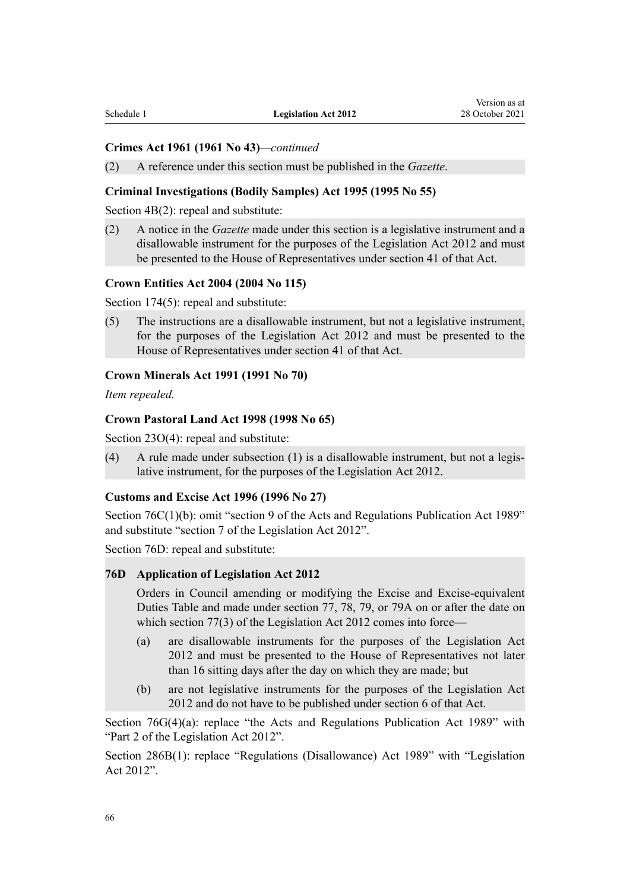#### **Crimes Act 1961 (1961 No 43)***—continued*

(2) A reference under this section must be published in the *Gazette*.

## **Criminal Investigations (Bodily Samples) Act 1995 (1995 No 55)**

[Section 4B\(2\)](http://legislation.govt.nz/pdflink.aspx?id=DLM369031): repeal and substitute:

(2) A notice in the *Gazette* made under this section is a legislative instrument and a disallowable instrument for the purposes of the Legislation Act 2012 and must be presented to the House of Representatives under section 41 of that Act.

#### **Crown Entities Act 2004 (2004 No 115)**

[Section 174\(5\)](http://legislation.govt.nz/pdflink.aspx?id=DLM330581): repeal and substitute:

(5) The instructions are a disallowable instrument, but not a legislative instrument, for the purposes of the Legislation Act 2012 and must be presented to the House of Representatives under section 41 of that Act.

#### **Crown Minerals Act 1991 (1991 No 70)**

*Item repealed.*

#### **Crown Pastoral Land Act 1998 (1998 No 65)**

[Section 23O\(4\):](http://legislation.govt.nz/pdflink.aspx?id=DLM4592579) repeal and substitute:

(4) A rule made under subsection  $(1)$  is a disallowable instrument, but not a legislative instrument, for the purposes of the Legislation Act 2012.

#### **Customs and Excise Act 1996 (1996 No 27)**

[Section 76C\(1\)\(b\):](http://legislation.govt.nz/pdflink.aspx?id=DLM2676024) omit "section 9 of the Acts and Regulations Publication Act 1989" and substitute "section 7 of the Legislation Act 2012".

[Section 76D](http://legislation.govt.nz/pdflink.aspx?id=DLM2676025): repeal and substitute:

#### **76D Application of Legislation Act 2012**

Orders in Council amending or modifying the Excise and Excise-equivalent Duties Table and made under section 77, 78, 79, or 79A on or after the date on which section 77(3) of the Legislation Act 2012 comes into force—

- (a) are disallowable instruments for the purposes of the Legislation Act 2012 and must be presented to the House of Representatives not later than 16 sitting days after the day on which they are made; but
- (b) are not legislative instruments for the purposes of the Legislation Act 2012 and do not have to be published under section 6 of that Act.

[Section 76G\(4\)\(a\):](http://legislation.govt.nz/pdflink.aspx?id=DLM2676028) replace "the Acts and Regulations Publication Act 1989" with "Part 2 of the Legislation Act 2012".

[Section 286B\(1\)](http://legislation.govt.nz/pdflink.aspx?id=DLM4421697): replace "Regulations (Disallowance) Act 1989" with "Legislation Act 2012".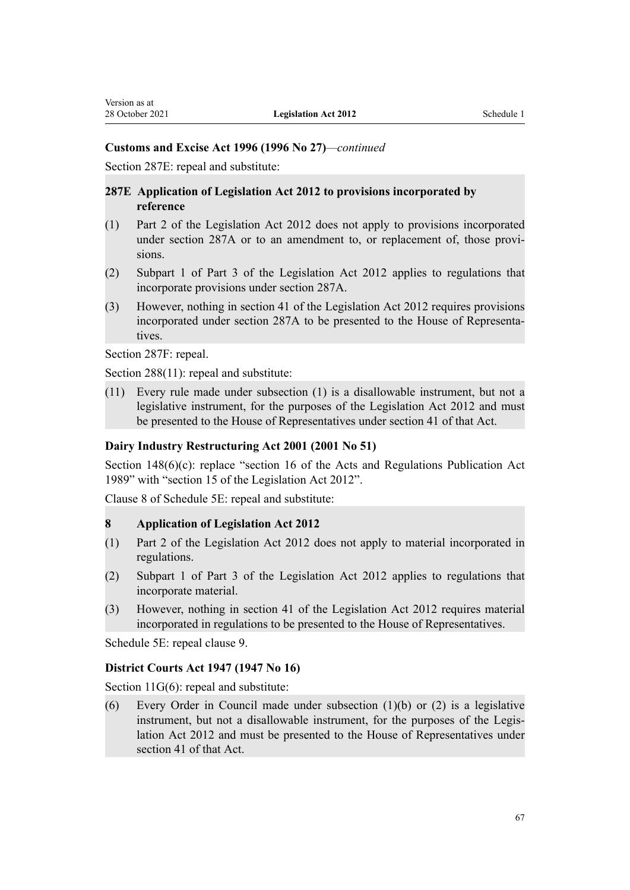## **Customs and Excise Act 1996 (1996 No 27)***—continued*

[Section 287E:](http://legislation.govt.nz/pdflink.aspx?id=DLM2643239) repeal and substitute:

## **287E Application of Legislation Act 2012 to provisions incorporated by reference**

- (1) Part 2 of the Legislation Act 2012 does not apply to provisions incorporated under section 287A or to an amendment to, or replacement of, those provisions.
- (2) Subpart 1 of Part 3 of the Legislation Act 2012 applies to regulations that incorporate provisions under section 287A.
- (3) However, nothing in section 41 of the Legislation Act 2012 requires provisions incorporated under section 287A to be presented to the House of Representa‐ tives.

[Section 287F](http://legislation.govt.nz/pdflink.aspx?id=DLM2643240): repeal.

[Section 288\(11\):](http://legislation.govt.nz/pdflink.aspx?id=DLM380176) repeal and substitute:

(11) Every rule made under subsection (1) is a disallowable instrument, but not a legislative instrument, for the purposes of the Legislation Act 2012 and must be presented to the House of Representatives under section 41 of that Act.

# **Dairy Industry Restructuring Act 2001 (2001 No 51)**

[Section 148\(6\)\(c\):](http://legislation.govt.nz/pdflink.aspx?id=DLM109560) replace "section 16 of the Acts and Regulations Publication Act 1989" with "section 15 of the Legislation Act 2012".

Clause 8 of [Schedule 5E](http://legislation.govt.nz/pdflink.aspx?id=DLM2887911): repeal and substitute:

#### **8 Application of Legislation Act 2012**

- (1) Part 2 of the Legislation Act 2012 does not apply to material incorporated in regulations.
- (2) Subpart 1 of Part 3 of the Legislation Act 2012 applies to regulations that incorporate material.
- (3) However, nothing in section 41 of the Legislation Act 2012 requires material incorporated in regulations to be presented to the House of Representatives.

[Schedule 5E](http://legislation.govt.nz/pdflink.aspx?id=DLM2887911): repeal clause 9.

## **District Courts Act 1947 (1947 No 16)**

[Section 11G\(6\)](http://legislation.govt.nz/pdflink.aspx?id=DLM243215): repeal and substitute:

(6) Every Order in Council made under subsection (1)(b) or (2) is a legislative instrument, but not a disallowable instrument, for the purposes of the Legislation Act 2012 and must be presented to the House of Representatives under section 41 of that Act.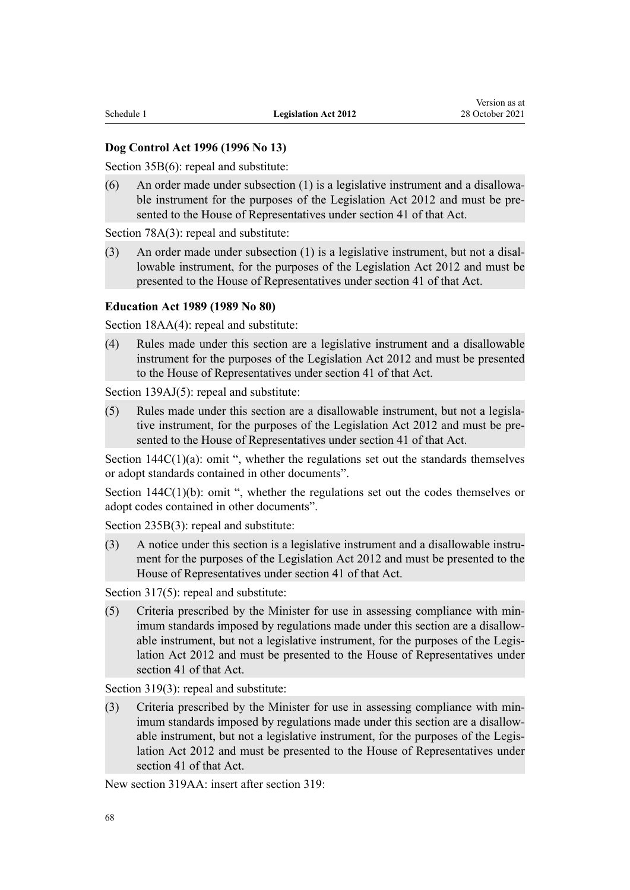# **Dog Control Act 1996 (1996 No 13)**

[Section 35B\(6\)](http://legislation.govt.nz/pdflink.aspx?id=DLM375148): repeal and substitute:

(6) An order made under subsection  $(1)$  is a legislative instrument and a disallowable instrument for the purposes of the Legislation Act 2012 and must be presented to the House of Representatives under section 41 of that Act.

[Section 78A\(3\):](http://legislation.govt.nz/pdflink.aspx?id=DLM375476) repeal and substitute:

(3) An order made under subsection  $(1)$  is a legislative instrument, but not a disallowable instrument, for the purposes of the Legislation Act 2012 and must be presented to the House of Representatives under section 41 of that Act.

#### **Education Act 1989 (1989 No 80)**

[Section 18AA\(4\)](http://legislation.govt.nz/pdflink.aspx?id=DLM178210): repeal and substitute:

(4) Rules made under this section are a legislative instrument and a disallowable instrument for the purposes of the Legislation Act 2012 and must be presented to the House of Representatives under section 41 of that Act.

[Section 139AJ\(5\)](http://legislation.govt.nz/pdflink.aspx?id=DLM181751): repeal and substitute:

(5) Rules made under this section are a disallowable instrument, but not a legisla‐ tive instrument, for the purposes of the Legislation Act 2012 and must be presented to the House of Representatives under section 41 of that Act.

Section  $144C(1)(a)$ : omit ", whether the regulations set out the standards themselves or adopt standards contained in other documents".

Section  $144C(1)(b)$ : omit ", whether the regulations set out the codes themselves or adopt codes contained in other documents".

[Section 235B\(3\):](http://legislation.govt.nz/pdflink.aspx?id=DLM3983130) repeal and substitute:

(3) A notice under this section is a legislative instrument and a disallowable instru‐ ment for the purposes of the Legislation Act 2012 and must be presented to the House of Representatives under section 41 of that Act.

[Section 317\(5\)](http://legislation.govt.nz/pdflink.aspx?id=DLM187327): repeal and substitute:

(5) Criteria prescribed by the Minister for use in assessing compliance with min‐ imum standards imposed by regulations made under this section are a disallowable instrument, but not a legislative instrument, for the purposes of the Legis‐ lation Act 2012 and must be presented to the House of Representatives under section 41 of that Act.

[Section 319\(3\)](http://legislation.govt.nz/pdflink.aspx?id=DLM187338): repeal and substitute:

(3) Criteria prescribed by the Minister for use in assessing compliance with min‐ imum standards imposed by regulations made under this section are a disallowable instrument, but not a legislative instrument, for the purposes of the Legislation Act 2012 and must be presented to the House of Representatives under section 41 of that Act.

New section 319AA: insert after [section 319](http://legislation.govt.nz/pdflink.aspx?id=DLM187338):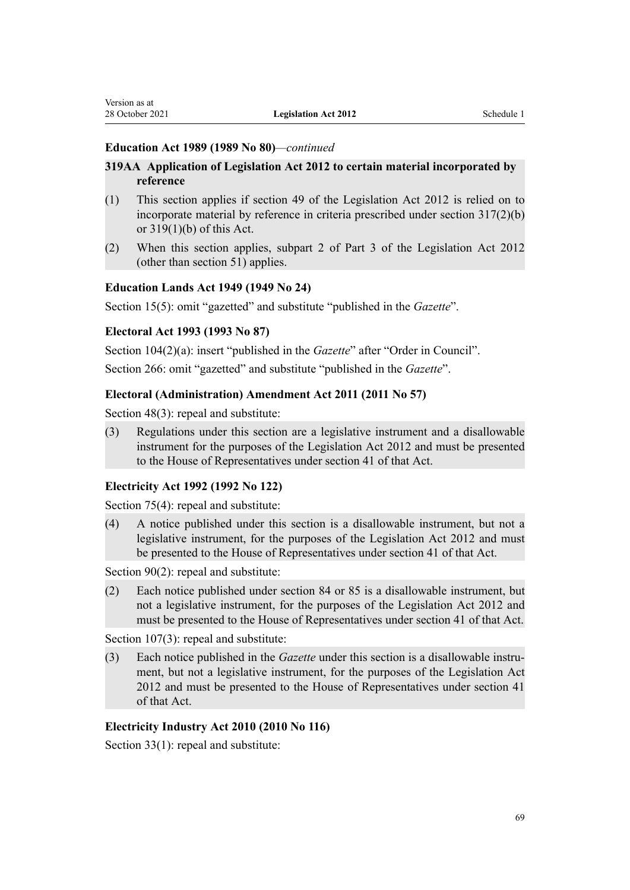## **Education Act 1989 (1989 No 80)***—continued*

# **319AA Application of Legislation Act 2012 to certain material incorporated by reference**

- (1) This section applies if section 49 of the Legislation Act 2012 is relied on to incorporate material by reference in criteria prescribed under section 317(2)(b) or 319(1)(b) of this Act.
- (2) When this section applies, subpart 2 of Part 3 of the Legislation Act 2012 (other than section 51) applies.

# **Education Lands Act 1949 (1949 No 24)**

[Section 15\(5\)](http://legislation.govt.nz/pdflink.aspx?id=DLM258268): omit "gazetted" and substitute "published in the *Gazette*".

# **Electoral Act 1993 (1993 No 87)**

[Section 104\(2\)\(a\)](http://legislation.govt.nz/pdflink.aspx?id=DLM309140): insert "published in the *Gazette*" after "Order in Council".

[Section 266:](http://legislation.govt.nz/pdflink.aspx?id=DLM310485) omit "gazetted" and substitute "published in the *Gazette*".

# **Electoral (Administration) Amendment Act 2011 (2011 No 57)**

[Section 48\(3\)](http://legislation.govt.nz/pdflink.aspx?id=DLM3367672): repeal and substitute:

(3) Regulations under this section are a legislative instrument and a disallowable instrument for the purposes of the Legislation Act 2012 and must be presented to the House of Representatives under section 41 of that Act.

## **Electricity Act 1992 (1992 No 122)**

[Section 75\(4\)](http://legislation.govt.nz/pdflink.aspx?id=DLM282868): repeal and substitute:

(4) A notice published under this section is a disallowable instrument, but not a legislative instrument, for the purposes of the Legislation Act 2012 and must be presented to the House of Representatives under section 41 of that Act.

[Section 90\(2\)](http://legislation.govt.nz/pdflink.aspx?id=DLM2859610): repeal and substitute:

(2) Each notice published under section 84 or 85 is a disallowable instrument, but not a legislative instrument, for the purposes of the Legislation Act 2012 and must be presented to the House of Representatives under section 41 of that Act.

[Section 107\(3\)](http://legislation.govt.nz/pdflink.aspx?id=DLM2859631): repeal and substitute:

(3) Each notice published in the *Gazette* under this section is a disallowable instrument, but not a legislative instrument, for the purposes of the Legislation Act 2012 and must be presented to the House of Representatives under section 41 of that Act.

## **Electricity Industry Act 2010 (2010 No 116)**

[Section 33\(1\)](http://legislation.govt.nz/pdflink.aspx?id=DLM2634365): repeal and substitute: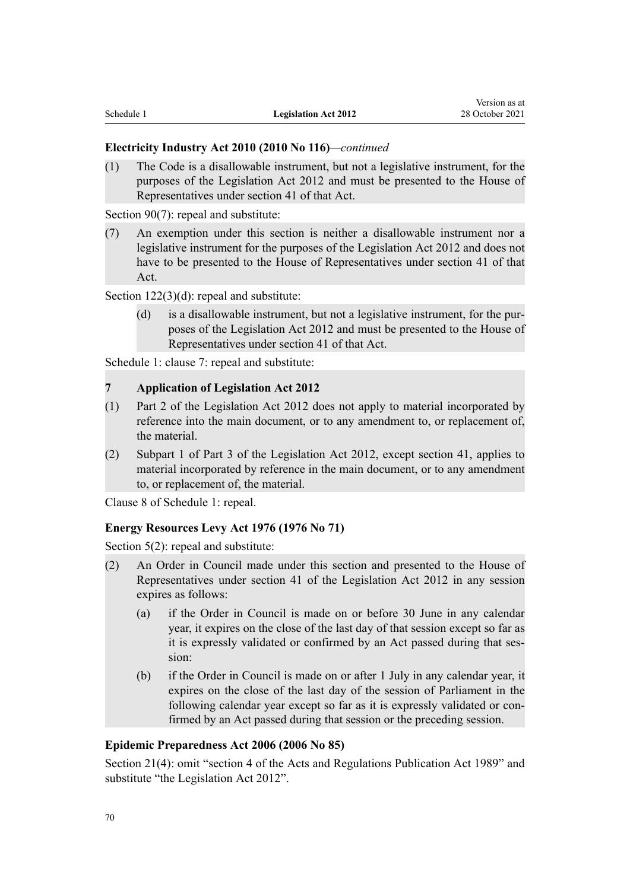## **Electricity Industry Act 2010 (2010 No 116)***—continued*

(1) The Code is a disallowable instrument, but not a legislative instrument, for the purposes of the Legislation Act 2012 and must be presented to the House of Representatives under section 41 of that Act.

[Section 90\(7\)](http://legislation.govt.nz/pdflink.aspx?id=DLM2634487): repeal and substitute:

(7) An exemption under this section is neither a disallowable instrument nor a legislative instrument for the purposes of the Legislation Act 2012 and does not have to be presented to the House of Representatives under section 41 of that Act.

[Section 122\(3\)\(d\):](http://legislation.govt.nz/pdflink.aspx?id=DLM3002224) repeal and substitute:

(d) is a disallowable instrument, but not a legislative instrument, for the pur‐ poses of the Legislation Act 2012 and must be presented to the House of Representatives under section 41 of that Act.

[Schedule 1:](http://legislation.govt.nz/pdflink.aspx?id=DLM2634630) clause 7: repeal and substitute:

#### **7 Application of Legislation Act 2012**

- (1) Part 2 of the Legislation Act 2012 does not apply to material incorporated by reference into the main document, or to any amendment to, or replacement of, the material.
- (2) Subpart 1 of Part 3 of the Legislation Act 2012, except section 41, applies to material incorporated by reference in the main document, or to any amendment to, or replacement of, the material.

[Clause 8](http://legislation.govt.nz/pdflink.aspx?id=DLM2634646) of Schedule 1: repeal.

# **Energy Resources Levy Act 1976 (1976 No 71)**

[Section 5\(2\):](http://legislation.govt.nz/pdflink.aspx?id=DLM439852) repeal and substitute:

- (2) An Order in Council made under this section and presented to the House of Representatives under section 41 of the Legislation Act 2012 in any session expires as follows:
	- (a) if the Order in Council is made on or before 30 June in any calendar year, it expires on the close of the last day of that session except so far as it is expressly validated or confirmed by an Act passed during that session:
	- (b) if the Order in Council is made on or after 1 July in any calendar year, it expires on the close of the last day of the session of Parliament in the following calendar year except so far as it is expressly validated or confirmed by an Act passed during that session or the preceding session.

## **Epidemic Preparedness Act 2006 (2006 No 85)**

[Section 21\(4\):](http://legislation.govt.nz/pdflink.aspx?id=DLM404602) omit "section 4 of the Acts and Regulations Publication Act 1989" and substitute "the Legislation Act 2012".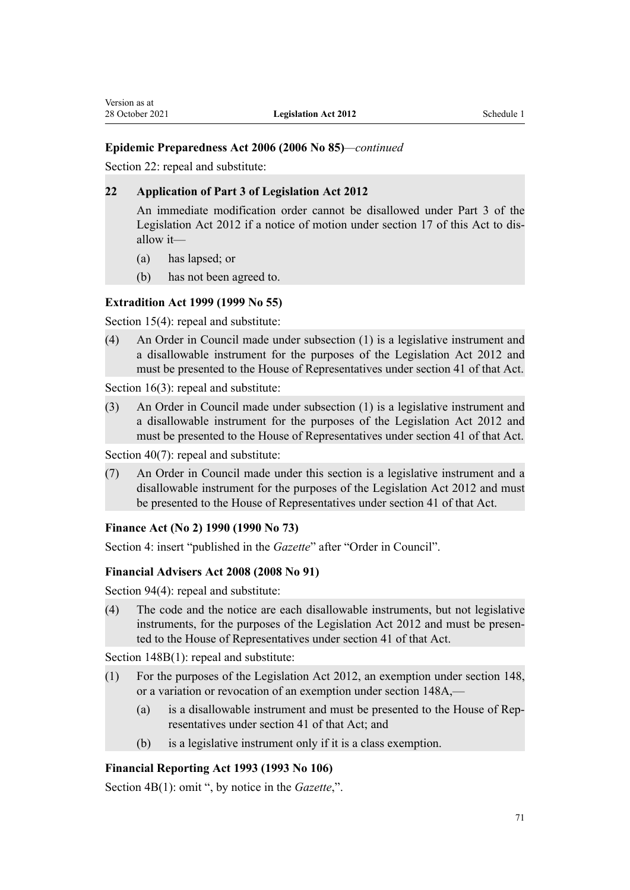# **Epidemic Preparedness Act 2006 (2006 No 85)***—continued*

[Section 22](http://legislation.govt.nz/pdflink.aspx?id=DLM404603): repeal and substitute:

## **22 Application of Part 3 of Legislation Act 2012**

An immediate modification order cannot be disallowed under Part 3 of the Legislation Act 2012 if a notice of motion under section 17 of this Act to dis‐ allow it—

- (a) has lapsed; or
- (b) has not been agreed to.

# **Extradition Act 1999 (1999 No 55)**

[Section 15\(4\)](http://legislation.govt.nz/pdflink.aspx?id=DLM26205): repeal and substitute:

(4) An Order in Council made under subsection (1) is a legislative instrument and a disallowable instrument for the purposes of the Legislation Act 2012 and must be presented to the House of Representatives under section 41 of that Act.

[Section 16\(3\)](http://legislation.govt.nz/pdflink.aspx?id=DLM26207): repeal and substitute:

(3) An Order in Council made under subsection (1) is a legislative instrument and a disallowable instrument for the purposes of the Legislation Act 2012 and must be presented to the House of Representatives under section 41 of that Act.

[Section 40\(7\)](http://legislation.govt.nz/pdflink.aspx?id=DLM26269): repeal and substitute:

(7) An Order in Council made under this section is a legislative instrument and a disallowable instrument for the purposes of the Legislation Act 2012 and must be presented to the House of Representatives under section 41 of that Act.

## **Finance Act (No 2) 1990 (1990 No 73)**

[Section 4](http://legislation.govt.nz/pdflink.aspx?id=DLM214135): insert "published in the *Gazette*" after "Order in Council".

## **Financial Advisers Act 2008 (2008 No 91)**

[Section 94\(4\)](http://legislation.govt.nz/pdflink.aspx?id=DLM1584744): repeal and substitute:

(4) The code and the notice are each disallowable instruments, but not legislative instruments, for the purposes of the Legislation Act 2012 and must be presented to the House of Representatives under section 41 of that Act.

[Section 148B\(1\):](http://legislation.govt.nz/pdflink.aspx?id=DLM3084557) repeal and substitute:

- (1) For the purposes of the Legislation Act 2012, an exemption under section 148, or a variation or revocation of an exemption under section 148A,—
	- (a) is a disallowable instrument and must be presented to the House of Rep‐ resentatives under section 41 of that Act; and
	- (b) is a legislative instrument only if it is a class exemption.

## **Financial Reporting Act 1993 (1993 No 106)**

[Section 4B\(1\)](http://legislation.govt.nz/pdflink.aspx?id=DLM324898): omit ", by notice in the *Gazette*,".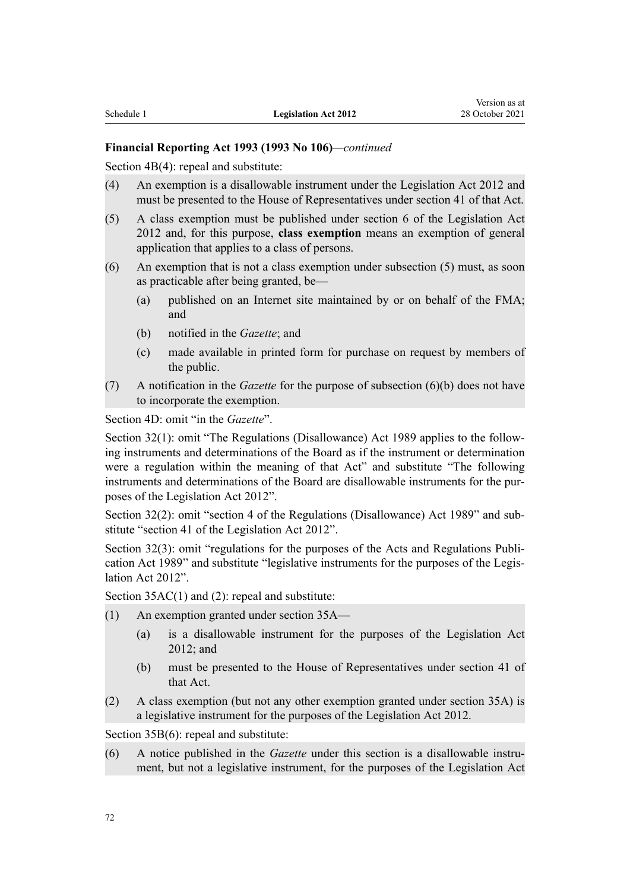# **Financial Reporting Act 1993 (1993 No 106)***—continued*

[Section 4B\(4\)](http://legislation.govt.nz/pdflink.aspx?id=DLM324898): repeal and substitute:

- (4) An exemption is a disallowable instrument under the Legislation Act 2012 and must be presented to the House of Representatives under section 41 of that Act.
- (5) A class exemption must be published under section 6 of the Legislation Act 2012 and, for this purpose, **class exemption** means an exemption of general application that applies to a class of persons.
- (6) An exemption that is not a class exemption under subsection (5) must, as soon as practicable after being granted, be—
	- (a) published on an Internet site maintained by or on behalf of the FMA; and
	- (b) notified in the *Gazette*; and
	- (c) made available in printed form for purchase on request by members of the public.
- (7) A notification in the *Gazette* for the purpose of subsection (6)(b) does not have to incorporate the exemption.

[Section 4D:](http://legislation.govt.nz/pdflink.aspx?id=DLM324902) omit "in the *Gazette*".

[Section 32\(1\):](http://legislation.govt.nz/pdflink.aspx?id=DLM3876045) omit "The Regulations (Disallowance) Act 1989 applies to the following instruments and determinations of the Board as if the instrument or determination were a regulation within the meaning of that Act" and substitute "The following instruments and determinations of the Board are disallowable instruments for the purposes of the Legislation Act 2012".

[Section 32\(2\):](http://legislation.govt.nz/pdflink.aspx?id=DLM3876045) omit "section 4 of the Regulations (Disallowance) Act 1989" and sub‐ stitute "section 41 of the Legislation Act 2012".

[Section 32\(3\)](http://legislation.govt.nz/pdflink.aspx?id=DLM3876045): omit "regulations for the purposes of the Acts and Regulations Publication Act 1989" and substitute "legislative instruments for the purposes of the Legislation Act 2012".

[Section 35AC\(1\) and \(2\)](http://legislation.govt.nz/pdflink.aspx?id=DLM3702953): repeal and substitute:

- (1) An exemption granted under section 35A—
	- (a) is a disallowable instrument for the purposes of the Legislation Act 2012; and
	- (b) must be presented to the House of Representatives under section 41 of that Act.
- (2) A class exemption (but not any other exemption granted under section 35A) is a legislative instrument for the purposes of the Legislation Act 2012.

[Section 35B\(6\)](http://legislation.govt.nz/pdflink.aspx?id=DLM325133): repeal and substitute:

(6) A notice published in the *Gazette* under this section is a disallowable instru‐ ment, but not a legislative instrument, for the purposes of the Legislation Act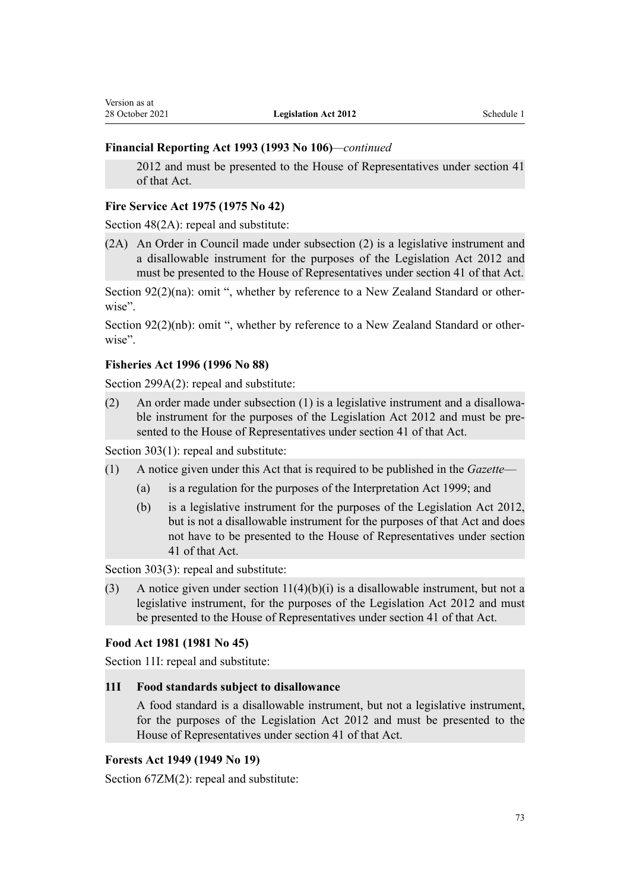# **Financial Reporting Act 1993 (1993 No 106)***—continued*

2012 and must be presented to the House of Representatives under section 41 of that Act.

#### **Fire Service Act 1975 (1975 No 42)**

[Section 48\(2A\):](http://legislation.govt.nz/pdflink.aspx?id=DLM433735) repeal and substitute:

(2A) An Order in Council made under subsection (2) is a legislative instrument and a disallowable instrument for the purposes of the Legislation Act 2012 and must be presented to the House of Representatives under section 41 of that Act.

[Section 92\(2\)\(na\):](http://legislation.govt.nz/pdflink.aspx?id=DLM434089) omit ", whether by reference to a New Zealand Standard or otherwise".

[Section 92\(2\)\(nb\)](http://legislation.govt.nz/pdflink.aspx?id=DLM434089): omit ", whether by reference to a New Zealand Standard or otherwise".

#### **Fisheries Act 1996 (1996 No 88)**

[Section 299A\(2\):](http://legislation.govt.nz/pdflink.aspx?id=DLM399921) repeal and substitute:

(2) An order made under subsection  $(1)$  is a legislative instrument and a disallowable instrument for the purposes of the Legislation Act 2012 and must be presented to the House of Representatives under section 41 of that Act.

[Section 303\(1\)](http://legislation.govt.nz/pdflink.aspx?id=DLM399927): repeal and substitute:

- (1) A notice given under this Act that is required to be published in the *Gazette*
	- (a) is a regulation for the purposes of the Interpretation Act 1999; and
	- (b) is a legislative instrument for the purposes of the Legislation Act 2012, but is not a disallowable instrument for the purposes of that Act and does not have to be presented to the House of Representatives under section 41 of that Act.

[Section 303\(3\)](http://legislation.govt.nz/pdflink.aspx?id=DLM399927): repeal and substitute:

(3) A notice given under section  $11(4)(b)(i)$  is a disallowable instrument, but not a legislative instrument, for the purposes of the Legislation Act 2012 and must be presented to the House of Representatives under section 41 of that Act.

#### **Food Act 1981 (1981 No 45)**

[Section 11I](http://legislation.govt.nz/pdflink.aspx?id=DLM50702): repeal and substitute:

#### **11I Food standards subject to disallowance**

A food standard is a disallowable instrument, but not a legislative instrument, for the purposes of the Legislation Act 2012 and must be presented to the House of Representatives under section 41 of that Act.

#### **Forests Act 1949 (1949 No 19)**

[Section 67ZM\(2\):](http://legislation.govt.nz/pdflink.aspx?id=DLM257145) repeal and substitute: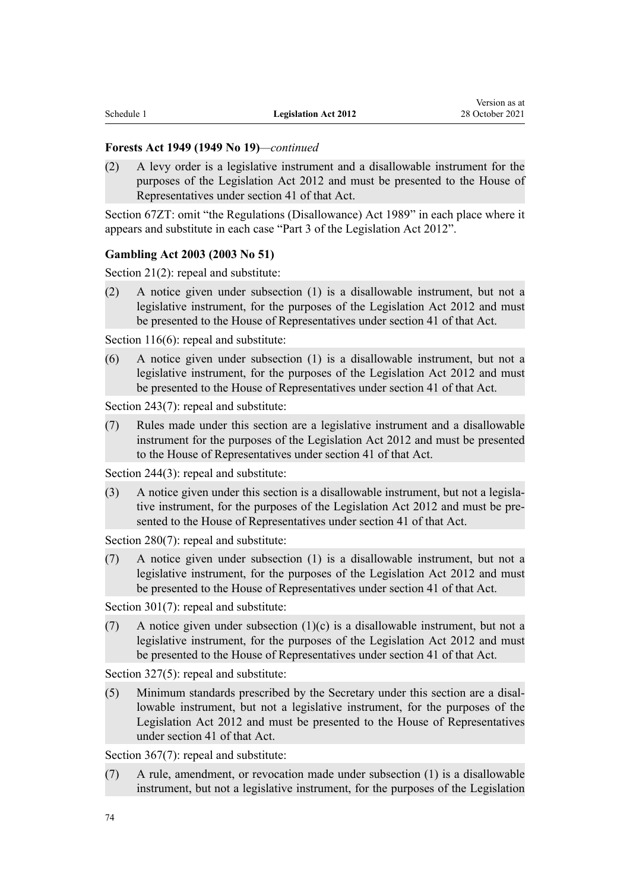#### **Forests Act 1949 (1949 No 19)***—continued*

(2) A levy order is a legislative instrument and a disallowable instrument for the purposes of the Legislation Act 2012 and must be presented to the House of Representatives under section 41 of that Act.

[Section 67ZT](http://legislation.govt.nz/pdflink.aspx?id=DLM257159): omit "the Regulations (Disallowance) Act 1989" in each place where it appears and substitute in each case "Part 3 of the Legislation Act 2012".

# **Gambling Act 2003 (2003 No 51)**

[Section 21\(2\)](http://legislation.govt.nz/pdflink.aspx?id=DLM208247): repeal and substitute:

(2) A notice given under subsection (1) is a disallowable instrument, but not a legislative instrument, for the purposes of the Legislation Act 2012 and must be presented to the House of Representatives under section 41 of that Act.

[Section 116\(6\):](http://legislation.govt.nz/pdflink.aspx?id=DLM208683) repeal and substitute:

(6) A notice given under subsection (1) is a disallowable instrument, but not a legislative instrument, for the purposes of the Legislation Act 2012 and must be presented to the House of Representatives under section 41 of that Act.

[Section 243\(7\)](http://legislation.govt.nz/pdflink.aspx?id=DLM209744): repeal and substitute:

(7) Rules made under this section are a legislative instrument and a disallowable instrument for the purposes of the Legislation Act 2012 and must be presented to the House of Representatives under section 41 of that Act.

[Section 244\(3\)](http://legislation.govt.nz/pdflink.aspx?id=DLM209745): repeal and substitute:

 $(3)$  A notice given under this section is a disallowable instrument, but not a legislative instrument, for the purposes of the Legislation Act 2012 and must be presented to the House of Representatives under section 41 of that Act.

[Section 280\(7\)](http://legislation.govt.nz/pdflink.aspx?id=DLM210201): repeal and substitute:

(7) A notice given under subsection (1) is a disallowable instrument, but not a legislative instrument, for the purposes of the Legislation Act 2012 and must be presented to the House of Representatives under section 41 of that Act.

[Section 301\(7\)](http://legislation.govt.nz/pdflink.aspx?id=DLM210235): repeal and substitute:

(7) A notice given under subsection  $(1)(c)$  is a disallowable instrument, but not a legislative instrument, for the purposes of the Legislation Act 2012 and must be presented to the House of Representatives under section 41 of that Act.

[Section 327\(5\)](http://legislation.govt.nz/pdflink.aspx?id=DLM210273): repeal and substitute:

(5) Minimum standards prescribed by the Secretary under this section are a disal‐ lowable instrument, but not a legislative instrument, for the purposes of the Legislation Act 2012 and must be presented to the House of Representatives under section 41 of that Act.

[Section 367\(7\)](http://legislation.govt.nz/pdflink.aspx?id=DLM210727): repeal and substitute:

(7) A rule, amendment, or revocation made under subsection (1) is a disallowable instrument, but not a legislative instrument, for the purposes of the Legislation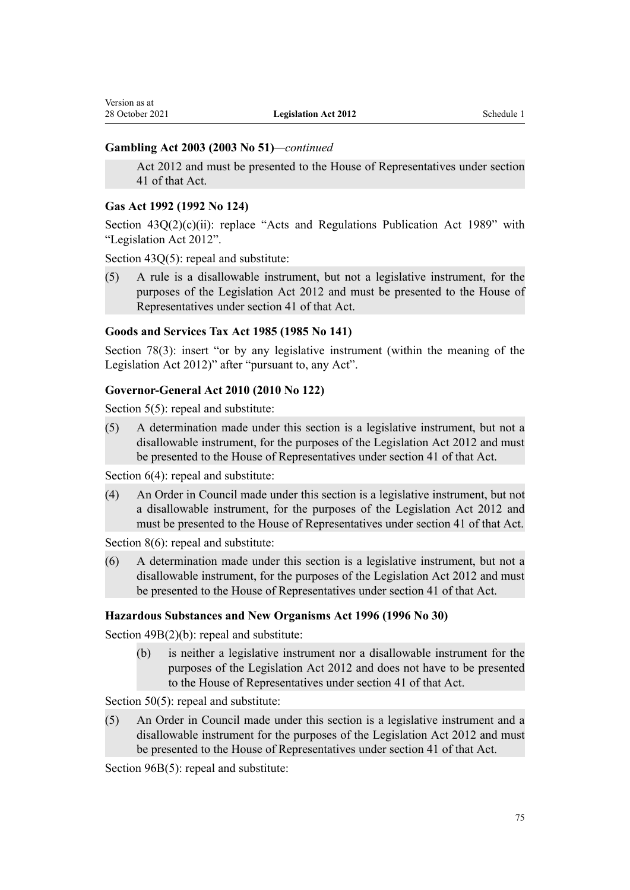# **Gambling Act 2003 (2003 No 51)***—continued*

Act 2012 and must be presented to the House of Representatives under section 41 of that Act.

#### **Gas Act 1992 (1992 No 124)**

Section  $43Q(2)(c)(ii)$ : replace "Acts and Regulations Publication Act 1989" with "Legislation Act 2012".

[Section 43Q\(5\):](http://legislation.govt.nz/pdflink.aspx?id=DLM285981) repeal and substitute:

(5) A rule is a disallowable instrument, but not a legislative instrument, for the purposes of the Legislation Act 2012 and must be presented to the House of Representatives under section 41 of that Act.

# **Goods and Services Tax Act 1985 (1985 No 141)**

[Section 78\(3\):](http://legislation.govt.nz/pdflink.aspx?id=DLM85298) insert "or by any legislative instrument (within the meaning of the Legislation Act 2012)" after "pursuant to, any Act".

# **Governor-General Act 2010 (2010 No 122)**

[Section 5\(5\):](http://legislation.govt.nz/pdflink.aspx?id=DLM2999122) repeal and substitute:

(5) A determination made under this section is a legislative instrument, but not a disallowable instrument, for the purposes of the Legislation Act 2012 and must be presented to the House of Representatives under section 41 of that Act.

[Section 6\(4\):](http://legislation.govt.nz/pdflink.aspx?id=DLM2999123) repeal and substitute:

(4) An Order in Council made under this section is a legislative instrument, but not a disallowable instrument, for the purposes of the Legislation Act 2012 and must be presented to the House of Representatives under section 41 of that Act.

[Section 8\(6\):](http://legislation.govt.nz/pdflink.aspx?id=DLM2999125) repeal and substitute:

(6) A determination made under this section is a legislative instrument, but not a disallowable instrument, for the purposes of the Legislation Act 2012 and must be presented to the House of Representatives under section 41 of that Act.

# **Hazardous Substances and New Organisms Act 1996 (1996 No 30)**

[Section 49B\(2\)\(b\):](http://legislation.govt.nz/pdflink.aspx?id=DLM384019) repeal and substitute:

(b) is neither a legislative instrument nor a disallowable instrument for the purposes of the Legislation Act 2012 and does not have to be presented to the House of Representatives under section 41 of that Act.

[Section 50\(5\)](http://legislation.govt.nz/pdflink.aspx?id=DLM384044): repeal and substitute:

(5) An Order in Council made under this section is a legislative instrument and a disallowable instrument for the purposes of the Legislation Act 2012 and must be presented to the House of Representatives under section 41 of that Act.

[Section 96B\(5\)](http://legislation.govt.nz/pdflink.aspx?id=DLM384637): repeal and substitute: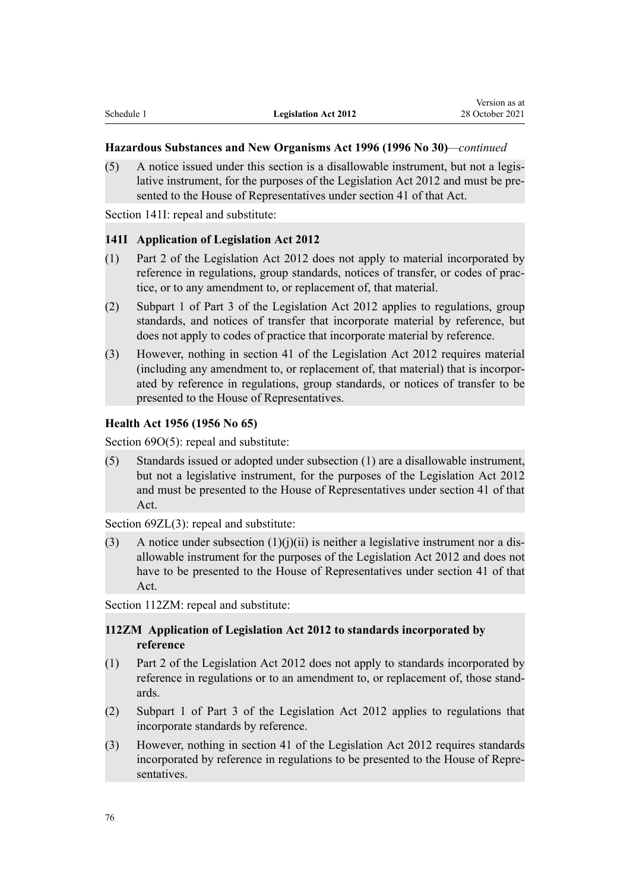#### **Hazardous Substances and New Organisms Act 1996 (1996 No 30)***—continued*

(5) A notice issued under this section is a disallowable instrument, but not a legis‐ lative instrument, for the purposes of the Legislation Act 2012 and must be presented to the House of Representatives under section 41 of that Act.

[Section 141I:](http://legislation.govt.nz/pdflink.aspx?id=DLM2914562) repeal and substitute:

#### **141I Application of Legislation Act 2012**

- (1) Part 2 of the Legislation Act 2012 does not apply to material incorporated by reference in regulations, group standards, notices of transfer, or codes of practice, or to any amendment to, or replacement of, that material.
- (2) Subpart 1 of Part 3 of the Legislation Act 2012 applies to regulations, group standards, and notices of transfer that incorporate material by reference, but does not apply to codes of practice that incorporate material by reference.
- (3) However, nothing in section 41 of the Legislation Act 2012 requires material (including any amendment to, or replacement of, that material) that is incorpor‐ ated by reference in regulations, group standards, or notices of transfer to be presented to the House of Representatives.

#### **Health Act 1956 (1956 No 65)**

[Section 69O\(5\):](http://legislation.govt.nz/pdflink.aspx?id=DLM1410272) repeal and substitute:

(5) Standards issued or adopted under subsection (1) are a disallowable instrument, but not a legislative instrument, for the purposes of the Legislation Act 2012 and must be presented to the House of Representatives under section 41 of that Act.

[Section 69ZL\(3\):](http://legislation.govt.nz/pdflink.aspx?id=DLM1410297) repeal and substitute:

(3) A notice under subsection  $(1)(j)(ii)$  is neither a legislative instrument nor a disallowable instrument for the purposes of the Legislation Act 2012 and does not have to be presented to the House of Representatives under section 41 of that Act.

[Section 112ZM:](http://legislation.govt.nz/pdflink.aspx?id=DLM307977) repeal and substitute:

# **112ZM Application of Legislation Act 2012 to standards incorporated by reference**

- (1) Part 2 of the Legislation Act 2012 does not apply to standards incorporated by reference in regulations or to an amendment to, or replacement of, those standards.
- (2) Subpart 1 of Part 3 of the Legislation Act 2012 applies to regulations that incorporate standards by reference.
- (3) However, nothing in section 41 of the Legislation Act 2012 requires standards incorporated by reference in regulations to be presented to the House of Repre‐ sentatives.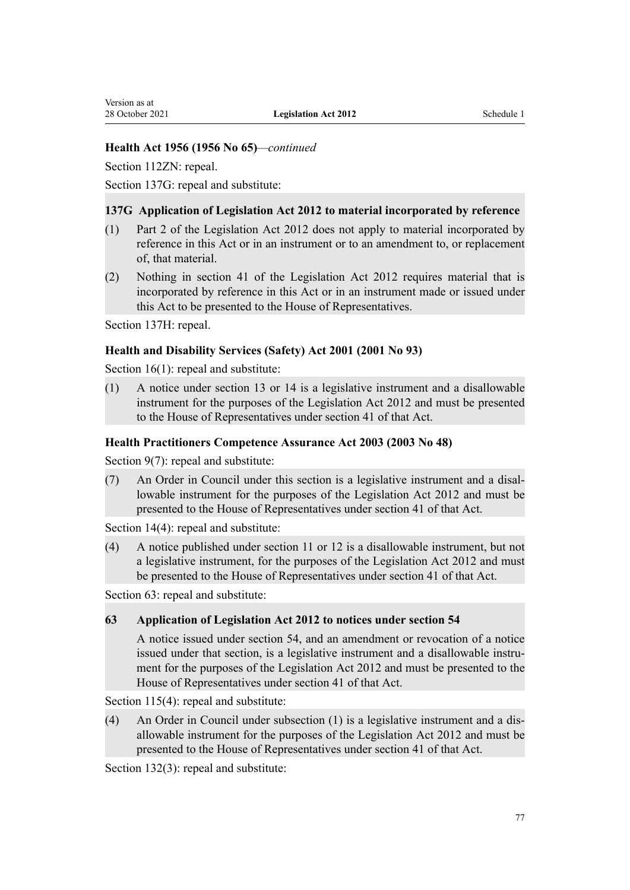# **Health Act 1956 (1956 No 65)***—continued*

[Section 112ZN:](http://legislation.govt.nz/pdflink.aspx?id=DLM307979) repeal.

[Section 137G](http://legislation.govt.nz/pdflink.aspx?id=DLM1412385): repeal and substitute:

# **137G Application of Legislation Act 2012 to material incorporated by reference**

- (1) Part 2 of the Legislation Act 2012 does not apply to material incorporated by reference in this Act or in an instrument or to an amendment to, or replacement of, that material.
- (2) Nothing in section 41 of the Legislation Act 2012 requires material that is incorporated by reference in this Act or in an instrument made or issued under this Act to be presented to the House of Representatives.

[Section 137H](http://legislation.govt.nz/pdflink.aspx?id=DLM1412386): repeal.

# **Health and Disability Services (Safety) Act 2001 (2001 No 93)**

[Section 16\(1\)](http://legislation.govt.nz/pdflink.aspx?id=DLM120548): repeal and substitute:

(1) A notice under section 13 or 14 is a legislative instrument and a disallowable instrument for the purposes of the Legislation Act 2012 and must be presented to the House of Representatives under section 41 of that Act.

# **Health Practitioners Competence Assurance Act 2003 (2003 No 48)**

[Section 9\(7\):](http://legislation.govt.nz/pdflink.aspx?id=DLM203382) repeal and substitute:

(7) An Order in Council under this section is a legislative instrument and a disal‐ lowable instrument for the purposes of the Legislation Act 2012 and must be presented to the House of Representatives under section 41 of that Act.

[Section 14\(4\)](http://legislation.govt.nz/pdflink.aspx?id=DLM203389): repeal and substitute:

(4) A notice published under section 11 or 12 is a disallowable instrument, but not a legislative instrument, for the purposes of the Legislation Act 2012 and must be presented to the House of Representatives under section 41 of that Act.

[Section 63](http://legislation.govt.nz/pdflink.aspx?id=DLM203864): repeal and substitute:

# **63 Application of Legislation Act 2012 to notices under section 54**

A notice issued under section 54, and an amendment or revocation of a notice issued under that section, is a legislative instrument and a disallowable instrument for the purposes of the Legislation Act 2012 and must be presented to the House of Representatives under section 41 of that Act.

[Section 115\(4\):](http://legislation.govt.nz/pdflink.aspx?id=DLM204330) repeal and substitute:

(4) An Order in Council under subsection (1) is a legislative instrument and a dis‐ allowable instrument for the purposes of the Legislation Act 2012 and must be presented to the House of Representatives under section 41 of that Act.

[Section 132\(3\)](http://legislation.govt.nz/pdflink.aspx?id=DLM204355): repeal and substitute: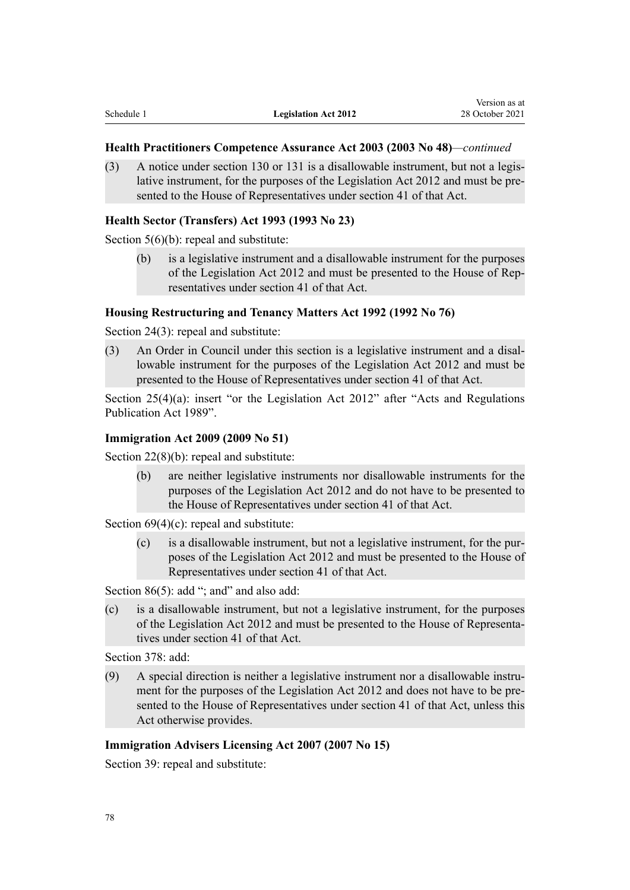#### **Health Practitioners Competence Assurance Act 2003 (2003 No 48)***—continued*

(3) A notice under section 130 or 131 is a disallowable instrument, but not a legis‐ lative instrument, for the purposes of the Legislation Act 2012 and must be pre‐ sented to the House of Representatives under section 41 of that Act.

#### **Health Sector (Transfers) Act 1993 (1993 No 23)**

[Section 5\(6\)\(b\)](http://legislation.govt.nz/pdflink.aspx?id=DLM294994): repeal and substitute:

(b) is a legislative instrument and a disallowable instrument for the purposes of the Legislation Act 2012 and must be presented to the House of Rep‐ resentatives under section 41 of that Act.

#### **Housing Restructuring and Tenancy Matters Act 1992 (1992 No 76)**

[Section 24\(3\)](http://legislation.govt.nz/pdflink.aspx?id=DLM269628): repeal and substitute:

(3) An Order in Council under this section is a legislative instrument and a disal‐ lowable instrument for the purposes of the Legislation Act 2012 and must be presented to the House of Representatives under section 41 of that Act.

[Section 25\(4\)\(a\)](http://legislation.govt.nz/pdflink.aspx?id=DLM269629): insert "or the Legislation Act 2012" after "Acts and Regulations Publication Act 1989".

#### **Immigration Act 2009 (2009 No 51)**

[Section 22\(8\)\(b\):](http://legislation.govt.nz/pdflink.aspx?id=DLM1440613) repeal and substitute:

(b) are neither legislative instruments nor disallowable instruments for the purposes of the Legislation Act 2012 and do not have to be presented to the House of Representatives under section 41 of that Act.

[Section 69\(4\)\(c\)](http://legislation.govt.nz/pdflink.aspx?id=DLM1440682): repeal and substitute:

(c) is a disallowable instrument, but not a legislative instrument, for the pur‐ poses of the Legislation Act 2012 and must be presented to the House of Representatives under section 41 of that Act.

[Section 86\(5\)](http://legislation.govt.nz/pdflink.aspx?id=DLM1440709): add "; and" and also add:

(c) is a disallowable instrument, but not a legislative instrument, for the purposes of the Legislation Act 2012 and must be presented to the House of Representa‐ tives under section 41 of that Act.

[Section 378:](http://legislation.govt.nz/pdflink.aspx?id=DLM1441195) add:

(9) A special direction is neither a legislative instrument nor a disallowable instru‐ ment for the purposes of the Legislation Act 2012 and does not have to be presented to the House of Representatives under section 41 of that Act, unless this Act otherwise provides.

# **Immigration Advisers Licensing Act 2007 (2007 No 15)**

[Section 39](http://legislation.govt.nz/pdflink.aspx?id=DLM407344): repeal and substitute: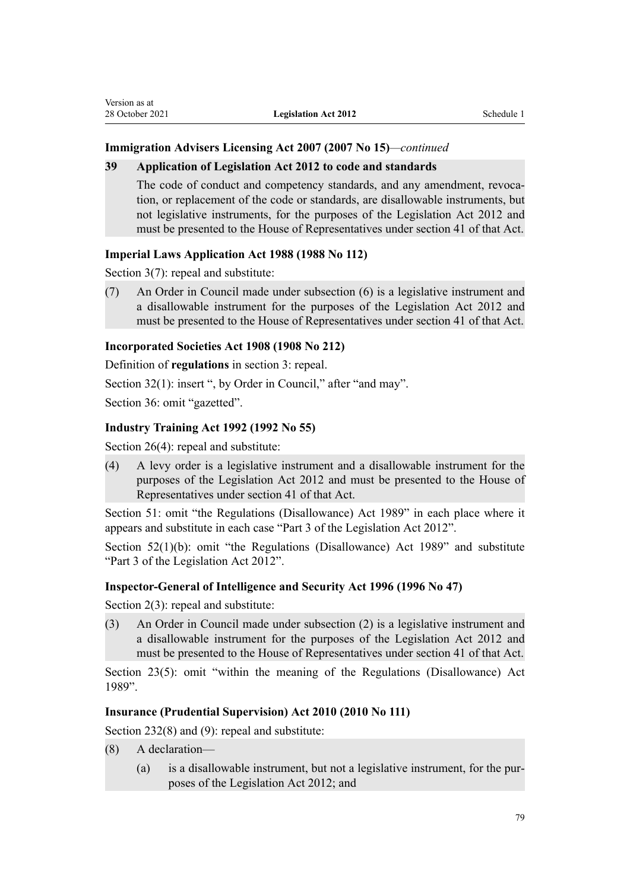# **Immigration Advisers Licensing Act 2007 (2007 No 15)***—continued*

# **39 Application of Legislation Act 2012 to code and standards**

The code of conduct and competency standards, and any amendment, revocation, or replacement of the code or standards, are disallowable instruments, but not legislative instruments, for the purposes of the Legislation Act 2012 and must be presented to the House of Representatives under section 41 of that Act.

# **Imperial Laws Application Act 1988 (1988 No 112)**

[Section 3\(7\):](http://legislation.govt.nz/pdflink.aspx?id=DLM135084) repeal and substitute:

(7) An Order in Council made under subsection (6) is a legislative instrument and a disallowable instrument for the purposes of the Legislation Act 2012 and must be presented to the House of Representatives under section 41 of that Act.

# **Incorporated Societies Act 1908 (1908 No 212)**

Definition of **regulations** in section 3: repeal.

[Section 32\(1\)](http://legislation.govt.nz/pdflink.aspx?id=DLM176164): insert ", by Order in Council," after "and may".

[Section 36](http://legislation.govt.nz/pdflink.aspx?id=DLM176185): omit "gazetted".

# **Industry Training Act 1992 (1992 No 55)**

[Section 26\(4\)](http://legislation.govt.nz/pdflink.aspx?id=DLM266925): repeal and substitute:

(4) A levy order is a legislative instrument and a disallowable instrument for the purposes of the Legislation Act 2012 and must be presented to the House of Representatives under section 41 of that Act.

[Section 51](http://legislation.govt.nz/pdflink.aspx?id=DLM266984): omit "the Regulations (Disallowance) Act 1989" in each place where it appears and substitute in each case "Part 3 of the Legislation Act 2012".

[Section 52\(1\)\(b\):](http://legislation.govt.nz/pdflink.aspx?id=DLM266986) omit "the Regulations (Disallowance) Act 1989" and substitute "Part 3 of the Legislation Act 2012".

# **Inspector-General of Intelligence and Security Act 1996 (1996 No 47)**

[Section 2\(3\):](http://legislation.govt.nz/pdflink.aspx?id=DLM392290) repeal and substitute:

(3) An Order in Council made under subsection (2) is a legislative instrument and a disallowable instrument for the purposes of the Legislation Act 2012 and must be presented to the House of Representatives under section 41 of that Act.

[Section 23\(5\):](http://legislation.govt.nz/pdflink.aspx?id=DLM392542) omit "within the meaning of the Regulations (Disallowance) Act 1989".

### **Insurance (Prudential Supervision) Act 2010 (2010 No 111)**

[Section 232\(8\) and \(9\)](http://legislation.govt.nz/pdflink.aspx?id=DLM2478606): repeal and substitute:

- (8) A declaration—
	- (a) is a disallowable instrument, but not a legislative instrument, for the pur‐ poses of the Legislation Act 2012; and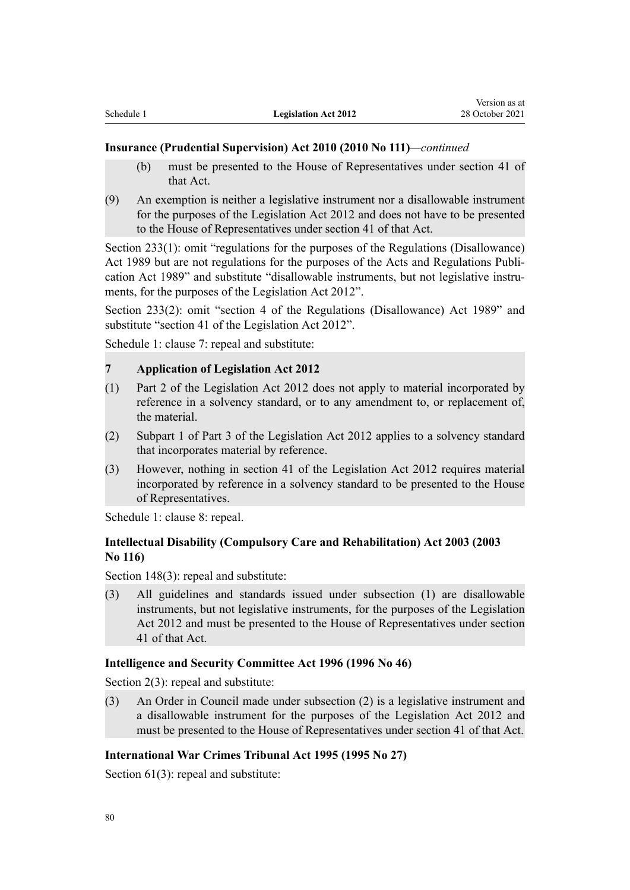#### **Insurance (Prudential Supervision) Act 2010 (2010 No 111)***—continued*

- (b) must be presented to the House of Representatives under section 41 of that Act.
- (9) An exemption is neither a legislative instrument nor a disallowable instrument for the purposes of the Legislation Act 2012 and does not have to be presented to the House of Representatives under section 41 of that Act.

[Section 233\(1\):](http://legislation.govt.nz/pdflink.aspx?id=DLM3005137) omit "regulations for the purposes of the Regulations (Disallowance) Act 1989 but are not regulations for the purposes of the Acts and Regulations Publi‐ cation Act 1989" and substitute "disallowable instruments, but not legislative instruments, for the purposes of the Legislation Act 2012".

[Section 233\(2\)](http://legislation.govt.nz/pdflink.aspx?id=DLM3005137): omit "section 4 of the Regulations (Disallowance) Act 1989" and substitute "section 41 of the Legislation Act 2012".

[Schedule 1:](http://legislation.govt.nz/pdflink.aspx?id=DLM2478626) clause 7: repeal and substitute:

# **7 Application of Legislation Act 2012**

- (1) Part 2 of the Legislation Act 2012 does not apply to material incorporated by reference in a solvency standard, or to any amendment to, or replacement of, the material.
- (2) Subpart 1 of Part 3 of the Legislation Act 2012 applies to a solvency standard that incorporates material by reference.
- (3) However, nothing in section 41 of the Legislation Act 2012 requires material incorporated by reference in a solvency standard to be presented to the House of Representatives.

[Schedule 1:](http://legislation.govt.nz/pdflink.aspx?id=DLM2478626) clause 8: repeal.

# **Intellectual Disability (Compulsory Care and Rehabilitation) Act 2003 (2003 No 116)**

[Section 148\(3\)](http://legislation.govt.nz/pdflink.aspx?id=DLM226203): repeal and substitute:

(3) All guidelines and standards issued under subsection (1) are disallowable instruments, but not legislative instruments, for the purposes of the Legislation Act 2012 and must be presented to the House of Representatives under section 41 of that Act.

#### **Intelligence and Security Committee Act 1996 (1996 No 46)**

[Section 2\(3\):](http://legislation.govt.nz/pdflink.aspx?id=DLM392247) repeal and substitute:

(3) An Order in Council made under subsection (2) is a legislative instrument and a disallowable instrument for the purposes of the Legislation Act 2012 and must be presented to the House of Representatives under section 41 of that Act.

#### **International War Crimes Tribunal Act 1995 (1995 No 27)**

[Section 61\(3\)](http://legislation.govt.nz/pdflink.aspx?id=DLM365949): repeal and substitute: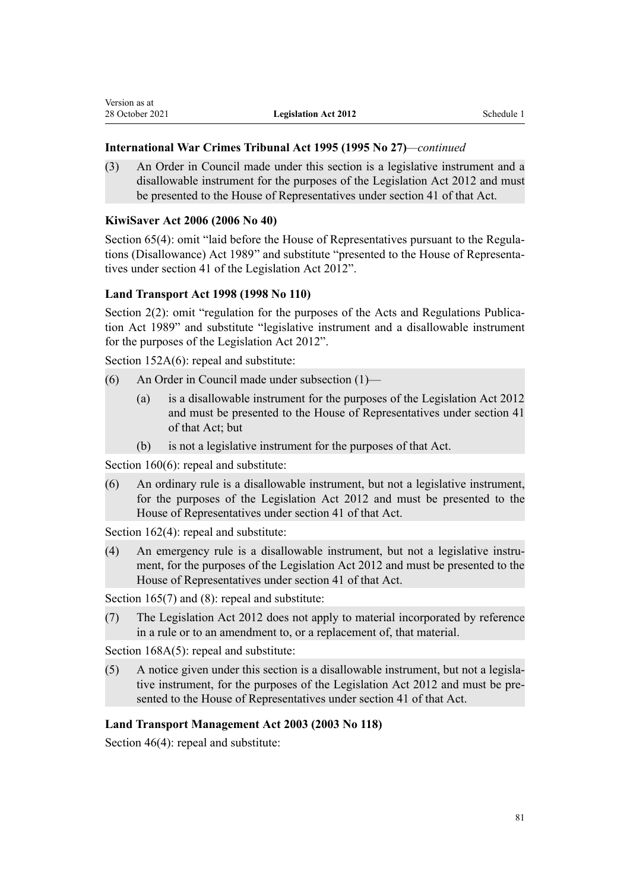# **International War Crimes Tribunal Act 1995 (1995 No 27)***—continued*

(3) An Order in Council made under this section is a legislative instrument and a disallowable instrument for the purposes of the Legislation Act 2012 and must be presented to the House of Representatives under section 41 of that Act.

# **KiwiSaver Act 2006 (2006 No 40)**

Version as at

[Section 65\(4\):](http://legislation.govt.nz/pdflink.aspx?id=DLM379039) omit "laid before the House of Representatives pursuant to the Regulations (Disallowance) Act 1989" and substitute "presented to the House of Representa‐ tives under [section 41](http://legislation.govt.nz/pdflink.aspx?id=DLM378883) of the Legislation Act 2012".

# **Land Transport Act 1998 (1998 No 110)**

[Section 2\(2\):](http://legislation.govt.nz/pdflink.aspx?id=DLM433619) omit "regulation for the purposes of the Acts and Regulations Publication Act 1989" and substitute "legislative instrument and a disallowable instrument for the purposes of the Legislation Act 2012".

[Section 152A\(6\):](http://legislation.govt.nz/pdflink.aspx?id=DLM3820364) repeal and substitute:

- (6) An Order in Council made under subsection (1)—
	- (a) is a disallowable instrument for the purposes of the Legislation Act 2012 and must be presented to the House of Representatives under section 41 of that Act; but
	- (b) is not a legislative instrument for the purposes of that Act.

[Section 160\(6\)](http://legislation.govt.nz/pdflink.aspx?id=DLM435194): repeal and substitute:

(6) An ordinary rule is a disallowable instrument, but not a legislative instrument, for the purposes of the Legislation Act 2012 and must be presented to the House of Representatives under section 41 of that Act.

[Section 162\(4\)](http://legislation.govt.nz/pdflink.aspx?id=DLM435197): repeal and substitute:

(4) An emergency rule is a disallowable instrument, but not a legislative instru‐ ment, for the purposes of the Legislation Act 2012 and must be presented to the House of Representatives under section 41 of that Act.

[Section 165\(7\) and \(8\)](http://legislation.govt.nz/pdflink.aspx?id=DLM435403): repeal and substitute:

(7) The Legislation Act 2012 does not apply to material incorporated by reference in a rule or to an amendment to, or a replacement of, that material.

[Section 168A\(5\):](http://legislation.govt.nz/pdflink.aspx?id=DLM435415) repeal and substitute:

(5) A notice given under this section is a disallowable instrument, but not a legisla‐ tive instrument, for the purposes of the Legislation Act 2012 and must be presented to the House of Representatives under section 41 of that Act.

# **Land Transport Management Act 2003 (2003 No 118)**

[Section 46\(4\)](http://legislation.govt.nz/pdflink.aspx?id=DLM227550): repeal and substitute: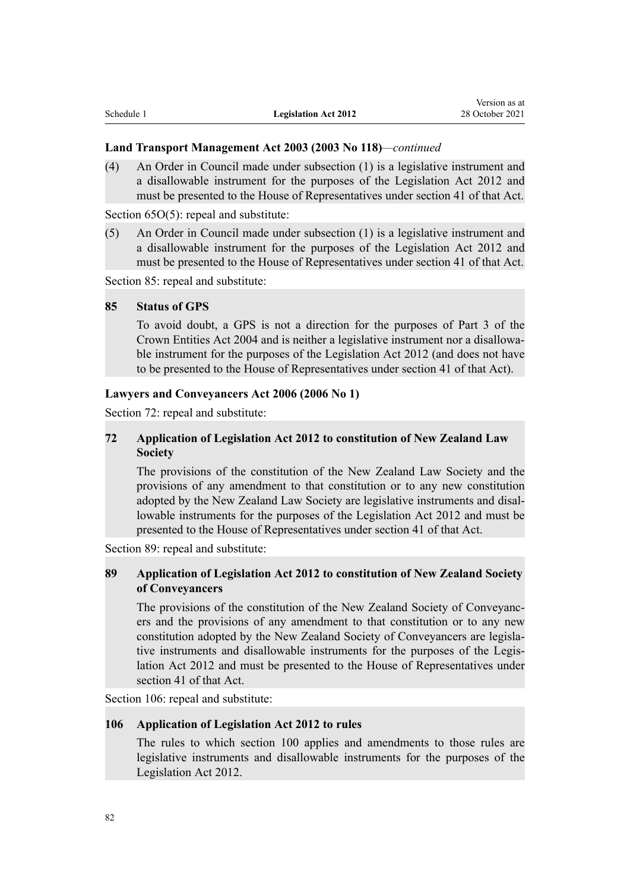#### **Land Transport Management Act 2003 (2003 No 118)***—continued*

(4) An Order in Council made under subsection (1) is a legislative instrument and a disallowable instrument for the purposes of the Legislation Act 2012 and must be presented to the House of Representatives under section 41 of that Act.

[Section 65O\(5\)](http://legislation.govt.nz/pdflink.aspx?id=DLM1472482): repeal and substitute:

(5) An Order in Council made under subsection (1) is a legislative instrument and a disallowable instrument for the purposes of the Legislation Act 2012 and must be presented to the House of Representatives under section 41 of that Act.

[Section 85](http://legislation.govt.nz/pdflink.aspx?id=DLM1473919): repeal and substitute:

# **85 Status of GPS**

To avoid doubt, a GPS is not a direction for the purposes of Part 3 of the Crown Entities Act 2004 and is neither a legislative instrument nor a disallowa‐ ble instrument for the purposes of the Legislation Act 2012 (and does not have to be presented to the House of Representatives under section 41 of that Act).

#### **Lawyers and Conveyancers Act 2006 (2006 No 1)**

Section 72: repeal and substitute:

# **72 Application of Legislation Act 2012 to constitution of New Zealand Law Society**

The provisions of the constitution of the New Zealand Law Society and the provisions of any amendment to that constitution or to any new constitution adopted by the New Zealand Law Society are legislative instruments and disal‐ lowable instruments for the purposes of the Legislation Act 2012 and must be presented to the House of Representatives under section 41 of that Act.

[Section 89](http://legislation.govt.nz/pdflink.aspx?id=DLM366115): repeal and substitute:

# **89 Application of Legislation Act 2012 to constitution of New Zealand Society of Conveyancers**

The provisions of the constitution of the New Zealand Society of Conveyancers and the provisions of any amendment to that constitution or to any new constitution adopted by the New Zealand Society of Conveyancers are legislative instruments and disallowable instruments for the purposes of the Legislation Act 2012 and must be presented to the House of Representatives under section 41 of that Act.

[Section 106:](http://legislation.govt.nz/pdflink.aspx?id=DLM366134) repeal and substitute:

# **106 Application of Legislation Act 2012 to rules**

The rules to which section 100 applies and amendments to those rules are legislative instruments and disallowable instruments for the purposes of the Legislation Act 2012.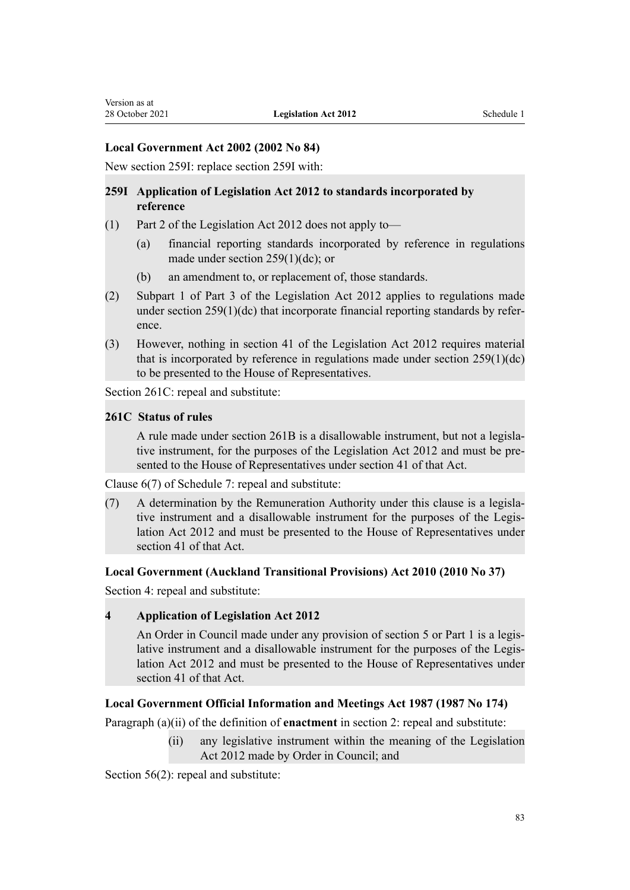# **Local Government Act 2002 (2002 No 84)**

New section 259I: replace [section 259I](http://legislation.govt.nz/pdflink.aspx?id=DLM4926341) with:

# **259I Application of Legislation Act 2012 to standards incorporated by reference**

- (1) Part 2 of the Legislation Act 2012 does not apply to—
	- (a) financial reporting standards incorporated by reference in regulations made under section 259(1)(dc); or
	- (b) an amendment to, or replacement of, those standards.
- (2) Subpart 1 of Part 3 of the Legislation Act 2012 applies to regulations made under section  $259(1)(dc)$  that incorporate financial reporting standards by reference.
- (3) However, nothing in section 41 of the Legislation Act 2012 requires material that is incorporated by reference in regulations made under section 259(1)(dc) to be presented to the House of Representatives.

[Section 261C:](http://legislation.govt.nz/pdflink.aspx?id=DLM3415421) repeal and substitute:

#### **261C Status of rules**

A rule made under section 261B is a disallowable instrument, but not a legisla‐ tive instrument, for the purposes of the Legislation Act 2012 and must be presented to the House of Representatives under section 41 of that Act.

[Clause 6\(7\)](http://legislation.govt.nz/pdflink.aspx?id=DLM175653) of Schedule 7: repeal and substitute:

(7) A determination by the Remuneration Authority under this clause is a legisla‐ tive instrument and a disallowable instrument for the purposes of the Legis‐ lation Act 2012 and must be presented to the House of Representatives under section 41 of that Act.

#### **Local Government (Auckland Transitional Provisions) Act 2010 (2010 No 37)**

[Section 4](http://legislation.govt.nz/pdflink.aspx?id=DLM3016612): repeal and substitute:

#### **4 Application of Legislation Act 2012**

An Order in Council made under any provision of section 5 or Part 1 is a legislative instrument and a disallowable instrument for the purposes of the Legislation Act 2012 and must be presented to the House of Representatives under section 41 of that Act.

#### **Local Government Official Information and Meetings Act 1987 (1987 No 174)**

Paragraph (a)(ii) of the definition of **enactment** in [section 2:](http://legislation.govt.nz/pdflink.aspx?id=DLM122247) repeal and substitute:

(ii) any legislative instrument within the meaning of the Legislation Act 2012 made by Order in Council; and

[Section 56\(2\)](http://legislation.govt.nz/pdflink.aspx?id=DLM123613): repeal and substitute: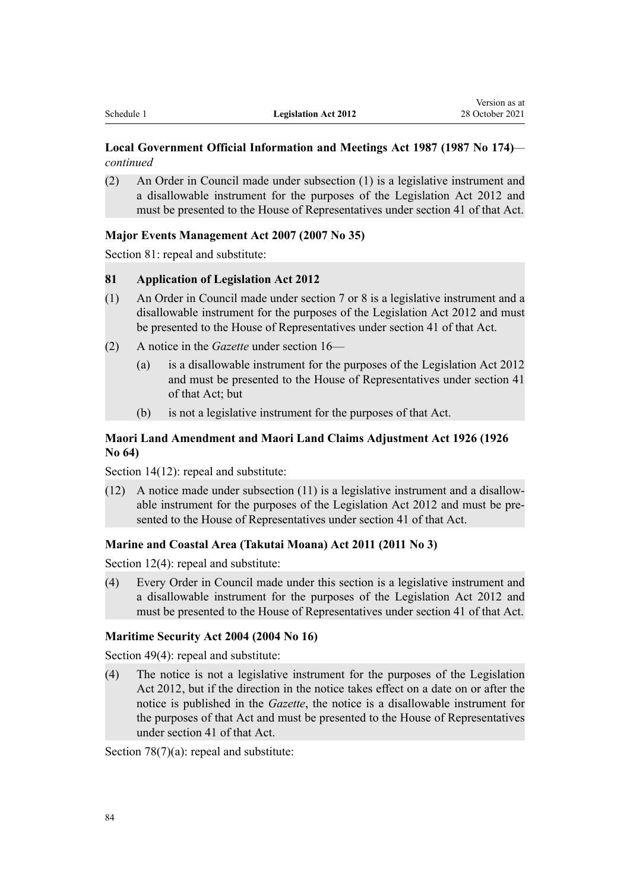# **Local Government Official Information and Meetings Act 1987 (1987 No 174)** *continued*

(2) An Order in Council made under subsection (1) is a legislative instrument and a disallowable instrument for the purposes of the Legislation Act 2012 and must be presented to the House of Representatives under section 41 of that Act.

# **Major Events Management Act 2007 (2007 No 35)**

[Section 81](http://legislation.govt.nz/pdflink.aspx?id=DLM413253): repeal and substitute:

#### **81 Application of Legislation Act 2012**

- (1) An Order in Council made under section 7 or 8 is a legislative instrument and a disallowable instrument for the purposes of the Legislation Act 2012 and must be presented to the House of Representatives under section 41 of that Act.
- (2) A notice in the *Gazette* under section 16—
	- (a) is a disallowable instrument for the purposes of the Legislation Act 2012 and must be presented to the House of Representatives under section 41 of that Act; but
	- (b) is not a legislative instrument for the purposes of that Act.

# **Maori Land Amendment and Maori Land Claims Adjustment Act 1926 (1926 No 64)**

[Section 14\(12\)](http://legislation.govt.nz/pdflink.aspx?id=DLM5389702): repeal and substitute:

(12) A notice made under subsection (11) is a legislative instrument and a disallow‐ able instrument for the purposes of the Legislation Act 2012 and must be pre‐ sented to the House of Representatives under section 41 of that Act.

#### **Marine and Coastal Area (Takutai Moana) Act 2011 (2011 No 3)**

[Section 12\(4\)](http://legislation.govt.nz/pdflink.aspx?id=DLM3213283): repeal and substitute:

(4) Every Order in Council made under this section is a legislative instrument and a disallowable instrument for the purposes of the Legislation Act 2012 and must be presented to the House of Representatives under section 41 of that Act.

#### **Maritime Security Act 2004 (2004 No 16)**

[Section 49\(4\)](http://legislation.govt.nz/pdflink.aspx?id=DLM241845): repeal and substitute:

(4) The notice is not a legislative instrument for the purposes of the Legislation Act 2012, but if the direction in the notice takes effect on a date on or after the notice is published in the *Gazette*, the notice is a disallowable instrument for the purposes of that Act and must be presented to the House of Representatives under section 41 of that Act.

[Section 78\(7\)\(a\)](http://legislation.govt.nz/pdflink.aspx?id=DLM241880): repeal and substitute: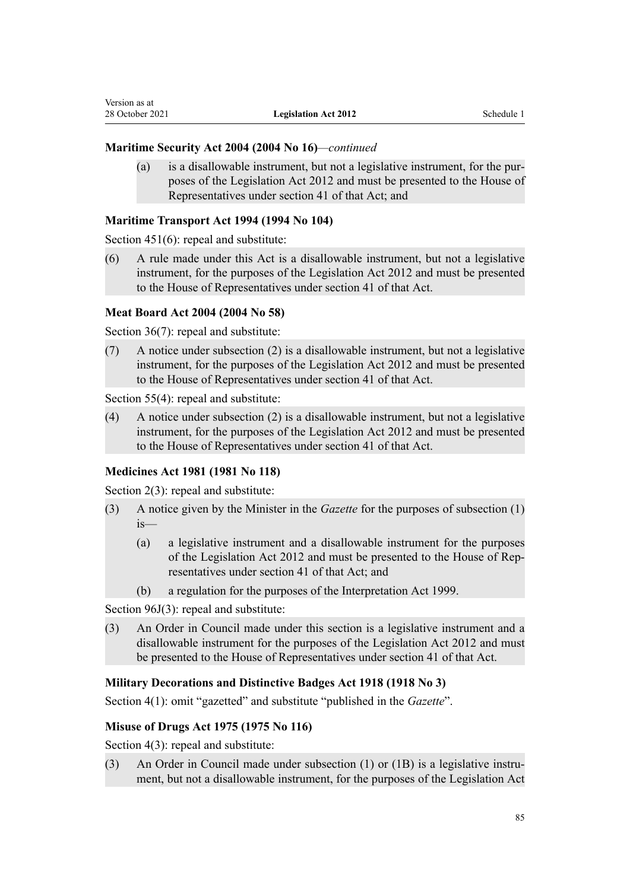# **Maritime Security Act 2004 (2004 No 16)***—continued*

(a) is a disallowable instrument, but not a legislative instrument, for the pur‐ poses of the Legislation Act 2012 and must be presented to the House of Representatives under section 41 of that Act; and

# **Maritime Transport Act 1994 (1994 No 104)**

[Section 451\(6\)](http://legislation.govt.nz/pdflink.aspx?id=DLM338870): repeal and substitute:

(6) A rule made under this Act is a disallowable instrument, but not a legislative instrument, for the purposes of the Legislation Act 2012 and must be presented to the House of Representatives under section 41 of that Act.

# **Meat Board Act 2004 (2004 No 58)**

[Section 36\(7\)](http://legislation.govt.nz/pdflink.aspx?id=DLM302017): repeal and substitute:

(7) A notice under subsection (2) is a disallowable instrument, but not a legislative instrument, for the purposes of the Legislation Act 2012 and must be presented to the House of Representatives under section 41 of that Act.

[Section 55\(4\)](http://legislation.govt.nz/pdflink.aspx?id=DLM302046): repeal and substitute:

(4) A notice under subsection (2) is a disallowable instrument, but not a legislative instrument, for the purposes of the Legislation Act 2012 and must be presented to the House of Representatives under section 41 of that Act.

# **Medicines Act 1981 (1981 No 118)**

[Section 2\(3\):](http://legislation.govt.nz/pdflink.aspx?id=DLM53795) repeal and substitute:

- (3) A notice given by the Minister in the *Gazette* for the purposes of subsection (1) is—
	- (a) a legislative instrument and a disallowable instrument for the purposes of the Legislation Act 2012 and must be presented to the House of Rep‐ resentatives under section 41 of that Act; and
	- (b) a regulation for the purposes of the Interpretation Act 1999.

[Section 96J\(3\):](http://legislation.govt.nz/pdflink.aspx?id=DLM56547) repeal and substitute:

(3) An Order in Council made under this section is a legislative instrument and a disallowable instrument for the purposes of the Legislation Act 2012 and must be presented to the House of Representatives under section 41 of that Act.

# **Military Decorations and Distinctive Badges Act 1918 (1918 No 3)**

[Section 4\(1\):](http://legislation.govt.nz/pdflink.aspx?id=DLM190409) omit "gazetted" and substitute "published in the *Gazette*".

# **Misuse of Drugs Act 1975 (1975 No 116)**

[Section 4\(3\):](http://legislation.govt.nz/pdflink.aspx?id=DLM436192) repeal and substitute:

(3) An Order in Council made under subsection (1) or (1B) is a legislative instrument, but not a disallowable instrument, for the purposes of the Legislation Act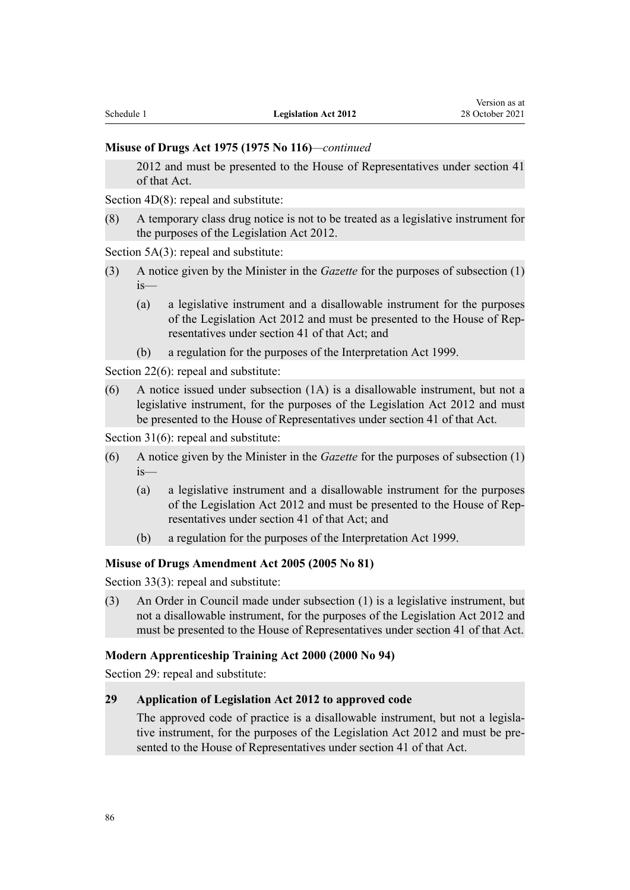#### **Misuse of Drugs Act 1975 (1975 No 116)***—continued*

2012 and must be presented to the House of Representatives under section 41 of that Act.

[Section 4D\(8\)](http://legislation.govt.nz/pdflink.aspx?id=DLM3935909): repeal and substitute:

(8) A temporary class drug notice is not to be treated as a legislative instrument for the purposes of the Legislation Act 2012.

[Section 5A\(3](http://legislation.govt.nz/pdflink.aspx?id=DLM436218)): repeal and substitute:

- (3) A notice given by the Minister in the *Gazette* for the purposes of subsection (1) is—
	- (a) a legislative instrument and a disallowable instrument for the purposes of the Legislation Act 2012 and must be presented to the House of Rep‐ resentatives under section 41 of that Act; and
	- (b) a regulation for the purposes of the Interpretation Act 1999.

[Section 22\(6\)](http://legislation.govt.nz/pdflink.aspx?id=DLM436453): repeal and substitute:

(6) A notice issued under subsection (1A) is a disallowable instrument, but not a legislative instrument, for the purposes of the Legislation Act 2012 and must be presented to the House of Representatives under section 41 of that Act.

[Section 31\(6\)](http://legislation.govt.nz/pdflink.aspx?id=DLM436508): repeal and substitute:

- (6) A notice given by the Minister in the *Gazette* for the purposes of subsection (1) is—
	- (a) a legislative instrument and a disallowable instrument for the purposes of the Legislation Act 2012 and must be presented to the House of Rep‐ resentatives under section 41 of that Act; and
	- (b) a regulation for the purposes of the Interpretation Act 1999.

# **Misuse of Drugs Amendment Act 2005 (2005 No 81)**

[Section 33\(3\)](http://legislation.govt.nz/pdflink.aspx?id=DLM356807): repeal and substitute:

(3) An Order in Council made under subsection (1) is a legislative instrument, but not a disallowable instrument, for the purposes of the Legislation Act 2012 and must be presented to the House of Representatives under section 41 of that Act.

#### **Modern Apprenticeship Training Act 2000 (2000 No 94)**

[Section 29](http://legislation.govt.nz/pdflink.aspx?id=DLM84913): repeal and substitute:

# **29 Application of Legislation Act 2012 to approved code**

The approved code of practice is a disallowable instrument, but not a legislative instrument, for the purposes of the Legislation Act 2012 and must be presented to the House of Representatives under section 41 of that Act.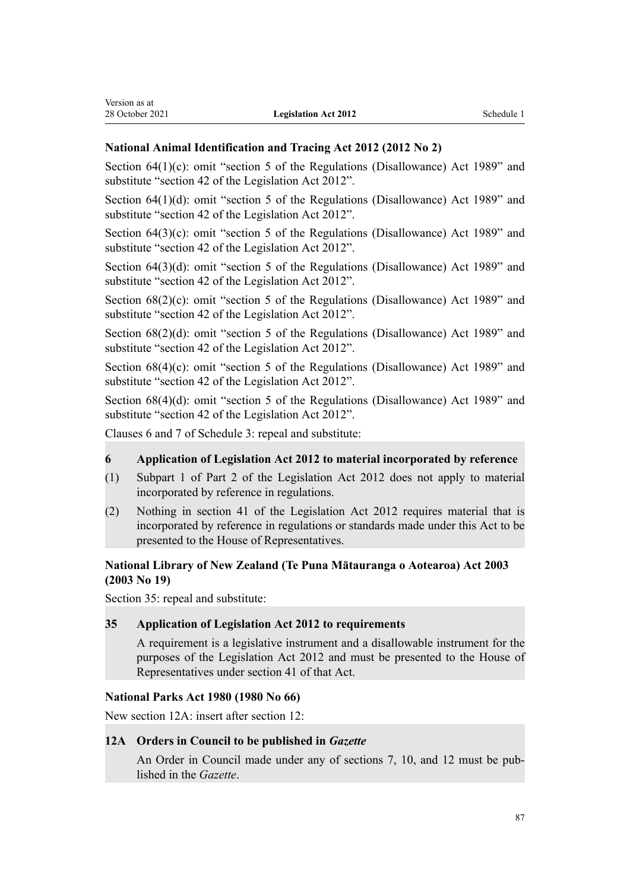Version as at

#### **National Animal Identification and Tracing Act 2012 (2012 No 2)**

Section  $64(1)(c)$ : omit "section 5 of the Regulations (Disallowance) Act 1989" and substitute "section 42 of the Legislation Act 2012".

[Section 64\(1\)\(d\)](http://legislation.govt.nz/pdflink.aspx?id=DLM3430558): omit "section 5 of the Regulations (Disallowance) Act 1989" and substitute "section 42 of the Legislation Act 2012".

[Section 64\(3\)\(c\):](http://legislation.govt.nz/pdflink.aspx?id=DLM3430558) omit "section 5 of the Regulations (Disallowance) Act 1989" and substitute "section 42 of the Legislation Act 2012".

[Section 64\(3\)\(d\)](http://legislation.govt.nz/pdflink.aspx?id=DLM3430558): omit "section 5 of the Regulations (Disallowance) Act 1989" and substitute "section 42 of the Legislation Act 2012".

[Section 68\(2\)\(c\):](http://legislation.govt.nz/pdflink.aspx?id=DLM3865609) omit "section 5 of the Regulations (Disallowance) Act 1989" and substitute "section 42 of the Legislation Act 2012".

[Section 68\(2\)\(d\)](http://legislation.govt.nz/pdflink.aspx?id=DLM3865609): omit "section 5 of the Regulations (Disallowance) Act 1989" and substitute "section 42 of the Legislation Act 2012".

[Section 68\(4\)\(c\):](http://legislation.govt.nz/pdflink.aspx?id=DLM3865609) omit "section 5 of the Regulations (Disallowance) Act 1989" and substitute "section 42 of the Legislation Act 2012".

[Section 68\(4\)\(d\)](http://legislation.govt.nz/pdflink.aspx?id=DLM3865609): omit "section 5 of the Regulations (Disallowance) Act 1989" and substitute "section 42 of the Legislation Act 2012".

[Clauses 6](http://legislation.govt.nz/pdflink.aspx?id=DLM4274913) and [7](http://legislation.govt.nz/pdflink.aspx?id=DLM4274914) of Schedule 3: repeal and substitute:

# **6 Application of Legislation Act 2012 to material incorporated by reference**

- (1) Subpart 1 of Part 2 of the Legislation Act 2012 does not apply to material incorporated by reference in regulations.
- (2) Nothing in section 41 of the Legislation Act 2012 requires material that is incorporated by reference in regulations or standards made under this Act to be presented to the House of Representatives.

# **National Library of New Zealand (Te Puna Mātauranga o Aotearoa) Act 2003 (2003 No 19)**

[Section 35](http://legislation.govt.nz/pdflink.aspx?id=DLM192261): repeal and substitute:

# **35 Application of Legislation Act 2012 to requirements**

A requirement is a legislative instrument and a disallowable instrument for the purposes of the Legislation Act 2012 and must be presented to the House of Representatives under section 41 of that Act.

#### **National Parks Act 1980 (1980 No 66)**

New section 12A: insert after [section 12](http://legislation.govt.nz/pdflink.aspx?id=DLM37918):

# **12A Orders in Council to be published in** *Gazette*

An Order in Council made under any of sections 7, 10, and 12 must be pub‐ lished in the *Gazette*.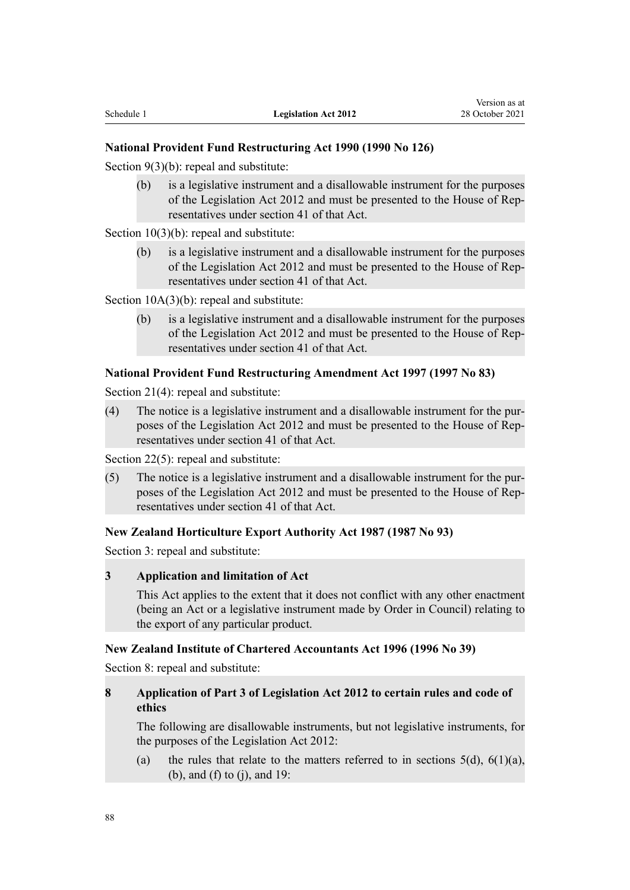# **National Provident Fund Restructuring Act 1990 (1990 No 126)**

[Section 9\(3\)\(b\)](http://legislation.govt.nz/pdflink.aspx?id=DLM225870): repeal and substitute:

(b) is a legislative instrument and a disallowable instrument for the purposes of the Legislation Act 2012 and must be presented to the House of Rep‐ resentatives under section 41 of that Act.

[Section 10\(3\)\(b\):](http://legislation.govt.nz/pdflink.aspx?id=DLM225871) repeal and substitute:

(b) is a legislative instrument and a disallowable instrument for the purposes of the Legislation Act 2012 and must be presented to the House of Rep‐ resentatives under section 41 of that Act.

[Section 10A\(3\)\(b\)](http://legislation.govt.nz/pdflink.aspx?id=DLM225872): repeal and substitute:

(b) is a legislative instrument and a disallowable instrument for the purposes of the Legislation Act 2012 and must be presented to the House of Rep‐ resentatives under section 41 of that Act.

#### **National Provident Fund Restructuring Amendment Act 1997 (1997 No 83)**

[Section 21\(4\)](http://legislation.govt.nz/pdflink.aspx?id=DLM413673): repeal and substitute:

(4) The notice is a legislative instrument and a disallowable instrument for the pur‐ poses of the Legislation Act 2012 and must be presented to the House of Rep‐ resentatives under section 41 of that Act.

[Section 22\(5\)](http://legislation.govt.nz/pdflink.aspx?id=DLM413674): repeal and substitute:

(5) The notice is a legislative instrument and a disallowable instrument for the pur‐ poses of the Legislation Act 2012 and must be presented to the House of Rep‐ resentatives under section 41 of that Act.

#### **New Zealand Horticulture Export Authority Act 1987 (1987 No 93)**

[Section 3](http://legislation.govt.nz/pdflink.aspx?id=DLM117719): repeal and substitute:

# **3 Application and limitation of Act**

This Act applies to the extent that it does not conflict with any other enactment (being an Act or a legislative instrument made by Order in Council) relating to the export of any particular product.

#### **New Zealand Institute of Chartered Accountants Act 1996 (1996 No 39)**

[Section 8](http://legislation.govt.nz/pdflink.aspx?id=DLM391407): repeal and substitute:

# **8 Application of Part 3 of Legislation Act 2012 to certain rules and code of ethics**

The following are disallowable instruments, but not legislative instruments, for the purposes of the Legislation Act 2012:

(a) the rules that relate to the matters referred to in sections  $5(d)$ ,  $6(1)(a)$ , (b), and (f) to (j), and 19: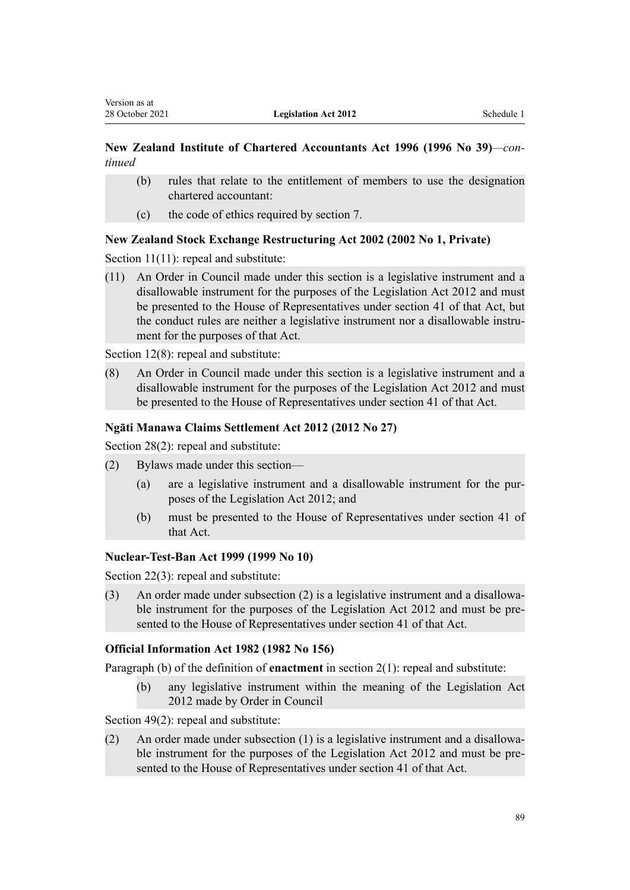# **New Zealand Institute of Chartered Accountants Act 1996 (1996 No 39)***—con‐ tinued*

- (b) rules that relate to the entitlement of members to use the designation chartered accountant:
- (c) the code of ethics required by section 7.

# **New Zealand Stock Exchange Restructuring Act 2002 (2002 No 1, Private)**

[Section 11\(11\)](http://legislation.govt.nz/pdflink.aspx?id=DLM120867): repeal and substitute:

(11) An Order in Council made under this section is a legislative instrument and a disallowable instrument for the purposes of the Legislation Act 2012 and must be presented to the House of Representatives under section 41 of that Act, but the conduct rules are neither a legislative instrument nor a disallowable instrument for the purposes of that Act.

[Section 12\(8\)](http://legislation.govt.nz/pdflink.aspx?id=DLM120871): repeal and substitute:

(8) An Order in Council made under this section is a legislative instrument and a disallowable instrument for the purposes of the Legislation Act 2012 and must be presented to the House of Representatives under section 41 of that Act.

# **Ngāti Manawa Claims Settlement Act 2012 (2012 No 27)**

Section 28(2): repeal and substitute:

- (2) Bylaws made under this section—
	- (a) are a legislative instrument and a disallowable instrument for the pur‐ poses of the Legislation Act 2012; and
	- (b) must be presented to the House of Representatives under section 41 of that Act.

# **Nuclear-Test-Ban Act 1999 (1999 No 10)**

[Section 22\(3\)](http://legislation.govt.nz/pdflink.aspx?id=DLM20134): repeal and substitute:

(3) An order made under subsection (2) is a legislative instrument and a disallowa‐ ble instrument for the purposes of the Legislation Act 2012 and must be presented to the House of Representatives under section 41 of that Act.

# **Official Information Act 1982 (1982 No 156)**

Paragraph (b) of the definition of **enactment** in [section 2\(1\):](http://legislation.govt.nz/pdflink.aspx?id=DLM64790) repeal and substitute:

(b) any legislative instrument within the meaning of the Legislation Act 2012 made by Order in Council

[Section 49\(2\)](http://legislation.govt.nz/pdflink.aspx?id=DLM65914): repeal and substitute:

(2) An order made under subsection  $(1)$  is a legislative instrument and a disallowable instrument for the purposes of the Legislation Act 2012 and must be presented to the House of Representatives under section 41 of that Act.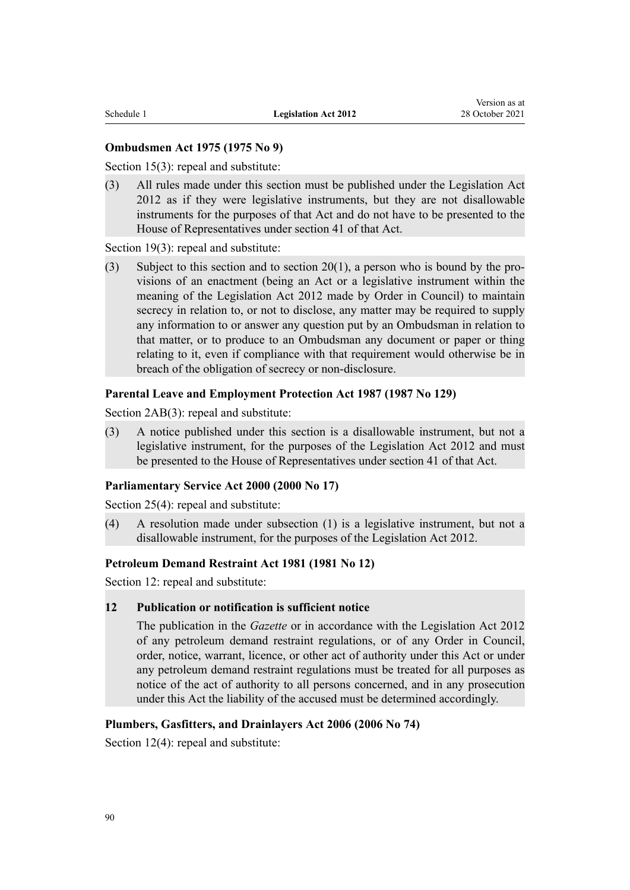# **Ombudsmen Act 1975 (1975 No 9)**

[Section 15\(3\)](http://legislation.govt.nz/pdflink.aspx?id=DLM431127): repeal and substitute:

(3) All rules made under this section must be published under the Legislation Act 2012 as if they were legislative instruments, but they are not disallowable instruments for the purposes of that Act and do not have to be presented to the House of Representatives under section 41 of that Act.

[Section 19\(3\)](http://legislation.govt.nz/pdflink.aspx?id=DLM431148): repeal and substitute:

(3) Subject to this section and to section  $20(1)$ , a person who is bound by the provisions of an enactment (being an Act or a legislative instrument within the meaning of the Legislation Act 2012 made by Order in Council) to maintain secrecy in relation to, or not to disclose, any matter may be required to supply any information to or answer any question put by an Ombudsman in relation to that matter, or to produce to an Ombudsman any document or paper or thing relating to it, even if compliance with that requirement would otherwise be in breach of the obligation of secrecy or non-disclosure.

#### **Parental Leave and Employment Protection Act 1987 (1987 No 129)**

[Section 2AB\(3\):](http://legislation.govt.nz/pdflink.aspx?id=DLM120414) repeal and substitute:

(3) A notice published under this section is a disallowable instrument, but not a legislative instrument, for the purposes of the Legislation Act 2012 and must be presented to the House of Representatives under section 41 of that Act.

#### **Parliamentary Service Act 2000 (2000 No 17)**

[Section 25\(4\)](http://legislation.govt.nz/pdflink.aspx?id=DLM56309): repeal and substitute:

(4) A resolution made under subsection (1) is a legislative instrument, but not a disallowable instrument, for the purposes of the Legislation Act 2012.

# **Petroleum Demand Restraint Act 1981 (1981 No 12)**

[Section 12](http://legislation.govt.nz/pdflink.aspx?id=DLM44047): repeal and substitute:

#### **12 Publication or notification is sufficient notice**

The publication in the *Gazette* or in accordance with the Legislation Act 2012 of any petroleum demand restraint regulations, or of any Order in Council, order, notice, warrant, licence, or other act of authority under this Act or under any petroleum demand restraint regulations must be treated for all purposes as notice of the act of authority to all persons concerned, and in any prosecution under this Act the liability of the accused must be determined accordingly.

#### **Plumbers, Gasfitters, and Drainlayers Act 2006 (2006 No 74)**

[Section 12\(4\)](http://legislation.govt.nz/pdflink.aspx?id=DLM397084): repeal and substitute: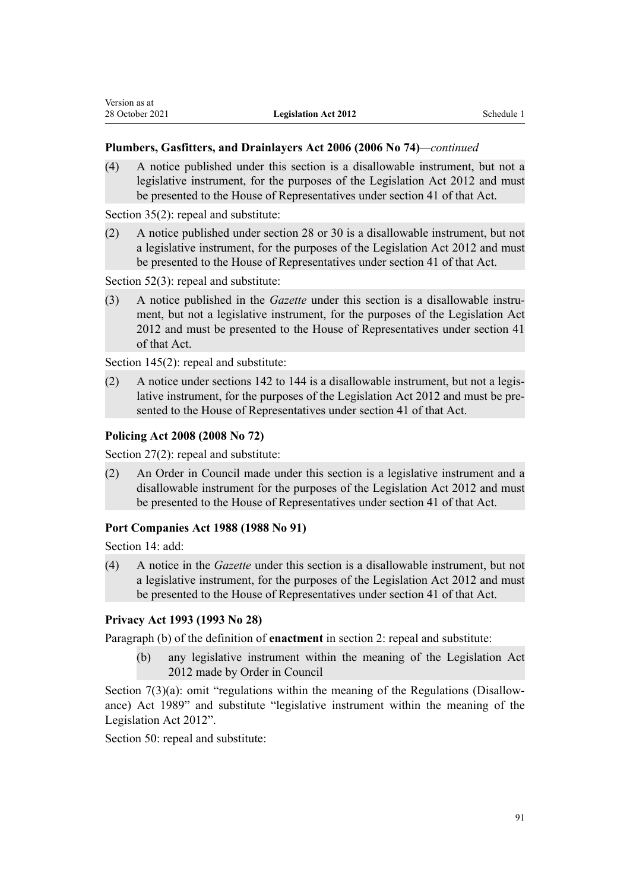# **Plumbers, Gasfitters, and Drainlayers Act 2006 (2006 No 74)***—continued*

(4) A notice published under this section is a disallowable instrument, but not a legislative instrument, for the purposes of the Legislation Act 2012 and must be presented to the House of Representatives under section 41 of that Act.

[Section 35\(2\)](http://legislation.govt.nz/pdflink.aspx?id=DLM397116): repeal and substitute:

(2) A notice published under section 28 or 30 is a disallowable instrument, but not a legislative instrument, for the purposes of the Legislation Act 2012 and must be presented to the House of Representatives under section 41 of that Act.

[Section 52\(3\)](http://legislation.govt.nz/pdflink.aspx?id=DLM397137): repeal and substitute:

(3) A notice published in the *Gazette* under this section is a disallowable instrument, but not a legislative instrument, for the purposes of the Legislation Act 2012 and must be presented to the House of Representatives under section 41 of that Act.

[Section 145\(2\)](http://legislation.govt.nz/pdflink.aspx?id=DLM397751): repeal and substitute:

(2) A notice under sections 142 to 144 is a disallowable instrument, but not a legis‐ lative instrument, for the purposes of the Legislation Act 2012 and must be pre‐ sented to the House of Representatives under section 41 of that Act.

# **Policing Act 2008 (2008 No 72)**

[Section 27\(2\)](http://legislation.govt.nz/pdflink.aspx?id=DLM1102211): repeal and substitute:

(2) An Order in Council made under this section is a legislative instrument and a disallowable instrument for the purposes of the Legislation Act 2012 and must be presented to the House of Representatives under section 41 of that Act.

# **Port Companies Act 1988 (1988 No 91)**

[Section 14](http://legislation.govt.nz/pdflink.aspx?id=DLM132157): add:

(4) A notice in the *Gazette* under this section is a disallowable instrument, but not a legislative instrument, for the purposes of the Legislation Act 2012 and must be presented to the House of Representatives under section 41 of that Act.

# **Privacy Act 1993 (1993 No 28)**

Paragraph (b) of the definition of **enactment** in [section 2](http://legislation.govt.nz/pdflink.aspx?id=DLM296645): repeal and substitute:

(b) any legislative instrument within the meaning of the Legislation Act 2012 made by Order in Council

Section  $7(3)(a)$ : omit "regulations within the meaning of the Regulations (Disallowance) Act 1989" and substitute "legislative instrument within the meaning of the Legislation Act 2012".

[Section 50](http://legislation.govt.nz/pdflink.aspx?id=DLM297414): repeal and substitute: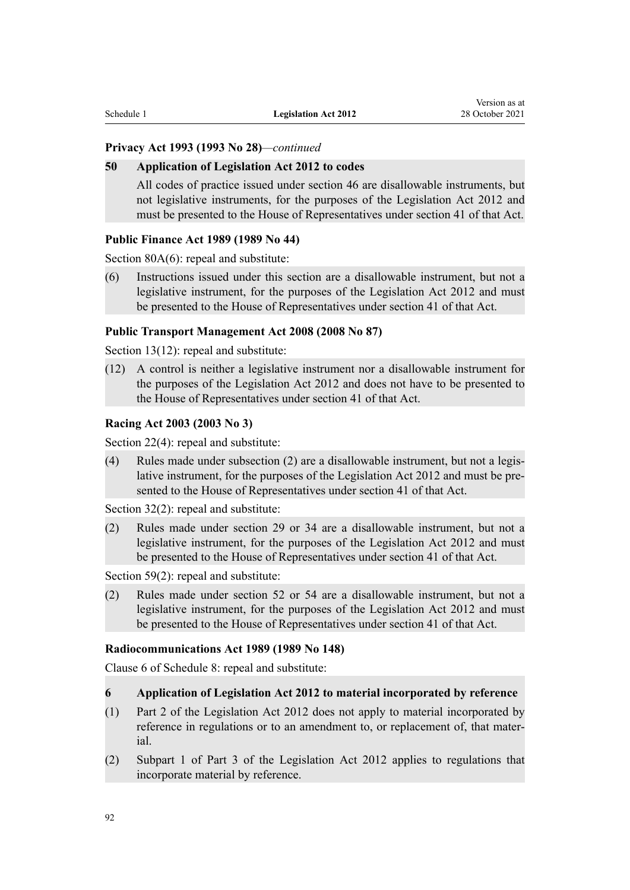# **Privacy Act 1993 (1993 No 28)***—continued*

#### **50 Application of Legislation Act 2012 to codes**

All codes of practice issued under section 46 are disallowable instruments, but not legislative instruments, for the purposes of the Legislation Act 2012 and must be presented to the House of Representatives under section 41 of that Act.

# **Public Finance Act 1989 (1989 No 44)**

[Section 80A\(6\):](http://legislation.govt.nz/pdflink.aspx?id=DLM163153) repeal and substitute:

(6) Instructions issued under this section are a disallowable instrument, but not a legislative instrument, for the purposes of the Legislation Act 2012 and must be presented to the House of Representatives under section 41 of that Act.

#### **Public Transport Management Act 2008 (2008 No 87)**

[Section 13\(12\)](http://legislation.govt.nz/pdflink.aspx?id=DLM1465946): repeal and substitute:

(12) A control is neither a legislative instrument nor a disallowable instrument for the purposes of the Legislation Act 2012 and does not have to be presented to the House of Representatives under section 41 of that Act.

#### **Racing Act 2003 (2003 No 3)**

[Section 22\(4\)](http://legislation.govt.nz/pdflink.aspx?id=DLM184475): repeal and substitute:

(4) Rules made under subsection (2) are a disallowable instrument, but not a legis‐ lative instrument, for the purposes of the Legislation Act 2012 and must be presented to the House of Representatives under section 41 of that Act.

[Section 32\(2\)](http://legislation.govt.nz/pdflink.aspx?id=DLM184488): repeal and substitute:

(2) Rules made under section 29 or 34 are a disallowable instrument, but not a legislative instrument, for the purposes of the Legislation Act 2012 and must be presented to the House of Representatives under section 41 of that Act.

[Section 59\(2\)](http://legislation.govt.nz/pdflink.aspx?id=DLM185026): repeal and substitute:

(2) Rules made under section 52 or 54 are a disallowable instrument, but not a legislative instrument, for the purposes of the Legislation Act 2012 and must be presented to the House of Representatives under section 41 of that Act.

#### **Radiocommunications Act 1989 (1989 No 148)**

[Clause 6](http://legislation.govt.nz/pdflink.aspx?id=DLM1460713) of Schedule 8: repeal and substitute:

#### **6 Application of Legislation Act 2012 to material incorporated by reference**

- (1) Part 2 of the Legislation Act 2012 does not apply to material incorporated by reference in regulations or to an amendment to, or replacement of, that mater‐ ial.
- (2) Subpart 1 of Part 3 of the Legislation Act 2012 applies to regulations that incorporate material by reference.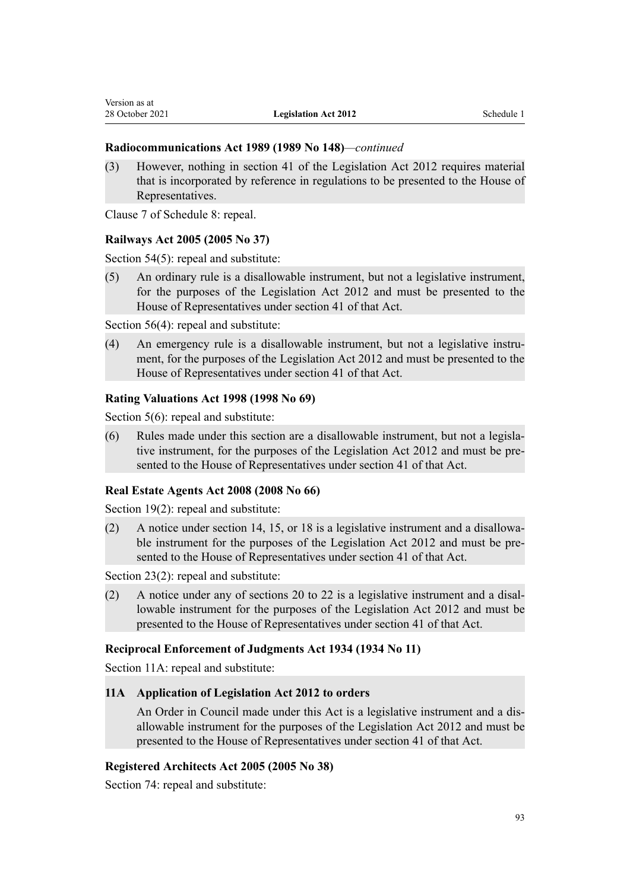# **Radiocommunications Act 1989 (1989 No 148)***—continued*

(3) However, nothing in section 41 of the Legislation Act 2012 requires material that is incorporated by reference in regulations to be presented to the House of Representatives.

[Clause 7](http://legislation.govt.nz/pdflink.aspx?id=DLM1460714) of Schedule 8: repeal.

Version as at

# **Railways Act 2005 (2005 No 37)**

[Section 54\(5\)](http://legislation.govt.nz/pdflink.aspx?id=DLM342633): repeal and substitute:

(5) An ordinary rule is a disallowable instrument, but not a legislative instrument, for the purposes of the Legislation Act 2012 and must be presented to the House of Representatives under section 41 of that Act.

[Section 56\(4\)](http://legislation.govt.nz/pdflink.aspx?id=DLM342635): repeal and substitute:

(4) An emergency rule is a disallowable instrument, but not a legislative instrument, for the purposes of the Legislation Act 2012 and must be presented to the House of Representatives under section 41 of that Act.

#### **Rating Valuations Act 1998 (1998 No 69)**

[Section 5\(6\):](http://legislation.govt.nz/pdflink.aspx?id=DLM427492) repeal and substitute:

(6) Rules made under this section are a disallowable instrument, but not a legisla‐ tive instrument, for the purposes of the Legislation Act 2012 and must be presented to the House of Representatives under section 41 of that Act.

# **Real Estate Agents Act 2008 (2008 No 66)**

[Section 19\(2\)](http://legislation.govt.nz/pdflink.aspx?id=DLM1151992): repeal and substitute:

(2) A notice under section 14, 15, or 18 is a legislative instrument and a disallowa‐ ble instrument for the purposes of the Legislation Act 2012 and must be presented to the House of Representatives under section 41 of that Act.

[Section 23\(2\)](http://legislation.govt.nz/pdflink.aspx?id=DLM1151997): repeal and substitute:

(2) A notice under any of sections 20 to 22 is a legislative instrument and a disal‐ lowable instrument for the purposes of the Legislation Act 2012 and must be presented to the House of Representatives under section 41 of that Act.

# **Reciprocal Enforcement of Judgments Act 1934 (1934 No 11)**

[Section 11A:](http://legislation.govt.nz/pdflink.aspx?id=DLM216726) repeal and substitute:

#### **11A Application of Legislation Act 2012 to orders**

An Order in Council made under this Act is a legislative instrument and a dis‐ allowable instrument for the purposes of the Legislation Act 2012 and must be presented to the House of Representatives under section 41 of that Act.

# **Registered Architects Act 2005 (2005 No 38)**

[Section 74](http://legislation.govt.nz/pdflink.aspx?id=DLM344079): repeal and substitute: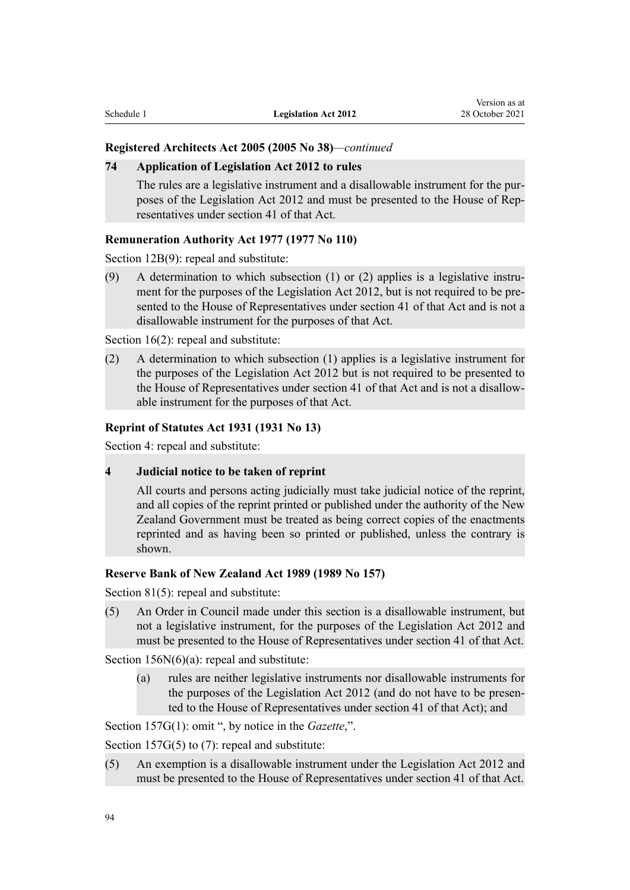#### **Registered Architects Act 2005 (2005 No 38)***—continued*

#### **74 Application of Legislation Act 2012 to rules**

The rules are a legislative instrument and a disallowable instrument for the purposes of the Legislation Act 2012 and must be presented to the House of Rep‐ resentatives under section 41 of that Act.

#### **Remuneration Authority Act 1977 (1977 No 110)**

[Section 12B\(9\)](http://legislation.govt.nz/pdflink.aspx?id=DLM16119): repeal and substitute:

(9) A determination to which subsection  $(1)$  or  $(2)$  applies is a legislative instrument for the purposes of the Legislation Act 2012, but is not required to be presented to the House of Representatives under section 41 of that Act and is not a disallowable instrument for the purposes of that Act.

[Section 16\(2\)](http://legislation.govt.nz/pdflink.aspx?id=DLM16152): repeal and substitute:

(2) A determination to which subsection (1) applies is a legislative instrument for the purposes of the Legislation Act 2012 but is not required to be presented to the House of Representatives under section 41 of that Act and is not a disallow‐ able instrument for the purposes of that Act.

#### **Reprint of Statutes Act 1931 (1931 No 13)**

[Section 4](http://legislation.govt.nz/pdflink.aspx?id=DLM209558): repeal and substitute:

**4 Judicial notice to be taken of reprint**

All courts and persons acting judicially must take judicial notice of the reprint, and all copies of the reprint printed or published under the authority of the New Zealand Government must be treated as being correct copies of the enactments reprinted and as having been so printed or published, unless the contrary is shown.

# **Reserve Bank of New Zealand Act 1989 (1989 No 157)**

[Section 81\(5\)](http://legislation.govt.nz/pdflink.aspx?id=DLM200387): repeal and substitute:

(5) An Order in Council made under this section is a disallowable instrument, but not a legislative instrument, for the purposes of the Legislation Act 2012 and must be presented to the House of Representatives under section 41 of that Act.

[Section 156N\(6\)\(a\)](http://legislation.govt.nz/pdflink.aspx?id=DLM202025): repeal and substitute:

(a) rules are neither legislative instruments nor disallowable instruments for the purposes of the Legislation Act 2012 (and do not have to be presented to the House of Representatives under section 41 of that Act); and

[Section 157G\(1\)](http://legislation.govt.nz/pdflink.aspx?id=DLM1607351): omit ", by notice in the *Gazette*,".

[Section 157G\(5\) to \(7\):](http://legislation.govt.nz/pdflink.aspx?id=DLM1607351) repeal and substitute:

(5) An exemption is a disallowable instrument under the Legislation Act 2012 and must be presented to the House of Representatives under section 41 of that Act.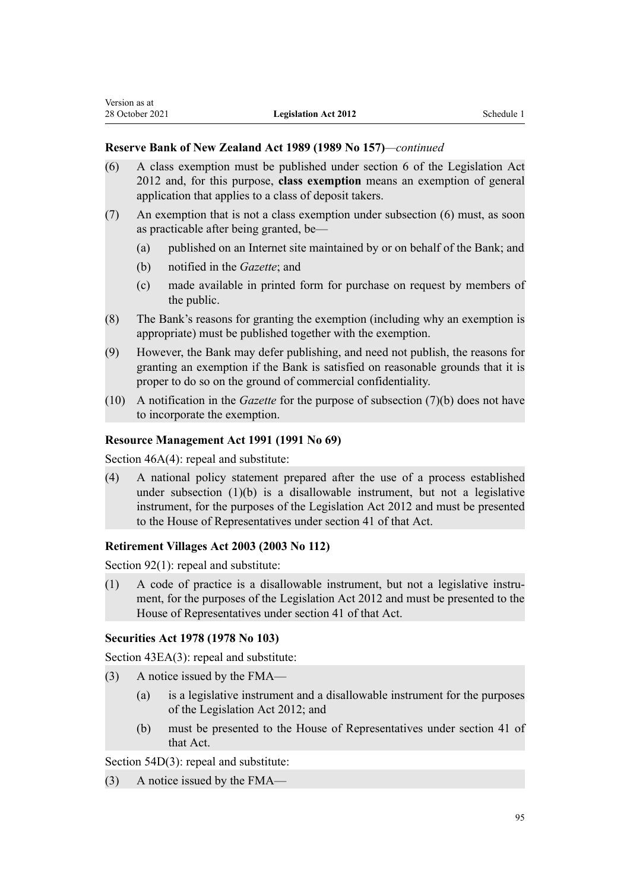# **Reserve Bank of New Zealand Act 1989 (1989 No 157)***—continued*

- (6) A class exemption must be published under section 6 of the Legislation Act 2012 and, for this purpose, **class exemption** means an exemption of general application that applies to a class of deposit takers.
- (7) An exemption that is not a class exemption under subsection (6) must, as soon as practicable after being granted, be—
	- (a) published on an Internet site maintained by or on behalf of the Bank; and
	- (b) notified in the *Gazette*; and
	- (c) made available in printed form for purchase on request by members of the public.
- (8) The Bank's reasons for granting the exemption (including why an exemption is appropriate) must be published together with the exemption.
- (9) However, the Bank may defer publishing, and need not publish, the reasons for granting an exemption if the Bank is satisfied on reasonable grounds that it is proper to do so on the ground of commercial confidentiality.
- (10) A notification in the *Gazette* for the purpose of subsection (7)(b) does not have to incorporate the exemption.

# **Resource Management Act 1991 (1991 No 69)**

[Section 46A\(4\):](http://legislation.govt.nz/pdflink.aspx?id=DLM233349) repeal and substitute:

(4) A national policy statement prepared after the use of a process established under subsection (1)(b) is a disallowable instrument, but not a legislative instrument, for the purposes of the Legislation Act 2012 and must be presented to the House of Representatives under section 41 of that Act.

# **Retirement Villages Act 2003 (2003 No 112)**

[Section 92\(1\)](http://legislation.govt.nz/pdflink.aspx?id=DLM220959): repeal and substitute:

(1) A code of practice is a disallowable instrument, but not a legislative instru‐ ment, for the purposes of the Legislation Act 2012 and must be presented to the House of Representatives under section 41 of that Act.

# **Securities Act 1978 (1978 No 103)**

[Section 43EA\(3\):](http://legislation.govt.nz/pdflink.aspx?id=DLM3723298) repeal and substitute:

- (3) A notice issued by the FMA—
	- (a) is a legislative instrument and a disallowable instrument for the purposes of the Legislation Act 2012; and
	- (b) must be presented to the House of Representatives under section 41 of that Act.

[Section 54D\(3\):](http://legislation.govt.nz/pdflink.aspx?id=DLM3726527) repeal and substitute:

(3) A notice issued by the FMA—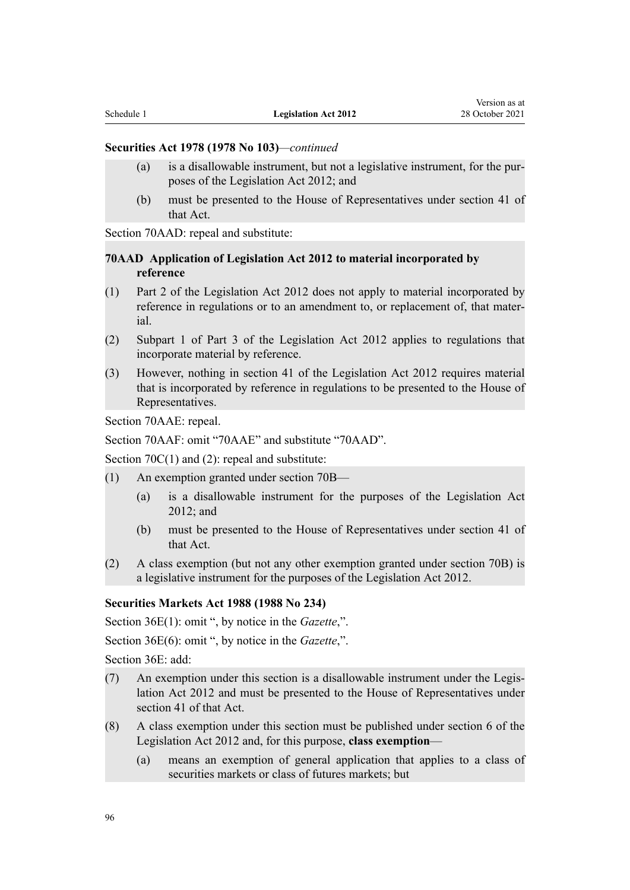### **Securities Act 1978 (1978 No 103)***—continued*

- (a) is a disallowable instrument, but not a legislative instrument, for the pur‐ poses of the Legislation Act 2012; and
- (b) must be presented to the House of Representatives under section 41 of that Act.

[Section 70AAD:](http://legislation.govt.nz/pdflink.aspx?id=DLM30158) repeal and substitute:

### **70AAD Application of Legislation Act 2012 to material incorporated by reference**

- (1) Part 2 of the Legislation Act 2012 does not apply to material incorporated by reference in regulations or to an amendment to, or replacement of, that mater‐ ial.
- (2) Subpart 1 of Part 3 of the Legislation Act 2012 applies to regulations that incorporate material by reference.
- (3) However, nothing in section 41 of the Legislation Act 2012 requires material that is incorporated by reference in regulations to be presented to the House of Representatives.

[Section 70AAE:](http://legislation.govt.nz/pdflink.aspx?id=DLM30160) repeal.

[Section 70AAF](http://legislation.govt.nz/pdflink.aspx?id=DLM30162): omit "70AAE" and substitute "70AAD".

[Section 70C\(1\) and \(2\):](http://legislation.govt.nz/pdflink.aspx?id=DLM3727624) repeal and substitute:

- (1) An exemption granted under section 70B—
	- (a) is a disallowable instrument for the purposes of the Legislation Act 2012; and
	- (b) must be presented to the House of Representatives under section 41 of that Act.
- (2) A class exemption (but not any other exemption granted under section 70B) is a legislative instrument for the purposes of the Legislation Act 2012.

#### **Securities Markets Act 1988 (1988 No 234)**

[Section 36E\(1\):](http://legislation.govt.nz/pdflink.aspx?id=DLM141338) omit ", by notice in the *Gazette*,".

[Section 36E\(6\):](http://legislation.govt.nz/pdflink.aspx?id=DLM141338) omit ", by notice in the *Gazette*,".

[Section 36E](http://legislation.govt.nz/pdflink.aspx?id=DLM141338): add:

- (7) An exemption under this section is a disallowable instrument under the Legis‐ lation Act 2012 and must be presented to the House of Representatives under section 41 of that Act.
- (8) A class exemption under this section must be published under section 6 of the Legislation Act 2012 and, for this purpose, **class exemption**—
	- (a) means an exemption of general application that applies to a class of securities markets or class of futures markets; but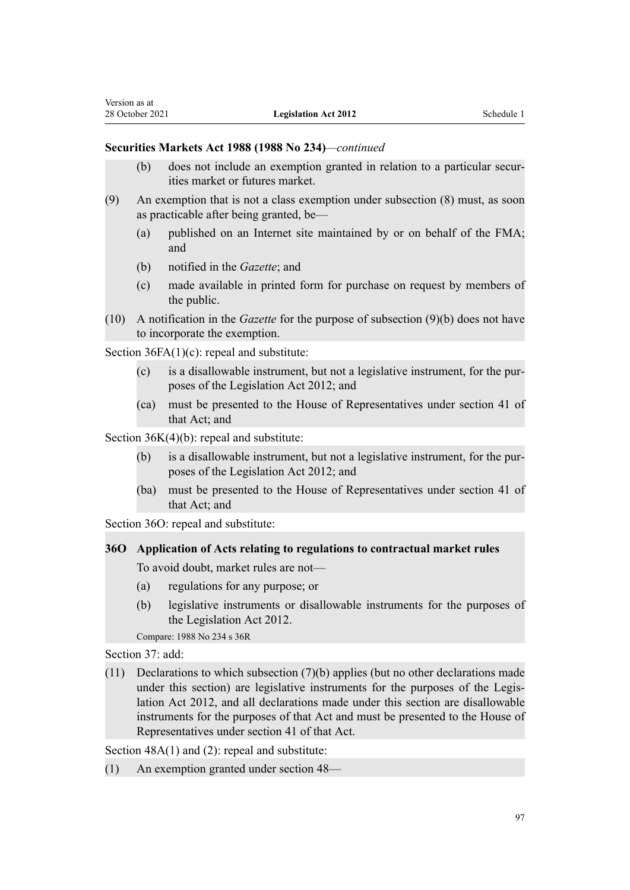### **Securities Markets Act 1988 (1988 No 234)***—continued*

- (b) does not include an exemption granted in relation to a particular securities market or futures market.
- (9) An exemption that is not a class exemption under subsection (8) must, as soon as practicable after being granted, be—
	- (a) published on an Internet site maintained by or on behalf of the FMA; and
	- (b) notified in the *Gazette*; and
	- (c) made available in printed form for purchase on request by members of the public.
- (10) A notification in the *Gazette* for the purpose of subsection (9)(b) does not have to incorporate the exemption.

[Section 36FA\(1\)\(c\)](http://legislation.govt.nz/pdflink.aspx?id=DLM3702011): repeal and substitute:

- (c) is a disallowable instrument, but not a legislative instrument, for the pur‐ poses of the Legislation Act 2012; and
- (ca) must be presented to the House of Representatives under section 41 of that Act; and

[Section 36K\(4\)\(b\)](http://legislation.govt.nz/pdflink.aspx?id=DLM141355): repeal and substitute:

- (b) is a disallowable instrument, but not a legislative instrument, for the pur‐ poses of the Legislation Act 2012; and
- (ba) must be presented to the House of Representatives under section 41 of that Act; and

[Section 36O](http://legislation.govt.nz/pdflink.aspx?id=DLM141364): repeal and substitute:

# **36O Application of Acts relating to regulations to contractual market rules**

To avoid doubt, market rules are not—

- (a) regulations for any purpose; or
- (b) legislative instruments or disallowable instruments for the purposes of the Legislation Act 2012.

Compare: 1988 No 234 [s 36R](http://legislation.govt.nz/pdflink.aspx?id=DLM141370)

[Section 37](http://legislation.govt.nz/pdflink.aspx?id=DLM141755): add:

(11) Declarations to which subsection (7)(b) applies (but no other declarations made under this section) are legislative instruments for the purposes of the Legislation Act 2012, and all declarations made under this section are disallowable instruments for the purposes of that Act and must be presented to the House of Representatives under section 41 of that Act.

Section  $48A(1)$  and (2): repeal and substitute:

(1) An exemption granted under section 48—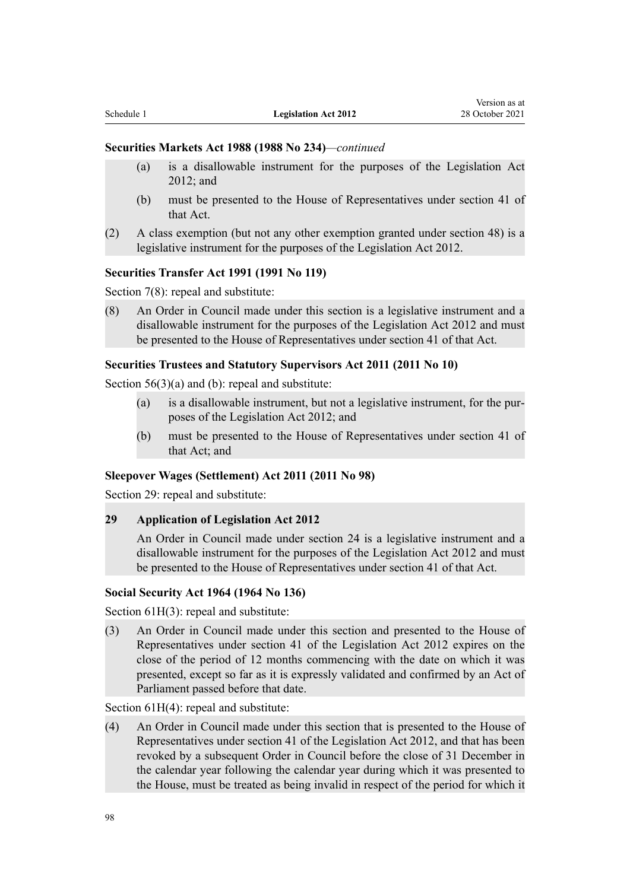# **Securities Markets Act 1988 (1988 No 234)***—continued*

(a) is a disallowable instrument for the purposes of the Legislation Act 2012; and

Version as at

- (b) must be presented to the House of Representatives under section 41 of that Act.
- (2) A class exemption (but not any other exemption granted under section 48) is a legislative instrument for the purposes of the Legislation Act 2012.

# **Securities Transfer Act 1991 (1991 No 119)**

[Section 7\(8\):](http://legislation.govt.nz/pdflink.aspx?id=DLM250653) repeal and substitute:

(8) An Order in Council made under this section is a legislative instrument and a disallowable instrument for the purposes of the Legislation Act 2012 and must be presented to the House of Representatives under section 41 of that Act.

# **Securities Trustees and Statutory Supervisors Act 2011 (2011 No 10)**

Section  $56(3)(a)$  and (b): repeal and substitute:

- (a) is a disallowable instrument, but not a legislative instrument, for the pur‐ poses of the Legislation Act 2012; and
- (b) must be presented to the House of Representatives under section 41 of that Act; and

# **Sleepover Wages (Settlement) Act 2011 (2011 No 98)**

[Section 29](http://legislation.govt.nz/pdflink.aspx?id=DLM4047712): repeal and substitute:

# **29 Application of Legislation Act 2012**

An Order in Council made under section 24 is a legislative instrument and a disallowable instrument for the purposes of the Legislation Act 2012 and must be presented to the House of Representatives under section 41 of that Act.

# **Social Security Act 1964 (1964 No 136)**

[Section 61H\(3\):](http://legislation.govt.nz/pdflink.aspx?id=DLM362960) repeal and substitute:

(3) An Order in Council made under this section and presented to the House of Representatives under section 41 of the Legislation Act 2012 expires on the close of the period of 12 months commencing with the date on which it was presented, except so far as it is expressly validated and confirmed by an Act of Parliament passed before that date.

[Section 61H\(4\):](http://legislation.govt.nz/pdflink.aspx?id=DLM362960) repeal and substitute:

(4) An Order in Council made under this section that is presented to the House of Representatives under section 41 of the Legislation Act 2012, and that has been revoked by a subsequent Order in Council before the close of 31 December in the calendar year following the calendar year during which it was presented to the House, must be treated as being invalid in respect of the period for which it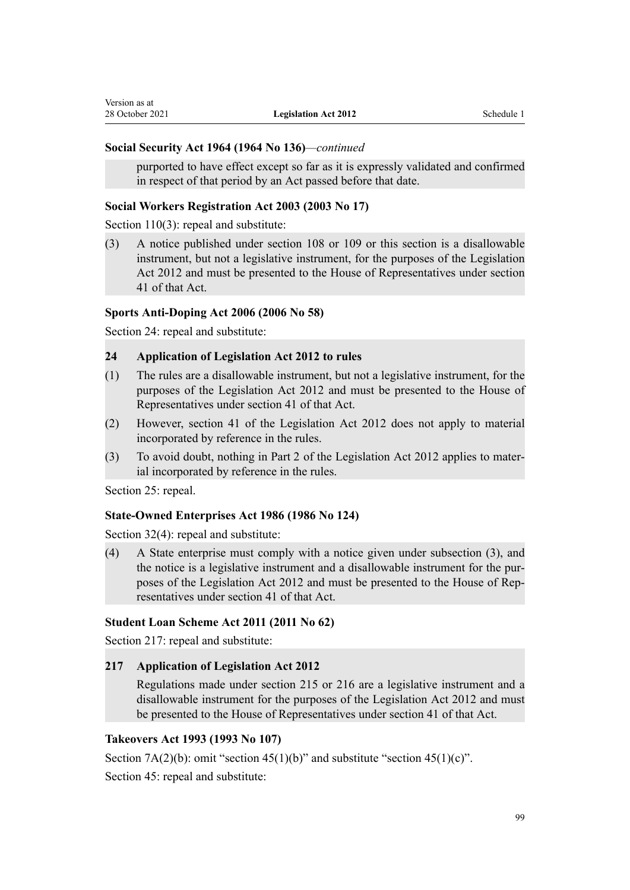#### **Social Security Act 1964 (1964 No 136)***—continued*

purported to have effect except so far as it is expressly validated and confirmed in respect of that period by an Act passed before that date.

#### **Social Workers Registration Act 2003 (2003 No 17)**

[Section 110\(3\):](http://legislation.govt.nz/pdflink.aspx?id=DLM190602) repeal and substitute:

(3) A notice published under section 108 or 109 or this section is a disallowable instrument, but not a legislative instrument, for the purposes of the Legislation Act 2012 and must be presented to the House of Representatives under section 41 of that Act.

# **Sports Anti-Doping Act 2006 (2006 No 58)**

[Section 24](http://legislation.govt.nz/pdflink.aspx?id=DLM390155): repeal and substitute:

#### **24 Application of Legislation Act 2012 to rules**

- (1) The rules are a disallowable instrument, but not a legislative instrument, for the purposes of the Legislation Act 2012 and must be presented to the House of Representatives under section 41 of that Act.
- (2) However, section 41 of the Legislation Act 2012 does not apply to material incorporated by reference in the rules.
- (3) To avoid doubt, nothing in Part 2 of the Legislation Act 2012 applies to mater‐ ial incorporated by reference in the rules.

[Section 25](http://legislation.govt.nz/pdflink.aspx?id=DLM390156): repeal.

#### **State-Owned Enterprises Act 1986 (1986 No 124)**

[Section 32\(4\)](http://legislation.govt.nz/pdflink.aspx?id=DLM390166): repeal and substitute:

(4) A State enterprise must comply with a notice given under subsection (3), and the notice is a legislative instrument and a disallowable instrument for the pur‐ poses of the Legislation Act 2012 and must be presented to the House of Rep‐ resentatives under section 41 of that Act.

# **Student Loan Scheme Act 2011 (2011 No 62)**

[Section 217:](http://legislation.govt.nz/pdflink.aspx?id=DLM3180439) repeal and substitute:

# **217 Application of Legislation Act 2012**

Regulations made under section 215 or 216 are a legislative instrument and a disallowable instrument for the purposes of the Legislation Act 2012 and must be presented to the House of Representatives under section 41 of that Act.

# **Takeovers Act 1993 (1993 No 107)**

Section  $7A(2)(b)$ : omit "section  $45(1)(b)$ " and substitute "section  $45(1)(c)$ ".

[Section 45](http://legislation.govt.nz/pdflink.aspx?id=DLM326754): repeal and substitute: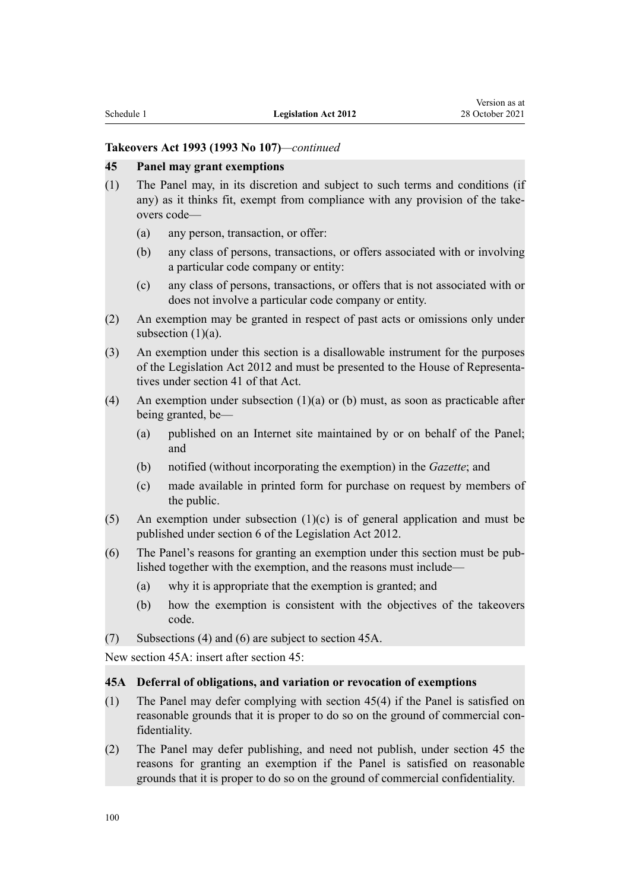# **Takeovers Act 1993 (1993 No 107)***—continued*

#### **45 Panel may grant exemptions**

- (1) The Panel may, in its discretion and subject to such terms and conditions (if any) as it thinks fit, exempt from compliance with any provision of the takeovers code—
	- (a) any person, transaction, or offer:
	- (b) any class of persons, transactions, or offers associated with or involving a particular code company or entity:
	- (c) any class of persons, transactions, or offers that is not associated with or does not involve a particular code company or entity.
- (2) An exemption may be granted in respect of past acts or omissions only under subsection  $(1)(a)$ .
- (3) An exemption under this section is a disallowable instrument for the purposes of the Legislation Act 2012 and must be presented to the House of Representa‐ tives under section 41 of that Act.
- (4) An exemption under subsection (1)(a) or (b) must, as soon as practicable after being granted, be—
	- (a) published on an Internet site maintained by or on behalf of the Panel; and
	- (b) notified (without incorporating the exemption) in the *Gazette*; and
	- (c) made available in printed form for purchase on request by members of the public.
- (5) An exemption under subsection  $(1)(c)$  is of general application and must be published under section 6 of the Legislation Act 2012.
- (6) The Panel's reasons for granting an exemption under this section must be pub‐ lished together with the exemption, and the reasons must include—
	- (a) why it is appropriate that the exemption is granted; and
	- (b) how the exemption is consistent with the objectives of the takeovers code.
- (7) Subsections (4) and (6) are subject to section 45A.

New section 45A: insert after [section 45](http://legislation.govt.nz/pdflink.aspx?id=DLM326754):

#### **45A Deferral of obligations, and variation or revocation of exemptions**

- (1) The Panel may defer complying with section 45(4) if the Panel is satisfied on reasonable grounds that it is proper to do so on the ground of commercial confidentiality.
- (2) The Panel may defer publishing, and need not publish, under section 45 the reasons for granting an exemption if the Panel is satisfied on reasonable grounds that it is proper to do so on the ground of commercial confidentiality.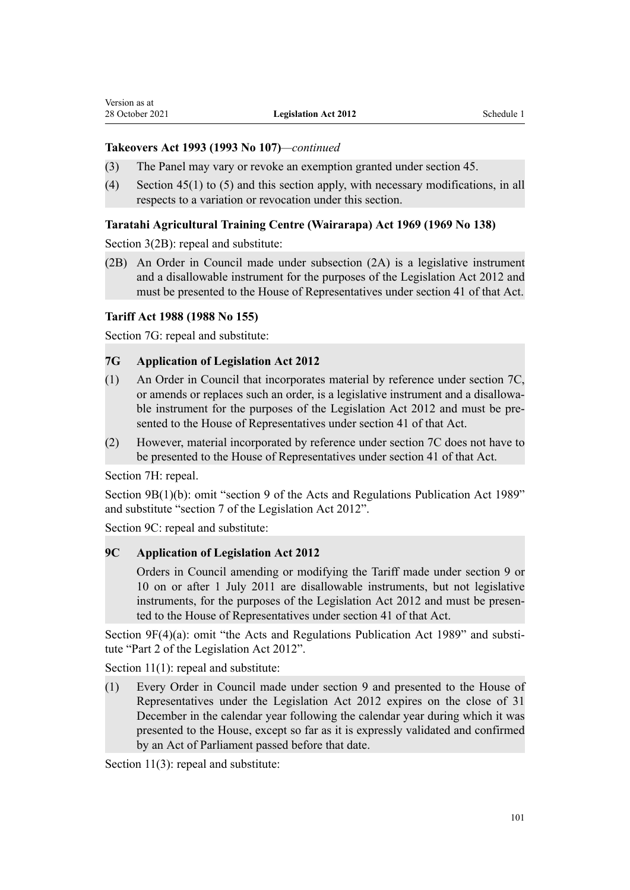# **Takeovers Act 1993 (1993 No 107)***—continued*

- (3) The Panel may vary or revoke an exemption granted under section 45.
- (4) Section 45(1) to (5) and this section apply, with necessary modifications, in all respects to a variation or revocation under this section.

# **Taratahi Agricultural Training Centre (Wairarapa) Act 1969 (1969 No 138)**

[Section 3\(2B\)](http://legislation.govt.nz/pdflink.aspx?id=DLM394082): repeal and substitute:

(2B) An Order in Council made under subsection (2A) is a legislative instrument and a disallowable instrument for the purposes of the Legislation Act 2012 and must be presented to the House of Representatives under section 41 of that Act.

#### **Tariff Act 1988 (1988 No 155)**

[Section 7G:](http://legislation.govt.nz/pdflink.aspx?id=DLM2680793) repeal and substitute:

#### **7G Application of Legislation Act 2012**

- (1) An Order in Council that incorporates material by reference under section 7C, or amends or replaces such an order, is a legislative instrument and a disallowa‐ ble instrument for the purposes of the Legislation Act 2012 and must be presented to the House of Representatives under section 41 of that Act.
- (2) However, material incorporated by reference under section 7C does not have to be presented to the House of Representatives under section 41 of that Act.

[Section 7H:](http://legislation.govt.nz/pdflink.aspx?id=DLM2680794) repeal.

[Section 9B\(1\)\(b\)](http://legislation.govt.nz/pdflink.aspx?id=DLM2681030): omit "section 9 of the Acts and Regulations Publication Act 1989" and substitute "section 7 of the Legislation Act 2012".

[Section 9C](http://legislation.govt.nz/pdflink.aspx?id=DLM2681031): repeal and substitute:

# **9C Application of Legislation Act 2012**

Orders in Council amending or modifying the Tariff made under section 9 or 10 on or after 1 July 2011 are disallowable instruments, but not legislative instruments, for the purposes of the Legislation Act 2012 and must be presented to the House of Representatives under section 41 of that Act.

[Section 9F\(4\)\(a\):](http://legislation.govt.nz/pdflink.aspx?id=DLM2681034) omit "the Acts and Regulations Publication Act 1989" and substitute "Part 2 of the Legislation Act 2012".

[Section 11\(1\)](http://legislation.govt.nz/pdflink.aspx?id=DLM137092): repeal and substitute:

(1) Every Order in Council made under section 9 and presented to the House of Representatives under the Legislation Act 2012 expires on the close of 31 December in the calendar year following the calendar year during which it was presented to the House, except so far as it is expressly validated and confirmed by an Act of Parliament passed before that date.

[Section 11\(3\)](http://legislation.govt.nz/pdflink.aspx?id=DLM137092): repeal and substitute: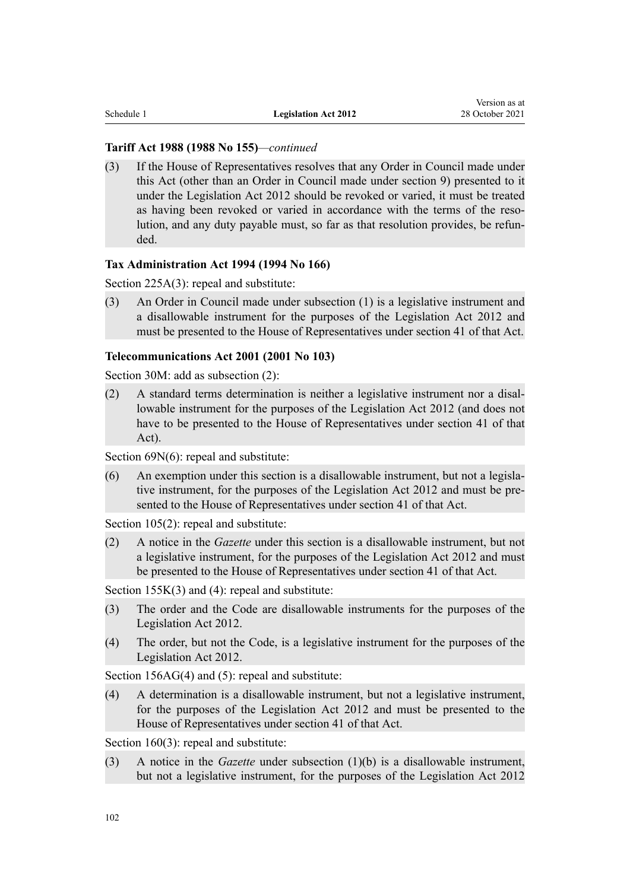### **Tariff Act 1988 (1988 No 155)***—continued*

(3) If the House of Representatives resolves that any Order in Council made under this Act (other than an Order in Council made under section 9) presented to it under the Legislation Act 2012 should be revoked or varied, it must be treated as having been revoked or varied in accordance with the terms of the resolution, and any duty payable must, so far as that resolution provides, be refunded.

# **Tax Administration Act 1994 (1994 No 166)**

[Section 225A\(3\):](http://legislation.govt.nz/pdflink.aspx?id=DLM359315) repeal and substitute:

(3) An Order in Council made under subsection (1) is a legislative instrument and a disallowable instrument for the purposes of the Legislation Act 2012 and must be presented to the House of Representatives under section 41 of that Act.

#### **Telecommunications Act 2001 (2001 No 103)**

[Section 30M](http://legislation.govt.nz/pdflink.aspx?id=DLM126039): add as subsection (2):

(2) A standard terms determination is neither a legislative instrument nor a disal‐ lowable instrument for the purposes of the Legislation Act 2012 (and does not have to be presented to the House of Representatives under section 41 of that Act).

[Section 69N\(6\):](http://legislation.govt.nz/pdflink.aspx?id=DLM4187643) repeal and substitute:

 $(6)$  An exemption under this section is a disallowable instrument, but not a legislative instrument, for the purposes of the Legislation Act 2012 and must be presented to the House of Representatives under section 41 of that Act.

[Section 105\(2\)](http://legislation.govt.nz/pdflink.aspx?id=DLM127189): repeal and substitute:

(2) A notice in the *Gazette* under this section is a disallowable instrument, but not a legislative instrument, for the purposes of the Legislation Act 2012 and must be presented to the House of Representatives under section 41 of that Act.

[Section 155K\(3\) and \(4\)](http://legislation.govt.nz/pdflink.aspx?id=DLM3874953): repeal and substitute:

- (3) The order and the Code are disallowable instruments for the purposes of the Legislation Act 2012.
- (4) The order, but not the Code, is a legislative instrument for the purposes of the Legislation Act 2012.

[Section 156AG\(4\) and \(5\):](http://legislation.govt.nz/pdflink.aspx?id=DLM3878042) repeal and substitute:

(4) A determination is a disallowable instrument, but not a legislative instrument, for the purposes of the Legislation Act 2012 and must be presented to the House of Representatives under section 41 of that Act.

[Section 160\(3\)](http://legislation.govt.nz/pdflink.aspx?id=DLM127742): repeal and substitute:

(3) A notice in the *Gazette* under subsection (1)(b) is a disallowable instrument, but not a legislative instrument, for the purposes of the Legislation Act 2012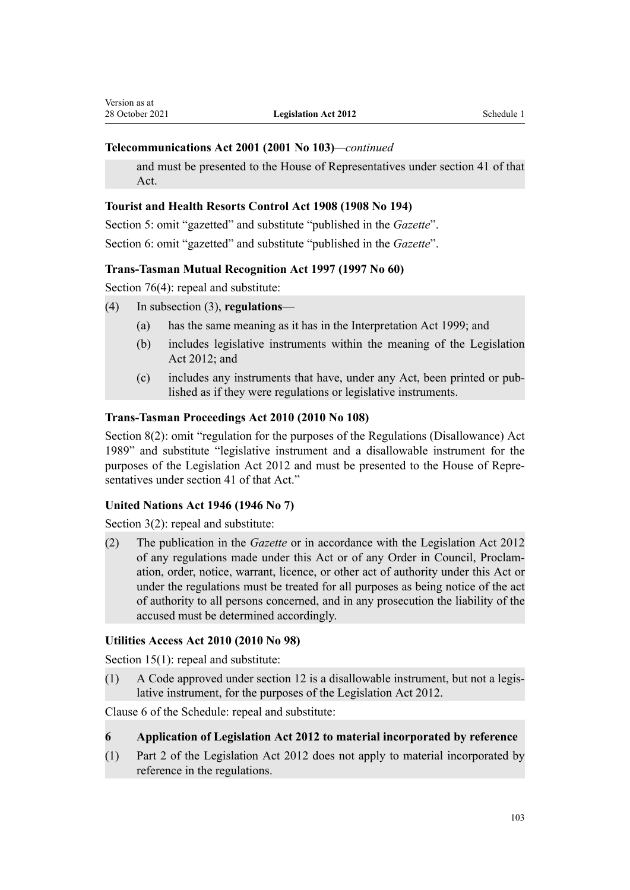# **Telecommunications Act 2001 (2001 No 103)***—continued*

and must be presented to the House of Representatives under section 41 of that Act.

# **Tourist and Health Resorts Control Act 1908 (1908 No 194)**

[Section 5](http://legislation.govt.nz/pdflink.aspx?id=DLM175080): omit "gazetted" and substitute "published in the *Gazette*". [Section 6](http://legislation.govt.nz/pdflink.aspx?id=DLM175081): omit "gazetted" and substitute "published in the *Gazette*".

# **Trans-Tasman Mutual Recognition Act 1997 (1997 No 60)**

[Section 76\(4\)](http://legislation.govt.nz/pdflink.aspx?id=DLM411366): repeal and substitute:

- (4) In subsection (3), **regulations**
	- (a) has the same meaning as it has in the Interpretation Act 1999; and
	- (b) includes legislative instruments within the meaning of the Legislation Act 2012; and
	- (c) includes any instruments that have, under any Act, been printed or pub‐ lished as if they were regulations or legislative instruments.

# **Trans-Tasman Proceedings Act 2010 (2010 No 108)**

[Section 8\(2\):](http://legislation.govt.nz/pdflink.aspx?id=DLM2576327) omit "regulation for the purposes of the Regulations (Disallowance) Act 1989" and substitute "legislative instrument and a disallowable instrument for the purposes of the Legislation Act 2012 and must be presented to the House of Repre‐ sentatives under section 41 of that Act."

# **United Nations Act 1946 (1946 No 7)**

[Section 3\(2\):](http://legislation.govt.nz/pdflink.aspx?id=DLM240511) repeal and substitute:

(2) The publication in the *Gazette* or in accordance with the Legislation Act 2012 of any regulations made under this Act or of any Order in Council, Proclam‐ ation, order, notice, warrant, licence, or other act of authority under this Act or under the regulations must be treated for all purposes as being notice of the act of authority to all persons concerned, and in any prosecution the liability of the accused must be determined accordingly.

# **Utilities Access Act 2010 (2010 No 98)**

[Section 15\(1\)](http://legislation.govt.nz/pdflink.aspx?id=DLM2248961): repeal and substitute:

 $(1)$  A Code approved under section 12 is a disallowable instrument, but not a legislative instrument, for the purposes of the Legislation Act 2012.

[Clause 6](http://legislation.govt.nz/pdflink.aspx?id=DLM2249035) of the Schedule: repeal and substitute:

# **6 Application of Legislation Act 2012 to material incorporated by reference**

(1) Part 2 of the Legislation Act 2012 does not apply to material incorporated by reference in the regulations.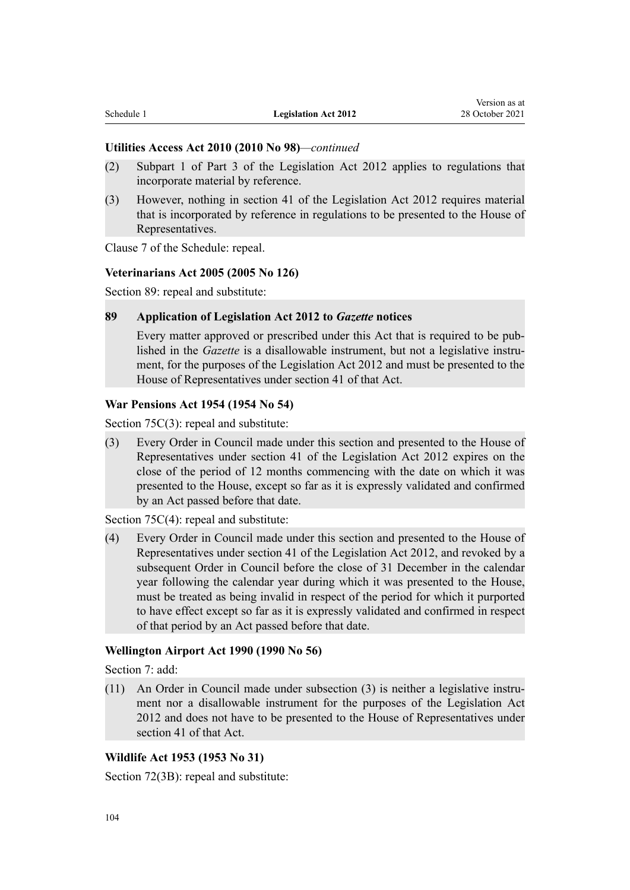# **Utilities Access Act 2010 (2010 No 98)***—continued*

- (2) Subpart 1 of Part 3 of the Legislation Act 2012 applies to regulations that incorporate material by reference.
- (3) However, nothing in section 41 of the Legislation Act 2012 requires material that is incorporated by reference in regulations to be presented to the House of Representatives.

[Clause 7](http://legislation.govt.nz/pdflink.aspx?id=DLM2249036) of the Schedule: repeal.

#### **Veterinarians Act 2005 (2005 No 126)**

[Section 89](http://legislation.govt.nz/pdflink.aspx?id=DLM364650): repeal and substitute:

#### **89 Application of Legislation Act 2012 to** *Gazette* **notices**

Every matter approved or prescribed under this Act that is required to be pub‐ lished in the *Gazette* is a disallowable instrument, but not a legislative instrument, for the purposes of the Legislation Act 2012 and must be presented to the House of Representatives under section 41 of that Act.

# **War Pensions Act 1954 (1954 No 54)**

[Section 75C\(3\)](http://legislation.govt.nz/pdflink.aspx?id=DLM285840): repeal and substitute:

(3) Every Order in Council made under this section and presented to the House of Representatives under section 41 of the Legislation Act 2012 expires on the close of the period of 12 months commencing with the date on which it was presented to the House, except so far as it is expressly validated and confirmed by an Act passed before that date.

[Section 75C\(4\)](http://legislation.govt.nz/pdflink.aspx?id=DLM285840): repeal and substitute:

(4) Every Order in Council made under this section and presented to the House of Representatives under section 41 of the Legislation Act 2012, and revoked by a subsequent Order in Council before the close of 31 December in the calendar year following the calendar year during which it was presented to the House, must be treated as being invalid in respect of the period for which it purported to have effect except so far as it is expressly validated and confirmed in respect of that period by an Act passed before that date.

# **Wellington Airport Act 1990 (1990 No 56)**

[Section 7](http://legislation.govt.nz/pdflink.aspx?id=DLM212340): add:

(11) An Order in Council made under subsection (3) is neither a legislative instru‐ ment nor a disallowable instrument for the purposes of the Legislation Act 2012 and does not have to be presented to the House of Representatives under section 41 of that Act.

# **Wildlife Act 1953 (1953 No 31)**

[Section 72\(3B\)](http://legislation.govt.nz/pdflink.aspx?id=DLM278527): repeal and substitute: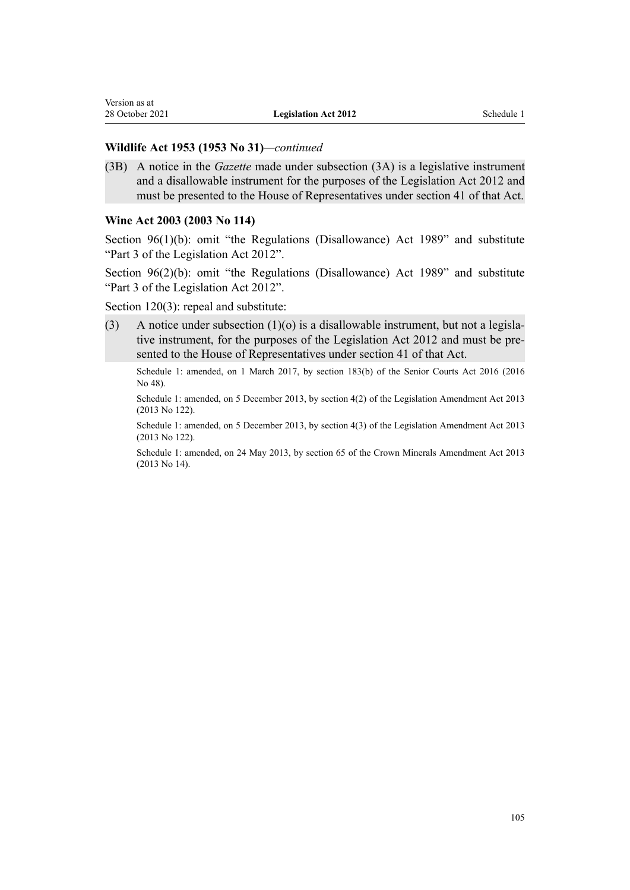#### **Wildlife Act 1953 (1953 No 31)***—continued*

(3B) A notice in the *Gazette* made under subsection (3A) is a legislative instrument and a disallowable instrument for the purposes of the Legislation Act 2012 and must be presented to the House of Representatives under section 41 of that Act.

#### **Wine Act 2003 (2003 No 114)**

[Section 96\(1\)\(b\):](http://legislation.govt.nz/pdflink.aspx?id=DLM223248) omit "the Regulations (Disallowance) Act 1989" and substitute "Part 3 of the Legislation Act 2012".

[Section 96\(2\)\(b\):](http://legislation.govt.nz/pdflink.aspx?id=DLM223248) omit "the Regulations (Disallowance) Act 1989" and substitute "Part 3 of the Legislation Act 2012".

[Section 120\(3\)](http://legislation.govt.nz/pdflink.aspx?id=DLM223281): repeal and substitute:

(3) A notice under subsection  $(1)(o)$  is a disallowable instrument, but not a legislative instrument, for the purposes of the Legislation Act 2012 and must be presented to the House of Representatives under section 41 of that Act.

Schedule 1: amended, on 1 March 2017, by [section 183\(b\)](http://legislation.govt.nz/pdflink.aspx?id=DLM5759564) of the Senior Courts Act 2016 (2016 No 48).

Schedule 1: amended, on 5 December 2013, by [section 4\(2\)](http://legislation.govt.nz/pdflink.aspx?id=DLM5623208) of the Legislation Amendment Act 2013 (2013 No 122).

Schedule 1: amended, on 5 December 2013, by [section 4\(3\)](http://legislation.govt.nz/pdflink.aspx?id=DLM5623208) of the Legislation Amendment Act 2013 (2013 No 122).

Schedule 1: amended, on 24 May 2013, by [section 65](http://legislation.govt.nz/pdflink.aspx?id=DLM5081570) of the Crown Minerals Amendment Act 2013 (2013 No 14).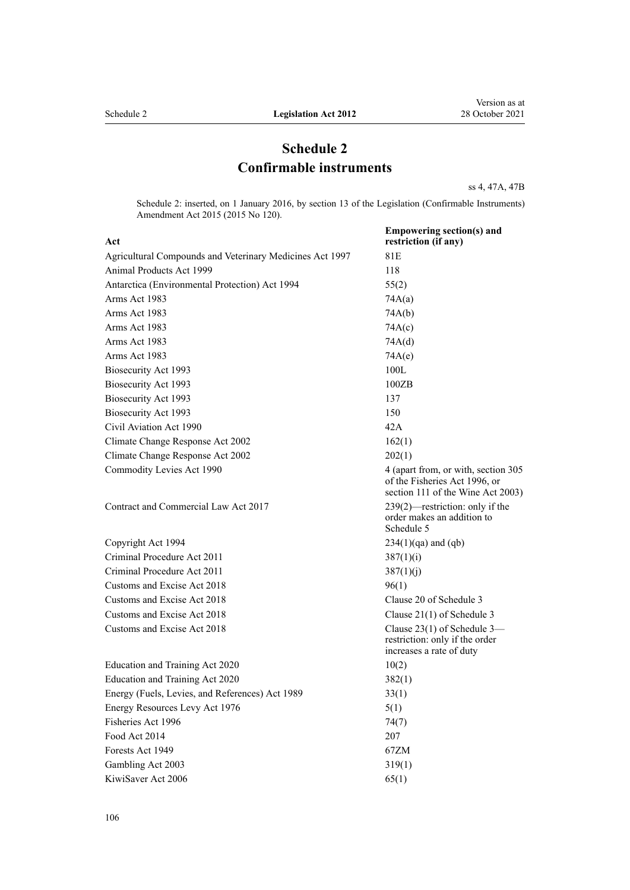# **Schedule 2 Confirmable instruments**

[ss 4,](#page-6-0) [47A,](#page-31-0) [47B](#page-32-0)

Schedule 2: inserted, on 1 January 2016, by [section 13](http://legislation.govt.nz/pdflink.aspx?id=DLM6681247) of the Legislation (Confirmable Instruments) Amendment Act 2015 (2015 No 120).

| Act                                                      | <b>Empowering section(s) and</b><br>restriction (if any)                                                  |
|----------------------------------------------------------|-----------------------------------------------------------------------------------------------------------|
| Agricultural Compounds and Veterinary Medicines Act 1997 | 81E                                                                                                       |
| Animal Products Act 1999                                 | 118                                                                                                       |
| Antarctica (Environmental Protection) Act 1994           | 55(2)                                                                                                     |
| Arms Act 1983                                            | 74A(a)                                                                                                    |
| Arms Act 1983                                            | 74A(b)                                                                                                    |
| Arms Act 1983                                            | 74A(c)                                                                                                    |
| Arms Act 1983                                            | 74A(d)                                                                                                    |
| Arms Act 1983                                            | 74A(e)                                                                                                    |
| Biosecurity Act 1993                                     | 100L                                                                                                      |
| Biosecurity Act 1993                                     | 100ZB                                                                                                     |
| Biosecurity Act 1993                                     | 137                                                                                                       |
| Biosecurity Act 1993                                     | 150                                                                                                       |
| Civil Aviation Act 1990                                  | 42A                                                                                                       |
| Climate Change Response Act 2002                         | 162(1)                                                                                                    |
| Climate Change Response Act 2002                         | 202(1)                                                                                                    |
| Commodity Levies Act 1990                                | 4 (apart from, or with, section 305<br>of the Fisheries Act 1996, or<br>section 111 of the Wine Act 2003) |
| Contract and Commercial Law Act 2017                     | $239(2)$ —restriction: only if the<br>order makes an addition to<br>Schedule 5                            |
| Copyright Act 1994                                       | $234(1)(qa)$ and $(qb)$                                                                                   |
| Criminal Procedure Act 2011                              | 387(1)(i)                                                                                                 |
| Criminal Procedure Act 2011                              | 387(1)(j)                                                                                                 |
| Customs and Excise Act 2018                              | 96(1)                                                                                                     |
| Customs and Excise Act 2018                              | Clause 20 of Schedule 3                                                                                   |
| Customs and Excise Act 2018                              | Clause $21(1)$ of Schedule 3                                                                              |
| Customs and Excise Act 2018                              | Clause $23(1)$ of Schedule 3-<br>restriction: only if the order<br>increases a rate of duty               |
| Education and Training Act 2020                          | 10(2)                                                                                                     |
| Education and Training Act 2020                          | 382(1)                                                                                                    |
| Energy (Fuels, Levies, and References) Act 1989          | 33(1)                                                                                                     |
| Energy Resources Levy Act 1976                           | 5(1)                                                                                                      |
| Fisheries Act 1996                                       | 74(7)                                                                                                     |
| Food Act 2014                                            | 207                                                                                                       |
| Forests Act 1949                                         | 67ZM                                                                                                      |
| Gambling Act 2003                                        | 319(1)                                                                                                    |
| KiwiSaver Act 2006                                       | 65(1)                                                                                                     |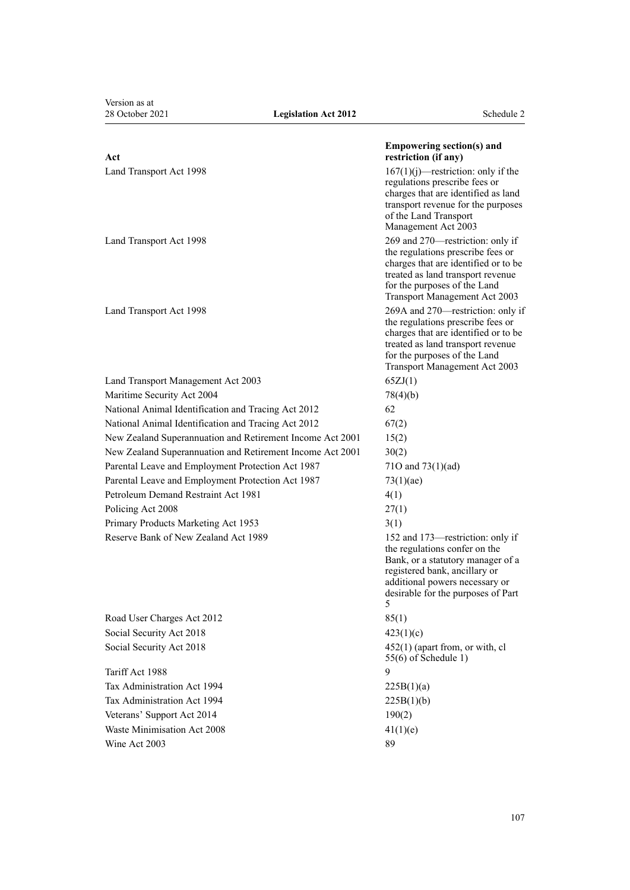Version as at<br>28 October 2021

| Act                                                       | <b>Empowering section(s) and</b><br>restriction (if any)                                                                                                                                                             |
|-----------------------------------------------------------|----------------------------------------------------------------------------------------------------------------------------------------------------------------------------------------------------------------------|
| Land Transport Act 1998                                   | $167(1)(j)$ —restriction: only if the<br>regulations prescribe fees or<br>charges that are identified as land<br>transport revenue for the purposes<br>of the Land Transport<br>Management Act 2003                  |
| Land Transport Act 1998                                   | 269 and 270—restriction: only if<br>the regulations prescribe fees or<br>charges that are identified or to be<br>treated as land transport revenue<br>for the purposes of the Land<br>Transport Management Act 2003  |
| Land Transport Act 1998                                   | 269A and 270—restriction: only if<br>the regulations prescribe fees or<br>charges that are identified or to be<br>treated as land transport revenue<br>for the purposes of the Land<br>Transport Management Act 2003 |
| Land Transport Management Act 2003                        | 65ZJ(1)                                                                                                                                                                                                              |
| Maritime Security Act 2004                                | 78(4)(b)                                                                                                                                                                                                             |
| National Animal Identification and Tracing Act 2012       | 62                                                                                                                                                                                                                   |
| National Animal Identification and Tracing Act 2012       | 67(2)                                                                                                                                                                                                                |
| New Zealand Superannuation and Retirement Income Act 2001 | 15(2)                                                                                                                                                                                                                |
| New Zealand Superannuation and Retirement Income Act 2001 | 30(2)                                                                                                                                                                                                                |
| Parental Leave and Employment Protection Act 1987         | 710 and $73(1)(ad)$                                                                                                                                                                                                  |
| Parental Leave and Employment Protection Act 1987         | 73(1)(ae)                                                                                                                                                                                                            |
| Petroleum Demand Restraint Act 1981                       | 4(1)                                                                                                                                                                                                                 |
| Policing Act 2008                                         | 27(1)                                                                                                                                                                                                                |
| Primary Products Marketing Act 1953                       | 3(1)                                                                                                                                                                                                                 |
| Reserve Bank of New Zealand Act 1989                      | 152 and 173—restriction: only if<br>the regulations confer on the<br>Bank, or a statutory manager of a<br>registered bank, ancillary or<br>additional powers necessary or<br>desirable for the purposes of Part<br>5 |
| Road User Charges Act 2012                                | 85(1)                                                                                                                                                                                                                |
| Social Security Act 2018                                  | 423(1)(c)                                                                                                                                                                                                            |
| Social Security Act 2018                                  | $452(1)$ (apart from, or with, cl<br>$55(6)$ of Schedule 1)                                                                                                                                                          |
| Tariff Act 1988                                           | 9                                                                                                                                                                                                                    |
| Tax Administration Act 1994                               | 225B(1)(a)                                                                                                                                                                                                           |
| Tax Administration Act 1994                               | 225B(1)(b)                                                                                                                                                                                                           |
| Veterans' Support Act 2014                                | 190(2)                                                                                                                                                                                                               |
| Waste Minimisation Act 2008                               | 41(1)(e)                                                                                                                                                                                                             |
| Wine Act 2003                                             | 89                                                                                                                                                                                                                   |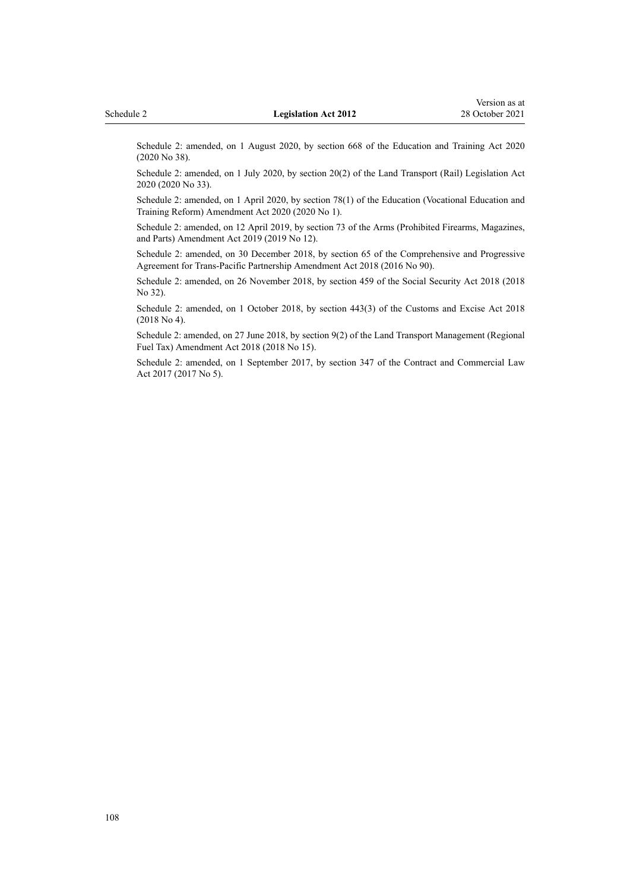Schedule 2: amended, on 1 August 2020, by [section 668](http://legislation.govt.nz/pdflink.aspx?id=LMS367713) of the Education and Training Act 2020 (2020 No 38).

Schedule 2: amended, on 1 July 2020, by [section 20\(2\)](http://legislation.govt.nz/pdflink.aspx?id=LMS286639) of the Land Transport (Rail) Legislation Act 2020 (2020 No 33).

Schedule 2: amended, on 1 April 2020, by [section 78\(1\)](http://legislation.govt.nz/pdflink.aspx?id=LMS245981) of the Education (Vocational Education and Training Reform) Amendment Act 2020 (2020 No 1).

Schedule 2: amended, on 12 April 2019, by [section 73](http://legislation.govt.nz/pdflink.aspx?id=LMS181306) of the Arms (Prohibited Firearms, Magazines, and Parts) Amendment Act 2019 (2019 No 12).

Schedule 2: amended, on 30 December 2018, by [section 65](http://legislation.govt.nz/pdflink.aspx?id=DLM6999719) of the Comprehensive and Progressive Agreement for Trans-Pacific Partnership Amendment Act 2018 (2016 No 90).

Schedule 2: amended, on 26 November 2018, by [section 459](http://legislation.govt.nz/pdflink.aspx?id=DLM6784038) of the Social Security Act 2018 (2018 No 32).

Schedule 2: amended, on 1 October 2018, by [section 443\(3\)](http://legislation.govt.nz/pdflink.aspx?id=DLM7039957) of the Customs and Excise Act 2018 (2018 No 4).

Schedule 2: amended, on 27 June 2018, by [section 9\(2\)](http://legislation.govt.nz/pdflink.aspx?id=LMS24697) of the Land Transport Management (Regional Fuel Tax) Amendment Act 2018 (2018 No 15).

Schedule 2: amended, on 1 September 2017, by [section 347](http://legislation.govt.nz/pdflink.aspx?id=DLM6844761) of the Contract and Commercial Law Act 2017 (2017 No 5).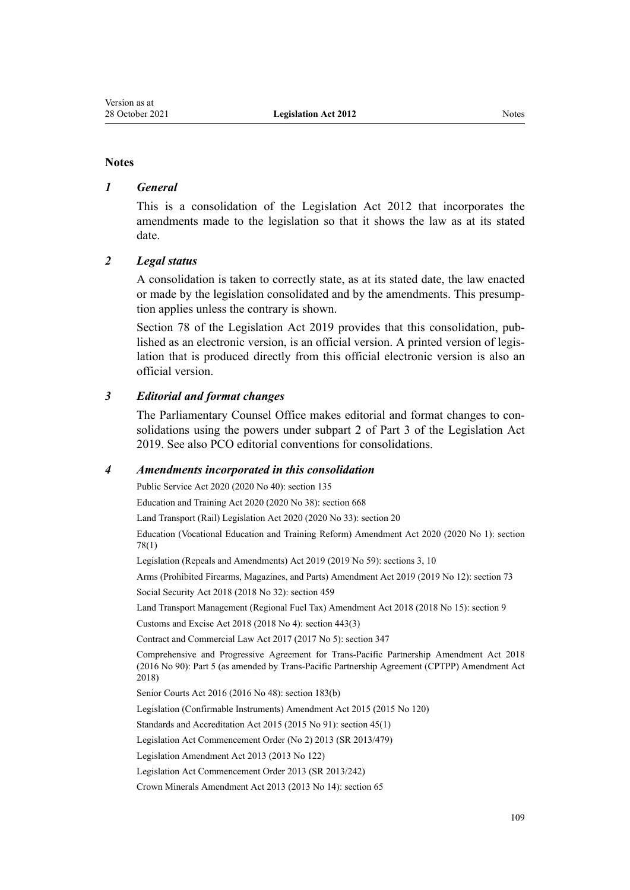# **Notes**

#### *1 General*

This is a consolidation of the Legislation Act 2012 that incorporates the amendments made to the legislation so that it shows the law as at its stated date.

# *2 Legal status*

A consolidation is taken to correctly state, as at its stated date, the law enacted or made by the legislation consolidated and by the amendments. This presump‐ tion applies unless the contrary is shown.

[Section 78](http://legislation.govt.nz/pdflink.aspx?id=DLM7298365) of the Legislation Act 2019 provides that this consolidation, published as an electronic version, is an official version. A printed version of legis‐ lation that is produced directly from this official electronic version is also an official version.

# *3 Editorial and format changes*

The Parliamentary Counsel Office makes editorial and format changes to con‐ solidations using the powers under [subpart 2](http://legislation.govt.nz/pdflink.aspx?id=DLM7298371) of Part 3 of the Legislation Act 2019. See also [PCO editorial conventions for consolidations](http://www.pco.govt.nz/editorial-conventions/).

# *4 Amendments incorporated in this consolidation*

Public Service Act 2020 (2020 No 40): [section 135](http://legislation.govt.nz/pdflink.aspx?id=LMS176959)

Education and Training Act 2020 (2020 No 38): [section 668](http://legislation.govt.nz/pdflink.aspx?id=LMS367713)

Land Transport (Rail) Legislation Act 2020 (2020 No 33): [section 20](http://legislation.govt.nz/pdflink.aspx?id=LMS286639)

Education (Vocational Education and Training Reform) Amendment Act 2020 (2020 No 1): [section](http://legislation.govt.nz/pdflink.aspx?id=LMS245981) [78\(1\)](http://legislation.govt.nz/pdflink.aspx?id=LMS245981)

Legislation (Repeals and Amendments) Act 2019 (2019 No 59): [sections 3,](http://legislation.govt.nz/pdflink.aspx?id=LMS265603) [10](http://legislation.govt.nz/pdflink.aspx?id=LMS265622)

Arms (Prohibited Firearms, Magazines, and Parts) Amendment Act 2019 (2019 No 12): [section 73](http://legislation.govt.nz/pdflink.aspx?id=LMS181306) Social Security Act 2018 (2018 No 32): [section 459](http://legislation.govt.nz/pdflink.aspx?id=DLM6784038)

Land Transport Management (Regional Fuel Tax) Amendment Act 2018 (2018 No 15): [section 9](http://legislation.govt.nz/pdflink.aspx?id=LMS24697)

Customs and Excise Act 2018 (2018 No 4): [section 443\(3\)](http://legislation.govt.nz/pdflink.aspx?id=DLM7039957)

Contract and Commercial Law Act 2017 (2017 No 5): [section 347](http://legislation.govt.nz/pdflink.aspx?id=DLM6844761)

Comprehensive and Progressive Agreement for Trans-Pacific Partnership Amendment Act 2018 (2016 No 90): [Part 5](http://legislation.govt.nz/pdflink.aspx?id=DLM6838295) (as amended by [Trans-Pacific Partnership Agreement \(CPTPP\) Amendment Act](http://legislation.govt.nz/pdflink.aspx?id=LMS54735) [2018](http://legislation.govt.nz/pdflink.aspx?id=LMS54735))

Senior Courts Act 2016 (2016 No 48): [section 183\(b\)](http://legislation.govt.nz/pdflink.aspx?id=DLM5759564)

[Legislation \(Confirmable Instruments\) Amendment Act 2015](http://legislation.govt.nz/pdflink.aspx?id=DLM6681200) (2015 No 120)

Standards and Accreditation Act 2015 (2015 No 91): [section 45\(1\)](http://legislation.govt.nz/pdflink.aspx?id=DLM5947001)

[Legislation Act Commencement Order \(No 2\) 2013](http://legislation.govt.nz/pdflink.aspx?id=DLM5775509) (SR 2013/479)

[Legislation Amendment Act 2013](http://legislation.govt.nz/pdflink.aspx?id=DLM5623200) (2013 No 122)

[Legislation Act Commencement Order 2013](http://legislation.govt.nz/pdflink.aspx?id=DLM5266016) (SR 2013/242)

Crown Minerals Amendment Act 2013 (2013 No 14): [section 65](http://legislation.govt.nz/pdflink.aspx?id=DLM5081570)